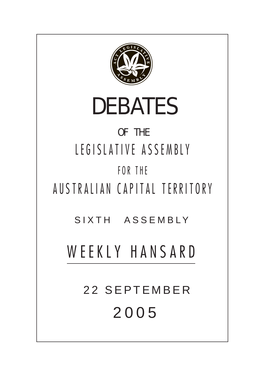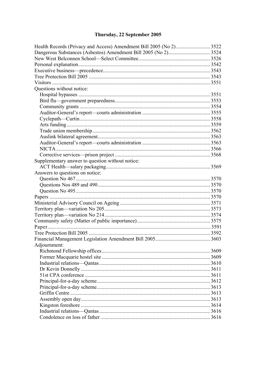# Thursday, 22 September 2005

| Health Records (Privacy and Access) Amendment Bill 2005 (No 2) 3522 |  |  |
|---------------------------------------------------------------------|--|--|
|                                                                     |  |  |
|                                                                     |  |  |
|                                                                     |  |  |
|                                                                     |  |  |
|                                                                     |  |  |
|                                                                     |  |  |
| Questions without notice:                                           |  |  |
|                                                                     |  |  |
|                                                                     |  |  |
|                                                                     |  |  |
|                                                                     |  |  |
|                                                                     |  |  |
|                                                                     |  |  |
|                                                                     |  |  |
|                                                                     |  |  |
|                                                                     |  |  |
|                                                                     |  |  |
|                                                                     |  |  |
| Supplementary answer to question without notice:                    |  |  |
|                                                                     |  |  |
| Answers to questions on notice:                                     |  |  |
|                                                                     |  |  |
|                                                                     |  |  |
|                                                                     |  |  |
|                                                                     |  |  |
|                                                                     |  |  |
|                                                                     |  |  |
|                                                                     |  |  |
|                                                                     |  |  |
|                                                                     |  |  |
|                                                                     |  |  |
|                                                                     |  |  |
| Adjournment:                                                        |  |  |
|                                                                     |  |  |
|                                                                     |  |  |
|                                                                     |  |  |
|                                                                     |  |  |
|                                                                     |  |  |
|                                                                     |  |  |
|                                                                     |  |  |
|                                                                     |  |  |
|                                                                     |  |  |
|                                                                     |  |  |
|                                                                     |  |  |
|                                                                     |  |  |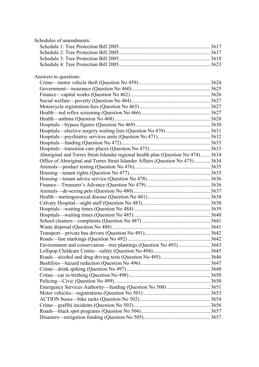| Schedules of amendments:                                                           |  |
|------------------------------------------------------------------------------------|--|
|                                                                                    |  |
|                                                                                    |  |
|                                                                                    |  |
|                                                                                    |  |
| Answers to questions:                                                              |  |
|                                                                                    |  |
|                                                                                    |  |
|                                                                                    |  |
|                                                                                    |  |
|                                                                                    |  |
|                                                                                    |  |
|                                                                                    |  |
|                                                                                    |  |
|                                                                                    |  |
|                                                                                    |  |
|                                                                                    |  |
|                                                                                    |  |
| Aboriginal and Torres Strait Islander regional health plan (Question No 474)  3634 |  |
| Office of Aboriginal and Torres Strait Islander Affairs (Question No 475)  3634    |  |
|                                                                                    |  |
|                                                                                    |  |
|                                                                                    |  |
|                                                                                    |  |
|                                                                                    |  |
|                                                                                    |  |
|                                                                                    |  |
|                                                                                    |  |
|                                                                                    |  |
|                                                                                    |  |
|                                                                                    |  |
|                                                                                    |  |
|                                                                                    |  |
| Environment and conservation—tree plantings (Question No 493) 3643                 |  |
|                                                                                    |  |
|                                                                                    |  |
|                                                                                    |  |
|                                                                                    |  |
|                                                                                    |  |
|                                                                                    |  |
|                                                                                    |  |
|                                                                                    |  |
|                                                                                    |  |
|                                                                                    |  |
|                                                                                    |  |
|                                                                                    |  |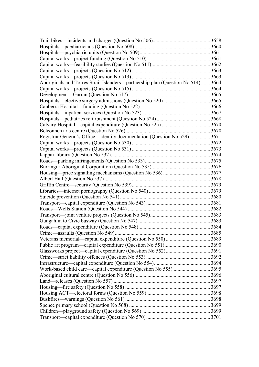|                                                                                | 3658  |
|--------------------------------------------------------------------------------|-------|
|                                                                                |       |
|                                                                                |       |
|                                                                                |       |
|                                                                                |       |
|                                                                                |       |
|                                                                                | .3663 |
| Aboriginals and Torres Strait Islanders—partnership plan (Question No 514)3664 |       |
|                                                                                |       |
|                                                                                |       |
|                                                                                |       |
|                                                                                |       |
|                                                                                |       |
|                                                                                |       |
|                                                                                |       |
|                                                                                |       |
| Registrar General's Office—identity documentation (Question No 529)3671        |       |
|                                                                                |       |
|                                                                                |       |
|                                                                                |       |
|                                                                                |       |
|                                                                                |       |
|                                                                                |       |
|                                                                                |       |
|                                                                                |       |
|                                                                                |       |
|                                                                                |       |
|                                                                                |       |
|                                                                                |       |
|                                                                                |       |
|                                                                                | .3683 |
|                                                                                |       |
|                                                                                |       |
|                                                                                |       |
|                                                                                |       |
|                                                                                |       |
|                                                                                |       |
|                                                                                |       |
|                                                                                |       |
|                                                                                |       |
|                                                                                |       |
|                                                                                |       |
|                                                                                |       |
|                                                                                |       |
|                                                                                |       |
|                                                                                |       |
|                                                                                |       |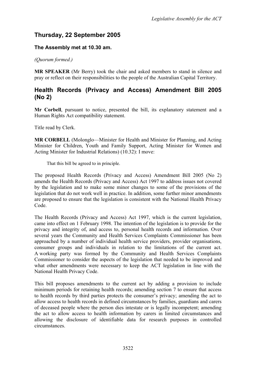# **Thursday, 22 September 2005**

### **The Assembly met at 10.30 am.**

*(Quorum formed.)* 

**MR SPEAKER** (Mr Berry) took the chair and asked members to stand in silence and pray or reflect on their responsibilities to the people of the Australian Capital Territory.

## <span id="page-5-0"></span>**Health Records (Privacy and Access) Amendment Bill 2005 (No 2)**

**Mr Corbell**, pursuant to notice, presented the bill, its explanatory statement and a Human Rights Act compatibility statement.

Title read by Clerk.

**MR CORBELL** (Molonglo—Minister for Health and Minister for Planning, and Acting Minister for Children, Youth and Family Support, Acting Minister for Women and Acting Minister for Industrial Relations) (10.32): I move:

That this bill be agreed to in principle.

The proposed Health Records (Privacy and Access) Amendment Bill 2005 (No 2) amends the Health Records (Privacy and Access) Act 1997 to address issues not covered by the legislation and to make some minor changes to some of the provisions of the legislation that do not work well in practice. In addition, some further minor amendments are proposed to ensure that the legislation is consistent with the National Health Privacy Code.

The Health Records (Privacy and Access) Act 1997, which is the current legislation, came into effect on 1 February 1998. The intention of the legislation is to provide for the privacy and integrity of, and access to, personal health records and information. Over several years the Community and Health Services Complaints Commissioner has been approached by a number of individual health service providers, provider organisations, consumer groups and individuals in relation to the limitations of the current act. A working party was formed by the Community and Health Services Complaints Commissioner to consider the aspects of the legislation that needed to be improved and what other amendments were necessary to keep the ACT legislation in line with the National Health Privacy Code.

This bill proposes amendments to the current act by adding a provision to include minimum periods for retaining health records; amending section 7 to ensure that access to health records by third parties protects the consumer's privacy; amending the act to allow access to health records in defined circumstances by families, guardians and carers of deceased people where the person dies intestate or is legally incompetent; amending the act to allow access to health information by carers in limited circumstances and allowing the disclosure of identifiable data for research purposes in controlled circumstances.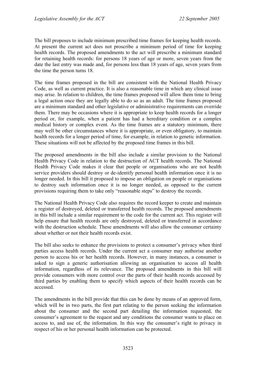The bill proposes to include minimum prescribed time frames for keeping health records. At present the current act does not proscribe a minimum period of time for keeping health records. The proposed amendments to the act will prescribe a minimum standard for retaining health records: for persons 18 years of age or more, seven years from the date the last entry was made and, for persons less than 18 years of age, seven years from the time the person turns 18.

The time frames proposed in the bill are consistent with the National Health Privacy Code, as well as current practice. It is also a reasonable time in which any clinical issue may arise. In relation to children, the time frames proposed will allow them time to bring a legal action once they are legally able to do so as an adult. The time frames proposed are a minimum standard and other legislative or administrative requirements can override them. There may be occasions where it is appropriate to keep health records for a longer period or, for example, when a patient has had a hereditary condition or a complex medical history or complex event. As the time frames are a statutory minimum, there may well be other circumstances where it is appropriate, or even obligatory, to maintain health records for a longer period of time, for example, in relation to genetic information. These situations will not be affected by the proposed time frames in this bill.

The proposed amendments in the bill also include a similar provision to the National Health Privacy Code in relation to the destruction of ACT health records. The National Health Privacy Code makes it clear that people or organisations who are not health service providers should destroy or de-identify personal health information once it is no longer needed. In this bill it proposed to impose an obligation on people or organisations to destroy such information once it is no longer needed, as opposed to the current provisions requiring them to take only "reasonable steps" to destroy the records.

The National Health Privacy Code also requires the record keeper to create and maintain a register of destroyed, deleted or transferred health records. The proposed amendments in this bill include a similar requirement to the code for the current act. This register will help ensure that health records are only destroyed, deleted or transferred in accordance with the destruction schedule. These amendments will also allow the consumer certainty about whether or not their health records exist.

The bill also seeks to enhance the provisions to protect a consumer's privacy when third parties access health records. Under the current act a consumer may authorise another person to access his or her health records. However, in many instances, a consumer is asked to sign a generic authorisation allowing an organisation to access all health information, regardless of its relevance. The proposed amendments in this bill will provide consumers with more control over the parts of their health records accessed by third parties by enabling them to specify which aspects of their health records can be accessed.

The amendments in the bill provide that this can be done by means of an approved form, which will be in two parts, the first part relating to the person seeking the information about the consumer and the second part detailing the information requested, the consumer's agreement to the request and any conditions the consumer wants to place on access to, and use of, the information. In this way the consumer's right to privacy in respect of his or her personal health information can be protected.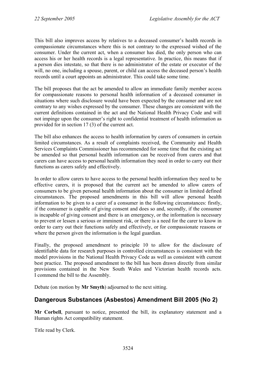This bill also improves access by relatives to a deceased consumer's health records in compassionate circumstances where this is not contrary to the expressed wished of the consumer. Under the current act, when a consumer has died, the only person who can access his or her health records is a legal representative. In practice, this means that if a person dies intestate, so that there is no administrator of the estate or executor of the will, no one, including a spouse, parent, or child can access the deceased person's health records until a court appoints an administrator. This could take some time.

The bill proposes that the act be amended to allow an immediate family member access for compassionate reasons to personal health information of a deceased consumer in situations where such disclosure would have been expected by the consumer and are not contrary to any wishes expressed by the consumer. These changes are consistent with the current definitions contained in the act and the National Health Privacy Code and will not impinge upon the consumer's right to confidential treatment of health information as provided for in section 17 (3) of the current act.

The bill also enhances the access to health information by carers of consumers in certain limited circumstances. As a result of complaints received, the Community and Health Services Complaints Commissioner has recommended for some time that the existing act be amended so that personal health information can be received from carers and that carers can have access to personal health information they need in order to carry out their functions as carers safely and effectively.

In order to allow carers to have access to the personal health information they need to be effective carers, it is proposed that the current act be amended to allow carers of consumers to be given personal health information about the consumer in limited defined circumstances. The proposed amendments in this bill will allow personal health information to be given to a carer of a consumer in the following circumstances: firstly, if the consumer is capable of giving consent and does so and, secondly, if the consumer is incapable of giving consent and there is an emergency, or the information is necessary to prevent or lessen a serious or imminent risk, or there is a need for the carer to know in order to carry out their functions safely and effectively, or for compassionate reasons or where the person given the information is the legal guardian.

Finally, the proposed amendment to principle 10 to allow for the disclosure of identifiable data for research purposes in controlled circumstances is consistent with the model provisions in the National Health Privacy Code as well as consistent with current best practice. The proposed amendment to the bill has been drawn directly from similar provisions contained in the New South Wales and Victorian health records acts. I commend the bill to the Assembly.

Debate (on motion by **Mr Smyth**) adjourned to the next sitting.

# <span id="page-7-0"></span>**Dangerous Substances (Asbestos) Amendment Bill 2005 (No 2)**

**Mr Corbell**, pursuant to notice, presented the bill, its explanatory statement and a Human rights Act compatibility statement.

Title read by Clerk.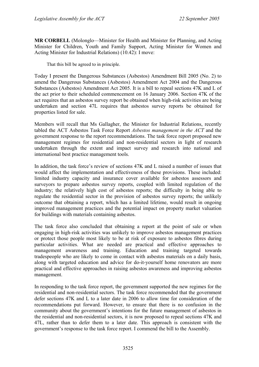**MR CORBELL** (Molonglo—Minister for Health and Minister for Planning, and Acting Minister for Children, Youth and Family Support, Acting Minister for Women and Acting Minister for Industrial Relations) (10.42): I move:

That this bill be agreed to in principle.

Today I present the Dangerous Substances (Asbestos) Amendment Bill 2005 (No. 2) to amend the Dangerous Substances (Asbestos) Amendment Act 2004 and the Dangerous Substances (Asbestos) Amendment Act 2005. It is a bill to repeal sections 47K and L of the act prior to their scheduled commencement on 16 January 2006. Section 47K of the act requires that an asbestos survey report be obtained when high-risk activities are being undertaken and section 47L requires that asbestos survey reports be obtained for properties listed for sale.

Members will recall that Ms Gallagher, the Minister for Industrial Relations, recently tabled the ACT Asbestos Task Force Report *Asbestos management in the ACT* and the government response to the report recommendations. The task force report proposed new management regimes for residential and non-residential sectors in light of research undertaken through the extent and impact survey and research into national and international best practice management tools.

In addition, the task force's review of sections 47K and L raised a number of issues that would affect the implementation and effectiveness of these provisions. These included: limited industry capacity and insurance cover available for asbestos assessors and surveyors to prepare asbestos survey reports, coupled with limited regulation of the industry; the relatively high cost of asbestos reports; the difficulty in being able to regulate the residential sector in the provision of asbestos survey reports; the unlikely outcome that obtaining a report, which has a limited lifetime, would result in ongoing improved management practices and the potential impact on property market valuation for buildings with materials containing asbestos.

The task force also concluded that obtaining a report at the point of sale or when engaging in high-risk activities was unlikely to improve asbestos management practices or protect those people most likely to be at risk of exposure to asbestos fibres during particular activities. What are needed are practical and effective approaches to management awareness and training. Education and training targeted towards tradespeople who are likely to come in contact with asbestos materials on a daily basis, along with targeted education and advice for do-it-yourself home renovators are more practical and effective approaches in raising asbestos awareness and improving asbestos management.

In responding to the task force report, the government supported the new regimes for the residential and non-residential sectors. The task force recommended that the government defer sections 47K and L to a later date in 2006 to allow time for consideration of the recommendations put forward. However, to ensure that there is no confusion in the community about the government's intentions for the future management of asbestos in the residential and non-residential sectors, it is now proposed to repeal sections 47K and 47L, rather than to defer them to a later date. This approach is consistent with the government's response to the task force report. I commend the bill to the Assembly.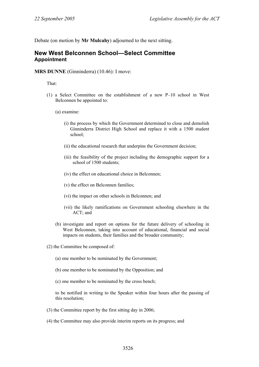Debate (on motion by **Mr Mulcahy**) adjourned to the next sitting.

### <span id="page-9-0"></span>**New West Belconnen School—Select Committee Appointment**

**MRS DUNNE** (Ginninderra) (10.46): I move:

That:

(1) a Select Committee on the establishment of a new P–10 school in West Belconnen be appointed to:

(a) examine:

- (i) the process by which the Government determined to close and demolish Ginninderra District High School and replace it with a 1500 student school;
- (ii) the educational research that underpins the Government decision;
- (iii) the feasibility of the project including the demographic support for a school of 1500 students;
- (iv) the effect on educational choice in Belconnen;
- (v) the effect on Belconnen families;
- (vi) the impact on other schools in Belconnen; and
- (vii) the likely ramifications on Government schooling elsewhere in the ACT; and
- (b) investigate and report on options for the future delivery of schooling in West Belconnen, taking into account of educational, financial and social impacts on students, their families and the broader community;
- (2) the Committee be composed of:
	- (a) one member to be nominated by the Government;
	- (b) one member to be nominated by the Opposition; and
	- (c) one member to be nominated by the cross bench;

to be notified in writing to the Speaker within four hours after the passing of this resolution;

- (3) the Committee report by the first sitting day in 2006;
- (4) the Committee may also provide interim reports on its progress; and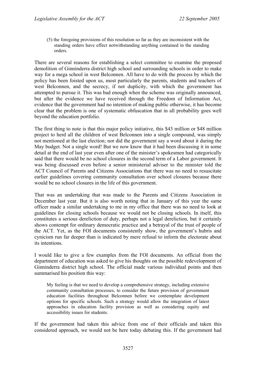(5) the foregoing provisions of this resolution so far as they are inconsistent with the standing orders have effect notwithstanding anything contained in the standing orders.

There are several reasons for establishing a select committee to examine the proposed demolition of Ginninderra district high school and surrounding schools in order to make way for a mega school in west Belconnen. All have to do with the process by which the policy has been foisted upon us, most particularly the parents, students and teachers of west Belconnen, and the secrecy, if not duplicity, with which the government has attempted to pursue it. This was bad enough when the scheme was originally announced, but after the evidence we have received through the Freedom of Information Act, evidence that the government had no intention of making public otherwise, it has become clear that the problem is one of systematic obfuscation that in all probability goes well beyond the education portfolio.

The first thing to note is that this major policy initiative, this \$43 million or \$48 million project to herd all the children of west Belconnen into a single compound, was simply not mentioned at the last election; nor did the government say a word about it during the May budget. Not a single word! But we now know that it had been discussing it in some detail at the end of last year even after one of the minister's spokesmen had categorically said that there would be no school closures in the second term of a Labor government. It was being discussed even before a senior ministerial adviser to the minister told the ACT Council of Parents and Citizens Associations that there was no need to resuscitate earlier guidelines covering community consultation over school closures because there would be no school closures in the life of this government.

That was an undertaking that was made to the Parents and Citizens Association in December last year. But it is also worth noting that in January of this year the same officer made a similar undertaking to me in my office that there was no need to look at guidelines for closing schools because we would not be closing schools. In itself, this constitutes a serious dereliction of duty, perhaps not a legal dereliction, but it certainly shows contempt for ordinary democratic practice and a betrayal of the trust of people of the ACT. Yet, as the FOI documents consistently show, the government's hubris and cynicism run far deeper than is indicated by mere refusal to inform the electorate about its intentions.

I would like to give a few examples from the FOI documents. An official from the department of education was asked to give his thoughts on the possible redevelopment of Ginninderra district high school. The official made various individual points and then summarised his position this way:

My feeling is that we need to develop a comprehensive strategy, including extensive community consultation processes, to consider the future provision of government education facilities throughout Belconnen before we contemplate development options for specific schools. Such a strategy would allow the integration of latest approaches in education facility provision as well as considering equity and accessibility issues for students.

If the government had taken this advice from one of their officials and taken this considered approach, we would not be here today debating this. If the government had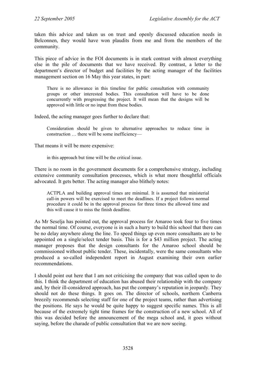taken this advice and taken us on trust and openly discussed education needs in Belconnen, they would have won plaudits from me and from the members of the community.

This piece of advice in the FOI documents is in stark contrast with almost everything else in the pile of documents that we have received. By contrast, a letter to the department's director of budget and facilities by the acting manager of the facilities management section on 16 May this year states, in part:

There is no allowance in this timeline for public consultation with community groups or other interested bodies. This consultation will have to be done concurrently with progressing the project. It will mean that the designs will be approved with little or no input from these bodies.

Indeed, the acting manager goes further to declare that:

Consideration should be given to alternative approaches to reduce time in construction … there will be some inefficiency—

That means it will be more expensive:

in this approach but time will be the critical issue.

There is no room in the government documents for a comprehensive strategy, including extensive community consultation processes, which is what more thoughtful officials advocated. It gets better. The acting manager also blithely notes:

ACTPLA and building approval times are minimal. It is assumed that ministerial call-in powers will be exercised to meet the deadlines. If a project follows normal procedure it could be in the approval process for three times the allowed time and this will cause it to miss the finish deadline.

As Mr Seselja has pointed out, the approval process for Amaroo took four to five times the normal time. Of course, everyone is in such a hurry to build this school that there can be no delay anywhere along the line. To speed things up even more consultants are to be appointed on a single/select tender basis. This is for a \$43 million project. The acting manager proposes that the design consultants for the Amaroo school should be commissioned without public tender. These, incidentally, were the same consultants who produced a so-called independent report in August examining their own earlier recommendations.

I should point out here that I am not criticising the company that was called upon to do this. I think the department of education has abused their relationship with the company and, by their ill-considered approach, has put the company's reputation in jeopardy. They should not do these things. It goes on. The director of schools, northern Canberra breezily recommends selecting staff for one of the project teams, rather than advertising the positions. He says he would be quite happy to suggest specific names. This is all because of the extremely tight time frames for the construction of a new school. All of this was decided before the announcement of the mega school and, it goes without saying, before the charade of public consultation that we are now seeing.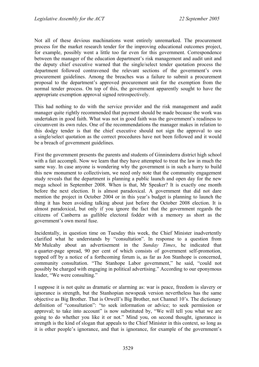Not all of these devious machinations went entirely unremarked. The procurement process for the market research tender for the improving educational outcomes project, for example, possibly went a little too far even for this government. Correspondence between the manager of the education department's risk management and audit unit and the deputy chief executive warned that the single/select tender quotation process the department followed contravened the relevant sections of the government's own procurement guidelines. Among the breaches was a failure to submit a procurement proposal to the department's approved procurement unit for the exemption from the normal tender process. On top of this, the government apparently sought to have the appropriate exemption approval signed retrospectively.

This had nothing to do with the service provider and the risk management and audit manager quite rightly recommended that payment should be made because the work was undertaken in good faith. What was not in good faith was the government's readiness to circumvent its own rules. One of the recommendations the manager makes in relation to this dodgy tender is that the chief executive should not sign the approval to use a single/select quotation as the correct procedures have not been followed and it would be a breach of government guidelines.

First the government presents the parents and students of Ginninderra district high school with a fait accompli. Now we learn that they have attempted to treat the law in much the same way. In case anyone is wondering why the government is in such a hurry to build this new monument to collectivism, we need only note that the community engagement study reveals that the department is planning a public launch and open day for the new mega school in September 2008. When is that, Mr Speaker? It is exactly one month before the next election. It is almost paradoxical. A government that did not dare mention the project in October 2004 or in this year's budget is planning to launch the thing it has been avoiding talking about just before the October 2008 election. It is almost paradoxical, but only if you ignore the fact that the government regards the citizens of Canberra as gullible electoral fodder with a memory as short as the government's own moral fuse.

Incidentally, in question time on Tuesday this week, the Chief Minister inadvertently clarified what he understands by "consultation". In response to a question from Mr Mulcahy about an advertisement in the *Sunday Times*, he indicated that a quarter-page spread, 90 per cent of which consists of government self-promotion, topped off by a notice of a forthcoming forum is, as far as Jon Stanhope is concerned, community consultation. "The Stanhope Labor government," he said, "could not possibly be charged with engaging in political advertising." According to our eponymous leader, "We were consulting."

I suppose it is not quite as dramatic or alarming as: war is peace, freedom is slavery or ignorance is strength, but the Stanhopian newspeak version nevertheless has the same objective as Big Brother. That is Orwell's Big Brother, not Channel 10's. The dictionary definition of "consultation": "to seek information or advice; to seek permission or approval; to take into account" is now substituted by, "We will tell you what we are going to do whether you like it or not." Mind you, on second thought, ignorance is strength is the kind of slogan that appeals to the Chief Minister in this context, so long as it is other people's ignorance, and that is ignorance, for example of the government's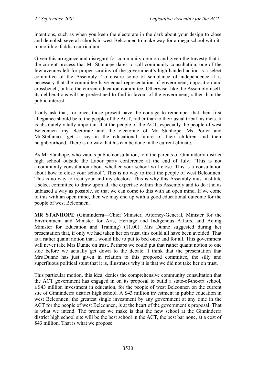intentions, such as when you keep the electorate in the dark about your design to close and demolish several schools in west Belconnen to make way for a mega school with its monolithic, faddish curriculum.

Given this arrogance and disregard for community opinion and given the travesty that is the current process that Mr Stanhope dares to call community consultation, one of the few avenues left for proper scrutiny of the government's high-handed action is a select committee of the Assembly. To ensure some of semblance of independence it is necessary that the committee have equal representation of government, opposition and crossbench, unlike the current education committee. Otherwise, like the Assembly itself, its deliberations will be predestined to find in favour of the government, rather than the public interest.

I only ask that, for once, those present have the courage to remember that their first allegiance should be to the people of the ACT, rather than to their usual tribal instincts. It is absolutely vitally important that the people of the ACT, especially the people of west Belconnen—my electorate and the electorate of Mr Stanhope, Ms Porter and Mr Stefaniak—get a say in the educational future of their children and their neighbourhood. There is no way that his can be done in the current climate.

As Mr Stanhope, who vaunts public consultation, told the parents of Ginninderra district high school outside the Labor party conference at the end of July; "This is not a community consultation about whether your school will close. This is a consultation about how to close your school". This is no way to treat the people of west Belconnen. This is no way to treat your and my electors. This is why this Assembly must institute a select committee to draw upon all the expertise within this Assembly and to do it in as unbiased a way as possible, so that we can come to this with an open mind. If we come to this with an open mind, then we may end up with a good educational outcome for the people of west Belconnen.

**MR STANHOPE** (Ginninderra—Chief Minister, Attorney-General, Minister for the Environment and Minister for Arts, Heritage and Indigenous Affairs, and Acting Minister for Education and Training) (11.00): Mrs Dunne suggested during her presentation that, if only we had taken her on trust, this could all have been avoided. That is a rather quaint notion that I would like to put to bed once and for all. This government will never take Mrs Dunne on trust. Perhaps we could put that rather quaint notion to one side before we actually get down to the debate. I think that the presentation that Mrs Dunne has just given in relation to this proposed committee, the silly and superfluous political stunt that it is, illustrates why it is that we did not take her on trust.

This particular motion, this idea, denies the comprehensive community consultation that the ACT government has engaged in on its proposal to build a state-of-the-art school, a \$43 million investment in education, for the people of west Belconnen on the current site of Ginninderra district high school. A \$43 million investment in public education in west Belconnen, the greatest single investment by any government at any time in the ACT for the people of west Belconnen, is at the heart of the government's proposal. That is what we intend. The promise we make is that the new school at the Ginninderra district high school site will be the best school in the ACT, the best bar none, at a cost of \$43 million. That is what we propose.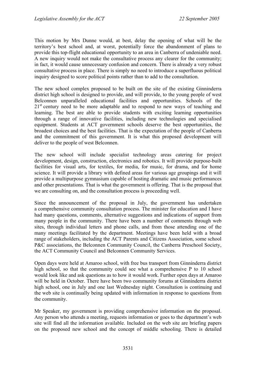This motion by Mrs Dunne would, at best, delay the opening of what will be the territory's best school and, at worst, potentially force the abandonment of plans to provide this top-flight educational opportunity to an area in Canberra of undeniable need. A new inquiry would not make the consultative process any clearer for the community; in fact, it would cause unnecessary confusion and concern. There is already a very robust consultative process in place. There is simply no need to introduce a superfluous political inquiry designed to score political points rather than to add to the consultation.

The new school complex proposed to be built on the site of the existing Ginninderra district high school is designed to provide, and will provide, to the young people of west Belconnen unparalleled educational facilities and opportunities. Schools of the  $21<sup>st</sup>$  century need to be more adaptable and to respond to new ways of teaching and learning. The best are able to provide students with exciting learning opportunities through a range of innovative facilities, including new technologies and specialised equipment. Students at ACT government schools deserve the best opportunities, the broadest choices and the best facilities. That is the expectation of the people of Canberra and the commitment of this government. It is what this proposed development will deliver to the people of west Belconnen.

The new school will include specialist technology areas catering for project development, design, construction, electronics and robotics. It will provide purpose-built facilities for visual arts, for textiles, for media, for music, for drama, and for home science. It will provide a library with defined areas for various age groupings and it will provide a multipurpose gymnasium capable of hosting dramatic and music performances and other presentations. That is what the government is offering. That is the proposal that we are consulting on, and the consultation process is proceeding well.

Since the announcement of the proposal in July, the government has undertaken a comprehensive community consultation process. The minister for education and I have had many questions, comments, alternative suggestions and indications of support from many people in the community. There have been a number of comments through web sites, through individual letters and phone calls, and from those attending one of the many meetings facilitated by the department. Meetings have been held with a broad range of stakeholders, including the ACT Parents and Citizens Association, some school P&C associations, the Belconnen Community Council, the Canberra Preschool Society, the ACT Community Council and Belconnen Community Services.

Open days were held at Amaroo school, with free bus transport from Ginninderra district high school, so that the community could see what a comprehensive P to 10 school would look like and ask questions as to how it would work. Further open days at Amaroo will be held in October. There have been two community forums at Ginninderra district high school, one in July and one last Wednesday night. Consultation is continuing and the web site is continually being updated with information in response to questions from the community.

Mr Speaker, my government is providing comprehensive information on the proposal. Any person who attends a meeting, requests information or goes to the department's web site will find all the information available. Included on the web site are briefing papers on the proposed new school and the concept of middle schooling. There is detailed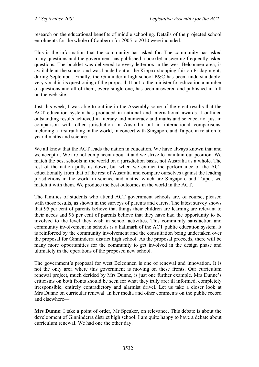research on the educational benefits of middle schooling. Details of the projected school enrolments for the whole of Canberra for 2005 to 2010 were included.

This is the information that the community has asked for. The community has asked many questions and the government has published a booklet answering frequently asked questions. The booklet was delivered to every letterbox in the west Belconnen area, is available at the school and was handed out at the Kippax shopping fair on Friday nights during September. Finally, the Ginninderra high school P&C has been, understandably, very vocal in its questioning of the proposal. It put to the minister for education a number of questions and all of them, every single one, has been answered and published in full on the web site.

Just this week, I was able to outline in the Assembly some of the great results that the ACT education system has produced in national and international awards. I outlined outstanding results achieved in literacy and numeracy and maths and science, not just in comparison with other jurisdiction in Australia but in international comparisons, including a first ranking in the world, in concert with Singapore and Taipei, in relation to year 4 maths and science.

We all know that the ACT leads the nation in education. We have always known that and we accept it. We are not complacent about it and we strive to maintain our position. We match the best schools in the world on a jurisdiction basis, not Australia as a whole. The rest of the nation pulls us down, but when we extract the performance of the ACT educationally from that of the rest of Australia and compare ourselves against the leading jurisdictions in the world in science and maths, which are Singapore and Taipei, we match it with them. We produce the best outcomes in the world in the ACT.

The families of students who attend ACT government schools are, of course, pleased with those results, as shown in the surveys of parents and carers. The latest survey shows that 95 per cent of parents believe that things their children are learning are relevant to their needs and 96 per cent of parents believe that they have had the opportunity to be involved to the level they wish in school activities. This community satisfaction and community involvement in schools is a hallmark of the ACT public education system. It is reinforced by the community involvement and the consultation being undertaken over the proposal for Ginninderra district high school. As the proposal proceeds, there will be many more opportunities for the community to get involved in the design phase and ultimately in the operations of the proposed new school.

The government's proposal for west Belconnen is one of renewal and innovation. It is not the only area where this government is moving on these fronts. Our curriculum renewal project, much derided by Mrs Dunne, is just one further example. Mrs Dunne's criticisms on both fronts should be seen for what they truly are: ill informed, completely irresponsible, entirely contradictory and alarmist drivel. Let us take a closer look at Mrs Dunne on curricular renewal. In her media and other comments on the public record and elsewhere—

**Mrs Dunne**: I take a point of order, Mr Speaker, on relevance. This debate is about the development of Ginninderra district high school. I am quite happy to have a debate about curriculum renewal. We had one the other day.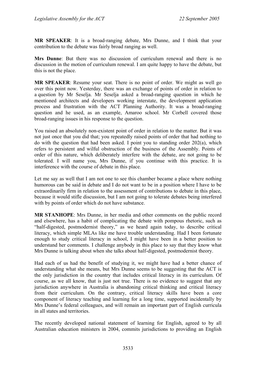**MR SPEAKER**: It is a broad-ranging debate, Mrs Dunne, and I think that your contribution to the debate was fairly broad ranging as well.

**Mrs Dunne**: But there was no discussion of curriculum renewal and there is no discussion in the motion of curriculum renewal. I am quite happy to have the debate, but this is not the place.

**MR SPEAKER**: Resume your seat. There is no point of order. We might as well go over this point now. Yesterday, there was an exchange of points of order in relation to a question by Mr Seselja. Mr Seselja asked a broad-ranging question in which he mentioned architects and developers working interstate, the development application process and frustration with the ACT Planning Authority. It was a broad-ranging question and he used, as an example, Amaroo school. Mr Corbell covered those broad-ranging issues in his response to the question.

You raised an absolutely non-existent point of order in relation to the matter. But it was not just once that you did that; you repeatedly raised points of order that had nothing to do with the question that had been asked. I point you to standing order 202(a), which refers to persistent and wilful obstruction of the business of the Assembly. Points of order of this nature, which deliberately interfere with the debate, are not going to be tolerated. I will name you, Mrs Dunne, if you continue with this practice. It is interference with the course of debate in this place.

Let me say as well that I am not one to see this chamber became a place where nothing humorous can be said in debate and I do not want to be in a position where I have to be extraordinarily firm in relation to the assessment of contributions to debate in this place, because it would stifle discussion, but I am not going to tolerate debates being interfered with by points of order which do not have substance.

**MR STANHOPE**: Mrs Dunne, in her media and other comments on the public record and elsewhere, has a habit of complicating the debate with pompous rhetoric, such as "half-digested, postmodernist theory," as we heard again today, to describe critical literacy, which simple MLAs like me have trouble understanding. Had I been fortunate enough to study critical literacy in school, I might have been in a better position to understand her comments. I challenge anybody in this place to say that they know what Mrs Dunne is talking about when she talks about half-digested, postmodernist theory.

Had each of us had the benefit of studying it, we might have had a better chance of understanding what she means, but Mrs Dunne seems to be suggesting that the ACT is the only jurisdiction in the country that includes critical literacy in its curriculum. Of course, as we all know, that is just not true. There is no evidence to suggest that any jurisdiction anywhere in Australia is abandoning critical thinking and critical literacy from their curriculum. On the contrary, critical literacy skills have been a core component of literacy teaching and learning for a long time, supported incidentally by Mrs Dunne's federal colleagues, and will remain an important part of English curricula in all states and territories.

The recently developed national statement of learning for English, agreed to by all Australian education ministers in 2004, commits jurisdictions to providing an English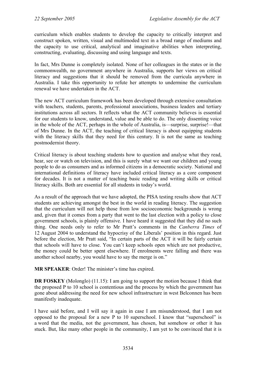curriculum which enables students to develop the capacity to critically interpret and construct spoken, written, visual and multimoded text in a broad range of mediums and the capacity to use critical, analytical and imaginative abilities when interpreting, constructing, evaluating, discussing and using language and texts.

In fact, Mrs Dunne is completely isolated. None of her colleagues in the states or in the commonwealth, no government anywhere in Australia, supports her views on critical literacy and suggestions that it should be removed from the curricula anywhere in Australia. I take this opportunity to refute her attempts to undermine the curriculum renewal we have undertaken in the ACT.

The new ACT curriculum framework has been developed through extensive consultation with teachers, students, parents, professional associations, business leaders and tertiary institutions across all sectors. It reflects what the ACT community believes is essential for our students to know, understand, value and be able to do. The only dissenting voice in the whole of the ACT, perhaps in the whole of Australia, is—surprise, surprise!—that of Mrs Dunne. In the ACT, the teaching of critical literacy is about equipping students with the literacy skills that they need for this century. It is not the same as teaching postmodernist theory.

Critical literacy is about teaching students how to question and analyse what they read, hear, see or watch on television, and this is surely what we want our children and young people to do as consumers and as informed citizens in a democratic society. National and international definitions of literacy have included critical literacy as a core component for decades. It is not a matter of teaching basic reading and writing skills or critical literacy skills. Both are essential for all students in today's world.

As a result of the approach that we have adopted, the PISA testing results show that ACT students are achieving amongst the best in the world in reading literacy. The suggestion that the curriculum will not help those from low socioeconomic backgrounds is wrong and, given that it comes from a party that went to the last election with a policy to close government schools, is plainly offensive. I have heard it suggested that they did no such thing. One needs only to refer to Mr Pratt's comments in the *Canberra Times* of 12 August 2004 to understand the hypocrisy of the Liberals' position in this regard. Just before the election, Mr Pratt said, "In certain parts of the ACT it will be fairly certain that schools will have to close. You can't keep schools open which are not productive, the money could be better spent elsewhere. If enrolments were falling and there was another school nearby, you would have to say the merge is on."

**MR SPEAKER**: Order! The minister's time has expired.

**DR FOSKEY** (Molonglo) (11.15): I am going to support the motion because I think that the proposed P to 10 school is contentious and the process by which the government has gone about addressing the need for new school infrastructure in west Belconnen has been manifestly inadequate.

I have said before, and I will say it again in case I am misunderstood, that I am not opposed to the proposal for a new P to 10 superschool. I know that "superschool" is a word that the media, not the government, has chosen, but somehow or other it has stuck. But, like many other people in the community, I am yet to be convinced that it is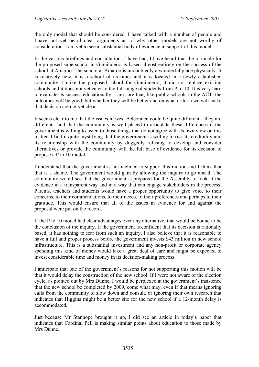the only model that should be considered. I have talked with a number of people and I have not yet heard clear arguments as to why other models are not worthy of consideration. I am yet to see a substantial body of evidence in support of this model.

In the various briefings and consultations I have had, I have heard that the rationale for the proposed superschool in Ginninderra is based almost entirely on the success of the school at Amaroo. The school at Amaroo is undoubtedly a wonderful place physically. It is relatively new, it is a school of its times and it is located in a newly established community. Unlike the proposed school for Ginninderra, it did not replace existing schools and it does not yet cater to the full range of students from P to 10. It is very hard to evaluate its success educationally. I am sure that, like public schools in the ACT, the outcomes will be good, but whether they will be better and on what criteria we will make that decision are not yet clear.

It seems clear to me that the issues in west Belconnen could be quite different—they are different—and that the community is well placed to articulate these differences if the government is willing to listen to those things that do not agree with its own view on this matter. I find it quite mystifying that the government is willing to risk its credibility and its relationship with the community by doggedly refusing to develop and consider alternatives or provide the community will the full base of evidence for its decision to propose a P to 10 model.

I understand that the government is not inclined to support this motion and I think that that is a shame. The government would gain by allowing the inquiry to go ahead. The community would see that the government is prepared for the Assembly to look at the evidence in a transparent way and in a way that can engage stakeholders in the process. Parents, teachers and students would have a proper opportunity to give voice to their concerns, to their commendations, to their needs, to their preferences and perhaps to their gratitude. This would ensure that all of the issues in evidence for and against the proposal were put on the record.

If the P to 10 model had clear advantages over any alternative, that would be bound to be the conclusion of the inquiry. If the government is confident that its decision is rationally based, it has nothing to fear from such an inquiry. I also believe that it is reasonable to have a full and proper process before the government invests \$43 million in new school infrastructure. This is a substantial investment and any non-profit or corporate agency spending this kind of money would take a great deal of care and might be expected to invest considerable time and money in its decision-making process.

I anticipate that one of the government's reasons for not supporting this motion will be that it would delay the construction of the new school. If I were not aware of the election cycle, as pointed out by Mrs Dunne, I would be perplexed at the government's insistence that the new school be completed by 2009, come what may, even if that means ignoring calls from the community to slow down and consult, or ignoring their own research that indicates that Higgins might be a better site for the new school if a 12-month delay is accommodated.

Just because Mr Stanhope brought it up, I did see an article in today's paper that indicates that Cardinal Pell is making similar points about education to those made by Mrs Dunne.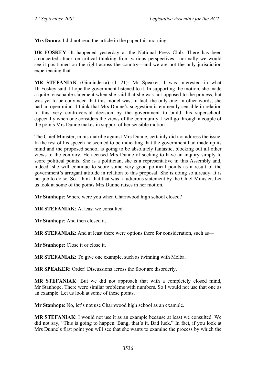**Mrs Dunne**: I did not read the article in the paper this morning.

**DR FOSKEY:** It happened yesterday at the National Press Club. There has been a concerted attack on critical thinking from various perspectives—normally we would see it positioned on the right across the country—and we are not the only jurisdiction experiencing that.

**MR STEFANIAK** (Ginninderra) (11.21): Mr Speaker, I was interested in what Dr Foskey said. I hope the government listened to it. In supporting the motion, she made a quite reasonable statement when she said that she was not opposed to the process, but was yet to be convinced that this model was, in fact, the only one; in other words, she had an open mind. I think that Mrs Dunne's suggestion is eminently sensible in relation to this very controversial decision by the government to build this superschool, especially when one considers the views of the community. I will go through a couple of the points Mrs Dunne makes in support of her sensible motion.

The Chief Minister, in his diatribe against Mrs Dunne, certainly did not address the issue. In the rest of his speech he seemed to be indicating that the government had made up its mind and the proposed school is going to be absolutely fantastic, blocking out all other views to the contrary. He accused Mrs Dunne of seeking to have an inquiry simply to score political points. She is a politician, she is a representative in this Assembly and, indeed, she will continue to score some very good political points as a result of the government's arrogant attitude in relation to this proposal. She is doing so already. It is her job to do so. So I think that that was a ludicrous statement by the Chief Minister. Let us look at some of the points Mrs Dunne raises in her motion.

**Mr Stanhope**: Where were you when Charnwood high school closed?

**MR STEFANIAK**: At least we consulted.

**Mr Stanhope**: And then closed it.

**MR STEFANIAK**: And at least there were options there for consideration, such as—

**Mr Stanhope**: Close it or close it.

**MR STEFANIAK**: To give one example, such as twinning with Melba.

**MR SPEAKER**: Order! Discussions across the floor are disorderly.

**MR STEFANIAK**: But we did not approach that with a completely closed mind, Mr Stanhope. There were similar problems with numbers. So I would not use that one as an example. Let us look at some of these points.

**Mr Stanhope**: No, let's not use Charnwood high school as an example.

**MR STEFANIAK**: I would not use it as an example because at least we consulted. We did not say, "This is going to happen. Bang, that's it. Bad luck." In fact, if you look at Mrs Dunne's first point you will see that she wants to examine the process by which the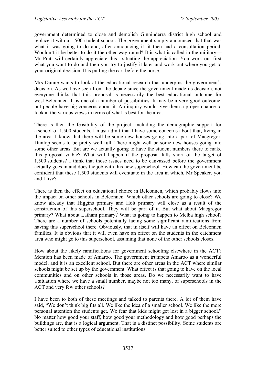government determined to close and demolish Ginninderra district high school and replace it with a 1,500-student school. The government simply announced that that was what it was going to do and, after announcing it, it then had a consultation period. Wouldn't it be better to do it the other way round? It is what is called in the military— Mr Pratt will certainly appreciate this—situating the appreciation. You work out first what you want to do and then you try to justify it later and work out where you get to your original decision. It is putting the cart before the horse.

Mrs Dunne wants to look at the educational research that underpins the government's decision. As we have seen from the debate since the government made its decision, not everyone thinks that this proposal is necessarily the best educational outcome for west Belconnen. It is one of a number of possibilities. It may be a very good outcome, but people have big concerns about it. An inquiry would give them a proper chance to look at the various views in terms of what is best for the area.

There is then the feasibility of the project, including the demographic support for a school of 1,500 students. I must admit that I have some concerns about that, living in the area. I know that there will be some new houses going into a part of Macgregor. Dunlop seems to be pretty well full. There might well be some new houses going into some other areas. But are we actually going to have the student numbers there to make this proposal viable? What will happen if the proposal falls short of the target of 1,500 students? I think that those issues need to be canvassed before the government actually goes in and does the job with this new superschool. How can the government be confident that these 1,500 students will eventuate in the area in which, Mr Speaker, you and I live?

There is then the effect on educational choice in Belconnen, which probably flows into the impact on other schools in Belconnen. Which other schools are going to close? We know already that Higgins primary and Holt primary will close as a result of the construction of this superschool. They will be part of it. But what about Macgregor primary? What about Latham primary? What is going to happen to Melba high school? There are a number of schools potentially facing some significant ramifications from having this superschool there. Obviously, that in itself will have an effect on Belconnen families. It is obvious that it will even have an effect on the students in the catchment area who might go to this superschool, assuming that none of the other schools closes.

How about the likely ramifications for government schooling elsewhere in the ACT? Mention has been made of Amaroo. The government trumpets Amaroo as a wonderful model, and it is an excellent school. But there are other areas in the ACT where similar schools might be set up by the government. What effect is that going to have on the local communities and on other schools in those areas. Do we necessarily want to have a situation where we have a small number, maybe not too many, of superschools in the ACT and very few other schools?

I have been to both of these meetings and talked to parents there. A lot of them have said, "We don't think big fits all. We like the idea of a smaller school. We like the more personal attention the students get. We fear that kids might get lost in a bigger school." No matter how good your staff, how good your methodology and how good perhaps the buildings are, that is a logical argument. That is a distinct possibility. Some students are better suited to other types of educational institutions.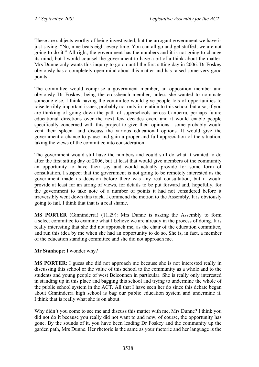These are subjects worthy of being investigated, but the arrogant government we have is just saying, "No, nine beats eight every time. You can all go and get stuffed; we are not going to do it." All right, the government has the numbers and it is not going to change its mind, but I would counsel the government to have a bit of a think about the matter. Mrs Dunne only wants this inquiry to go on until the first sitting day in 2006. Dr Foskey obviously has a completely open mind about this matter and has raised some very good points.

The committee would comprise a government member, an opposition member and obviously Dr Foskey, being the crossbench member, unless she wanted to nominate someone else. I think having the committee would give people lots of opportunities to raise terribly important issues, probably not only in relation to this school but also, if you are thinking of going down the path of superschools across Canberra, perhaps future educational directions over the next few decades even, and it would enable people specifically concerned with this project to give their opinions—some probably would vent their spleen—and discuss the various educational options. It would give the government a chance to pause and gain a proper and full appreciation of the situation, taking the views of the committee into consideration.

The government would still have the numbers and could still do what it wanted to do after the first sitting day of 2006, but at least that would give members of the community an opportunity to have their say and would actually provide for some form of consultation. I suspect that the government is not going to be remotely interested as the government made its decision before there was any real consultation, but it would provide at least for an airing of views, for details to be put forward and, hopefully, for the government to take note of a number of points it had not considered before it irreversibly went down this track. I commend the motion to the Assembly. It is obviously going to fail. I think that that is a real shame.

**MS PORTER** (Ginninderra) (11.29): Mrs Dunne is asking the Assembly to form a select committee to examine what I believe we are already in the process of doing. It is really interesting that she did not approach me, as the chair of the education committee, and run this idea by me when she had an opportunity to do so. She is, in fact, a member of the education standing committee and she did not approach me.

### **Mr Stanhope**: I wonder why?

**MS PORTER**: I guess she did not approach me because she is not interested really in discussing this school or the value of this school to the community as a whole and to the students and young people of west Belconnen in particular. She is really only interested in standing up in this place and bagging this school and trying to undermine the whole of the public school system in the ACT. All that I have seen her do since this debate began about Ginninderra high school is bag our public education system and undermine it. I think that is really what she is on about.

Why didn't you come to see me and discuss this matter with me, Mrs Dunne? I think you did not do it because you really did not want to and now, of course, the opportunity has gone. By the sounds of it, you have been leading Dr Foskey and the community up the garden path, Mrs Dunne. Her rhetoric is the same as your rhetoric and her language is the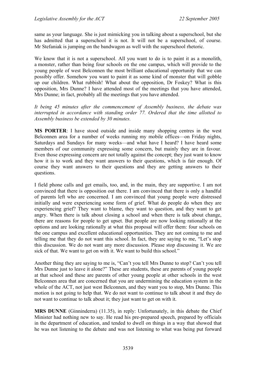same as your language. She is just mimicking you in talking about a superschool, but she has admitted that a superschool it is not. It will not be a superschool, of course. Mr Stefaniak is jumping on the bandwagon as well with the superschool rhetoric.

We know that it is not a superschool. All you want to do is to paint it as a monolith, a monster, rather than being four schools on the one campus, which will provide to the young people of west Belconnen the most brilliant educational opportunity that we can possibly offer. Somehow you want to paint it as some kind of monster that will gobble up our children. What rubbish! What about the opposition, Dr Foskey? What is this opposition, Mrs Dunne? I have attended most of the meetings that you have attended, Mrs Dunne; in fact, probably all the meetings that you have attended.

*It being 45 minutes after the commencement of Assembly business, the debate was interrupted in accordance with standing order 77. Ordered that the time allotted to Assembly business be extended by 30 minutes.* 

**MS PORTER**: I have stood outside and inside many shopping centres in the west Belconnen area for a number of weeks running my mobile offices—on Friday nights, Saturdays and Sundays for many weeks—and what have I heard? I have heard some members of our community expressing some concern, but mainly they are in favour. Even those expressing concern are not totally against the concept; they just want to know how it is to work and they want answers to their questions, which is fair enough. Of course they want answers to their questions and they are getting answers to their questions.

I field phone calls and get emails, too, and, in the main, they are supportive. I am not convinced that there is opposition out there. I am convinced that there is only a handful of parents left who are concerned. I am convinced that young people were distressed initially and were experiencing some form of grief. What do people do when they are experiencing grief? They want to blame, they want to question, and they want to get angry. When there is talk about closing a school and when there is talk about change, there are reasons for people to get upset. But people are now looking rationally at the options and are looking rationally at what this proposal will offer them: four schools on the one campus and excellent educational opportunities. They are not coming to me and telling me that they do not want this school. In fact, they are saying to me, "Let's stop this discussion. We do not want any more discussion. Please stop discussing it. We are sick of that. We want to get on with it. We want to build this school."

Another thing they are saying to me is, "Can't you tell Mrs Dunne to stop? Can't you tell Mrs Dunne just to leave it alone?" These are students, these are parents of young people at that school and these are parents of other young people at other schools in the west Belconnen area that are concerned that you are undermining the education system in the whole of the ACT, not just west Belconnen, and they want you to stop, Mrs Dunne. This motion is not going to help that. We do not want to continue to talk about it and they do not want to continue to talk about it; they just want to get on with it.

**MRS DUNNE** (Ginninderra) (11.35), in reply: Unfortunately, in this debate the Chief Minister had nothing new to say. He read his pre-prepared speech, prepared by officials in the department of education, and tended to dwell on things in a way that showed that he was not listening to the debate and was not listening to what was being put forward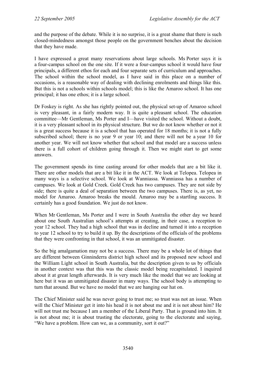and the purpose of the debate. While it is no surprise, it is a great shame that there is such closed-mindedness amongst those people on the government benches about the decision that they have made.

I have expressed a great many reservations about large schools. Ms Porter says it is a four-campus school on the one site. If it were a four-campus school it would have four principals, a different ethos for each and four separate sets of curriculum and approaches. The school within the school model, as I have said in this place on a number of occasions, is a reasonable way of dealing with declining enrolments and things like this. But this is not a schools within schools model; this is like the Amaroo school. It has one principal; it has one ethos; it is a large school.

Dr Foskey is right. As she has rightly pointed out, the physical set-up of Amaroo school is very pleasant, in a fairly modern way. It is quite a pleasant school. The education committee—Mr Gentleman, Ms Porter and I—have visited the school. Without a doubt, it is a very pleasant school in its physical structure. But we do not know whether or not it is a great success because it is a school that has operated for 18 months; it is not a fully subscribed school; there is no year 9 or year 10; and there will not be a year 10 for another year. We will not know whether that school and that model are a success unless there is a full cohort of children going through it. Then we might start to get some answers.

The government spends its time casting around for other models that are a bit like it. There are other models that are a bit like it in the ACT. We look at Telopea. Telopea in many ways is a selective school. We look at Wanniassa. Wanniassa has a number of campuses. We look at Gold Creek. Gold Creek has two campuses. They are not side by side; there is quite a deal of separation between the two campuses. There is, as yet, no model for Amaroo. Amaroo breaks the mould. Amaroo may be a startling success. It certainly has a good foundation. We just do not know.

When Mr Gentleman, Ms Porter and I were in South Australia the other day we heard about one South Australian school's attempts at creating, in their case, a reception to year 12 school. They had a high school that was in decline and turned it into a reception to year 12 school to try to build it up. By the descriptions of the officials of the problems that they were confronting in that school, it was an unmitigated disaster.

So the big amalgamation may not be a success. There may be a whole lot of things that are different between Ginninderra district high school and its proposed new school and the William Light school in South Australia, but the description given to us by officials in another context was that this was the classic model being recapitulated. I inquired about it at great length afterwards. It is very much like the model that we are looking at here but it was an unmitigated disaster in many ways. The school body is attempting to turn that around. But we have no model that we are hanging our hat on.

The Chief Minister said he was never going to trust me; so trust was not an issue. When will the Chief Minister get it into his head it is not about me and it is not about him? He will not trust me because I am a member of the Liberal Party. That is ground into him. It is not about me; it is about trusting the electorate, going to the electorate and saying, "We have a problem. How can we, as a community, sort it out?"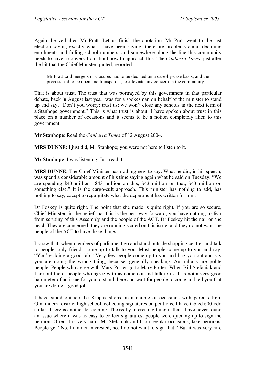Again, he verballed Mr Pratt. Let us finish the quotation. Mr Pratt went to the last election saying exactly what I have been saying: there are problems about declining enrolments and falling school numbers; and somewhere along the line this community needs to have a conversation about how to approach this. The *Canberra Times*, just after the bit that the Chief Minister quoted, reported:

Mr Pratt said mergers or closures had to be decided on a case-by-case basis, and the process had to be open and transparent, to alleviate any concern in the community.

That is about trust. The trust that was portrayed by this government in that particular debate, back in August last year, was for a spokesman on behalf of the minister to stand up and say, "Don't you worry; trust us; we won't close any schools in the next term of a Stanhope government." This is what trust is about. I have spoken about trust in this place on a number of occasions and it seems to be a notion completely alien to this government.

**Mr Stanhope**: Read the *Canberra Times* of 12 August 2004.

**MRS DUNNE**: I just did, Mr Stanhope; you were not here to listen to it.

**Mr Stanhope**: I was listening. Just read it.

**MRS DUNNE**: The Chief Minister has nothing new to say. What he did, in his speech, was spend a considerable amount of his time saying again what he said on Tuesday, "We are spending \$43 million—\$43 million on this, \$43 million on that, \$43 million on something else." It is the cargo-cult approach. This minister has nothing to add, has nothing to say, except to regurgitate what the department has written for him.

Dr Foskey is quite right. The point that she made is quite right. If you are so secure, Chief Minister, in the belief that this is the best way forward, you have nothing to fear from scrutiny of this Assembly and the people of the ACT. Dr Foskey hit the nail on the head. They are concerned; they are running scared on this issue; and they do not want the people of the ACT to have these things.

I know that, when members of parliament go and stand outside shopping centres and talk to people, only friends come up to talk to you. Most people come up to you and say, "You're doing a good job." Very few people come up to you and bag you out and say you are doing the wrong thing, because, generally speaking, Australians are polite people. People who agree with Mary Porter go to Mary Porter. When Bill Stefaniak and I are out there, people who agree with us come out and talk to us. It is not a very good barometer of an issue for you to stand there and wait for people to come and tell you that you are doing a good job.

I have stood outside the Kippax shops on a couple of occasions with parents from Ginninderra district high school, collecting signatures on petitions. I have tabled 600-odd so far. There is another lot coming. The really interesting thing is that I have never found an issue where it was as easy to collect signatures; people were queuing up to sign the petition. Often it is very hard. Mr Stefaniak and I, on regular occasions, take petitions. People go, "No, I am not interested; no, I do not want to sign that." But it was very rare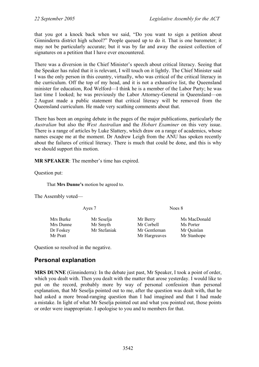that you got a knock back when we said, "Do you want to sign a petition about Ginninderra district high school?" People queued up to do it. That is one barometer; it may not be particularly accurate; but it was by far and away the easiest collection of signatures on a petition that I have ever encountered.

There was a diversion in the Chief Minister's speech about critical literacy. Seeing that the Speaker has ruled that it is relevant, I will touch on it lightly. The Chief Minister said I was the only person in this country, virtually, who was critical of the critical literacy in the curriculum. Off the top of my head, and it is not a exhaustive list, the Queensland minister for education, Rod Welford—I think he is a member of the Labor Party; he was last time I looked; he was previously the Labor Attorney-General in Queensland—on 2 August made a public statement that critical literacy will be removed from the Queensland curriculum. He made very scathing comments about that.

There has been an ongoing debate in the pages of the major publications, particularly the *Australian* but also the *West Australian* and the *Hobart Examiner* on this very issue. There is a range of articles by Luke Slattery, which draw on a range of academics, whose names escape me at the moment. Dr Andrew Leigh from the ANU has spoken recently about the failures of critical literacy. There is much that could be done, and this is why we should support this motion.

**MR SPEAKER**: The member's time has expired.

Question put:

That **Mrs Dunne's** motion be agreed to.

The Assembly voted—

Ayes 7 Noes 8 Mrs Burke Mr Seselia Mr Berry Ms MacDonald Mrs Dunne Mr Smyth Mr Corbell Ms Porter Dr Foskey Mr Stefaniak Mr Gentleman Mr Quinlan Mr Pratt Mr Hargreaves Mr Stanhope

Question so resolved in the negative.

## <span id="page-25-0"></span>**Personal explanation**

**MRS DUNNE** (Ginninderra): In the debate just past, Mr Speaker, I took a point of order, which you dealt with. Then you dealt with the matter that arose yesterday. I would like to put on the record, probably more by way of personal confession than personal explanation, that Mr Seselja pointed out to me, after the question was dealt with, that he had asked a more broad-ranging question than I had imagined and that I had made a mistake. In light of what Mr Seselja pointed out and what you pointed out, those points or order were inappropriate. I apologise to you and to members for that.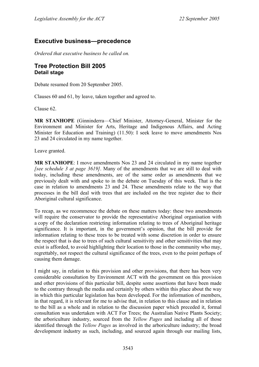## <span id="page-26-0"></span>**Executive business—precedence**

*Ordered that executive business be called on.* 

### <span id="page-26-1"></span>**Tree Protection Bill 2005 Detail stage**

Debate resumed from 20 September 2005.

Clauses 60 and 61, by leave, taken together and agreed to.

Clause 62.

**MR STANHOPE** (Ginninderra—Chief Minister, Attorney-General, Minister for the Environment and Minister for Arts, Heritage and Indigenous Affairs, and Acting Minister for Education and Training) (11.50): I seek leave to move amendments Nos 23 and 24 circulated in my name together.

Leave granted.

**MR STANHOPE**: I move amendments Nos 23 and 24 circulated in my name together *[see schedule 3 at page 3619]*. Many of the amendments that we are still to deal with today, including these amendments, are of the same order as amendments that we previously dealt with and spoke to in the debate on Tuesday of this week. That is the case in relation to amendments 23 and 24. These amendments relate to the way that processes in the bill deal with trees that are included on the tree register due to their Aboriginal cultural significance.

To recap, as we recommence the debate on these matters today: these two amendments will require the conservator to provide the representative Aboriginal organisation with a copy of the declaration restricting information relating to trees of Aboriginal heritage significance. It is important, in the government's opinion, that the bill provide for information relating to these trees to be treated with some discretion in order to ensure the respect that is due to trees of such cultural sensitivity and other sensitivities that may exist is afforded, to avoid highlighting their location to those in the community who may, regrettably, not respect the cultural significance of the trees, even to the point perhaps of causing them damage.

I might say, in relation to this provision and other provisions, that there has been very considerable consultation by Environment ACT with the government on this provision and other provisions of this particular bill, despite some assertions that have been made to the contrary through the media and certainly by others within this place about the way in which this particular legislation has been developed. For the information of members, in that regard, it is relevant for me to advise that, in relation to this clause and in relation to the bill as a whole and in relation to the discussion paper which preceded it, formal consultation was undertaken with ACT For Trees; the Australian Native Plants Society; the arboriculture industry, sourced from the *Yellow Pages* and including all of those identified through the *Yellow Pages* as involved in the arboriculture industry; the broad development industry as such, including, and sourced again through our mailing lists,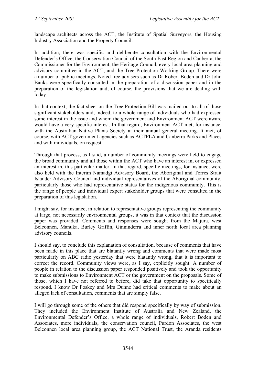landscape architects across the ACT, the Institute of Spatial Surveyors, the Housing Industry Association and the Property Council.

In addition, there was specific and deliberate consultation with the Environmental Defender's Office, the Conservation Council of the South East Region and Canberra, the Commissioner for the Environment, the Heritage Council, every local area planning and advisory committee in the ACT, and the Tree Protection Working Group. There were a number of public meetings. Noted tree advisers such as Dr Robert Boden and Dr John Banks were specifically consulted in the preparation of a discussion paper and in the preparation of the legislation and, of course, the provisions that we are dealing with today.

In that context, the fact sheet on the Tree Protection Bill was mailed out to all of those significant stakeholders and, indeed, to a whole range of individuals who had expressed some interest in the issue and whom the government and Environment ACT were aware would have a very specific interest. In that regard, Environment ACT met, for instance, with the Australian Native Plants Society at their annual general meeting. It met, of course, with ACT government agencies such as ACTPLA and Canberra Parks and Places and with individuals, on request.

Through that process, as I said, a number of community meetings were held to engage the broad community and all those within the ACT who have an interest in, or expressed an interest in, this particular matter. In that regard, specific meetings, for instance, were also held with the Interim Namadgi Advisory Board, the Aboriginal and Torres Strait Islander Advisory Council and individual representatives of the Aboriginal community, particularly those who had representative status for the indigenous community. This is the range of people and individual expert stakeholder groups that were consulted in the preparation of this legislation.

I might say, for instance, in relation to representative groups representing the community at large, not necessarily environmental groups, it was in that context that the discussion paper was provided. Comments and responses were sought from the Majura, west Belconnen, Manuka, Burley Griffin, Ginninderra and inner north local area planning advisory councils.

I should say, to conclude this explanation of consultation, because of comments that have been made in this place that are blatantly wrong and comments that were made most particularly on ABC radio yesterday that were blatantly wrong, that it is important to correct the record. Community views were, as I say, explicitly sought. A number of people in relation to the discussion paper responded positively and took the opportunity to make submissions to Environment ACT or the government on the proposals. Some of those, which I have not referred to before, did take that opportunity to specifically respond. I know Dr Foskey and Mrs Dunne had critical comments to make about an alleged lack of consultation, comments that are simply false.

I will go through some of the others that did respond specifically by way of submission. They included the Environment Institute of Australia and New Zealand, the Environmental Defender's Office, a whole range of individuals, Robert Boden and Associates, more individuals, the conservation council, Purdon Associates, the west Belconnen local area planning group, the ACT National Trust, the Aranda residents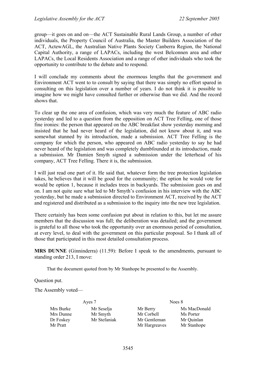group—it goes on and on—the ACT Sustainable Rural Lands Group, a number of other individuals, the Property Council of Australia, the Master Builders Association of the ACT, ActewAGL, the Australian Native Plants Society Canberra Region, the National Capital Authority, a range of LAPACs, including the west Belconnen area and other LAPACs, the Local Residents Association and a range of other individuals who took the opportunity to contribute to the debate and to respond.

I will conclude my comments about the enormous lengths that the government and Environment ACT went to to consult by saying that there was simply no effort spared in consulting on this legislation over a number of years. I do not think it is possible to imagine how we might have consulted further or otherwise than we did. And the record shows that.

To clear up the one area of confusion, which was very much the feature of ABC radio yesterday and led to a question from the opposition on ACT Tree Felling, one of those fine ironies: the person that appeared on the ABC breakfast show yesterday morning and insisted that he had never heard of the legislation, did not know about it, and was somewhat stunned by its introduction, made a submission. ACT Tree Felling is the company for which the person, who appeared on ABC radio yesterday to say he had never heard of the legislation and was completely dumbfounded at its introduction, made a submission. Mr Damien Smyth signed a submission under the letterhead of his company, ACT Tree Felling. There it is, the submission.

I will just read one part of it. He said that, whatever form the tree protection legislation takes, he believes that it will be good for the community; the option he would vote for would be option 1, because it includes trees in backyards. The submission goes on and on. I am not quite sure what led to Mr Smyth's confusion in his interview with the ABC yesterday, but he made a submission directed to Environment ACT, received by the ACT and registered and distributed as a submission to the inquiry into the new tree legislation.

There certainly has been some confusion put about in relation to this, but let me assure members that the discussion was full; the deliberation was detailed; and the government is grateful to all those who took the opportunity over an enormous period of consultation, at every level, to deal with the government on this particular proposal. So I thank all of those that participated in this most detailed consultation process.

**MRS DUNNE** (Ginninderra) (11.59): Before I speak to the amendments, pursuant to standing order 213, I move:

That the document quoted from by Mr Stanhope be presented to the Assembly.

Question put.

The Assembly voted—

Mrs Burke Mr Seselia Mr Berry Ms MacDonald Mrs Dunne Mr Smyth Mr Corbell Ms Porter Dr Foskey Mr Stefaniak Mr Gentleman Mr Quinlan Mr Pratt Mr Hargreaves Mr Stanhope

Ayes 7 Noes 8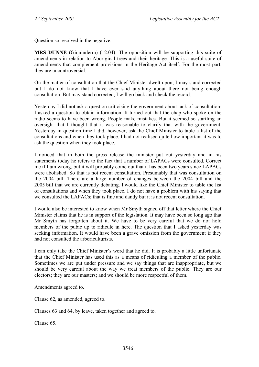Question so resolved in the negative.

**MRS DUNNE** (Ginninderra) (12.04): The opposition will be supporting this suite of amendments in relation to Aboriginal trees and their heritage. This is a useful suite of amendments that complement provisions in the Heritage Act itself. For the most part, they are uncontroversial.

On the matter of consultation that the Chief Minister dwelt upon, I may stand corrected but I do not know that I have ever said anything about there not being enough consultation. But may stand corrected; I will go back and check the record.

Yesterday I did not ask a question criticising the government about lack of consultation; I asked a question to obtain information. It turned out that the chap who spoke on the radio seems to have been wrong. People make mistakes. But it seemed so startling an oversight that I thought that it was reasonable to clarify that with the government. Yesterday in question time I did, however, ask the Chief Minister to table a list of the consultations and when they took place. I had not realised quite how important it was to ask the question when they took place.

I noticed that in both the press release the minister put out yesterday and in his statements today he refers to the fact that a number of LAPACs were consulted. Correct me if I am wrong, but it will probably come out that it has been two years since LAPACs were abolished. So that is not recent consultation. Presumably that was consultation on the 2004 bill. There are a large number of changes between the 2004 bill and the 2005 bill that we are currently debating. I would like the Chief Minister to table the list of consultations and when they took place. I do not have a problem with his saying that we consulted the LAPACs; that is fine and dandy but it is not recent consultation.

I would also be interested to know when Mr Smyth signed off that letter where the Chief Minister claims that he is in support of the legislation. It may have been so long ago that Mr Smyth has forgotten about it. We have to be very careful that we do not hold members of the pubic up to ridicule in here. The question that I asked yesterday was seeking information. It would have been a grave omission from the government if they had not consulted the arboriculturists.

I can only take the Chief Minister's word that he did. It is probably a little unfortunate that the Chief Minister has used this as a means of ridiculing a member of the public. Sometimes we are put under pressure and we say things that are inappropriate, but we should be very careful about the way we treat members of the public. They are our electors; they are our masters; and we should be more respectful of them.

Amendments agreed to.

Clause 62, as amended, agreed to.

Clauses 63 and 64, by leave, taken together and agreed to.

Clause 65.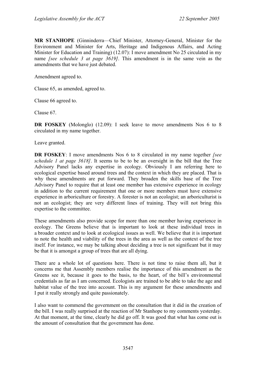**MR STANHOPE** (Ginninderra—Chief Minister, Attorney-General, Minister for the Environment and Minister for Arts, Heritage and Indigenous Affairs, and Acting Minister for Education and Training) (12.07): I move amendment No 25 circulated in my name *[see schedule 3 at page 3619]*. This amendment is in the same vein as the amendments that we have just debated.

Amendment agreed to.

Clause 65, as amended, agreed to.

Clause 66 agreed to.

Clause 67.

**DR FOSKEY** (Molonglo) (12.09): I seek leave to move amendments Nos 6 to 8 circulated in my name together.

Leave granted.

**DR FOSKEY**: I move amendments Nos 6 to 8 circulated in my name together *[see schedule 1 at page 3618]*. It seems to be to be an oversight in the bill that the Tree Advisory Panel lacks any expertise in ecology. Obviously I am referring here to ecological expertise based around trees and the context in which they are placed. That is why these amendments are put forward. They broaden the skills base of the Tree Advisory Panel to require that at least one member has extensive experience in ecology in addition to the current requirement that one or more members must have extensive experience in arboriculture or forestry. A forester is not an ecologist; an arboriculturist is not an ecologist; they are very different lines of training. They will not bring this expertise to the committee.

These amendments also provide scope for more than one member having experience in ecology. The Greens believe that is important to look at these individual trees in a broader context and to look at ecological issues as well. We believe that it is important to note the health and viability of the trees in the area as well as the context of the tree itself. For instance, we may be talking about deciding a tree is not significant but it may be that it is amongst a group of trees that are all dying.

There are a whole lot of questions here. There is not time to raise them all, but it concerns me that Assembly members realise the importance of this amendment as the Greens see it, because it goes to the basis, to the heart, of the bill's environmental credentials as far as I am concerned. Ecologists are trained to be able to take the age and habitat value of the tree into account. This is my argument for these amendments and I put it really strongly and quite passionately.

I also want to commend the government on the consultation that it did in the creation of the bill. I was really surprised at the reaction of Mr Stanhope to my comments yesterday. At that moment, at the time, clearly he did go off. It was good that what has come out is the amount of consultation that the government has done.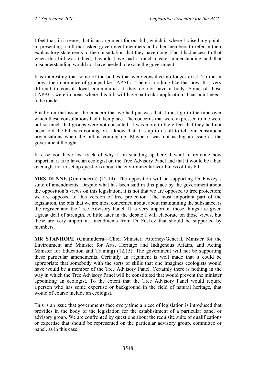I feel that, in a sense, that is an argument for our bill, which is where I raised my points in presenting a bill that asked government members and other members to refer in their explanatory statements to the consultation that they have done. Had I had access to that when this bill was tabled, I would have had a much clearer understanding and that misunderstanding would not have needed to excite the government.

It is interesting that some of the bodies that were consulted no longer exist. To me, it shows the importance of groups like LAPACs. There is nothing like that now. It is very difficult to consult local communities if they do not have a body. Some of those LAPACs were in areas where this bill will have particular application. That point needs to be made.

Finally on that issue, the concern that we had put was that it must go to the time over which these consultations had taken place. The concerns that were expressed to me were not so much that groups were not consulted; it was more to the effect that they had not been told the bill was coming on. I know that it is up to us all to tell our constituent organisations when the bill is coming up. Maybe it was not as big an issue as the government thought.

In case you have lost track of why I am standing up here, I want to reiterate how important it is to have an ecologist on the Tree Advisory Panel and that it would be a bad oversight not to set up questions about the environmental worthiness of this bill.

**MRS DUNNE** (Ginninderra) (12.14): The opposition will be supporting Dr Foskey's suite of amendments. Despite what has been said in this place by the government about the opposition's views on this legislation, it is not that we are opposed to tree protection; we are opposed to this version of tree protection. The most important part of the legislation, the bits that we are most concerned about, about maintaining the substance, is the register and the Tree Advisory Panel. It is very important those things are given a great deal of strength. A little later in the debate I will elaborate on those views, but these are very important amendments from Dr Foskey that should be supported by members.

**MR STANHOPE** (Ginninderra—Chief Minister, Attorney-General, Minister for the Environment and Minister for Arts, Heritage and Indigenous Affairs, and Acting Minister for Education and Training) (12.15): The government will not be supporting these particular amendments. Certainly an argument is well made that it could be appropriate that somebody with the sorts of skills that one imagines ecologists would have would be a member of the Tree Advisory Panel. Certainly there is nothing in the way in which the Tree Advisory Panel will be constituted that would prevent the minister appointing an ecologist. To the extent that the Tree Advisory Panel would require a person who has some expertise or background in the field of natural heritage, that would of course include an ecologist.

This is an issue that governments face every time a piece of legislation is introduced that provides in the body of the legislation for the establishment of a particular panel or advisory group. We are confronted by questions about the requisite suite of qualifications or expertise that should be represented on the particular advisory group, committee or panel, as in this case.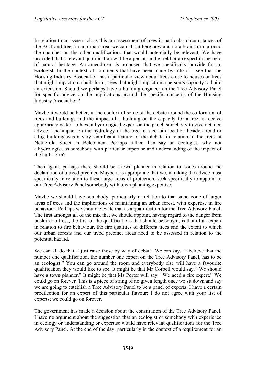In relation to an issue such as this, an assessment of trees in particular circumstances of the ACT and trees in an urban area, we can all sit here now and do a brainstorm around the chamber on the other qualifications that would potentially be relevant. We have provided that a relevant qualification will be a person in the field or an expert in the field of natural heritage. An amendment is proposed that we specifically provide for an ecologist. In the context of comments that have been made by others: I see that the Housing Industry Association has a particular view about trees close to houses or trees that might impact on a built form, trees that might impact on a person's capacity to build an extension. Should we perhaps have a building engineer on the Tree Advisory Panel for specific advice on the implications around the specific concerns of the Housing Industry Association?

Maybe it would be better, in the context of some of the debate around the co-location of trees and buildings and the impact of a building on the capacity for a tree to receive appropriate water, to have a hydrological expert on the panel, somebody to give detailed advice. The impact on the hydrology of the tree in a certain location beside a road or a big building was a very significant feature of the debate in relation to the trees at Nettlefold Street in Belconnen. Perhaps rather than say an ecologist, why not a hydrologist, as somebody with particular expertise and understanding of the impact of the built form?

Then again, perhaps there should be a town planner in relation to issues around the declaration of a treed precinct. Maybe it is appropriate that we, in taking the advice most specifically in relation to these large areas of protection, seek specifically to appoint to our Tree Advisory Panel somebody with town planning expertise.

Maybe we should have somebody, particularly in relation to that same issue of larger areas of trees and the implications of maintaining an urban forest, with expertise in fire behaviour. Perhaps we should elevate that as a qualification for the Tree Advisory Panel. The first amongst all of the mix that we should appoint, having regard to the danger from bushfire to trees, the first of the qualifications that should be sought, is that of an expert in relation to fire behaviour, the fire qualities of different trees and the extent to which our urban forests and our treed precinct areas need to be assessed in relation to the potential hazard.

We can all do that. I just raise those by way of debate. We can say, "I believe that the number one qualification, the number one expert on the Tree Advisory Panel, has to be an ecologist." You can go around the room and everybody else will have a favourite qualification they would like to see. It might be that Mr Corbell would say, "We should have a town planner." It might be that Ms Porter will say, "We need a fire expert." We could go on forever. This is a piece of string of no given length once we sit down and say we are going to establish a Tree Advisory Panel to be a panel of experts. I have a certain predilection for an expert of this particular flavour; I do not agree with your list of experts; we could go on forever.

The government has made a decision about the constitution of the Tree Advisory Panel. I have no argument about the suggestion that an ecologist or somebody with experience in ecology or understanding or expertise would have relevant qualifications for the Tree Advisory Panel. At the end of the day, particularly in the context of a requirement for an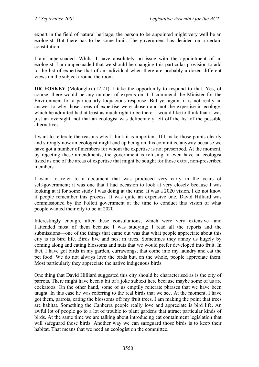expert in the field of natural heritage, the person to be appointed might very well be an ecologist. But there has to be some limit. The government has decided on a certain constitution.

I am unpersuaded. Whilst I have absolutely no issue with the appointment of an ecologist, I am unpersuaded that we should be changing this particular provision to add to the list of expertise that of an individual when there are probably a dozen different views on the subject around the room.

**DR FOSKEY** (Molonglo) (12.21): I take the opportunity to respond to that. Yes, of course, there would be any number of experts on it. I commend the Minister for the Environment for a particularly loquacious response. But yet again, it is not really an answer to why those areas of expertise were chosen and not the expertise in ecology, which he admitted had at least as much right to be there. I would like to think that it was just an oversight, not that an ecologist was deliberately left off the list of the possible alternatives.

I want to reiterate the reasons why I think it is important. If I make those points clearly and strongly now an ecologist might end up being on this committee anyway because we have got a number of members for whom the expertise is not prescribed. At the moment, by rejecting these amendments, the government is refusing to even have an ecologist listed as one of the areas of expertise that might be sought for those extra, non-prescribed members.

I want to refer to a document that was produced very early in the years of self-government; it was one that I had occasion to look at very closely because I was looking at it for some study I was doing at the time. It was a 2020 vision. I do not know if people remember this process. It was quite an expensive one. David Hilliard was commissioned by the Follett government at the time to conduct this vision of what people wanted their city to be in 2020.

Interestingly enough, after these consultations, which were very extensive—and I attended most of them because I was studying; I read all the reports and the submissions—one of the things that came out was that what people appreciate about this city is its bird life. Birds live and nest in trees. Sometimes they annoy us hugely by coming along and eating blossoms and nuts that we would prefer developed into fruit. In fact, I have got birds in my garden, currawongs, that come into my laundry and eat the pet food. We do not always love the birds but, on the whole, people appreciate them. Most particularly they appreciate the native indigenous birds.

One thing that David Hilliard suggested this city should be characterised as is the city of parrots. There might have been a bit of a joke subtext here because maybe some of us are cockatoos. On the other hand, some of us emptily reiterate phrases that we have been taught. In this case he was referring to the real birds that we see. At the moment, I have got them, parrots, eating the blossoms off my fruit trees. I am making the point that trees are habitat. Something the Canberra people really love and appreciate is bird life. An awful lot of people go to a lot of trouble to plant gardens that attract particular kinds of birds. At the same time we are talking about introducing cat containment legislation that will safeguard those birds. Another way we can safeguard those birds is to keep their habitat. That means that we need an ecologist on the committee.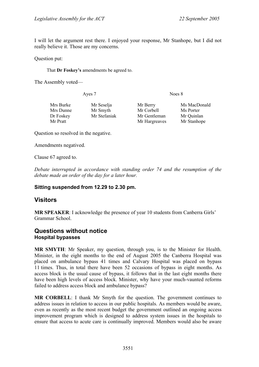I will let the argument rest there. I enjoyed your response, Mr Stanhope, but I did not really believe it. Those are my concerns.

Question put:

That **Dr Foskey's** amendments be agreed to.

The Assembly voted—

| Ayes 7    |              | Noes 8        |              |  |
|-----------|--------------|---------------|--------------|--|
| Mrs Burke | Mr Seselja   | Mr Berry      | Ms MacDonald |  |
| Mrs Dunne | Mr Smyth     | Mr Corbell    | Ms Porter    |  |
| Dr Foskey | Mr Stefaniak | Mr Gentleman  | Mr Quinlan   |  |
| Mr Pratt  |              | Mr Hargreaves | Mr Stanhope  |  |

Question so resolved in the negative.

Amendments negatived.

Clause 67 agreed to.

*Debate interrupted in accordance with standing order 74 and the resumption of the debate made an order of the day for a later hour.* 

#### **Sitting suspended from 12.29 to 2.30 pm.**

### <span id="page-34-0"></span>**Visitors**

**MR SPEAKER**: I acknowledge the presence of year 10 students from Canberra Girls' Grammar School.

### <span id="page-34-1"></span>**Questions without notice Hospital bypasses**

**MR SMYTH**: Mr Speaker, my question, through you, is to the Minister for Health. Minister, in the eight months to the end of August 2005 the Canberra Hospital was placed on ambulance bypass 41 times and Calvary Hospital was placed on bypass 11 times. Thus, in total there have been 52 occasions of bypass in eight months. As access block is the usual cause of bypass, it follows that in the last eight months there have been high levels of access block. Minister, why have your much-vaunted reforms failed to address access block and ambulance bypass?

**MR CORBELL**: I thank Mr Smyth for the question. The government continues to address issues in relation to access in our public hospitals. As members would be aware, even as recently as the most recent budget the government outlined an ongoing access improvement program which is designed to address system issues in the hospitals to ensure that access to acute care is continually improved. Members would also be aware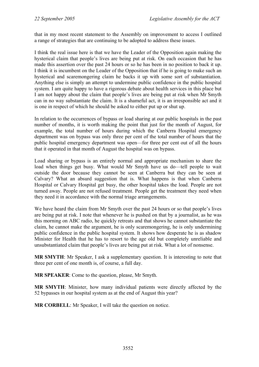that in my most recent statement to the Assembly on improvement to access I outlined a range of strategies that are continuing to be adopted to address these issues.

I think the real issue here is that we have the Leader of the Opposition again making the hysterical claim that people's lives are being put at risk. On each occasion that he has made this assertion over the past 24 hours or so he has been in no position to back it up. I think it is incumbent on the Leader of the Opposition that if he is going to make such an hysterical and scaremongering claim he backs it up with some sort of substantiation. Anything else is simply an attempt to undermine public confidence in the public hospital system. I am quite happy to have a rigorous debate about health services in this place but I am not happy about the claim that people's lives are being put at risk when Mr Smyth can in no way substantiate the claim. It is a shameful act, it is an irresponsible act and it is one in respect of which he should be asked to either put up or shut up.

In relation to the occurrences of bypass or load sharing at our public hospitals in the past number of months, it is worth making the point that just for the month of August, for example, the total number of hours during which the Canberra Hospital emergency department was on bypass was only three per cent of the total number of hours that the public hospital emergency department was open—for three per cent out of all the hours that it operated in that month of August the hospital was on bypass.

Load sharing or bypass is an entirely normal and appropriate mechanism to share the load when things get busy. What would Mr Smyth have us do—tell people to wait outside the door because they cannot be seen at Canberra but they can be seen at Calvary? What an absurd suggestion that is. What happens is that when Canberra Hospital or Calvary Hospital get busy, the other hospital takes the load. People are not turned away. People are not refused treatment. People get the treatment they need when they need it in accordance with the normal triage arrangements.

We have heard the claim from Mr Smyth over the past 24 hours or so that people's lives are being put at risk. I note that whenever he is pushed on that by a journalist, as he was this morning on ABC radio, he quickly retreats and that shows he cannot substantiate the claim, he cannot make the argument, he is only scaremongering, he is only undermining public confidence in the public hospital system. It shows how desperate he is as shadow Minister for Health that he has to resort to the age old but completely unreliable and unsubstantiated claim that people's lives are being put at risk. What a lot of nonsense.

**MR SMYTH**: Mr Speaker, I ask a supplementary question. It is interesting to note that three per cent of one month is, of course, a full day.

**MR SPEAKER**: Come to the question, please, Mr Smyth.

**MR SMYTH**: Minister, how many individual patients were directly affected by the 52 bypasses in our hospital system as at the end of August this year?

**MR CORBELL**: Mr Speaker, I will take the question on notice.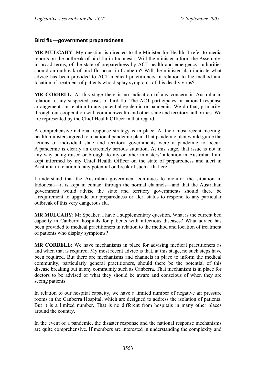#### **Bird flu—government preparedness**

**MR MULCAHY**: My question is directed to the Minister for Health. I refer to media reports on the outbreak of bird flu in Indonesia. Will the minister inform the Assembly, in broad terms, of the state of preparedness by ACT health and emergency authorities should an outbreak of bird flu occur in Canberra? Will the minister also indicate what advice has been provided to ACT medical practitioners in relation to the method and location of treatment of patients who display symptoms of this deadly virus?

**MR CORBELL**: At this stage there is no indication of any concern in Australia in relation to any suspected cases of bird flu. The ACT participates in national response arrangements in relation to any potential epidemic or pandemic. We do that, primarily, through our cooperation with commonwealth and other state and territory authorities. We are represented by the Chief Health Officer in that regard.

A comprehensive national response strategy is in place. At their most recent meeting, health ministers agreed to a national pandemic plan. That pandemic plan would guide the actions of individual state and territory governments were a pandemic to occur. A pandemic is clearly an extremely serious situation. At this stage, that issue is not in any way being raised or brought to my or other ministers' attention in Australia. I am kept informed by my Chief Health Officer on the state of preparedness and alert in Australia in relation to any potential outbreak of such a flu here.

I understand that the Australian government continues to monitor the situation in Indonesia—it is kept in contact through the normal channels—and that the Australian government would advise the state and territory governments should there be a requirement to upgrade our preparedness or alert status to respond to any particular outbreak of this very dangerous flu.

**MR MULCAHY**: Mr Speaker, I have a supplementary question. What is the current bed capacity in Canberra hospitals for patients with infectious diseases? What advice has been provided to medical practitioners in relation to the method and location of treatment of patients who display symptoms?

**MR CORBELL**: We have mechanisms in place for advising medical practitioners as and when that is required. My most recent advice is that, at this stage, no such steps have been required. But there are mechanisms and channels in place to inform the medical community, particularly general practitioners, should there be the potential of this disease breaking out in any community such as Canberra. That mechanism is in place for doctors to be advised of what they should be aware and conscious of when they are seeing patients.

In relation to our hospital capacity, we have a limited number of negative air pressure rooms in the Canberra Hospital, which are designed to address the isolation of patients. But it is a limited number. That is no different from hospitals in many other places around the country.

In the event of a pandemic, the disaster response and the national response mechanisms are quite comprehensive. If members are interested in understanding the complexity and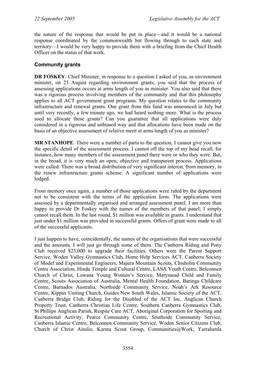the nature of the response that would be put in place—and it would be a national response coordinated by the commonwealth but flowing through to each state and territory—I would be very happy to provide them with a briefing from the Chief Health Officer on the status of that work.

# **Community grants**

**DR FOSKEY:** Chief Minister, in response to a question I asked of you, as environment minister, on 25 August regarding environment grants, you said that the process of assessing applications occurs at arms length of you as minister. You also said that there was a rigorous process involving members of the community and that this philosophy applies to all ACT government grant programs. My question relates to the community infrastructure and renewal grants. One grant from this fund was announced in July but until very recently, a few minute ago, we had heard nothing more. What is the process used to allocate these grants? Can you guarantee that all applications were duly considered in a rigorous and unbiased way and that allocations have been made on the basis of an objective assessment of relative merit at arms length of you as minister?

**MR STANHOPE**: There were a number of parts to the question. I cannot give you now the specific detail of the assessment process. I cannot off the top of my head recall, for instance, how many members of the assessment panel there were or who they were. But, in the broad, it is very much an open, objective and transparent process. Applications were called. There was a broad distribution of very significant interest, from memory, in the renew infrastructure grants scheme. A significant number of applications were lodged.

From memory once again, a number of those applications were ruled by the department not to be consistent with the terms of the application form. The applications were assessed by a departmentally organised and arranged assessment panel. I am more than happy to provide Dr Foskey with the names of the members of that panel; I simply cannot recall them. In the last round, \$1 million was available in grants. I understand that just under \$1 million was provided in successful grants. Offers of grant were made to all of the successful applicants.

I just happen to have, coincidentally, the names of the organisations that were successful and the amounts. I will just go through some of them. The Canberra Riding and Pony Club received \$23,000 to upgrade their facilities. Others were the Parent Support Service, Woden Valley Gymnastics Club, Home Help Services ACT, Canberra Society of Model and Experimental Engineers, Majura Mountain Scouts, Chisholm Community Centre Association, Hindu Temple and Cultural Centre, LASA Youth Centre, Belconnen Church of Christ, Lowana Young Women's Service, Marymead Child and Family Centre, Scouts Association of Australia, Mental Health Foundation, Baringa Childcare Centre, Barnados Australia, Northside Community Service, Noah's Ark Resource Centre, Kippax Uniting Church, Guides New South Wales, Islamic Society of the ACT, Canberra Bridge Club, Riding for the Disabled of the ACT Inc, Anglican Church Property Trust, Canberra Christian Life Centre, Southern Canberra Gymnastics Club, St Phillips Anglican Parish, Respite Care ACT, Aboriginal Corporation for Sporting and Recreational Activity, Pearce Community Centre, Southside Community Service, Canberra Islamic Centre, Belconnen Community Service, Woden Senior Citizens Club, Church of Christ Ainslie, Karma Scout Group, Communities@Work, Yarralumla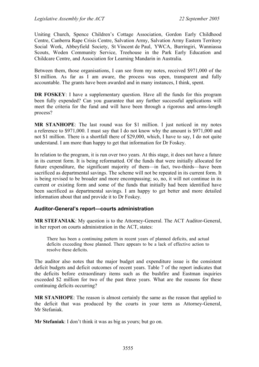Uniting Church, Spence Children's Cottage Association, Gordon Early Childhood Centre, Canberra Rape Crisis Centre, Salvation Army, Salvation Army Eastern Territory Social Work, Abbeyfield Society, St Vincent de Paul, YWCA, Burringiri, Wanniassa Scouts, Woden Community Service, Treehouse in the Park Early Education and Childcare Centre, and Association for Learning Mandarin in Australia.

Between them, those organisations, I can see from my notes, received \$971,000 of the \$1 million. As far as I am aware, the process was open, transparent and fully accountable. The grants have been awarded and in many instances, I think, spent.

**DR FOSKEY**: I have a supplementary question. Have all the funds for this program been fully expended? Can you guarantee that any further successful applications will meet the criteria for the fund and will have been through a rigorous and arms-length process?

**MR STANHOPE**: The last round was for \$1 million. I just noticed in my notes a reference to \$971,000. I must say that I do not know why the amount is \$971,000 and not \$1 million. There is a shortfall there of \$29,000, which, I have to say, I do not quite understand. I am more than happy to get that information for Dr Foskey.

In relation to the program, it is run over two years. At this stage, it does not have a future in its current form. It is being reformatted. Of the funds that were initially allocated for future expenditure, the significant majority of them—in fact, two-thirds—have been sacrificed as departmental savings. The scheme will not be repeated in its current form. It is being revised to be broader and more encompassing; so, no, it will not continue in its current or existing form and some of the funds that initially had been identified have been sacrificed as departmental savings. I am happy to get better and more detailed information about that and provide it to Dr Foskey.

#### **Auditor-General's report—courts administration**

**MR STEFANIAK**: My question is to the Attorney-General. The ACT Auditor-General, in her report on courts administration in the ACT, states:

There has been a continuing pattern in recent years of planned deficits, and actual deficits exceeding those planned. There appears to be a lack of effective action to resolve these deficits.

The auditor also notes that the major budget and expenditure issue is the consistent deficit budgets and deficit outcomes of recent years. Table 7 of the report indicates that the deficits before extraordinary items such as the bushfire and Eastman inquiries exceeded \$2 million for two of the past three years. What are the reasons for these continuing deficits occurring?

**MR STANHOPE**: The reason is almost certainly the same as the reason that applied to the deficit that was produced by the courts in your term as Attorney-General, Mr Stefaniak.

**Mr Stefaniak**: I don't think it was as big as yours; but go on.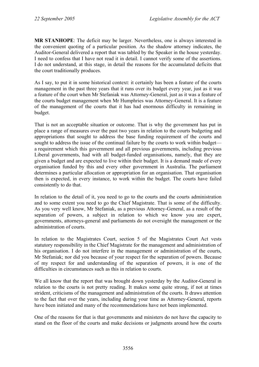**MR STANHOPE**: The deficit may be larger. Nevertheless, one is always interested in the convenient quoting of a particular position. As the shadow attorney indicates, the Auditor-General delivered a report that was tabled by the Speaker in the house yesterday. I need to confess that I have not read it in detail. I cannot verify some of the assertions. I do not understand, at this stage, in detail the reasons for the accumulated deficits that the court traditionally produces.

As I say, to put it in some historical context: it certainly has been a feature of the courts management in the past three years that it runs over its budget every year, just as it was a feature of the court when Mr Stefaniak was Attorney-General, just as it was a feature of the courts budget management when Mr Humphries was Attorney-General. It is a feature of the management of the courts that it has had enormous difficulty in remaining in budget.

That is not an acceptable situation or outcome. That is why the government has put in place a range of measures over the past two years in relation to the courts budgeting and appropriations that sought to address the base funding requirement of the courts and sought to address the issue of the continual failure by the courts to work within budget a requirement which this government and all previous governments, including previous Liberal governments, had with all budget-funded organisations, namely, that they are given a budget and are expected to live within their budget. It is a demand made of every organisation funded by this and every other government in Australia. The parliament determines a particular allocation or appropriation for an organisation. That organisation then is expected, in every instance, to work within the budget. The courts have failed consistently to do that.

In relation to the detail of it, you need to go to the courts and the courts administration and to some extent you need to go the Chief Magistrate. That is some of the difficulty. As you very well know, Mr Stefaniak, as a previous Attorney-General, as a result of the separation of powers, a subject in relation to which we know you are expert, governments, attorneys-general and parliaments do not oversight the management or the administration of courts.

In relation to the Magistrates Court, section 5 of the Magistrates Court Act vests statutory responsibility in the Chief Magistrate for the management and administration of his organisation. I do not interfere in the management or administration of the courts, Mr Stefaniak; nor did you because of your respect for the separation of powers. Because of my respect for and understanding of the separation of powers, it is one of the difficulties in circumstances such as this in relation to courts.

We all know that the report that was brought down vesterday by the Auditor-General in relation to the courts is not pretty reading. It makes some quite strong, if not at times strident, criticisms of the management and administration of the courts. It draws attention to the fact that over the years, including during your time as Attorney-General, reports have been initiated and many of the recommendations have not been implemented.

One of the reasons for that is that governments and ministers do not have the capacity to stand on the floor of the courts and make decisions or judgments around how the courts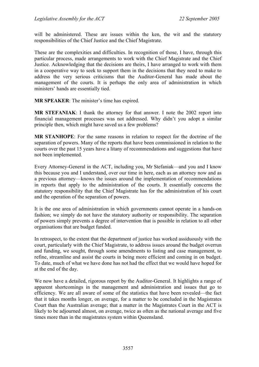will be administered. These are issues within the ken, the wit and the statutory responsibilities of the Chief Justice and the Chief Magistrate.

These are the complexities and difficulties. In recognition of those, I have, through this particular process, made arrangements to work with the Chief Magistrate and the Chief Justice. Acknowledging that the decisions are theirs, I have arranged to work with them in a cooperative way to seek to support them in the decisions that they need to make to address the very serious criticisms that the Auditor-General has made about the management of the courts. It is perhaps the only area of administration in which ministers' hands are essentially tied.

**MR SPEAKER**: The minister's time has expired.

**MR STEFANIAK**: I thank the attorney for that answer. I note the 2002 report into financial management processes was not addressed. Why didn't you adopt a similar principle then, which might have saved us a few problems?

**MR STANHOPE**: For the same reasons in relation to respect for the doctrine of the separation of powers. Many of the reports that have been commissioned in relation to the courts over the past 15 years have a litany of recommendations and suggestions that have not been implemented.

Every Attorney-General in the ACT, including you, Mr Stefaniak—and you and I know this because you and I understand, over our time in here, each as an attorney now and as a previous attorney—knows the issues around the implementation of recommendations in reports that apply to the administration of the courts. It essentially concerns the statutory responsibility that the Chief Magistrate has for the administration of his court and the operation of the separation of powers.

It is the one area of administration in which governments cannot operate in a hands-on fashion; we simply do not have the statutory authority or responsibility. The separation of powers simply prevents a degree of intervention that is possible in relation to all other organisations that are budget funded.

In retrospect, to the extent that the department of justice has worked assiduously with the court, particularly with the Chief Magistrate, to address issues around the budget overrun and funding, we sought, through some amendments to listing and case management, to refine, streamline and assist the courts in being more efficient and coming in on budget. To date, much of what we have done has not had the effect that we would have hoped for at the end of the day.

We now have a detailed, rigorous report by the Auditor-General. It highlights a range of apparent shortcomings in the management and administration and issues that go to efficiency. We are all aware of some of the statistics that have been revealed—the fact that it takes months longer, on average, for a matter to be concluded in the Magistrates Court than the Australian average; that a matter in the Magistrates Court in the ACT is likely to be adjourned almost, on average, twice as often as the national average and five times more than in the magistrates system within Queensland.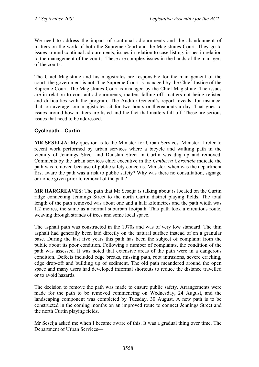We need to address the impact of continual adjournments and the abandonment of matters on the work of both the Supreme Court and the Magistrates Court. They go to issues around continual adjournments, issues in relation to case listing, issues in relation to the management of the courts. These are complex issues in the hands of the managers of the courts.

The Chief Magistrate and his magistrates are responsible for the management of the court; the government is not. The Supreme Court is managed by the Chief Justice of the Supreme Court. The Magistrates Court is managed by the Chief Magistrate. The issues are in relation to constant adjournments, matters falling off, matters not being relisted and difficulties with the program. The Auditor-General's report reveals, for instance, that, on average, our magistrates sit for two hours or thereabouts a day. That goes to issues around how matters are listed and the fact that matters fall off. These are serious issues that need to be addressed.

## **Cyclepath—Curtin**

**MR SESELJA**: My question is to the Minister for Urban Services. Minister, I refer to recent work performed by urban services where a bicycle and walking path in the vicinity of Jennings Street and Dunstan Street in Curtin was dug up and removed. Comments by the urban services chief executive in the *Canberra Chronicle* indicate the path was removed because of public safety concerns. Minister, when was the department first aware the path was a risk to public safety? Why was there no consultation, signage or notice given prior to removal of the path?

**MR HARGREAVES**: The path that Mr Seselja is talking about is located on the Curtin ridge connecting Jennings Street to the north Curtin district playing fields. The total length of the path removed was about one and a half kilometres and the path width was 1.2 metres, the same as a normal suburban footpath. This path took a circuitous route, weaving through strands of trees and some local space.

The asphalt path was constructed in the 1970s and was of very low standard. The thin asphalt had generally been laid directly on the natural surface instead of on a granular base. During the last five years this path has been the subject of complaint from the public about its poor condition. Following a number of complaints, the condition of the path was assessed. It was noted that extensive areas of the path were in a dangerous condition. Defects included edge breaks, missing path, root intrusions, severe cracking, edge drop-off and building up of sediment. The old path meandered around the open space and many users had developed informal shortcuts to reduce the distance travelled or to avoid hazards.

The decision to remove the path was made to ensure public safety. Arrangements were made for the path to be removed commencing on Wednesday, 24 August, and the landscaping component was completed by Tuesday, 30 August. A new path is to be constructed in the coming months on an improved route to connect Jennings Street and the north Curtin playing fields.

Mr Seselja asked me when I became aware of this. It was a gradual thing over time. The Department of Urban Services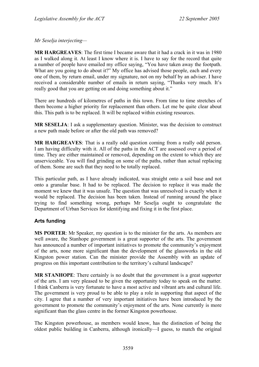*Mr Seselja interjecting—* 

**MR HARGREAVES**: The first time I became aware that it had a crack in it was in 1980 as I walked along it. At least I know where it is. I have to say for the record that quite a number of people have emailed my office saying, "You have taken away the footpath. What are you going to do about it?" My office has advised those people, each and every one of them, by return email, under my signature, not on my behalf by an adviser. I have received a considerable number of emails in return saying, "Thanks very much. It's really good that you are getting on and doing something about it."

There are hundreds of kilometres of paths in this town. From time to time stretches of them become a higher priority for replacement than others. Let me be quite clear about this. This path is to be replaced. It will be replaced within existing resources.

**MR SESELJA**: I ask a supplementary question. Minister, was the decision to construct a new path made before or after the old path was removed?

**MR HARGREAVES**: That is a really odd question coming from a really odd person. I am having difficulty with it. All of the paths in the ACT are assessed over a period of time. They are either maintained or removed, depending on the extent to which they are unserviceable. You will find grinding on some of the paths, rather than actual replacing of them. Some are such that they need to be totally replaced.

This particular path, as I have already indicated, was straight onto a soil base and not onto a granular base. It had to be replaced. The decision to replace it was made the moment we knew that it was unsafe. The question that was unresolved is exactly when it would be replaced. The decision has been taken. Instead of running around the place trying to find something wrong, perhaps Mr Seselja ought to congratulate the Department of Urban Services for identifying and fixing it in the first place.

# **Arts funding**

**MS PORTER**: Mr Speaker, my question is to the minister for the arts. As members are well aware, the Stanhope government is a great supporter of the arts. The government has announced a number of important initiatives to promote the community's enjoyment of the arts, none more significant than the development of the glassworks in the old Kingston power station. Can the minister provide the Assembly with an update of progress on this important contribution to the territory's cultural landscape?

**MR STANHOPE**: There certainly is no doubt that the government is a great supporter of the arts. I am very pleased to be given the opportunity today to speak on the matter. I think Canberra is very fortunate to have a most active and vibrant arts and cultural life. The government is very proud to be able to play a role in supporting that aspect of the city. I agree that a number of very important initiatives have been introduced by the government to promote the community's enjoyment of the arts. None currently is more significant than the glass centre in the former Kingston powerhouse.

The Kingston powerhouse, as members would know, has the distinction of being the oldest public building in Canberra, although ironically—I guess, to match the original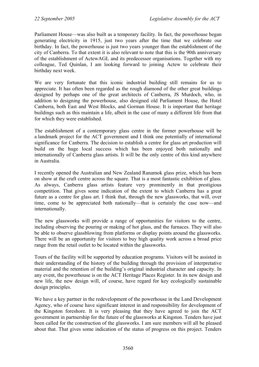Parliament House—was also built as a temporary facility. In fact, the powerhouse began generating electricity in 1915, just two years after the time that we celebrate our birthday. In fact, the powerhouse is just two years younger than the establishment of the city of Canberra. To that extent it is also relevant to note that this is the 90th anniversary of the establishment of ActewAGL and its predecessor organisations. Together with my colleague, Ted Quinlan, I am looking forward to joining Actew to celebrate their birthday next week.

We are very fortunate that this iconic industrial building still remains for us to appreciate. It has often been regarded as the rough diamond of the other great buildings designed by perhaps one of the great architects of Canberra, JS Murdoch, who, in addition to designing the powerhouse, also designed old Parliament House, the Hotel Canberra, both East and West Blocks, and Gorman House. It is important that heritage buildings such as this maintain a life, albeit in the case of many a different life from that for which they were established.

The establishment of a contemporary glass centre in the former powerhouse will be a landmark project for the ACT government and I think one potentially of international significance for Canberra. The decision to establish a centre for glass art production will build on the huge local success which has been enjoyed both nationally and internationally of Canberra glass artists. It will be the only centre of this kind anywhere in Australia.

I recently opened the Australian and New Zealand Ranamok glass prize, which has been on show at the craft centre across the square. That is a most fantastic exhibition of glass. As always, Canberra glass artists feature very prominently in that prestigious competition. That gives some indication of the extent to which Canberra has a great future as a centre for glass art. I think that, through the new glassworks, that will, over time, come to be appreciated both nationally—that is certainly the case now—and internationally.

The new glassworks will provide a range of opportunities for visitors to the centre, including observing the pouring or making of hot glass, and the furnaces. They will also be able to observe glassblowing from platforms or display points around the glassworks. There will be an opportunity for visitors to buy high quality work across a broad price range from the retail outlet to be located within the glassworks.

Tours of the facility will be supported by education programs. Visitors will be assisted in their understanding of the history of the building through the provision of interpretative material and the retention of the building's original industrial character and capacity. In any event, the powerhouse is on the ACT Heritage Places Register. In its new design and new life, the new design will, of course, have regard for key ecologically sustainable design principles.

We have a key partner in the redevelopment of the powerhouse in the Land Development Agency, who of course have significant interest in and responsibility for development of the Kingston foreshore. It is very pleasing that they have agreed to join the ACT government in partnership for the future of the glassworks at Kingston. Tenders have just been called for the construction of the glassworks. I am sure members will all be pleased about that. That gives some indication of the status of progress on this project. Tenders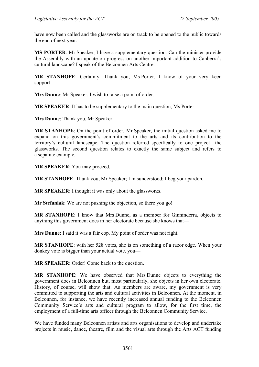have now been called and the glassworks are on track to be opened to the public towards the end of next year.

**MS PORTER**: Mr Speaker, I have a supplementary question. Can the minister provide the Assembly with an update on progress on another important addition to Canberra's cultural landscape? I speak of the Belconnen Arts Centre.

**MR STANHOPE**: Certainly. Thank you, Ms Porter. I know of your very keen support—

**Mrs Dunne**: Mr Speaker, I wish to raise a point of order.

**MR SPEAKER**: It has to be supplementary to the main question, Ms Porter.

**Mrs Dunne**: Thank you, Mr Speaker.

**MR STANHOPE**: On the point of order, Mr Speaker, the initial question asked me to expand on this government's commitment to the arts and its contribution to the territory's cultural landscape. The question referred specifically to one project—the glassworks. The second question relates to exactly the same subject and refers to a separate example.

**MR SPEAKER**: You may proceed.

**MR STANHOPE**: Thank you, Mr Speaker; I misunderstood; I beg your pardon.

**MR SPEAKER**: I thought it was only about the glassworks.

**Mr Stefaniak**: We are not pushing the objection, so there you go!

**MR STANHOPE**: I know that Mrs Dunne, as a member for Ginninderra, objects to anything this government does in her electorate because she knows that—

**Mrs Dunne**: I said it was a fair cop. My point of order was not right.

**MR STANHOPE**: with her 528 votes, she is on something of a razor edge. When your donkey vote is bigger than your actual vote, you—

**MR SPEAKER**: Order! Come back to the question.

**MR STANHOPE**: We have observed that Mrs Dunne objects to everything the government does in Belconnen but, most particularly, she objects in her own electorate. History, of course, will show that. As members are aware, my government is very committed to supporting the arts and cultural activities in Belconnen. At the moment, in Belconnen, for instance, we have recently increased annual funding to the Belconnen Community Service's arts and cultural program to allow, for the first time, the employment of a full-time arts officer through the Belconnen Community Service.

We have funded many Belconnen artists and arts organisations to develop and undertake projects in music, dance, theatre, film and the visual arts through the Arts ACT funding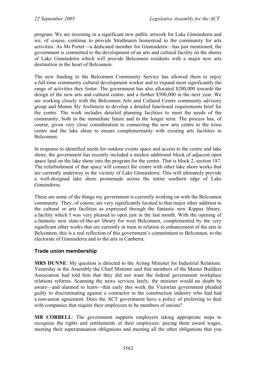program. We are investing in a significant new public artwork for Lake Ginninderra and we, of course, continue to provide Strathnairn homestead to the community for arts activities. As Ms Porter—a dedicated member for Ginninderra—has just mentioned, the government is committed to the development of an arts and cultural facility on the shores of Lake Ginninderra which will provide Belconnen residents with a major new arts destination in the heart of Belconnen.

The new funding to the Belconnen Community Service has allowed them to enjoy a full-time community cultural development worker and to expand most significantly the range of activities they foster. The government has also allocated \$200,000 towards the design of the new arts and cultural centre, and a further \$500,000 in the next year. We are working closely with the Belconnen Arts and Cultural Centre community advisory group and Munns Sly Architects to develop a detailed functional requirements brief for the centre. The work includes detailed planning facilities to meet the needs of the community, both in the immediate future and in the longer term. The process has, of course, given very close consideration to connecting the new arts centre to the town centre and the lake shore to ensure complementarity with existing arts facilities in Belconnen.

In response to identified needs for outdoor events space and access to the centre and lake shore, the government has recently included a modest additional block of adjacent open space land on the lake shore into the program for the centre. That is block 2, section 187. The refurbishment of that space will connect the centre with other lake shore works that are currently underway in the vicinity of Lake Ginninderra. This will ultimately provide a well-designed lake shore promenade across the entire southern edge of Lake Ginninderra.

These are some of the things my government is currently working on with the Belconnen community. They, of course, are very significantly located to that major other addition to the cultural or arts facilities as expressed through the fantastic new Kippax library, a facility which I was very pleased to open just in the last month. With the opening of a fantastic new state-of-the-art library for west Belconnen, complemented by the very significant other works that are currently in train in relation to enhancement of the arts in Belconnen, this is a real reflection of this government's commitment to Belconnen, to the electorate of Ginninderra and to the arts in Canberra.

# **Trade union membership**

**MRS DUNNE**: My question is directed to the Acting Minister for Industrial Relations. Yesterday in the Assembly the Chief Minister said that members of the Master Builders Association had told him that they did not want the federal government workplace relations reforms. Scanning the news services lately, the minister would no doubt be aware—and alarmed to learn—that early this week the Victorian government pleaded guilty to discriminating against a contractor in the construction industry who had had a non-union agreement. Does the ACT government have a policy of preferring to deal with companies that require their employees to be members of unions?

**MR CORBELL**: The government supports employers taking appropriate steps to recognise the rights and entitlements of their employees: paying them award wages, meeting their superannuation obligations and meeting all the other obligations that you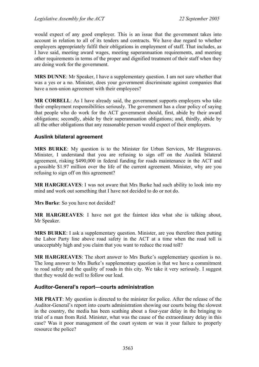would expect of any good employer. This is an issue that the government takes into account in relation to all of its tenders and contracts. We have due regard to whether employers appropriately fulfil their obligations in employment of staff. That includes, as I have said, meeting award wages, meeting superannuation requirements, and meeting other requirements in terms of the proper and dignified treatment of their staff when they are doing work for the government.

**MRS DUNNE**: Mr Speaker, I have a supplementary question. I am not sure whether that was a yes or a no. Minister, does your government discriminate against companies that have a non-union agreement with their employees?

**MR CORBELL**: As I have already said, the government supports employers who take their employment responsibilities seriously. The government has a clear policy of saying that people who do work for the ACT government should, first, abide by their award obligations; secondly, abide by their superannuation obligations; and, thirdly, abide by all the other obligations that any reasonable person would expect of their employers.

## **Auslink bilateral agreement**

**MRS BURKE**: My question is to the Minister for Urban Services, Mr Hargreaves. Minister, I understand that you are refusing to sign off on the Auslink bilateral agreement, risking \$490,000 in federal funding for roads maintenance in the ACT and a possible \$1.97 million over the life of the current agreement. Minister, why are you refusing to sign off on this agreement?

**MR HARGREAVES**: I was not aware that Mrs Burke had such ability to look into my mind and work out something that I have not decided to do or not do.

**Mrs Burke**: So you have not decided?

**MR HARGREAVES**: I have not got the faintest idea what she is talking about, Mr Speaker.

**MRS BURKE**: I ask a supplementary question. Minister, are you therefore then putting the Labor Party line above road safety in the ACT at a time when the road toll is unacceptably high and you claim that you want to reduce the road toll?

**MR HARGREAVES**: The short answer to Mrs Burke's supplementary question is no. The long answer to Mrs Burke's supplementary question is that we have a commitment to road safety and the quality of roads in this city. We take it very seriously. I suggest that they would do well to follow our lead.

#### **Auditor-General's report—courts administration**

**MR PRATT**: My question is directed to the minister for police. After the release of the Auditor-General's report into courts administration showing our courts being the slowest in the country, the media has been scathing about a four-year delay in the bringing to trial of a man from Reid. Minister, what was the cause of the extraordinary delay in this case? Was it poor management of the court system or was it your failure to properly resource the police?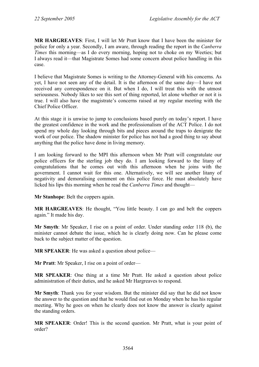**MR HARGREAVES**: First, I will let Mr Pratt know that I have been the minister for police for only a year. Secondly, I am aware, through reading the report in the *Canberra Times* this morning—as I do every morning, hoping not to choke on my Weeties; but I always read it—that Magistrate Somes had some concern about police handling in this case.

I believe that Magistrate Somes is writing to the Attorney-General with his concerns. As yet, I have not seen any of the detail. It is the afternoon of the same day—I have not received any correspondence on it. But when I do, I will treat this with the utmost seriousness. Nobody likes to see this sort of thing reported, let alone whether or not it is true. I will also have the magistrate's concerns raised at my regular meeting with the Chief Police Officer.

At this stage it is unwise to jump to conclusions based purely on today's report. I have the greatest confidence in the work and the professionalism of the ACT Police. I do not spend my whole day looking through bits and pieces around the traps to denigrate the work of our police. The shadow minister for police has not had a good thing to say about anything that the police have done in living memory.

I am looking forward to the MPI this afternoon when Mr Pratt will congratulate our police officers for the sterling job they do. I am looking forward to the litany of congratulations that he comes out with this afternoon when he joins with the government. I cannot wait for this one. Alternatively, we will see another litany of negativity and demoralising comment on this police force. He must absolutely have licked his lips this morning when he read the *Canberra Times* and thought—

**Mr Stanhope**: Belt the coppers again.

**MR HARGREAVES**: He thought, "You little beauty. I can go and belt the coppers again." It made his day.

**Mr Smyth**: Mr Speaker, I rise on a point of order. Under standing order 118 (b), the minister cannot debate the issue, which he is clearly doing now. Can he please come back to the subject matter of the question.

**MR SPEAKER:** He was asked a question about police—

**Mr Pratt**: Mr Speaker, I rise on a point of order—

**MR SPEAKER**: One thing at a time Mr Pratt. He asked a question about police administration of their duties, and he asked Mr Hargreaves to respond.

**Mr Smyth**: Thank you for your wisdom. But the minister did say that he did not know the answer to the question and that he would find out on Monday when he has his regular meeting. Why he goes on when he clearly does not know the answer is clearly against the standing orders.

**MR SPEAKER**: Order! This is the second question. Mr Pratt, what is your point of order?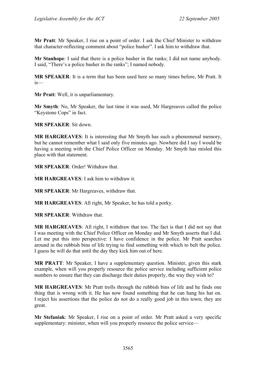**Mr Pratt**: Mr Speaker, I rise on a point of order. I ask the Chief Minister to withdraw that character-reflecting comment about "police basher". I ask him to withdraw that.

**Mr Stanhope**: I said that there is a police basher in the ranks; I did not name anybody. I said, "There's a police basher in the ranks"; I named nobody.

**MR SPEAKER**: It is a term that has been used here so many times before, Mr Pratt. It is—

**Mr Pratt**: Well, it is unparliamentary.

**Mr Smyth**: No, Mr Speaker, the last time it was used, Mr Hargreaves called the police "Keystone Cops" in fact.

**MR SPEAKER**: Sit down.

**MR HARGREAVES**: It is interesting that Mr Smyth has such a phenomenal memory, but he cannot remember what I said only five minutes ago. Nowhere did I say I would be having a meeting with the Chief Police Officer on Monday. Mr Smyth has misled this place with that statement.

**MR SPEAKER**: Order! Withdraw that.

. **MR HARGREAVES**: I ask him to withdraw it.

**MR SPEAKER**: Mr Hargreaves, withdraw that.

**MR HARGREAVES**: All right, Mr Speaker, he has told a porky.

**MR SPEAKER**: Withdraw that.

**MR HARGREAVES**: All right, I withdraw that too. The fact is that I did not say that I was meeting with the Chief Police Officer on Monday and Mr Smyth asserts that I did. Let me put this into perspective: I have confidence in the police. Mr Pratt searches around in the rubbish bins of life trying to find something with which to belt the police. I guess he will do that until the day they kick him out of here.

**MR PRATT**: Mr Speaker, I have a supplementary question. Minister, given this stark example, when will you properly resource the police service including sufficient police numbers to ensure that they can discharge their duties properly, the way they wish to?

**MR HARGREAVES**: Mr Pratt trolls through the rubbish bins of life and he finds one thing that is wrong with it. He has now found something that he can hang his hat on. I reject his assertions that the police do not do a really good job in this town; they are great.

**Mr Stefaniak**: Mr Speaker, I rise on a point of order. Mr Pratt asked a very specific supplementary: minister, when will you properly resource the police service—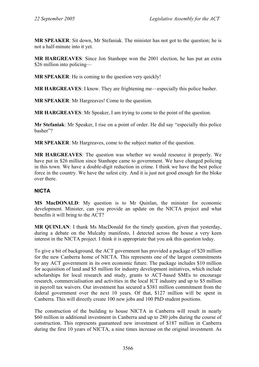**MR SPEAKER**: Sit down, Mr Stefaniak. The minister has not got to the question; he is not a half-minute into it yet.

**MR HARGREAVES**: Since Jon Stanhope won the 2001 election, he has put an extra \$26 million into policing—

**MR SPEAKER:** He is coming to the question very quickly!

**MR HARGREAVES**: I know. They are frightening me—especially this police basher.

**MR SPEAKER**: Mr Hargreaves! Come to the question.

**MR HARGREAVES**: Mr Speaker, I am trying to come to the point of the question.

**Mr Stefaniak**: Mr Speaker, I rise on a point of order. He did say "especially this police basher"?

**MR SPEAKER**: Mr Hargreaves, come to the subject matter of the question.

**MR HARGREAVES**: The question was whether we would resource it properly. We have put in \$26 million since Stanhope came to government. We have changed policing in this town. We have a double-digit reduction in crime. I think we have the best police force in the country. We have the safest city. And it is just not good enough for the bloke over there.

## **NICTA**

**MS MacDONALD**: My question is to Mr Quinlan, the minister for economic development. Minister, can you provide an update on the NICTA project and what benefits it will bring to the ACT?

**MR QUINLAN**: I thank Ms MacDonald for the timely question, given that yesterday, during a debate on the Mulcahy manifesto, I detected across the house a very keen interest in the NICTA project. I think it is appropriate that you ask this question today.

To give a bit of background, the ACT government has provided a package of \$20 million for the new Canberra home of NICTA. This represents one of the largest commitments by any ACT government in its own economic future. The package includes \$10 million for acquisition of land and \$5 million for industry development initiatives, which include scholarships for local research and study, grants to ACT-based SMEs to encourage research, commercialisation and activities in the local ICT industry and up to \$5 million in payroll tax waivers. Our investment has secured a \$381 million commitment from the federal government over the next 10 years. Of that, \$127 million will be spent in Canberra. This will directly create 100 new jobs and 100 PhD student positions.

The construction of the building to house NICTA in Canberra will result in nearly \$60 million in additional investment in Canberra and up to 280 jobs during the course of construction. This represents guaranteed new investment of \$187 million in Canberra during the first 10 years of NICTA, a nine times increase on the original investment. As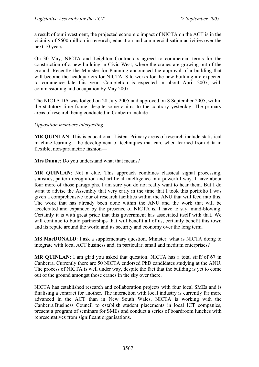a result of our investment, the projected economic impact of NICTA on the ACT is in the vicinity of \$600 million in research, education and commercialisation activities over the next 10 years.

On 30 May, NICTA and Leighton Contractors agreed to commercial terms for the construction of a new building in Civic West, where the cranes are growing out of the ground. Recently the Minister for Planning announced the approval of a building that will become the headquarters for NICTA. Site works for the new building are expected to commence late this year. Completion is expected in about April 2007, with commissioning and occupation by May 2007.

The NICTA DA was lodged on 28 July 2005 and approved on 8 September 2005, within the statutory time frame, despite some claims to the contrary yesterday. The primary areas of research being conducted in Canberra include—

*Opposition members interjecting—* 

**MR QUINLAN**: This is educational. Listen. Primary areas of research include statistical machine learning—the development of techniques that can, when learned from data in flexible, non-parametric fashion—

**Mrs Dunne**: Do you understand what that means?

**MR QUINLAN**: Not a clue. This approach combines classical signal processing, statistics, pattern recognition and artificial intelligence in a powerful way. I have about four more of those paragraphs. I am sure you do not really want to hear them. But I do want to advise the Assembly that very early in the time that I took this portfolio I was given a comprehensive tour of research facilities within the ANU that will feed into this. The work that has already been done within the ANU and the work that will be accelerated and expanded by the presence of NICTA is, I have to say, mind-blowing. Certainly it is with great pride that this government has associated itself with that. We will continue to build partnerships that will benefit all of us, certainly benefit this town and its repute around the world and its security and economy over the long term.

**MS MacDONALD**: I ask a supplementary question. Minister, what is NICTA doing to integrate with local ACT business and, in particular, small and medium enterprises?

**MR QUINLAN**: I am glad you asked that question. NICTA has a total staff of 67 in Canberra. Currently there are 50 NICTA endorsed PhD candidates studying at the ANU. The process of NICTA is well under way, despite the fact that the building is yet to come out of the ground amongst those cranes in the sky over there.

NICTA has established research and collaboration projects with four local SMEs and is finalising a contract for another. The interaction with local industry is currently far more advanced in the ACT than in New South Wales. NICTA is working with the Canberra Business Council to establish student placements in local ICT companies, present a program of seminars for SMEs and conduct a series of boardroom lunches with representatives from significant organisations.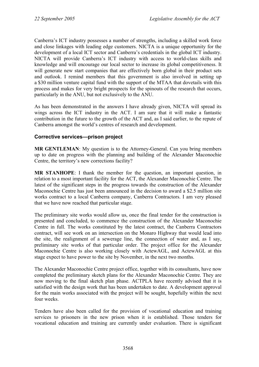Canberra's ICT industry possesses a number of strengths, including a skilled work force and close linkages with leading edge customers. NICTA is a unique opportunity for the development of a local ICT sector and Canberra's credentials in the global ICT industry. NICTA will provide Canberra's ICT industry with access to world-class skills and knowledge and will encourage our local sector to increase its global competitiveness. It will generate new start companies that are effectively born global in their product sets and outlook. I remind members that this government is also involved in setting up a \$30 million venture capital fund with the support of the MTAA that dovetails with this process and makes for very bright prospects for the spinouts of the research that occurs, particularly in the ANU, but not exclusively to the ANU.

As has been demonstrated in the answers I have already given, NICTA will spread its wings across the ICT industry in the ACT. I am sure that it will make a fantastic contribution in the future to the growth of the ACT and, as I said earlier, to the repute of Canberra amongst the world's centres of research and development.

## **Corrective services—prison project**

**MR GENTLEMAN**: My question is to the Attorney-General. Can you bring members up to date on progress with the planning and building of the Alexander Maconochie Centre, the territory's new corrections facility?

**MR STANHOPE**: I thank the member for the question, an important question, in relation to a most important facility for the ACT, the Alexander Maconochie Centre. The latest of the significant steps in the progress towards the construction of the Alexander Maconochie Centre has just been announced in the decision to award a \$2.5 million site works contract to a local Canberra company, Canberra Contractors. I am very pleased that we have now reached that particular stage.

The preliminary site works would allow us, once the final tender for the construction is presented and concluded, to commence the construction of the Alexander Maconochie Centre in full. The works constituted by the latest contract, the Canberra Contractors contract, will see work on an intersection on the Monaro Highway that would lead into the site, the realignment of a sewerage line, the connection of water and, as I say, preliminary site works of that particular order. The project office for the Alexander Maconochie Centre is also working closely with ActewAGL, and ActewAGL at this stage expect to have power to the site by November, in the next two months.

The Alexander Maconochie Centre project office, together with its consultants, have now completed the preliminary sketch plans for the Alexander Maconochie Centre. They are now moving to the final sketch plan phase. ACTPLA have recently advised that it is satisfied with the design work that has been undertaken to date. A development approval for the main works associated with the project will be sought, hopefully within the next four weeks.

Tenders have also been called for the provision of vocational education and training services to prisoners in the new prison when it is established. Those tenders for vocational education and training are currently under evaluation. There is significant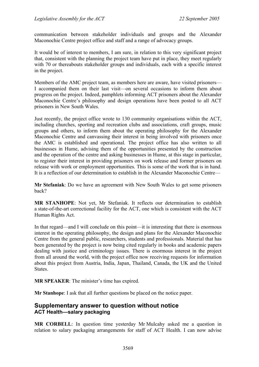communication between stakeholder individuals and groups and the Alexander Maconochie Centre project office and staff and a range of advocacy groups.

It would be of interest to members, I am sure, in relation to this very significant project that, consistent with the planning the project team have put in place, they meet regularly with 70 or thereabouts stakeholder groups and individuals, each with a specific interest in the project.

Members of the AMC project team, as members here are aware, have visited prisoners— I accompanied them on their last visit—on several occasions to inform them about progress on the project. Indeed, pamphlets informing ACT prisoners about the Alexander Maconochie Centre's philosophy and design operations have been posted to all ACT prisoners in New South Wales.

Just recently, the project office wrote to 130 community organisations within the ACT, including churches, sporting and recreation clubs and associations, craft groups, music groups and others, to inform them about the operating philosophy for the Alexander Maconochie Centre and canvassing their interest in being involved with prisoners once the AMC is established and operational. The project office has also written to all businesses in Hume, advising them of the opportunities presented by the construction and the operation of the centre and asking businesses in Hume, at this stage in particular, to register their interest in providing prisoners on work release and former prisoners on release with work or employment opportunities. This is some of the work that is in hand. It is a reflection of our determination to establish in the Alexander Maconochie Centre—

**Mr Stefaniak**: Do we have an agreement with New South Wales to get some prisoners back?

**MR STANHOPE**: Not yet, Mr Stefaniak. It reflects our determination to establish a state-of-the-art correctional facility for the ACT, one which is consistent with the ACT Human Rights Act.

In that regard—and I will conclude on this point—it is interesting that there is enormous interest in the operating philosophy, the design and plans for the Alexander Maconochie Centre from the general public, researchers, students and professionals. Material that has been generated by the project is now being cited regularly in books and academic papers dealing with justice and criminology issues. There is enormous interest in the project from all around the world, with the project office now receiving requests for information about this project from Austria, India, Japan, Thailand, Canada, the UK and the United States.

**MR SPEAKER**: The minister's time has expired.

**Mr Stanhope**: I ask that all further questions be placed on the notice paper.

## **Supplementary answer to question without notice ACT Health—salary packaging**

**MR CORBELL**: In question time yesterday Mr Mulcahy asked me a question in relation to salary packaging arrangements for staff of ACT Health. I can now advise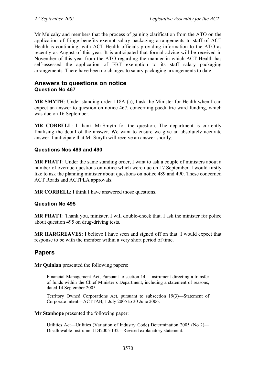Mr Mulcahy and members that the process of gaining clarification from the ATO on the application of fringe benefits exempt salary packaging arrangements to staff of ACT Health is continuing, with ACT Health officials providing information to the ATO as recently as August of this year. It is anticipated that formal advice will be received in November of this year from the ATO regarding the manner in which ACT Health has self-assessed the application of FBT exemption to its staff salary packaging arrangements. There have been no changes to salary packaging arrangements to date.

## **Answers to questions on notice Question No 467**

**MR SMYTH**: Under standing order 118A (a), I ask the Minister for Health when I can expect an answer to question on notice 467, concerning paediatric ward funding, which was due on 16 September.

**MR CORBELL**: I thank Mr Smyth for the question. The department is currently finalising the detail of the answer. We want to ensure we give an absolutely accurate answer. I anticipate that Mr Smyth will receive an answer shortly.

## **Questions Nos 489 and 490**

**MR PRATT**: Under the same standing order, I want to ask a couple of ministers about a number of overdue questions on notice which were due on 17 September. I would firstly like to ask the planning minister about questions on notice 489 and 490. These concerned ACT Roads and ACTPLA approvals.

**MR CORBELL**: I think I have answered those questions.

## **Question No 495**

**MR PRATT**: Thank you, minister. I will double-check that. I ask the minister for police about question 495 on drug-driving tests.

**MR HARGREAVES**: I believe I have seen and signed off on that. I would expect that response to be with the member within a very short period of time.

# **Papers**

**Mr Quinlan** presented the following papers:

Financial Management Act, Pursuant to section 14—Instrument directing a transfer of funds within the Chief Minister's Department, including a statement of reasons, dated 14 September 2005.

Territory Owned Corporations Act, pursuant to subsection 19(3)—Statement of Corporate Intent—ACTTAB, 1 July 2005 to 30 June 2006.

#### **Mr Stanhope** presented the following paper:

Utilities Act—Utilities (Variation of Industry Code) Determination 2005 (No 2)— Disallowable Instrument DI2005-132—Revised explanatory statement.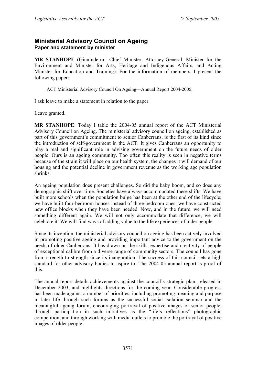# **Ministerial Advisory Council on Ageing Paper and statement by minister**

**MR STANHOPE** (Ginninderra—Chief Minister, Attorney-General, Minister for the Environment and Minister for Arts, Heritage and Indigenous Affairs, and Acting Minister for Education and Training): For the information of members, I present the following paper:

ACT Ministerial Advisory Council On Ageing—Annual Report 2004-2005.

I ask leave to make a statement in relation to the paper.

Leave granted.

**MR STANHOPE**: Today I table the 2004-05 annual report of the ACT Ministerial Advisory Council on Ageing. The ministerial advisory council on ageing, established as part of this government's commitment to senior Canberrans, is the first of its kind since the introduction of self-government in the ACT. It gives Canberrans an opportunity to play a real and significant role in advising government on the future needs of older people. Ours is an ageing community. Too often this reality is seen in negative terms because of the strain it will place on our health system, the changes it will demand of our housing and the potential decline in government revenue as the working age population shrinks.

An ageing population does present challenges. So did the baby boom, and so does any demographic shift over time. Societies have always accommodated these shifts. We have built more schools when the population bulge has been at the other end of the lifecycle; we have built four-bedroom houses instead of three-bedroom ones; we have constructed new office blocks when they have been needed. Now, and in the future, we will need something different again. We will not only accommodate that difference, we will celebrate it. We will find ways of adding value to the life experiences of older people.

Since its inception, the ministerial advisory council on ageing has been actively involved in promoting positive ageing and providing important advice to the government on the needs of older Canberrans. It has drawn on the skills, expertise and creativity of people of exceptional calibre from a diverse range of community sectors. The council has gone from strength to strength since its inauguration. The success of this council sets a high standard for other advisory bodies to aspire to. The 2004-05 annual report is proof of this.

The annual report details achievements against the council's strategic plan, released in December 2003, and highlights directions for the coming year. Considerable progress has been made against a number of priorities, including promoting meaning and purpose in later life through such forums as the successful social isolation seminar and the meaningful ageing forum; encouraging portrayal of positive images of senior people, through participation in such initiatives as the "life's reflections" photographic competition, and through working with media outlets to promote the portrayal of positive images of older people.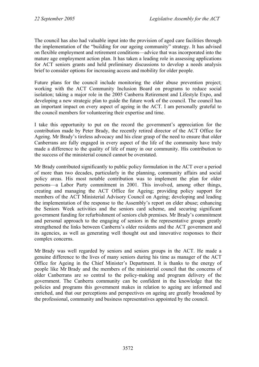The council has also had valuable input into the provision of aged care facilities through the implementation of the "building for our ageing community" strategy. It has advised on flexible employment and retirement conditions—advice that was incorporated into the mature age employment action plan. It has taken a leading role in assessing applications for ACT seniors grants and held preliminary discussions to develop a needs analysis brief to consider options for increasing access and mobility for older people.

Future plans for the council include monitoring the elder abuse prevention project; working with the ACT Community Inclusion Board on programs to reduce social isolation; taking a major role in the 2005 Canberra Retirement and Lifestyle Expo, and developing a new strategic plan to guide the future work of the council. The council has an important impact on every aspect of ageing in the ACT. I am personally grateful to the council members for volunteering their expertise and time.

I take this opportunity to put on the record the government's appreciation for the contribution made by Peter Brady, the recently retired director of the ACT Office for Ageing. Mr Brady's tireless advocacy and his clear grasp of the need to ensure that older Canberrans are fully engaged in every aspect of the life of the community have truly made a difference to the quality of life of many in our community. His contribution to the success of the ministerial council cannot be overstated.

Mr Brady contributed significantly to public policy formulation in the ACT over a period of more than two decades, particularly in the planning, community affairs and social policy areas. His most notable contribution was to implement the plan for older persons—a Labor Party commitment in 2001. This involved, among other things, creating and managing the ACT Office for Ageing; providing policy support for members of the ACT Ministerial Advisory Council on Ageing; developing and leading the implementation of the response to the Assembly's report on elder abuse; enhancing the Seniors Week activities and the seniors card scheme, and securing significant government funding for refurbishment of seniors club premises. Mr Brady's commitment and personal approach to the engaging of seniors in the representative groups greatly strengthened the links between Canberra's older residents and the ACT government and its agencies, as well as generating well thought out and innovative responses to their complex concerns.

Mr Brady was well regarded by seniors and seniors groups in the ACT. He made a genuine difference to the lives of many seniors during his time as manager of the ACT Office for Ageing in the Chief Minister's Department. It is thanks to the energy of people like Mr Brady and the members of the ministerial council that the concerns of older Canberrans are so central to the policy-making and program delivery of the government. The Canberra community can be confident in the knowledge that the policies and programs this government makes in relation to ageing are informed and enriched, and that our perceptions and perspectives on ageing are greatly broadened by the professional, community and business representatives appointed by the council.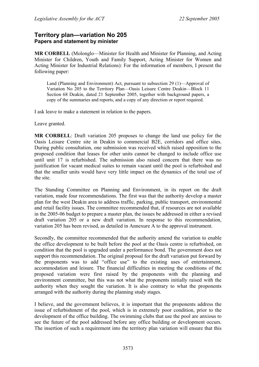## **Territory plan—variation No 205 Papers and statement by minister**

**MR CORBELL** (Molonglo—Minister for Health and Minister for Planning, and Acting Minister for Children, Youth and Family Support, Acting Minister for Women and Acting Minister for Industrial Relations): For the information of members, I present the following paper:

Land (Planning and Environment) Act, pursuant to subsection 29 (1)—Approval of Variation No 205 to the Territory Plan—Oasis Leisure Centre Deakin—Block 11 Section 68 Deakin, dated 21 September 2005, together with background papers, a copy of the summaries and reports, and a copy of any direction or report required.

I ask leave to make a statement in relation to the papers.

Leave granted.

**MR CORBELL**: Draft variation 205 proposes to change the land use policy for the Oasis Leisure Centre site in Deakin to commercial B2E, corridors and office sites. During public consultation, one submission was received which raised opposition to the proposed condition that leases for other units cannot be changed to include office use until unit 17 is refurbished. The submission also raised concern that there was no justification for vacant medical suites to remain vacant until the pool is refurbished and that the smaller units would have very little impact on the dynamics of the total use of the site.

The Standing Committee on Planning and Environment, in its report on the draft variation, made four recommendations. The first was that the authority develop a master plan for the west Deakin area to address traffic, parking, public transport, environmental and retail facility issues. The committee recommended that, if resources are not available in the 2005-06 budget to prepare a master plan, the issues be addressed in either a revised draft variation 205 or a new draft variation. In response to this recommendation, variation 205 has been revised, as detailed in Annexure A to the approval instrument.

Secondly, the committee recommended that the authority amend the variation to enable the office development to be built before the pool at the Oasis centre is refurbished, on condition that the pool is upgraded under a performance bond. The government does not support this recommendation. The original proposal for the draft variation put forward by the proponents was to add "office use" to the existing uses of entertainment, accommodation and leisure. The financial difficulties in meeting the conditions of the proposed variation were first raised by the proponents with the planning and environment committee, but this was not what the proponents initially raised with the authority when they sought the variation. It is also contrary to what the proponents arranged with the authority during the planning study stages.

I believe, and the government believes, it is important that the proponents address the issue of refurbishment of the pool, which is in extremely poor condition, prior to the development of the office building. The swimming clubs that use the pool are anxious to see the future of the pool addressed before any office building or development occurs. The insertion of such a requirement into the territory plan variation will ensure that this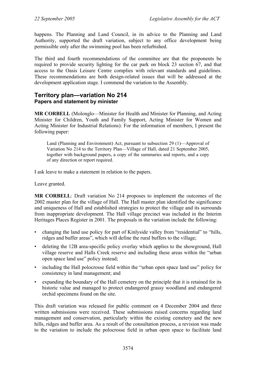happens. The Planning and Land Council, in its advice to the Planning and Land Authority, supported the draft variation, subject to any office development being permissible only after the swimming pool has been refurbished.

The third and fourth recommendations of the committee are that the proponents be required to provide security lighting for the car park on block 23 section 67, and that access to the Oasis Leisure Centre complies with relevant standards and guidelines. These recommendations are both design-related issues that will be addressed at the development application stage. I commend the variation to the Assembly.

## **Territory plan—variation No 214 Papers and statement by minister**

**MR CORBELL** (Molonglo—Minister for Health and Minister for Planning, and Acting Minister for Children, Youth and Family Support, Acting Minister for Women and Acting Minister for Industrial Relations): For the information of members, I present the following paper:

Land (Planning and Environment) Act, pursuant to subsection 29 (1)—Approval of Variation No 214 to the Territory Plan—Village of Hall, dated 21 September 2005, together with background papers, a copy of the summaries and reports, and a copy of any direction or report required.

I ask leave to make a statement in relation to the papers.

Leave granted.

**MR CORBELL**: Draft variation No 214 proposes to implement the outcomes of the 2002 master plan for the village of Hall. The Hall master plan identified the significance and uniqueness of Hall and established strategies to protect the village and its surrounds from inappropriate development. The Hall village precinct was included in the Interim Heritages Places Register in 2001. The proposals in the variation include the following:

- changing the land use policy for part of Kinlyside valley from "residential" to "hills, ridges and buffer areas", which will define the rural buffers to the village;
- deleting the 12B area-specific policy overlay which applies to the showground, Hall village reserve and Halls Creek reserve and including these areas within the "urban open space land use" policy instead;
- including the Hall polocrosse field within the "urban open space land use" policy for consistency in land management; and
- expanding the boundary of the Hall cemetery on the principle that it is retained for its historic value and managed to protect endangered grassy woodland and endangered orchid specimens found on the site.

This draft variation was released for public comment on 4 December 2004 and three written submissions were received. These submissions raised concerns regarding land management and conservation, particularly within the existing cemetery and the new hills, ridges and buffer area. As a result of the consultation process, a revision was made to the variation to include the polocrosse field in urban open space to facilitate land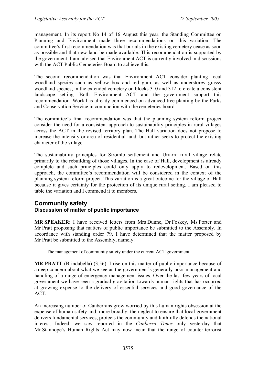management. In its report No 14 of 16 August this year, the Standing Committee on Planning and Environment made three recommendations on this variation. The committee's first recommendation was that burials in the existing cemetery cease as soon as possible and that new land be made available. This recommendation is supported by the government. I am advised that Environment ACT is currently involved in discussions with the ACT Public Cemeteries Board to achieve this.

The second recommendation was that Environment ACT consider planting local woodland species such as yellow box and red gum, as well as understorey grassy woodland species, in the extended cemetery on blocks 310 and 312 to create a consistent landscape setting. Both Environment ACT and the government support this recommendation. Work has already commenced on advanced tree planting by the Parks and Conservation Service in conjunction with the cemeteries board.

The committee's final recommendation was that the planning system reform project consider the need for a consistent approach to sustainability principles in rural villages across the ACT in the revised territory plan. The Hall variation does not propose to increase the intensity or area of residential land, but rather seeks to protect the existing character of the village.

The sustainability principles for Stromlo settlement and Uriarra rural village relate primarily to the rebuilding of those villages. In the case of Hall, development is already complete and such principles could only apply to redevelopment. Based on this approach, the committee's recommendation will be considered in the context of the planning system reform project. This variation is a great outcome for the village of Hall because it gives certainty for the protection of its unique rural setting. I am pleased to table the variation and I commend it to members.

## **Community safety Discussion of matter of public importance**

**MR SPEAKER**: I have received letters from Mrs Dunne, Dr Foskey, Ms Porter and Mr Pratt proposing that matters of public importance be submitted to the Assembly. In accordance with standing order 79, I have determined that the matter proposed by Mr Pratt be submitted to the Assembly, namely:

The management of community safety under the current ACT government.

**MR PRATT** (Brindabella) (3.56): I rise on this matter of public importance because of a deep concern about what we see as the government's generally poor management and handling of a range of emergency management issues. Over the last few years of local government we have seen a gradual gravitation towards human rights that has occurred at growing expense to the delivery of essential services and good governance of the ACT.

An increasing number of Canberrans grow worried by this human rights obsession at the expense of human safety and, more broadly, the neglect to ensure that local government delivers fundamental services, protects the community and faithfully defends the national interest. Indeed, we saw reported in the *Canberra Times* only yesterday that Mr Stanhope's Human Rights Act may now mean that the range of counter-terrorist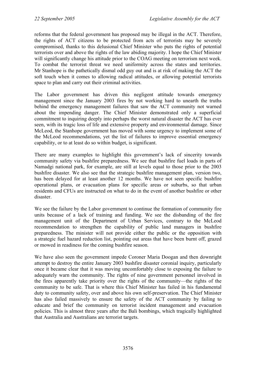reforms that the federal government has proposed may be illegal in the ACT. Therefore, the rights of ACT citizens to be protected from acts of terrorists may be severely compromised, thanks to this delusional Chief Minister who puts the rights of potential terrorists over and above the rights of the law abiding majority. I hope the Chief Minister will significantly change his attitude prior to the COAG meeting on terrorism next week. To combat the terrorist threat we need uniformity across the states and territories. Mr Stanhope is the pathetically dismal odd guy out and is at risk of making the ACT the soft touch when it comes to allowing radical attitudes, or allowing potential terrorists space to plan and carry out their criminal activities.

The Labor government has driven this negligent attitude towards emergency management since the January 2003 fires by not working hard to unearth the truths behind the emergency management failures that saw the ACT community not warned about the impending danger. The Chief Minister demonstrated only a superficial commitment to inquiring deeply into perhaps the worst natural disaster the ACT has ever seen, with its tragic loss of life and extensive property and environmental damage. Since McLeod, the Stanhope government has moved with some urgency to implement some of the McLeod recommendations, yet the list of failures to improve essential emergency capability, or to at least do so within budget, is significant.

There are many examples to highlight this government's lack of sincerity towards community safety via bushfire preparedness. We see that bushfire fuel loads in parts of Namadgi national park, for example, are still at levels equal to those prior to the 2003 bushfire disaster. We also see that the strategic bushfire management plan, version two, has been delayed for at least another 12 months. We have not seen specific bushfire operational plans, or evacuation plans for specific areas or suburbs, so that urban residents and CFUs are instructed on what to do in the event of another bushfire or other disaster.

We see the failure by the Labor government to continue the formation of community fire units because of a lack of training and funding. We see the disbanding of the fire management unit of the Department of Urban Services, contrary to the McLeod recommendation to strengthen the capability of public land managers in bushfire preparedness. The minister will not provide either the public or the opposition with a strategic fuel hazard reduction list, pointing out areas that have been burnt off, grazed or mowed in readiness for the coming bushfire season.

We have also seen the government impede Coroner Maria Doogan and then downright attempt to destroy the entire January 2003 bushfire disaster coronial inquiry, particularly once it became clear that it was moving uncomfortably close to exposing the failure to adequately warn the community. The rights of nine government personnel involved in the fires apparently take priority over the rights of the community—the rights of the community to be safe. That is where this Chief Minister has failed in his fundamental duty to community safety, over and above his own self-preservation. The Chief Minister has also failed massively to ensure the safety of the ACT community by failing to educate and brief the community on terrorist incident management and evacuation policies. This is almost three years after the Bali bombings, which tragically highlighted that Australia and Australians are terrorist targets.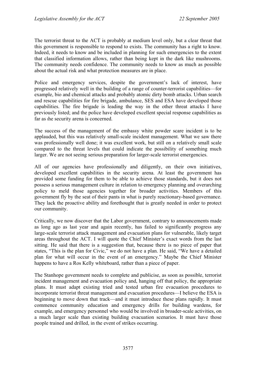The terrorist threat to the ACT is probably at medium level only, but a clear threat that this government is responsible to respond to exists. The community has a right to know. Indeed, it needs to know and be included in planning for such emergencies to the extent that classified information allows, rather than being kept in the dark like mushrooms. The community needs confidence. The community needs to know as much as possible about the actual risk and what protection measures are in place.

Police and emergency services, despite the government's lack of interest, have progressed relatively well in the building of a range of counter-terrorist capabilities—for example, bio and chemical attacks and probably atomic dirty bomb attacks. Urban search and rescue capabilities for fire brigade, ambulance, SES and ESA have developed those capabilities. The fire brigade is leading the way in the other threat attacks I have previously listed; and the police have developed excellent special response capabilities as far as the security arena is concerned.

The success of the management of the embassy white powder scare incident is to be applauded, but this was relatively small-scale incident management. What we saw there was professionally well done; it was excellent work, but still on a relatively small scale compared to the threat levels that could indicate the possibility of something much larger. We are not seeing serious preparation for larger-scale terrorist emergencies.

All of our agencies have professionally and diligently, on their own initiatives, developed excellent capabilities in the security arena. At least the government has provided some funding for them to be able to achieve those standards, but it does not possess a serious management culture in relation to emergency planning and overarching policy to meld those agencies together for broader activities. Members of this government fly by the seat of their pants in what is purely reactionary-based governance. They lack the proactive ability and forethought that is greatly needed in order to protect our community.

Critically, we now discover that the Labor government, contrary to announcements made as long ago as last year and again recently, has failed to significantly progress any large-scale terrorist attack management and evacuation plans for vulnerable, likely target areas throughout the ACT. I will quote the Chief Minister's exact words from the last sitting. He said that there is a suggestion that, because there is no piece of paper that states, "This is the plan for Civic," we do not have a plan. He said, "We have a detailed plan for what will occur in the event of an emergency." Maybe the Chief Minister happens to have a Ros Kelly whiteboard, rather than a piece of paper.

The Stanhope government needs to complete and publicise, as soon as possible, terrorist incident management and evacuation policy and, hanging off that policy, the appropriate plans. It must adapt existing tried and tested urban fire evacuation procedures to incorporate terrorist threat management and evacuation procedures—I believe the ESA is beginning to move down that track—and it must introduce these plans rapidly. It must commence community education and emergency drills for building wardens, for example, and emergency personnel who would be involved in broader-scale activities, on a much larger scale than existing building evacuation scenarios. It must have those people trained and drilled, in the event of strikes occurring.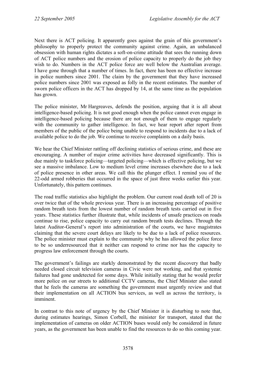Next there is ACT policing. It apparently goes against the grain of this government's philosophy to properly protect the community against crime. Again, an unbalanced obsession with human rights dictates a soft-on-crime attitude that sees the running down of ACT police numbers and the erosion of police capacity to properly do the job they wish to do. Numbers in the ACT police force are well below the Australian average. I have gone through that a number of times. In fact, there has been no effective increase in police numbers since 2001. The claim by the government that they have increased police numbers since 2001 was exposed as folly in the recent estimates. The number of sworn police officers in the ACT has dropped by 14, at the same time as the population has grown.

The police minister, Mr Hargreaves, defends the position, arguing that it is all about intelligence-based policing. It is not good enough when the police cannot even engage in intelligence-based policing because there are not enough of them to engage regularly with the community to gather intelligence. In fact, we hear report after report from members of the public of the police being unable to respond to incidents due to a lack of available police to do the job. We continue to receive complaints on a daily basis.

We hear the Chief Minister rattling off declining statistics of serious crime, and these are encouraging. A number of major crime activities have decreased significantly. This is due mainly to taskforce policing—targeted policing—which is effective policing, but we see a massive imbalance. Low to medium level crime increases elsewhere due to a lack of police presence in other areas. We call this the plunger effect. I remind you of the 22-odd armed robberies that occurred in the space of just three weeks earlier this year. Unfortunately, this pattern continues.

The road traffic statistics also highlight the problem. Our current road death toll of 20 is over twice that of the whole previous year. There is an increasing percentage of positive random breath tests from the lowest number of random breath tests carried out in five years. These statistics further illustrate that, while incidents of unsafe practices on roads continue to rise, police capacity to carry out random breath tests declines. Through the latest Auditor-General's report into administration of the courts, we have magistrates claiming that the severe court delays are likely to be due to a lack of police resources. The police minister must explain to the community why he has allowed the police force to be so underresourced that it neither can respond to crime nor has the capacity to progress law enforcement through the courts.

The government's failings are starkly demonstrated by the recent discovery that badly needed closed circuit television cameras in Civic were not working, and that systemic failures had gone undetected for some days. While initially stating that he would prefer more police on our streets to additional CCTV cameras, the Chief Minister also stated that he feels the cameras are something the government must urgently review and that their implementation on all ACTION bus services, as well as across the territory, is imminent.

In contrast to this note of urgency by the Chief Minister it is disturbing to note that, during estimates hearings, Simon Corbell, the minister for transport, stated that the implementation of cameras on older ACTION buses would only be considered in future years, as the government has been unable to find the resources to do so this coming year.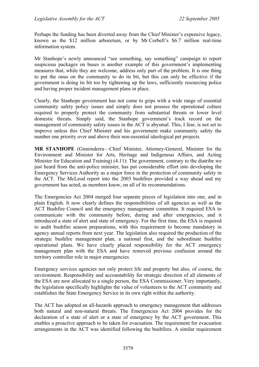Perhaps the funding has been diverted away from the Chief Minister's expensive legacy, known as the \$12 million arboretum, or by Mr Corbell's \$6.7 million real-time information system.

Mr Stanhope's newly announced "see something, say something" campaign to report suspicious packages on buses is another example of this government's implementing measures that, while they are welcome, address only part of the problem. It is one thing to put the onus on the community to do its bit, but this can only be effective if the government is doing its bit too by tightening up the laws, sufficiently resourcing police and having proper incident management plans in place.

Clearly, the Stanhope government has not come to grips with a wide range of essential community safety policy issues and simply does not possess the operational culture required to properly protect the community from substantial threats or lower level domestic threats. Simply said, the Stanhope government's track record on the management of community safety issues in the ACT is abysmal. This, I fear, is not set to improve unless this Chief Minister and his government make community safety the number one priority over and above their non-essential ideological pet projects.

**MR STANHOPE** (Ginninderra—Chief Minister, Attorney-General, Minister for the Environment and Minister for Arts, Heritage and Indigenous Affairs, and Acting Minister for Education and Training) (4.11): The government, contrary to the diatribe we just heard from the anti-police minister, has put considerable effort into developing the Emergency Services Authority as a major force in the protection of community safety in the ACT. The McLeod report into the 2003 bushfires provided a way ahead and my government has acted, as members know, on all of its recommendations.

The Emergencies Act 2004 merged four separate pieces of legislation into one, and in plain English. It now clearly defines the responsibilities of all agencies as well as the ACT Bushfire Council and the emergency management committee. It required ESA to communicate with the community before, during and after emergencies, and it introduced a state of alert and state of emergency. For the first time, the ESA is required to audit bushfire season preparations, with this requirement to become mandatory in agency annual reports from next year. The legislation also required the production of the strategic bushfire management plan, a national first, and the subordinate bushfire operational plans. We have clearly placed responsibility for the ACT emergency management plan with the ESA and have removed previous confusion around the territory controller role in major emergencies.

Emergency services agencies not only protect life and property but also, of course, the environment. Responsibility and accountability for strategic direction of all elements of the ESA are now allocated to a single person, the ESA Commissioner. Very importantly, the legislation specifically highlights the value of volunteers to the ACT community and establishes the State Emergency Service in its own right within the authority.

The ACT has adopted an all-hazards approach to emergency management that addresses both natural and non-natural threats. The Emergencies Act 2004 provides for the declaration of a state of alert or a state of emergency by the ACT government. This enables a proactive approach to be taken for evacuation. The requirement for evacuation arrangements in the ACT was identified following the bushfires. A similar requirement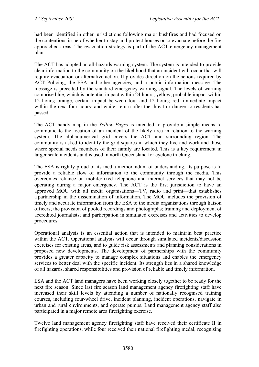had been identified in other jurisdictions following major bushfires and had focused on the contentious issue of whether to stay and protect houses or to evacuate before the fire approached areas. The evacuation strategy is part of the ACT emergency management plan.

The ACT has adopted an all-hazards warning system. The system is intended to provide clear information to the community on the likelihood that an incident will occur that will require evacuation or alternative action. It provides direction on the actions required by ACT Policing, the ESA and other agencies, and a public information message. The message is preceded by the standard emergency warning signal. The levels of warning comprise blue, which is potential impact within 24 hours; yellow, probable impact within 12 hours; orange, certain impact between four and 12 hours; red, immediate impact within the next four hours; and white, return after the threat or danger to residents has passed.

The ACT handy map in the *Yellow Pages* is intended to provide a simple means to communicate the location of an incident of the likely area in relation to the warning system. The alphanumerical grid covers the ACT and surrounding region. The community is asked to identify the grid squares in which they live and work and those where special needs members of their family are located. This is a key requirement in larger scale incidents and is used in north Queensland for cyclone tracking.

The ESA is rightly proud of its media memorandum of understanding. Its purpose is to provide a reliable flow of information to the community through the media. This overcomes reliance on mobile/fixed telephone and internet services that may not be operating during a major emergency. The ACT is the first jurisdiction to have an approved MOU with all media organisations—TV, radio and print—that establishes a partnership in the dissemination of information. The MOU includes the provision of timely and accurate information from the ESA to the media organisations through liaison officers; the provision of pooled recordings and photographs; training and deployment of accredited journalists; and participation in simulated exercises and activities to develop procedures.

Operational analysis is an essential action that is intended to maintain best practice within the ACT. Operational analysis will occur through simulated incidents/discussion exercises for existing areas, and to guide risk assessments and planning considerations in proposed new developments. The development of partnerships with the community provides a greater capacity to manage complex situations and enables the emergency services to better deal with the specific incident. Its strength lies in a shared knowledge of all hazards, shared responsibilities and provision of reliable and timely information.

ESA and the ACT land managers have been working closely together to be ready for the next fire season. Since last fire season land management agency firefighting staff have increased their skill levels by attending a number of nationally recognised training courses, including four-wheel drive, incident planning, incident operations, navigate in urban and rural environments, and operate pumps. Land management agency staff also participated in a major remote area firefighting exercise.

Twelve land management agency firefighting staff have received their certificate II in firefighting operations, while four received their national firefighting medal, recognising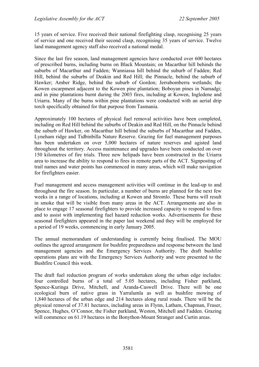15 years of service. Five received their national firefighting clasp, recognising 25 years of service and one received their second clasp, recognising 35 years of service. Twelve land management agency staff also received a national medal.

Since the last fire season, land management agencies have conducted over 600 hectares of prescribed burns, including burns on Black Mountain; on Macarthur hill behinds the suburbs of Macarthur and Fadden; Wanniassa hill behind the suburb of Fadden; Red Hill, behind the suburbs of Deakin and Red Hill; the Pinnacle, behind the suburb of Hawker; Amber Ridge, behind the suburb of Gordon; Jerrabomberra wetlands; the Kowen escarpment adjacent to the Kowen pine plantation; Boboyan pines in Namadgi; and in pine plantations burnt during the 2003 fires, including at Kowen, Ingledene and Uriarra. Many of the burns within pine plantations were conducted with an aerial drip torch specifically obtained for that purpose from Tasmania.

Approximately 100 hectares of physical fuel removal activities have been completed, including on Red Hill behind the suburbs of Deakin and Red Hill, on the Pinnacle behind the suburb of Hawker, on Macarthur hill behind the suburbs of Macarthur and Fadden, Lyneham ridge and Tidbinbilla Nature Reserve. Grazing for fuel management purposes has been undertaken on over 5,000 hectares of nature reserves and agisted land throughout the territory. Access maintenance and upgrades have been conducted on over 150 kilometres of fire trials. Three new helipads have been constructed in the Uriarra area to increase the ability to respond to fires in remote parts of the ACT. Signposting of trail names and water points has commenced in many areas, which will make navigation for firefighters easier.

Fuel management and access management activities will continue in the lead-up to and throughout the fire season. In particular, a number of burns are planned for the next few weeks in a range of locations, including at Kowen and Stromlo. These burns will result in smoke that will be visible from many areas in the ACT. Arrangements are also in place to engage 17 seasonal firefighters to provide increased capacity to respond to fires and to assist with implementing fuel hazard reduction works. Advertisements for these seasonal firefighters appeared in the paper last weekend and they will be employed for a period of 19 weeks, commencing in early January 2005.

The annual memorandum of understanding is currently being finalised. The MOU outlines the agreed arrangement for bushfire preparedness and response between the land management agencies and the Emergency Services Authority. The draft bushfire operations plans are with the Emergency Services Authority and were presented to the Bushfire Council this week.

The draft fuel reduction program of works undertaken along the urban edge includes: four controlled burns of a total of 5.05 hectares, including Fisher parkland, Spence-Kuringa Drive, Mitchell, and Aranda-Caswell Drive. There will be one ecological burn of native grass in Yarralumla as well as bushfire mowing of 1,840 hectares of the urban edge and 214 hectares along rural roads. There will be the physical removal of 37.81 hectares, including areas in Flynn, Latham, Chapman, Fraser, Spence, Hughes, O'Connor, the Fisher parkland, Weston, Mitchell and Fadden. Grazing will commence on 61.19 hectares in the Bonython-Mount Stranger and Curtin areas.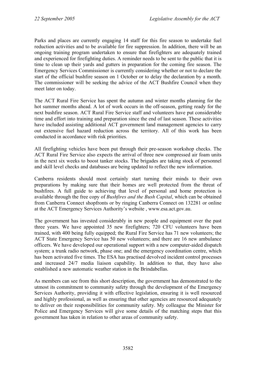Parks and places are currently engaging 14 staff for this fire season to undertake fuel reduction activities and to be available for fire suppression. In addition, there will be an ongoing training program undertaken to ensure that firefighters are adequately trained and experienced for firefighting duties. A reminder needs to be sent to the public that it is time to clean up their yards and gutters in preparation for the coming fire season. The Emergency Services Commissioner is currently considering whether or not to declare the start of the official bushfire season on 1 October or to delay the declaration by a month. The commissioner will be seeking the advice of the ACT Bushfire Council when they meet later on today.

The ACT Rural Fire Service has spent the autumn and winter months planning for the hot summer months ahead. A lot of work occurs in the off-season, getting ready for the next bushfire season. ACT Rural Fire Service staff and volunteers have put considerable time and effort into training and preparation since the end of last season. These activities have included assisting additional ACT government land management agencies to carry out extensive fuel hazard reduction across the territory. All of this work has been conducted in accordance with risk priorities.

All firefighting vehicles have been put through their pre-season workshop checks. The ACT Rural Fire Service also expects the arrival of three new compressed air foam units in the next six weeks to boost tanker stocks. The brigades are taking stock of personnel and skill level checks and databases are being updated to reflect the new information.

Canberra residents should most certainly start turning their minds to their own preparations by making sure that their homes are well protected from the threat of bushfires. A full guide to achieving that level of personal and home protection is available through the free copy of *Bushfires and the Bush Capital*, which can be obtained from Canberra Connect shopfronts or by ringing Canberra Connect on 132281 or online at the ACT Emergency Services Authority's website , www.esa.act.gov.au.

The government has invested considerably in new people and equipment over the past three years. We have appointed 35 new firefighters; 720 CFU volunteers have been trained, with 400 being fully equipped; the Rural Fire Service has 71 new volunteers; the ACT State Emergency Service has 50 new volunteers; and there are 16 new ambulance officers. We have developed our operational support with a new computer-aided dispatch system; a trunk radio network, phase one; and the emergency coordination centre, which has been activated five times. The ESA has practised devolved incident control processes and increased 24/7 media liaison capability. In addition to that, they have also established a new automatic weather station in the Brindabellas.

As members can see from this short description, the government has demonstrated to the utmost its commitment to community safety through the development of the Emergency Services Authority, providing it with effective legislation, ensuring it is well resourced and highly professional, as well as ensuring that other agencies are resourced adequately to deliver on their responsibilities for community safety. My colleague the Minister for Police and Emergency Services will give some details of the matching steps that this government has taken in relation to other areas of community safety.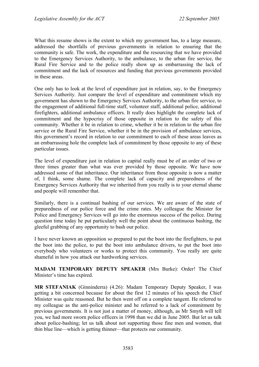What this resume shows is the extent to which my government has, to a large measure, addressed the shortfalls of previous governments in relation to ensuring that the community is safe. The work, the expenditure and the resourcing that we have provided to the Emergency Services Authority, to the ambulance, to the urban fire service, the Rural Fire Service and to the police really show up as embarrassing the lack of commitment and the lack of resources and funding that previous governments provided in these areas.

One only has to look at the level of expenditure just in relation, say, to the Emergency Services Authority. Just compare the level of expenditure and commitment which my government has shown to the Emergency Services Authority, to the urban fire service, to the engagement of additional full-time staff, volunteer staff, additional police, additional firefighters, additional ambulance officers. It really does highlight the complete lack of commitment and the hypocrisy of those opposite in relation to the safety of this community. Whether it be in relation to crime, whether it be in relation to the urban fire service or the Rural Fire Service, whether it be in the provision of ambulance services, this government's record in relation to our commitment to each of these areas leaves as an embarrassing hole the complete lack of commitment by those opposite to any of these particular issues.

The level of expenditure just in relation to capital really must be of an order of two or three times greater than what was ever provided by those opposite. We have now addressed some of that inheritance. Our inheritance from those opposite is now a matter of, I think, some shame. The complete lack of capacity and preparedness of the Emergency Services Authority that we inherited from you really is to your eternal shame and people will remember that.

Similarly, there is a continual bashing of our services. We are aware of the state of preparedness of our police force and the crime rates. My colleague the Minister for Police and Emergency Services will go into the enormous success of the police. During question time today he put particularly well the point about the continuous bashing, the gleeful grabbing of any opportunity to bash our police.

I have never known an opposition so prepared to put the boot into the firefighters, to put the boot into the police, to put the boot into ambulance drivers, to put the boot into everybody who volunteers or works to protect this community. You really are quite shameful in how you attack our hardworking services.

**MADAM TEMPORARY DEPUTY SPEAKER** (Mrs Burke): Order! The Chief Minister's time has expired.

**MR STEFANIAK** (Ginninderra) (4.26): Madam Temporary Deputy Speaker, I was getting a bit concerned because for about the first 12 minutes of his speech the Chief Minister was quite reasoned. But he then went off on a complete tangent. He referred to my colleague as the anti-police minister and he referred to a lack of commitment by previous governments. It is not just a matter of money, although, as Mr Smyth will tell you, we had more sworn police officers in 1998 than we did in June 2005. But let us talk about police-bashing; let us talk about not supporting those fine men and women, that thin blue line—which is getting thinner—that protects our community.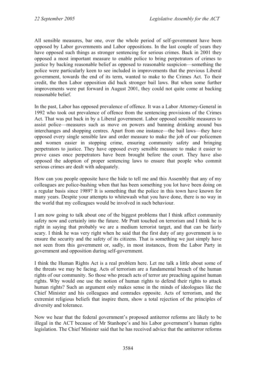All sensible measures, bar one, over the whole period of self-government have been opposed by Labor governments and Labor oppositions. In the last couple of years they have opposed such things as stronger sentencing for serious crimes. Back in 2001 they opposed a most important measure to enable police to bring perpetrators of crimes to justice by backing reasonable belief as opposed to reasonable suspicion—something the police were particularly keen to see included in improvements that the previous Liberal government, towards the end of its term, wanted to make to the Crimes Act. To their credit, the then Labor opposition did back stronger bail laws. But when some further improvements were put forward in August 2001, they could not quite come at backing reasonable belief.

In the past, Labor has opposed prevalence of offence. It was a Labor Attorney-General in 1992 who took out prevalence of offence from the sentencing provisions of the Crimes Act. That was put back in by a Liberal government. Labor opposed sensible measures to assist police—measures such as move on powers and banning drinking around bus interchanges and shopping centres. Apart from one instance—the bail laws—they have opposed every single sensible law and order measure to make the job of our policemen and women easier in stopping crime, ensuring community safety and bringing perpetrators to justice. They have opposed every sensible measure to make it easier to prove cases once perpetrators have been brought before the court. They have also opposed the adoption of proper sentencing laws to ensure that people who commit serious crimes are dealt with adequately.

How can you people opposite have the hide to tell me and this Assembly that any of my colleagues are police-bashing when that has been something you lot have been doing on a regular basis since 1989? It is something that the police in this town have known for many years. Despite your attempts to whitewash what you have done, there is no way in the world that my colleagues would be involved in such behaviour.

I am now going to talk about one of the biggest problems that I think affect community safety now and certainly into the future. Mr Pratt touched on terrorism and I think he is right in saying that probably we are a medium terrorist target, and that can be fairly scary. I think he was very right when he said that the first duty of any government is to ensure the security and the safety of its citizens. That is something we just simply have not seen from this government or, sadly, in most instances, from the Labor Party in government and opposition during self-government.

I think the Human Rights Act is a real problem here. Let me talk a little about some of the threats we may be facing. Acts of terrorism are a fundamental breach of the human rights of our community. So those who preach acts of terror are preaching against human rights. Why would one use the notion of human rights to defend their rights to attack human rights? Such an argument only makes sense in the minds of ideologues like the Chief Minister and his colleagues and comrades opposite. Acts of terrorism, and the extremist religious beliefs that inspire them, show a total rejection of the principles of diversity and tolerance.

Now we hear that the federal government's proposed antiterror reforms are likely to be illegal in the ACT because of Mr Stanhope's and his Labor government's human rights legislation. The Chief Minister said that he has received advice that the antiterror reforms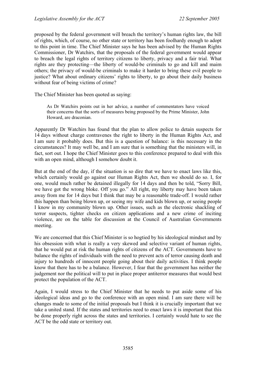proposed by the federal government will breach the territory's human rights law, the bill of rights, which, of course, no other state or territory has been foolhardy enough to adopt to this point in time. The Chief Minister says he has been advised by the Human Rights Commissioner, Dr Watchirs, that the proposals of the federal government would appear to breach the legal rights of territory citizens to liberty, privacy and a fair trial. What rights are they protecting—the liberty of would-be criminals to go and kill and maim others; the privacy of would-be criminals to make it harder to bring these evil people to justice? What about ordinary citizens' rights to liberty, to go about their daily business without fear of being victims of crime?

The Chief Minister has been quoted as saying:

As Dr Watchirs points out in her advice, a number of commentators have voiced their concerns that the sorts of measures being proposed by the Prime Minister, John Howard, are draconian.

Apparently Dr Watchirs has found that the plan to allow police to detain suspects for 14 days without charge contravenes the right to liberty in the Human Rights Act, and I am sure it probably does. But this is a question of balance: is this necessary in the circumstances? It may well be, and I am sure that is something that the ministers will, in fact, sort out. I hope the Chief Minister goes to this conference prepared to deal with this with an open mind, although I somehow doubt it.

But at the end of the day, if the situation is so dire that we have to enact laws like this, which certainly would go against our Human Rights Act, then we should do so. I, for one, would much rather be detained illegally for 14 days and then be told, "Sorry Bill, we have got the wrong bloke. Off you go." All right, my liberty may have been taken away from me for 14 days but I think that may be a reasonable trade-off. I would rather this happen than being blown up, or seeing my wife and kids blown up, or seeing people I know in my community blown up. Other issues, such as the electronic shackling of terror suspects, tighter checks on citizen applications and a new crime of inciting violence, are on the table for discussion at the Council of Australian Governments meeting.

We are concerned that this Chief Minister is so hogtied by his ideological mindset and by his obsession with what is really a very skewed and selective variant of human rights, that he would put at risk the human rights of citizens of the ACT. Governments have to balance the rights of individuals with the need to prevent acts of terror causing death and injury to hundreds of innocent people going about their daily activities. I think people know that there has to be a balance. However, I fear that the government has neither the judgement nor the political will to put in place proper antiterror measures that would best protect the population of the ACT.

Again, I would stress to the Chief Minister that he needs to put aside some of his ideological ideas and go to the conference with an open mind. I am sure there will be changes made to some of the initial proposals but I think it is crucially important that we take a united stand. If the states and territories need to enact laws it is important that this be done properly right across the states and territories. I certainly would hate to see the ACT be the odd state or territory out.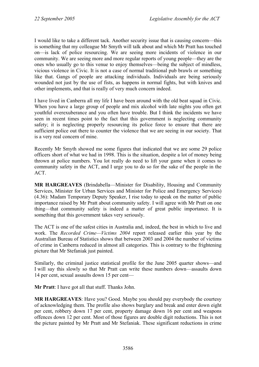I would like to take a different tack. Another security issue that is causing concern—this is something that my colleague Mr Smyth will talk about and which Mr Pratt has touched on—is lack of police resourcing. We are seeing more incidents of violence in our community. We are seeing more and more regular reports of young people—they are the ones who usually go to this venue to enjoy themselves—being the subject of mindless, vicious violence in Civic. It is not a case of normal traditional pub brawls or something like that. Gangs of people are attacking individuals. Individuals are being seriously wounded not just by the use of fists, as happens in normal fights, but with knives and other implements, and that is really of very much concern indeed.

I have lived in Canberra all my life I have been around with the old beat squad in Civic. When you have a large group of people and mix alcohol with late nights you often get youthful overexuberance and you often have trouble. But I think the incidents we have seen in recent times point to the fact that this government is neglecting community safety; it is neglecting properly resourcing its police force to ensure that there are sufficient police out there to counter the violence that we are seeing in our society. That is a very real concern of mine.

Recently Mr Smyth showed me some figures that indicated that we are some 29 police officers short of what we had in 1998. This is the situation, despite a lot of money being thrown at police numbers. You lot really do need to lift your game when it comes to community safety in the ACT, and I urge you to do so for the sake of the people in the ACT.

**MR HARGREAVES** (Brindabella—Minister for Disability, Housing and Community Services, Minister for Urban Services and Minister for Police and Emergency Services) (4.36): Madam Temporary Deputy Speaker, I rise today to speak on the matter of public importance raised by Mr Pratt about community safety. I will agree with Mr Pratt on one thing—that community safety is indeed a matter of great public importance. It is something that this government takes very seriously.

The ACT is one of the safest cities in Australia and, indeed, the best in which to live and work. The *Recorded Crime—Victims 2004* report released earlier this year by the Australian Bureau of Statistics shows that between 2003 and 2004 the number of victims of crime in Canberra reduced in almost all categories. This is contrary to the frightening picture that Mr Stefaniak just painted.

Similarly, the criminal justice statistical profile for the June 2005 quarter shows—and I will say this slowly so that Mr Pratt can write these numbers down—assaults down 14 per cent, sexual assaults down 15 per cent—

**Mr Pratt**: I have got all that stuff. Thanks John.

**MR HARGREAVES**: Have you? Good. Maybe you should pay everybody the courtesy of acknowledging them. The profile also shows burglary and break and enter down eight per cent, robbery down 17 per cent, property damage down 16 per cent and weapons offences down 12 per cent. Most of those figures are double digit reductions. This is not the picture painted by Mr Pratt and Mr Stefaniak. These significant reductions in crime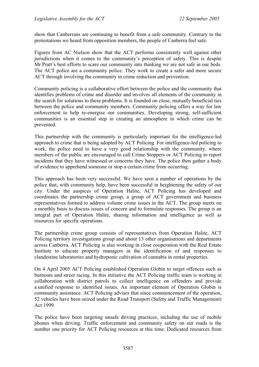show that Canberrans are continuing to benefit from a safe community. Contrary to the protestations we heard from opposition members, the people of Canberra feel safe.

Figures from AC Nielson show that the ACT performs consistently well against other jurisdictions when it comes to the community's perception of safety. This is despite Mr Pratt's best efforts to scare our community into thinking we are not safe in our beds. The ACT police are a community police. They work to create a safer and more secure ACT through involving the community in crime reduction and prevention.

Community policing is a collaborative effort between the police and the community that identifies problems of crime and disorder and involves all elements of the community in the search for solutions to these problems. It is founded on close, mutually beneficial ties between the police and community members. Community policing offers a way for law enforcement to help re-energise our communities. Developing strong, self-sufficient communities is an essential step in creating an atmosphere in which crime can be prevented.

This partnership with the community is particularly important for the intelligence-led approach to crime that is being adopted by ACT Policing. For intelligence-led policing to work, the police need to have a very good relationship with the community, where members of the public are encouraged to call Crime Stoppers or ACT Policing to report incidents that they have witnessed or concerns they have. The police then gather a body of evidence to apprehend someone or stop a certain crime from occurring.

This approach has been very successful. We have seen a number of operations by the police that, with community help, have been successful in heightening the safety of our city. Under the auspices of Operation Halite, ACT Policing has developed and coordinates the partnership crime group, a group of ACT government and business representatives formed to address volume crime issues in the ACT. The group meets on a monthly basis to discuss issues of concern and to formulate responses. The group is an integral part of Operation Halite, sharing information and intelligence as well as resources for specific operations.

The partnership crime group consists of representatives from Operation Halite, ACT Policing territory investigations group and about 13 other organisations and departments across Canberra. ACT Policing is also working in close cooperation with the Real Estate Institute to educate property managers in the identification of and responses to clandestine laboratories and hydroponic cultivation of cannabis in rental properties.

On 4 April 2005 ACT Policing established Operation Globin to target offences such as burnouts and street racing. In this initiative the ACT Policing traffic team is working in collaboration with district patrols to collect intelligence on offenders and provide a unified response to identified issues. An important element of Operation Globin is community assistance. ACT Policing advises that since commencement of the operation, 52 vehicles have been seized under the Road Transport (Safety and Traffic Management) Act 1999.

The police have been targeting unsafe driving practices, including the use of mobile phones when driving. Traffic enforcement and community safety on our roads is the number one priority for ACT Policing resources at this time. Dedicated resources from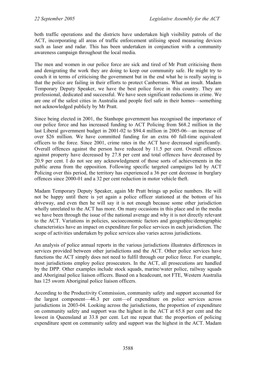both traffic operations and the districts have undertaken high visibility patrols of the ACT, incorporating all areas of traffic enforcement utilising speed measuring devices such as laser and radar. This has been undertaken in conjunction with a community awareness campaign throughout the local media.

The men and women in our police force are sick and tired of Mr Pratt criticising them and denigrating the work they are doing to keep our community safe. He might try to couch it in terms of criticising the government but in the end what he is really saying is that the police are failing in their efforts to protect Canberrans. What an insult. Madam Temporary Deputy Speaker, we have the best police force in this country. They are professional, dedicated and successful. We have seen significant reductions in crime. We are one of the safest cities in Australia and people feel safe in their homes—something not acknowledged publicly by Mr Pratt.

Since being elected in 2001, the Stanhope government has recognised the importance of our police force and has increased funding to ACT Policing from \$68.2 million in the last Liberal government budget in 2001-02 to \$94.4 million in 2005-06—an increase of over \$26 million. We have committed funding for an extra 60 full-time equivalent officers to the force. Since 2001, crime rates in the ACT have decreased significantly. Overall offences against the person have reduced by 11.5 per cent. Overall offences against property have decreased by 27.8 per cent and total offences have decreased by 20.9 per cent. I do not see any acknowledgment of those sorts of achievements in the public arena from the opposition. Following specific targeted campaigns led by ACT Policing over this period, the territory has experienced a 36 per cent decrease in burglary offences since 2000-01 and a 32 per cent reduction in motor vehicle theft.

Madam Temporary Deputy Speaker, again Mr Pratt brings up police numbers. He will not be happy until there is yet again a police officer stationed at the bottom of his driveway, and even then he will say it is not enough because some other jurisdiction wholly unrelated to the ACT has more. On many occasions in this place and in the media we have been through the issue of the national average and why it is not directly relevant to the ACT. Variations in policies, socioeconomic factors and geographic/demographic characteristics have an impact on expenditure for police services in each jurisdiction. The scope of activities undertaken by police services also varies across jurisdictions.

An analysis of police annual reports in the various jurisdictions illustrates differences in services provided between other jurisdictions and the ACT. Other police services have functions the ACT simply does not need to fulfil through our police force. For example, most jurisdictions employ police prosecutors. In the ACT, all prosecutions are handled by the DPP. Other examples include stock squads, marine/water police, railway squads and Aboriginal police liaison officers. Based on a headcount, not FTE, Western Australia has 125 sworn Aboriginal police liaison officers.

According to the Productivity Commission, community safety and support accounted for the largest component—46.3 per cent—of expenditure on police services across jurisdictions in 2003-04. Looking across the jurisdictions, the proportion of expenditure on community safety and support was the highest in the ACT at 65.8 per cent and the lowest in Queensland at 33.8 per cent. Let me repeat that: the proportion of policing expenditure spent on community safety and support was the highest in the ACT. Madam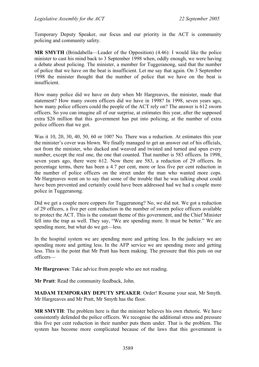Temporary Deputy Speaker, our focus and our priority in the ACT is community policing and community safety.

**MR SMYTH** (Brindabella—Leader of the Opposition) (4.46): I would like the police minister to cast his mind back to 3 September 1998 when, oddly enough, we were having a debate about policing. The minister, a member for Tuggeranong, said that the number of police that we have on the beat is insufficient. Let me say that again. On 3 September 1998 the minister thought that the number of police that we have on the beat is insufficient.

How many police did we have on duty when Mr Hargreaves, the minister, made that statement? How many sworn officers did we have in 1998? In 1998, seven years ago, how many police officers could the people of the ACT rely on? The answer is 612 sworn officers. So you can imagine all of our surprise, at estimates this year, after the supposed extra \$26 million that this government has put into policing, at the number of extra police officers that we got.

Was it 10, 20, 30, 40, 50, 60 or 100? No. There was a reduction. At estimates this year the minister's cover was blown. We finally managed to get an answer out of his officials, not from the minister, who ducked and weaved and twisted and turned and spun every number, except the real one, the one that counted. That number is 583 officers. In 1998, seven years ago, there were 612. Now there are 583, a reduction of 29 officers. In percentage terms, there has been a 4.7 per cent, more or less five per cent reduction in the number of police officers on the street under the man who wanted more cops. Mr Hargreaves went on to say that some of the trouble that he was talking about could have been prevented and certainly could have been addressed had we had a couple more police in Tuggeranong.

Did we get a couple more coppers for Tuggeranong? No, we did not. We got a reduction of 29 officers, a five per cent reduction in the number of sworn police officers available to protect the ACT. This is the constant theme of this government, and the Chief Minister fell into the trap as well. They say, "We are spending more. It must be better." We are spending more, but what do we get—less.

In the hospital system we are spending more and getting less. In the judiciary we are spending more and getting less. In the AFP service we are spending more and getting less. This is the point that Mr Pratt has been making. The pressure that this puts on our officers—

**Mr Hargreaves**: Take advice from people who are not reading.

**Mr Pratt**: Read the community feedback, John.

**MADAM TEMPORARY DEPUTY SPEAKER**: Order! Resume your seat, Mr Smyth. Mr Hargreaves and Mr Pratt, Mr Smyth has the floor.

**MR SMYTH**: The problem here is that the minister believes his own rhetoric. We have consistently defended the police officers. We recognise the additional stress and pressure this five per cent reduction in their number puts them under. That is the problem. The system has become more complicated because of the laws that this government is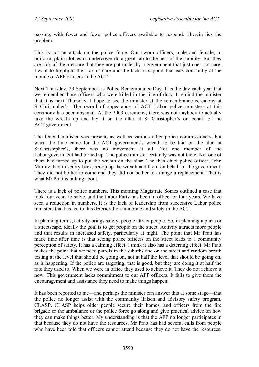passing, with fewer and fewer police officers available to respond. Therein lies the problem.

This is not an attack on the police force. Our sworn officers, male and female, in uniform, plain clothes or undercover do a great job to the best of their ability. But they are sick of the pressure that they are put under by a government that just does not care. I want to highlight the lack of care and the lack of support that eats constantly at the morale of AFP officers in the ACT.

Next Thursday, 29 September, is Police Remembrance Day. It is the day each year that we remember those officers who were killed in the line of duty. I remind the minister that it is next Thursday. I hope to see the minister at the remembrance ceremony at St Christopher's. The record of appearance of ACT Labor police ministers at this ceremony has been abysmal. At the 2003 ceremony, there was not anybody to actually take the wreath up and lay it on the altar at St Christopher's on behalf of the ACT government.

The federal minister was present, as well as various other police commissioners, but when the time came for the ACT government's wreath to be laid on the altar at St Christopher's, there was no movement at all. Not one member of the Labor government had turned up. The police minister certainly was not there. Not one of them had turned up to put the wreath on the altar. The then chief police officer, John Murray, had to scurry back, scoop up the wreath and lay it on behalf of the government. They did not bother to come and they did not bother to arrange a replacement. That is what Mr Pratt is talking about.

There is a lack of police numbers. This morning Magistrate Somes outlined a case that took four years to solve, and the Labor Party has been in office for four years. We have seen a reduction in numbers. It is the lack of leadership from successive Labor police ministers that has led to this deterioration in morale and safety in the ACT.

In planning terms, activity brings safety; people attract people. So, in planning a plaza or a streetscape, ideally the goal is to get people on the street. Activity attracts more people and that results in increased safety, particularly at night. The point that Mr Pratt has made time after time is that seeing police officers on the street leads to a community perception of safety. It has a calming effect. I think it also has a deterring effect. Mr Pratt makes the point that we need patrols in the suburbs and on the street and random breath testing at the level that should be going on, not at half the level that should be going on, as is happening. If the police are targeting, that is good, but they are doing it at half the rate they used to. When we were in office they used to achieve it. They do not achieve it now. This government lacks commitment to our AFP officers. It fails to give them the encouragement and assistance they need to make things happen.

It has been reported to me—and perhaps the minister can answer this at some stage—that the police no longer assist with the community liaison and advisory safety program, CLASP. CLASP helps older people secure their homes, and officers from the fire brigade or the ambulance or the police force go along and give practical advice on how they can make things better. My understanding is that the AFP no longer participates in that because they do not have the resources. Mr Pratt has had several calls from people who have been told that officers cannot attend because they do not have the resources.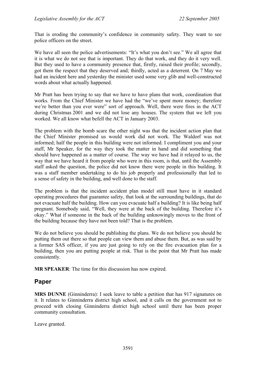That is eroding the community's confidence in community safety. They want to see police officers on the street.

We have all seen the police advertisements: "It's what you don't see." We all agree that it is what we do not see that is important. They do that work, and they do it very well. But they used to have a community presence that, firstly, raised their profile; secondly, got them the respect that they deserved and; thirdly, acted as a deterrent. On 7 May we had an incident here and yesterday the minister used some very glib and well-constructed words about what actually happened.

Mr Pratt has been trying to say that we have to have plans that work, coordination that works. From the Chief Minister we have had the "we've spent more money; therefore we're better than you ever were" sort of approach. Well, there were fires in the ACT during Christmas 2001 and we did not lose any houses. The system that we left you worked. We all know what befell the ACT in January 2003.

The problem with the bomb scare the other night was that the incident action plan that the Chief Minister promised us would work did not work. The Waldorf was not informed; half the people in this building were not informed. I compliment you and your staff, Mr Speaker, for the way they took the matter in hand and did something that should have happened as a matter of course. The way we have had it relayed to us, the way that we have heard it from people who were in this room, is that, until the Assembly staff asked the question, the police did not know there were people in this building. It was a staff member undertaking to do his job properly and professionally that led to a sense of safety in the building, and well done to the staff.

The problem is that the incident accident plan model still must have in it standard operating procedures that guarantee safety, that look at the surrounding buildings, that do not evacuate half the building. How can you evacuate half a building? It is like being half pregnant. Somebody said, "Well, they were at the back of the building. Therefore it's okay." What if someone in the back of the building unknowingly moves to the front of the building because they have not been told? That is the problem.

We do not believe you should be publishing the plans. We do not believe you should be putting them out there so that people can view them and abuse them. But, as was said by a former SAS officer, if you are just going to rely on the fire evacuation plan for a building, then you are putting people at risk. That is the point that Mr Pratt has made consistently.

**MR SPEAKER**: The time for this discussion has now expired.

# **Paper**

**MRS DUNNE** (Ginninderra): I seek leave to table a petition that has 917 signatures on it. It relates to Ginninderra district high school, and it calls on the government not to proceed with closing Ginninderra district high school until there has been proper community consultation.

Leave granted.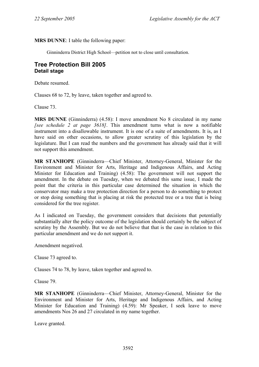**MRS DUNNE**: I table the following paper:

Ginninderra District High School—petition not to close until consultation.

## **Tree Protection Bill 2005 Detail stage**

Debate resumed.

Clauses 68 to 72, by leave, taken together and agreed to.

Clause 73.

**MRS DUNNE** (Ginninderra) (4.58): I move amendment No 8 circulated in my name *[see schedule 2 at page 3618]*. This amendment turns what is now a notifiable instrument into a disallowable instrument. It is one of a suite of amendments. It is, as I have said on other occasions, to allow greater scrutiny of this legislation by the legislature. But I can read the numbers and the government has already said that it will not support this amendment.

**MR STANHOPE** (Ginninderra—Chief Minister, Attorney-General, Minister for the Environment and Minister for Arts, Heritage and Indigenous Affairs, and Acting Minister for Education and Training) (4.58): The government will not support the amendment. In the debate on Tuesday, when we debated this same issue, I made the point that the criteria in this particular case determined the situation in which the conservator may make a tree protection direction for a person to do something to protect or stop doing something that is placing at risk the protected tree or a tree that is being considered for the tree register.

As I indicated on Tuesday, the government considers that decisions that potentially substantially alter the policy outcome of the legislation should certainly be the subject of scrutiny by the Assembly. But we do not believe that that is the case in relation to this particular amendment and we do not support it.

Amendment negatived.

Clause 73 agreed to.

Clauses 74 to 78, by leave, taken together and agreed to.

Clause 79.

**MR STANHOPE** (Ginninderra—Chief Minister, Attorney-General, Minister for the Environment and Minister for Arts, Heritage and Indigenous Affairs, and Acting Minister for Education and Training) (4.59): Mr Speaker, I seek leave to move amendments Nos 26 and 27 circulated in my name together.

Leave granted.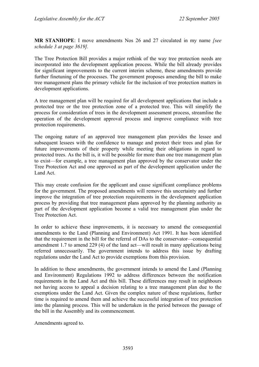**MR STANHOPE**: I move amendments Nos 26 and 27 circulated in my name *[see schedule 3 at page 3619].* 

The Tree Protection Bill provides a major rethink of the way tree protection needs are incorporated into the development application process. While the bill already provides for significant improvements to the current interim scheme, these amendments provide further finetuning of the processes. The government proposes amending the bill to make tree management plans the primary vehicle for the inclusion of tree protection matters in development applications.

A tree management plan will be required for all development applications that include a protected tree or the tree protection zone of a protected tree. This will simplify the process for consideration of trees in the development assessment process, streamline the operation of the development approval process and improve compliance with tree protection requirements.

The ongoing nature of an approved tree management plan provides the lessee and subsequent lessees with the confidence to manage and protect their trees and plan for future improvements of their property while meeting their obligations in regard to protected trees. As the bill is, it will be possible for more than one tree management plan to exist—for example, a tree management plan approved by the conservator under the Tree Protection Act and one approved as part of the development application under the Land Act.

This may create confusion for the applicant and cause significant compliance problems for the government. The proposed amendments will remove this uncertainty and further improve the integration of tree protection requirements in the development application process by providing that tree management plans approved by the planning authority as part of the development application become a valid tree management plan under the Tree Protection Act.

In order to achieve these improvements, it is necessary to amend the consequential amendments to the Land (Planning and Environment) Act 1991. It has been identified that the requirement in the bill for the referral of DAs to the conservator—consequential amendment 1.7 to amend 229 (4) of the land act—will result in many applications being referred unnecessarily. The government intends to address this issue by drafting regulations under the Land Act to provide exemptions from this provision.

In addition to these amendments, the government intends to amend the Land (Planning and Environment) Regulations 1992 to address differences between the notification requirements in the Land Act and this bill. These differences may result in neighbours not having access to appeal a decision relating to a tree management plan due to the exemptions under the Land Act. Given the complex nature of these regulations, further time is required to amend them and achieve the successful integration of tree protection into the planning process. This will be undertaken in the period between the passage of the bill in the Assembly and its commencement.

Amendments agreed to.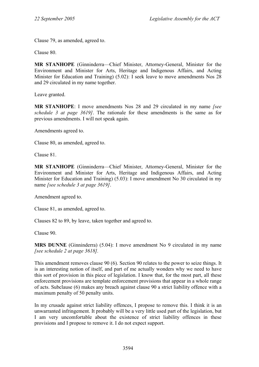Clause 79, as amended, agreed to.

Clause 80.

**MR STANHOPE** (Ginninderra—Chief Minister, Attorney-General, Minister for the Environment and Minister for Arts, Heritage and Indigenous Affairs, and Acting Minister for Education and Training) (5.02): I seek leave to move amendments Nos 28 and 29 circulated in my name together.

Leave granted.

**MR STANHOPE**: I move amendments Nos 28 and 29 circulated in my name *[see schedule 3 at page 3619]*. The rationale for these amendments is the same as for previous amendments. I will not speak again.

Amendments agreed to.

Clause 80, as amended, agreed to.

Clause 81.

**MR STANHOPE** (Ginninderra—Chief Minister, Attorney-General, Minister for the Environment and Minister for Arts, Heritage and Indigenous Affairs, and Acting Minister for Education and Training) (5.03): I move amendment No 30 circulated in my name *[see schedule 3 at page 3619]*.

Amendment agreed to.

Clause 81, as amended, agreed to.

Clauses 82 to 89, by leave, taken together and agreed to.

Clause 90.

**MRS DUNNE** (Ginninderra) (5.04): I move amendment No 9 circulated in my name *[see schedule 2 at page 3618].* 

This amendment removes clause 90 (6). Section 90 relates to the power to seize things. It is an interesting notion of itself, and part of me actually wonders why we need to have this sort of provision in this piece of legislation. I know that, for the most part, all these enforcement provisions are template enforcement provisions that appear in a whole range of acts. Subclause (6) makes any breach against clause 90 a strict liability offence with a maximum penalty of 50 penalty units.

In my crusade against strict liability offences, I propose to remove this. I think it is an unwarranted infringement. It probably will be a very little used part of the legislation, but I am very uncomfortable about the existence of strict liability offences in these provisions and I propose to remove it. I do not expect support.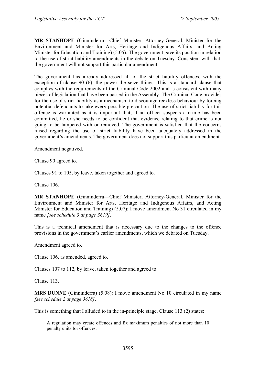**MR STANHOPE** (Ginninderra—Chief Minister, Attorney-General, Minister for the Environment and Minister for Arts, Heritage and Indigenous Affairs, and Acting Minister for Education and Training) (5.05): The government gave its position in relation to the use of strict liability amendments in the debate on Tuesday. Consistent with that, the government will not support this particular amendment.

The government has already addressed all of the strict liability offences, with the exception of clause 90 (6), the power the seize things. This is a standard clause that complies with the requirements of the Criminal Code 2002 and is consistent with many pieces of legislation that have been passed in the Assembly. The Criminal Code provides for the use of strict liability as a mechanism to discourage reckless behaviour by forcing potential defendants to take every possible precaution. The use of strict liability for this offence is warranted as it is important that, if an officer suspects a crime has been committed, he or she needs to be confident that evidence relating to that crime is not going to be tampered with or removed. The government is satisfied that the concerns raised regarding the use of strict liability have been adequately addressed in the government's amendments. The government does not support this particular amendment.

Amendment negatived.

Clause 90 agreed to.

Clauses 91 to 105, by leave, taken together and agreed to.

Clause 106.

**MR STANHOPE** (Ginninderra—Chief Minister, Attorney-General, Minister for the Environment and Minister for Arts, Heritage and Indigenous Affairs, and Acting Minister for Education and Training) (5.07): I move amendment No 31 circulated in my name *[see schedule 3 at page 3619]*.

This is a technical amendment that is necessary due to the changes to the offence provisions in the government's earlier amendments, which we debated on Tuesday.

Amendment agreed to.

Clause 106, as amended, agreed to.

Clauses 107 to 112, by leave, taken together and agreed to.

Clause 113.

**MRS DUNNE** (Ginninderra) (5.08): I move amendment No 10 circulated in my name *[see schedule 2 at page 3618]*.

This is something that I alluded to in the in-principle stage. Clause 113 (2) states:

A regulation may create offences and fix maximum penalties of not more than 10 penalty units for offences.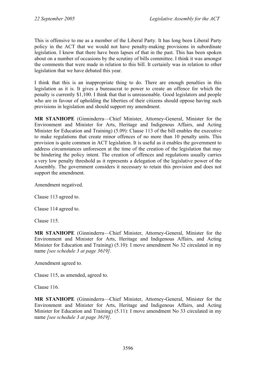This is offensive to me as a member of the Liberal Party. It has long been Liberal Party policy in the ACT that we would not have penalty-making provisions in subordinate legislation. I know that there have been lapses of that in the past. This has been spoken about on a number of occasions by the scrutiny of bills committee. I think it was amongst the comments that were made in relation to this bill. It certainly was in relation to other legislation that we have debated this year.

I think that this is an inappropriate thing to do. There are enough penalties in this legislation as it is. It gives a bureaucrat to power to create an offence for which the penalty is currently \$1,100. I think that that is unreasonable. Good legislators and people who are in favour of upholding the liberties of their citizens should oppose having such provisions in legislation and should support my amendment.

**MR STANHOPE** (Ginninderra—Chief Minister, Attorney-General, Minister for the Environment and Minister for Arts, Heritage and Indigenous Affairs, and Acting Minister for Education and Training) (5.09): Clause 113 of the bill enables the executive to make regulations that create minor offences of no more than 10 penalty units. This provision is quite common in ACT legislation. It is useful as it enables the government to address circumstances unforeseen at the time of the creation of the legislation that may be hindering the policy intent. The creation of offences and regulations usually carries a very low penalty threshold as it represents a delegation of the legislative power of the Assembly. The government considers it necessary to retain this provision and does not support the amendment.

Amendment negatived.

Clause 113 agreed to.

Clause 114 agreed to.

Clause 115.

**MR STANHOPE** (Ginninderra—Chief Minister, Attorney-General, Minister for the Environment and Minister for Arts, Heritage and Indigenous Affairs, and Acting Minister for Education and Training) (5.10): I move amendment No 32 circulated in my name *[see schedule 3 at page 3619]*.

Amendment agreed to.

Clause 115, as amended, agreed to.

Clause 116.

**MR STANHOPE** (Ginninderra—Chief Minister, Attorney-General, Minister for the Environment and Minister for Arts, Heritage and Indigenous Affairs, and Acting Minister for Education and Training) (5.11): I move amendment No 33 circulated in my name *[see schedule 3 at page 3619]*.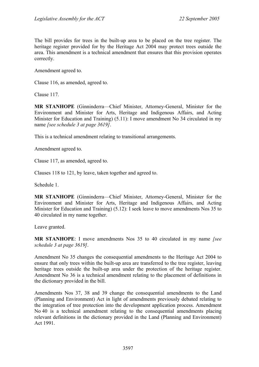The bill provides for trees in the built-up area to be placed on the tree register. The heritage register provided for by the Heritage Act 2004 may protect trees outside the area. This amendment is a technical amendment that ensures that this provision operates correctly.

Amendment agreed to.

Clause 116, as amended, agreed to.

Clause 117.

**MR STANHOPE** (Ginninderra—Chief Minister, Attorney-General, Minister for the Environment and Minister for Arts, Heritage and Indigenous Affairs, and Acting Minister for Education and Training) (5.11): I move amendment No 34 circulated in my name *[see schedule 3 at page 3619]*.

This is a technical amendment relating to transitional arrangements.

Amendment agreed to.

Clause 117, as amended, agreed to.

Clauses 118 to 121, by leave, taken together and agreed to.

Schedule 1.

**MR STANHOPE** (Ginninderra—Chief Minister, Attorney-General, Minister for the Environment and Minister for Arts, Heritage and Indigenous Affairs, and Acting Minister for Education and Training) (5.12): I seek leave to move amendments Nos 35 to 40 circulated in my name together.

Leave granted.

**MR STANHOPE**: I move amendments Nos 35 to 40 circulated in my name *[see schedule 3 at page 3619]*.

Amendment No 35 changes the consequential amendments to the Heritage Act 2004 to ensure that only trees within the built-up area are transferred to the tree register, leaving heritage trees outside the built-up area under the protection of the heritage register. Amendment No 36 is a technical amendment relating to the placement of definitions in the dictionary provided in the bill.

Amendments Nos 37, 38 and 39 change the consequential amendments to the Land (Planning and Environment) Act in light of amendments previously debated relating to the integration of tree protection into the development application process. Amendment No 40 is a technical amendment relating to the consequential amendments placing relevant definitions in the dictionary provided in the Land (Planning and Environment) Act 1991.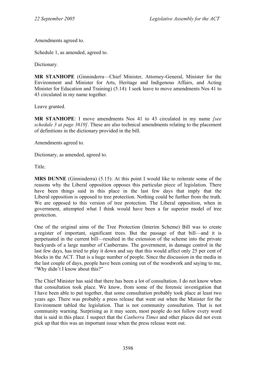Amendments agreed to.

Schedule 1, as amended, agreed to.

Dictionary.

**MR STANHOPE** (Ginninderra—Chief Minister, Attorney-General, Minister for the Environment and Minister for Arts, Heritage and Indigenous Affairs, and Acting Minister for Education and Training) (5.14): I seek leave to move amendments Nos 41 to 43 circulated in my name together.

Leave granted.

**MR STANHOPE**: I move amendments Nos 41 to 43 circulated in my name *[see schedule 3 at page 3619]*. These are also technical amendments relating to the placement of definitions in the dictionary provided in the bill.

Amendments agreed to.

Dictionary, as amended, agreed to.

**Title** 

**MRS DUNNE** (Ginninderra) (5.15): At this point I would like to reiterate some of the reasons why the Liberal opposition opposes this particular piece of legislation. There have been things said in this place in the last few days that imply that the Liberal opposition is opposed to tree protection. Nothing could be further from the truth. We are opposed to this version of tree protection. The Liberal opposition, when in government, attempted what I think would have been a far superior model of tree protection.

One of the original aims of the Tree Protection (Interim Scheme) Bill was to create a register of important, significant trees. But the passage of that bill—and it is perpetuated in the current bill—resulted in the extension of the scheme into the private backyards of a large number of Canberrans. The government, in damage control in the last few days, has tried to play it down and say that this would affect only 25 per cent of blocks in the ACT. That is a huge number of people. Since the discussion in the media in the last couple of days, people have been coming out of the woodwork and saying to me, "Why didn't I know about this?"

The Chief Minister has said that there has been a lot of consultation. I do not know when that consultation took place. We know, from some of the forensic investigation that I have been able to put together, that some consultation probably took place at least two years ago. There was probably a press release that went out when the Minister for the Environment tabled the legislation. That is not community consultation. That is not community warning. Surprising as it may seem, most people do not follow every word that is said in this place. I suspect that the *Canberra Times* and other places did not even pick up that this was an important issue when the press release went out.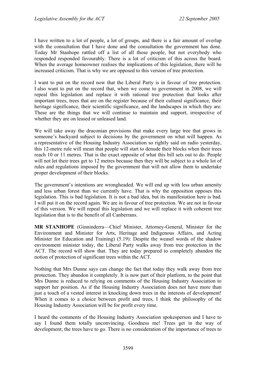I have written to a lot of people, a lot of groups, and there is a fair amount of overlap with the consultation that I have done and the consultation the government has done. Today Mr Stanhope rattled off a list of all those people, but not everybody who responded responded favourably. There is a lot of criticism of this across the board. When the average homeowner realises the implications of this legislation, there will be increased criticism. That is why we are opposed to this version of tree protection.

I want to put on the record now that the Liberal Party is in favour of tree protection. I also want to put on the record that, when we come to government in 2008, we will repeal this legislation and replace it with rational tree protection that looks after important trees, trees that are on the register because of their cultural significance, their heritage significance, their scientific significance, and the landscapes in which they are. These are the things that we will continue to maintain and support, irrespective of whether they are on leased or unleased land.

We will take away the draconian provisions that make every large tree that grows in someone's backyard subject to decisions by the government on what will happen. As a representative of the Housing Industry Association so rightly said on radio yesterday, this 12-metre rule will mean that people will start to denude their blocks when their trees reach 10 or 11 metres. That is the exact opposite of what this bill sets out to do. People will not let their trees get to 12 metres because then they will be subject to a whole lot of rules and regulations imposed by the government that will not allow them to undertake proper development of their blocks.

The government's intentions are wrongheaded. We will end up with less urban amenity and less urban forest than we currently have. That is why the opposition opposes this legislation. This is bad legislation. It is not a bad idea, but its manifestation here is bad. I will put it on the record again. We are in favour of tree protection. We are not in favour of this version. We will repeal this legislation and we will replace it with coherent tree legislation that is to the benefit of all Canberrans.

**MR STANHOPE** (Ginninderra—Chief Minister, Attorney-General, Minister for the Environment and Minister for Arts, Heritage and Indigenous Affairs, and Acting Minister for Education and Training) (5.19): Despite the weasel words of the shadow environment minister today, the Liberal Party walks away from tree protection in the ACT. The record will show that. They are today prepared to completely abandon the notion of protection of significant trees within the ACT.

Nothing that Mrs Dunne says can change the fact that today they walk away from tree protection. They abandon it completely. It is now part of their platform, to the point that Mrs Dunne is reduced to relying on comments of the Housing Industry Association to support her position. As if the Housing Industry Association does not have more than just a touch of a vested interest in knocking down trees in the interests of development! When it comes to a choice between profit and trees, I think the philosophy of the Housing Industry Association will be for profit every time.

I heard the comments of the Housing Industry Association spokesperson and I have to say I found them totally unconvincing. Goodness me! Trees get in the way of development; the trees have to go. There is no consideration of the importance of trees to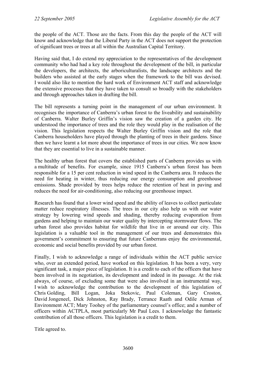the people of the ACT. Those are the facts. From this day the people of the ACT will know and acknowledge that the Liberal Party in the ACT does not support the protection of significant trees or trees at all within the Australian Capital Territory.

Having said that, I do extend my appreciation to the representatives of the development community who had had a key role throughout the development of the bill, in particular the developers, the architects, the arboriculturalists, the landscape architects and the builders who assisted at the early stages when the framework to the bill was devised. I would also like to mention the hard work of Environment ACT staff and acknowledge the extensive processes that they have taken to consult so broadly with the stakeholders and through approaches taken in drafting the bill.

The bill represents a turning point in the management of our urban environment. It recognises the importance of Canberra's urban forest to the liveability and sustainability of Canberra. Walter Burley Griffin's vision saw the creation of a garden city. He understood the importance of trees and the role they would play in the realisation of the vision. This legislation respects the Walter Burley Griffin vision and the role that Canberra householders have played through the planting of trees in their gardens. Since then we have learnt a lot more about the importance of trees in our cities. We now know that they are essential to live in a sustainable manner.

The healthy urban forest that covers the established parts of Canberra provides us with a multitude of benefits. For example, since 1915 Canberra's urban forest has been responsible for a 15 per cent reduction in wind speed in the Canberra area. It reduces the need for heating in winter, thus reducing our energy consumption and greenhouse emissions. Shade provided by trees helps reduce the retention of heat in paving and reduces the need for air-conditioning, also reducing our greenhouse impact.

Research has found that a lower wind speed and the ability of leaves to collect particulate matter reduce respiratory illnesses. The trees in our city also help us with our water strategy by lowering wind speeds and shading, thereby reducing evaporation from gardens and helping to maintain our water quality by intercepting stormwater flows. The urban forest also provides habitat for wildlife that live in or around our city. This legislation is a valuable tool in the management of our trees and demonstrates this government's commitment to ensuring that future Canberrans enjoy the environmental, economic and social benefits provided by our urban forest.

Finally, I wish to acknowledge a range of individuals within the ACT public service who, over an extended period, have worked on this legislation. It has been a very, very significant task, a major piece of legislation. It is a credit to each of the officers that have been involved in its negotiation, its development and indeed in its passage. At the risk always, of course, of excluding some that were also involved in an instrumental way, I wish to acknowledge the contribution to the development of this legislation of Chris Golding, Bill Logan, Joka Stekovic, Paul Coleman, Gary Croston, David Jongeneel, Dick Johnston, Ray Brady, Terrance Raath and Odile Arman of Environment ACT; Mary Toohey of the parliamentary counsel's office; and a number of officers within ACTPLA, most particularly Mr Paul Lees. I acknowledge the fantastic contribution of all those officers. This legislation is a credit to them.

Title agreed to.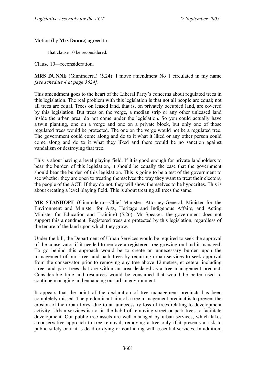### Motion (by **Mrs Dunne**) agreed to:

That clause 10 be reconsidered.

Clause 10—reconsideration.

### **MRS DUNNE** (Ginninderra) (5.24): I move amendment No 1 circulated in my name *[see schedule 4 at page 3624]*.

This amendment goes to the heart of the Liberal Party's concerns about regulated trees in this legislation. The real problem with this legislation is that not all people are equal; not all trees are equal. Trees on leased land, that is, on privately occupied land, are covered by this legislation. But trees on the verge, a median strip or any other unleased land inside the urban area, do not come under the legislation. So you could actually have a twin planting, one on a verge and one on a private block, but only one of those regulated trees would be protected. The one on the verge would not be a regulated tree. The government could come along and do to it what it liked or any other person could come along and do to it what they liked and there would be no sanction against vandalism or destroying that tree.

This is about having a level playing field. If it is good enough for private landholders to bear the burden of this legislation, it should be equally the case that the government should bear the burden of this legislation. This is going to be a test of the government to see whether they are open to treating themselves the way they want to treat their electors, the people of the ACT. If they do not, they will show themselves to be hypocrites. This is about creating a level playing field. This is about treating all trees the same.

**MR STANHOPE** (Ginninderra—Chief Minister, Attorney-General, Minister for the Environment and Minister for Arts, Heritage and Indigenous Affairs, and Acting Minister for Education and Training) (5.26): Mr Speaker, the government does not support this amendment. Registered trees are protected by this legislation, regardless of the tenure of the land upon which they grow.

Under the bill, the Department of Urban Services would be required to seek the approval of the conservator if it needed to remove a registered tree growing on land it managed. To go behind this approach would be to create an unnecessary burden upon the management of our street and park trees by requiring urban services to seek approval from the conservator prior to removing any tree above 12 metres, et cetera, including street and park trees that are within an area declared as a tree management precinct. Considerable time and resources would be consumed that would be better used to continue managing and enhancing our urban environment.

It appears that the point of the declaration of tree management precincts has been completely missed. The predominant aim of a tree management precinct is to prevent the erosion of the urban forest due to an unnecessary loss of trees relating to development activity. Urban services is not in the habit of removing street or park trees to facilitate development. Our public tree assets are well managed by urban services, which takes a conservative approach to tree removal, removing a tree only if it presents a risk to public safety or if it is dead or dying or conflicting with essential services. In addition,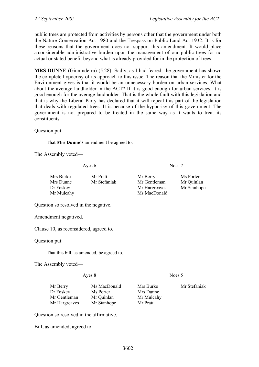public trees are protected from activities by persons other that the government under both the Nature Conservation Act 1980 and the Trespass on Public Land Act 1932. It is for these reasons that the government does not support this amendment. It would place a considerable administrative burden upon the management of our public trees for no actual or stated benefit beyond what is already provided for in the protection of trees.

**MRS DUNNE** (Ginninderra) (5.28): Sadly, as I had feared, the government has shown the complete hypocrisy of its approach to this issue. The reason that the Minister for the Environment gives is that it would be an unnecessary burden on urban services. What about the average landholder in the ACT? If it is good enough for urban services, it is good enough for the average landholder. That is the whole fault with this legislation and that is why the Liberal Party has declared that it will repeal this part of the legislation that deals with regulated trees. It is because of the hypocrisy of this government. The government is not prepared to be treated in the same way as it wants to treat its constituents.

Question put:

That **Mrs Dunne's** amendment be agreed to.

The Assembly voted—

Ayes 6 Noes 7

| Mrs Burke  | Mr Pratt     | Mr Berry      | Ms Porter   |
|------------|--------------|---------------|-------------|
| Mrs Dunne  | Mr Stefaniak | Mr Gentleman  | Mr Quinlan  |
| Dr Foskey  |              | Mr Hargreaves | Mr Stanhope |
| Mr Mulcahy |              | Ms MacDonald  |             |

Question so resolved in the negative.

Amendment negatived.

Clause 10, as reconsidered, agreed to.

Question put:

That this bill, as amended, be agreed to.

The Assembly voted—

Ayes 8 Noes 5

| Ms MacDonald | Mrs Burke  | Mr Stefaniak |
|--------------|------------|--------------|
| Ms Porter    | Mrs Dunne  |              |
| Mr Quinlan   | Mr Mulcahy |              |
| Mr Stanhope  | Mr Pratt   |              |
|              |            |              |

Question so resolved in the affirmative.

Bill, as amended, agreed to.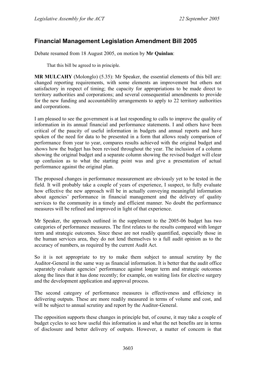# **Financial Management Legislation Amendment Bill 2005**

Debate resumed from 18 August 2005, on motion by **Mr Quinlan**:

That this bill be agreed to in principle.

**MR MULCAHY** (Molonglo) (5.35): Mr Speaker, the essential elements of this bill are: changed reporting requirements, with some elements an improvement but others not satisfactory in respect of timing; the capacity for appropriations to be made direct to territory authorities and corporations; and several consequential amendments to provide for the new funding and accountability arrangements to apply to 22 territory authorities and corporations.

I am pleased to see the government is at last responding to calls to improve the quality of information in its annual financial and performance statements. I and others have been critical of the paucity of useful information in budgets and annual reports and have spoken of the need for data to be presented in a form that allows ready comparison of performance from year to year, compares results achieved with the original budget and shows how the budget has been revised throughout the year. The inclusion of a column showing the original budget and a separate column showing the revised budget will clear up confusion as to what the starting point was and give a presentation of actual performance against the original plan.

The proposed changes in performance measurement are obviously yet to be tested in the field. It will probably take a couple of years of experience, I suspect, to fully evaluate how effective the new approach will be in actually conveying meaningful information about agencies' performance in financial management and the delivery of quality services to the community in a timely and efficient manner. No doubt the performance measures will be refined and improved in light of that experience.

Mr Speaker, the approach outlined in the supplement to the 2005-06 budget has two categories of performance measures. The first relates to the results compared with longer term and strategic outcomes. Since these are not readily quantified, especially those in the human services area, they do not lend themselves to a full audit opinion as to the accuracy of numbers, as required by the current Audit Act.

So it is not appropriate to try to make them subject to annual scrutiny by the Auditor-General in the same way as financial information. It is better that the audit office separately evaluate agencies' performance against longer term and strategic outcomes along the lines that it has done recently; for example, on waiting lists for elective surgery and the development application and approval process.

The second category of performance measures is effectiveness and efficiency in delivering outputs. These are more readily measured in terms of volume and cost, and will be subject to annual scrutiny and report by the Auditor-General.

The opposition supports these changes in principle but, of course, it may take a couple of budget cycles to see how useful this information is and what the net benefits are in terms of disclosure and better delivery of outputs. However, a matter of concern is that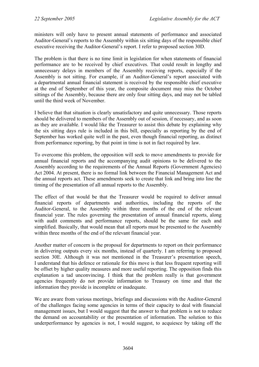ministers will only have to present annual statements of performance and associated Auditor-General's reports to the Assembly within six sitting days of the responsible chief executive receiving the Auditor-General's report. I refer to proposed section 30D.

The problem is that there is no time limit in legislation for when statements of financial performance are to be received by chief executives. That could result in lengthy and unnecessary delays in members of the Assembly receiving reports, especially if the Assembly is not sitting. For example, if an Auditor-General's report associated with a departmental annual financial statement is received by the responsible chief executive at the end of September of this year, the composite document may miss the October sittings of the Assembly, because there are only four sitting days, and may not be tabled until the third week of November.

I believe that that situation is clearly unsatisfactory and quite unnecessary. Those reports should be delivered to members of the Assembly out of session, if necessary, and as soon as they are available. I would like the Treasurer to assist this debate by explaining why the six sitting days rule is included in this bill, especially as reporting by the end of September has worked quite well in the past, even though financial reporting, as distinct from performance reporting, by that point in time is not in fact required by law.

To overcome this problem, the opposition will seek to move amendments to provide for annual financial reports and the accompanying audit opinions to be delivered to the Assembly according to the requirements of the Annual Reports (Government Agencies) Act 2004. At present, there is no formal link between the Financial Management Act and the annual reports act. These amendments seek to create that link and bring into line the timing of the presentation of all annual reports to the Assembly.

The effect of that would be that the Treasurer would be required to deliver annual financial reports of departments and authorities, including the reports of the Auditor-General, to the Assembly within three months of the end of the relevant financial year. The rules governing the presentation of annual financial reports, along with audit comments and performance reports, should be the same for each and simplified. Basically, that would mean that all reports must be presented to the Assembly within three months of the end of the relevant financial year.

Another matter of concern is the proposal for departments to report on their performance in delivering outputs every six months, instead of quarterly. I am referring to proposed section 30E. Although it was not mentioned in the Treasurer's presentation speech, I understand that his defence or rationale for this move is that less frequent reporting will be offset by higher quality measures and more useful reporting. The opposition finds this explanation a tad unconvincing. I think that the problem really is that government agencies frequently do not provide information to Treasury on time and that the information they provide is incomplete or inadequate.

We are aware from various meetings, briefings and discussions with the Auditor-General of the challenges facing some agencies in terms of their capacity to deal with financial management issues, but I would suggest that the answer to that problem is not to reduce the demand on accountability or the presentation of information. The solution to this underperformance by agencies is not, I would suggest, to acquiesce by taking off the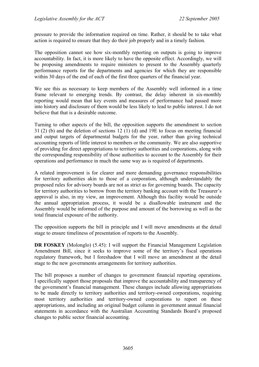pressure to provide the information required on time. Rather, it should be to take what action is required to ensure that they do their job properly and in a timely fashion.

The opposition cannot see how six-monthly reporting on outputs is going to improve accountability. In fact, it is more likely to have the opposite effect. Accordingly, we will be proposing amendments to require ministers to present to the Assembly quarterly performance reports for the departments and agencies for which they are responsible within 30 days of the end of each of the first three quarters of the financial year.

We see this as necessary to keep members of the Assembly well informed in a time frame relevant to emerging trends. By contrast, the delay inherent in six-monthly reporting would mean that key events and measures of performance had passed more into history and disclosure of them would be less likely to lead to public interest. I do not believe that that is a desirable outcome.

Turning to other aspects of the bill, the opposition supports the amendment to section 31 (2) (b) and the deletion of sections 12 (1) (d) and 19E to focus on meeting financial and output targets of departmental budgets for the year, rather than giving technical accounting reports of little interest to members or the community. We are also supportive of providing for direct appropriations to territory authorities and corporations, along with the corresponding responsibility of those authorities to account to the Assembly for their operations and performance in much the same way as is required of departments.

A related improvement is for clearer and more demanding governance responsibilities for territory authorities akin to those of a corporation, although understandably the proposed rules for advisory boards are not as strict as for governing boards. The capacity for territory authorities to borrow from the territory banking account with the Treasurer's approval is also, in my view, an improvement. Although this facility would be outside the annual appropriation process, it would be a disallowable instrument and the Assembly would be informed of the purpose and amount of the borrowing as well as the total financial exposure of the authority.

The opposition supports the bill in principle and I will move amendments at the detail stage to ensure timeliness of presentation of reports to the Assembly.

**DR FOSKEY** (Molonglo) (5.45): I will support the Financial Management Legislation Amendment Bill, since it seeks to improve some of the territory's fiscal operations regulatory framework, but I foreshadow that I will move an amendment at the detail stage to the new governments arrangements for territory authorities.

The bill proposes a number of changes to government financial reporting operations. I specifically support those proposals that improve the accountability and transparency of the government's financial management. These changes include allowing appropriations to be made directly to territory authorities and territory-owned corporations, requiring most territory authorities and territory-owned corporations to report on these appropriations, and including an original budget column in government annual financial statements in accordance with the Australian Accounting Standards Board's proposed changes to public sector financial accounting.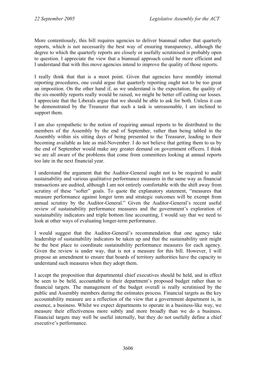More contentiously, this bill requires agencies to deliver biannual rather that quarterly reports, which is not necessarily the best way of ensuring transparency, although the degree to which the quarterly reports are closely or usefully scrutinised is probably open to question. I appreciate the view that a biannual approach could be more efficient and I understand that with this move agencies intend to improve the quality of those reports.

I really think that that is a moot point. Given that agencies have monthly internal reporting procedures, one could argue that quarterly reporting ought not to be too great an imposition. On the other hand if, as we understand is the expectation, the quality of the six-monthly reports really would be raised, we might be better off cutting our losses. I appreciate that the Liberals argue that we should be able to ask for both. Unless it can be demonstrated by the Treasurer that such a task is unreasonable, I am inclined to support them.

I am also sympathetic to the notion of requiring annual reports to be distributed to the members of the Assembly by the end of September, rather than being tabled in the Assembly within six sitting days of being presented to the Treasurer, leading to their becoming available as late as mid-November. I do not believe that getting them to us by the end of September would make any greater demand on government officers. I think we are all aware of the problems that come from committees looking at annual reports too late in the next financial year.

I understand the argument that the Auditor-General ought not to be required to audit sustainability and various qualitative performance measures in the same way as financial transactions are audited, although I am not entirely comfortable with the shift away from scrutiny of these "softer" goals. To quote the explanatory statement, "measures that measure performance against longer term and strategic outcomes will be exempt from annual scrutiny by the Auditor-General." Given the Auditor-General's recent useful review of sustainability performance measures and the government's exploration of sustainability indicators and triple bottom line accounting, I would say that we need to look at other ways of evaluating longer-term performance.

I would suggest that the Auditor-General's recommendation that one agency take leadership of sustainability indicators be taken up and that the sustainability unit might be the best place to coordinate sustainability performance measures for each agency. Given the review is under way, that is not a measure for this bill. However, I will propose an amendment to ensure that boards of territory authorities have the capacity to understand such measures when they adopt them.

I accept the proposition that departmental chief executives should be held, and in effect be seen to be held, accountable to their department's proposed budget rather than to financial targets. The management of the budget overall is really scrutinised by the public and Assembly members during the estimates process. Financial targets as the key accountability measure are a reflection of the view that a government department is, in essence, a business. Whilst we expect departments to operate in a business-like way, we measure their effectiveness more subtly and more broadly than we do a business. Financial targets may well be useful internally, but they do not usefully define a chief executive's performance.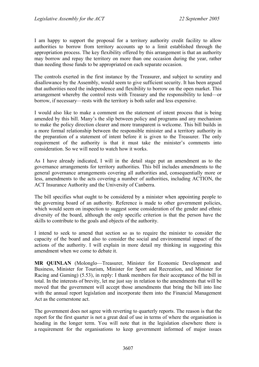I am happy to support the proposal for a territory authority credit facility to allow authorities to borrow from territory accounts up to a limit established through the appropriation process. The key flexibility offered by this arrangement is that an authority may borrow and repay the territory on more than one occasion during the year, rather than needing those funds to be appropriated on each separate occasion.

The controls exerted in the first instance by the Treasurer, and subject to scrutiny and disallowance by the Assembly, would seem to give sufficient security. It has been argued that authorities need the independence and flexibility to borrow on the open market. This arrangement whereby the control rests with Treasury and the responsibility to lend—or borrow, if necessary—rests with the territory is both safer and less expensive.

I would also like to make a comment on the statement of intent process that is being amended by this bill. Many's the slip between policy and programs and any mechanism to make the policy direction clearer and more transparent is welcome. This bill builds in a more formal relationship between the responsible minister and a territory authority in the preparation of a statement of intent before it is given to the Treasurer. The only requirement of the authority is that it must take the minister's comments into consideration. So we will need to watch how it works.

As I have already indicated, I will in the detail stage put an amendment as to the governance arrangements for territory authorities. This bill includes amendments to the general governance arrangements covering all authorities and, consequentially more or less, amendments to the acts covering a number of authorities, including ACTION, the ACT Insurance Authority and the University of Canberra.

The bill specifies what ought to be considered by a minister when appointing people to the governing board of an authority. Reference is made to other government policies, which would seem on inspection to suggest some consideration of the gender and ethnic diversity of the board, although the only specific criterion is that the person have the skills to contribute to the goals and objects of the authority.

I intend to seek to amend that section so as to require the minister to consider the capacity of the board and also to consider the social and environmental impact of the actions of the authority. I will explain in more detail my thinking in suggesting this amendment when we come to debate it.

**MR QUINLAN** (Molonglo—Treasurer, Minister for Economic Development and Business, Minister for Tourism, Minister for Sport and Recreation, and Minister for Racing and Gaming) (5.53), in reply: I thank members for their acceptance of the bill in total. In the interests of brevity, let me just say in relation to the amendments that will be moved that the government will accept those amendments that bring the bill into line with the annual report legislation and incorporate them into the Financial Management Act as the cornerstone act.

The government does not agree with reverting to quarterly reports. The reason is that the report for the first quarter is not a great deal of use in terms of where the organisation is heading in the longer term. You will note that in the legislation elsewhere there is a requirement for the organisations to keep government informed of major issues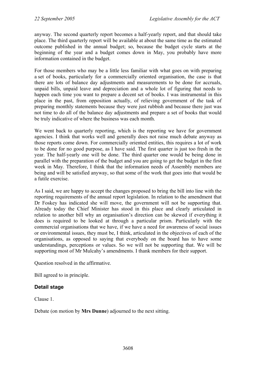anyway. The second quarterly report becomes a half-yearly report, and that should take place. The third quarterly report will be available at about the same time as the estimated outcome published in the annual budget; so, because the budget cycle starts at the beginning of the year and a budget comes down in May, you probably have more information contained in the budget.

For those members who may be a little less familiar with what goes on with preparing a set of books, particularly for a commercially oriented organisation, the case is that there are lots of balance day adjustments and measurements to be done for accruals, unpaid bills, unpaid leave and depreciation and a whole lot of figuring that needs to happen each time you want to prepare a decent set of books. I was instrumental in this place in the past, from opposition actually, of relieving government of the task of preparing monthly statements because they were just rubbish and because there just was not time to do all of the balance day adjustments and prepare a set of books that would be truly indicative of where the business was each month.

We went back to quarterly reporting, which is the reporting we have for government agencies. I think that works well and generally does not raise much debate anyway as those reports come down. For commercially oriented entities, this requires a lot of work to be done for no good purpose, as I have said. The first quarter is just too fresh in the year. The half-yearly one will be done. The third quarter one would be being done in parallel with the preparation of the budget and you are going to get the budget in the first week in May. Therefore, I think that the information needs of Assembly members are being and will be satisfied anyway, so that some of the work that goes into that would be a futile exercise.

As I said, we are happy to accept the changes proposed to bring the bill into line with the reporting requirements of the annual report legislation. In relation to the amendment that Dr Foskey has indicated she will move, the government will not be supporting that. Already today the Chief Minister has stood in this place and clearly articulated in relation to another bill why an organisation's direction can be skewed if everything it does is required to be looked at through a particular prism. Particularly with the commercial organisations that we have, if we have a need for awareness of social issues or environmental issues, they must be, I think, articulated in the objectives of each of the organisations, as opposed to saying that everybody on the board has to have some understandings, perceptions or values. So we will not be supporting that. We will be supporting most of Mr Mulcahy's amendments. I thank members for their support.

Question resolved in the affirmative.

Bill agreed to in principle.

## **Detail stage**

Clause 1.

Debate (on motion by **Mrs Dunne**) adjourned to the next sitting.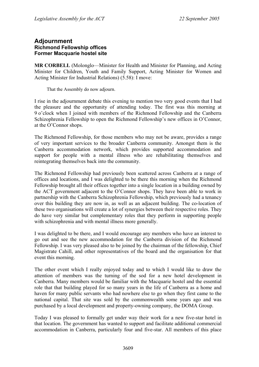## **Adjournment Richmond Fellowship offices Former Macquarie hostel site**

**MR CORBELL** (Molonglo—Minister for Health and Minister for Planning, and Acting Minister for Children, Youth and Family Support, Acting Minister for Women and Acting Minister for Industrial Relations) (5.58): I move:

That the Assembly do now adjourn.

I rise in the adjournment debate this evening to mention two very good events that I had the pleasure and the opportunity of attending today. The first was this morning at 9 o'clock when I joined with members of the Richmond Fellowship and the Canberra Schizophrenia Fellowship to open the Richmond Fellowship's new offices in O'Connor, at the O'Connor shops.

The Richmond Fellowship, for those members who may not be aware, provides a range of very important services to the broader Canberra community. Amongst them is the Canberra accommodation network, which provides supported accommodation and support for people with a mental illness who are rehabilitating themselves and reintegrating themselves back into the community.

The Richmond Fellowship had previously been scattered across Canberra at a range of offices and locations, and I was delighted to be there this morning when the Richmond Fellowship brought all their offices together into a single location in a building owned by the ACT government adjacent to the O'Connor shops. They have been able to work in partnership with the Canberra Schizophrenia Fellowship, which previously had a tenancy over this building they are now in, as well as an adjacent building. The co-location of these two organisations will create a lot of synergies between their respective roles. They do have very similar but complementary roles that they perform in supporting people with schizophrenia and with mental illness more generally.

I was delighted to be there, and I would encourage any members who have an interest to go out and see the new accommodation for the Canberra division of the Richmond Fellowship. I was very pleased also to be joined by the chairman of the fellowship, Chief Magistrate Cahill, and other representatives of the board and the organisation for that event this morning.

The other event which I really enjoyed today and to which I would like to draw the attention of members was the turning of the sod for a new hotel development in Canberra. Many members would be familiar with the Macquarie hostel and the essential role that that building played for so many years in the life of Canberra as a home and haven for many public servants who had nowhere else to go when they first came to the national capital. That site was sold by the commonwealth some years ago and was purchased by a local development and property-owning company, the DOMA Group.

Today I was pleased to formally get under way their work for a new five-star hotel in that location. The government has wanted to support and facilitate additional commercial accommodation in Canberra, particularly four and five-star. All members of this place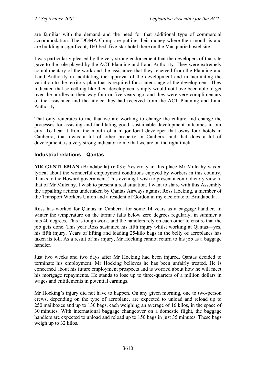are familiar with the demand and the need for that additional type of commercial accommodation. The DOMA Group are putting their money where their mouth is and are building a significant, 160-bed, five-star hotel there on the Macquarie hostel site.

I was particularly pleased by the very strong endorsement that the developers of that site gave to the role played by the ACT Planning and Land Authority. They were extremely complimentary of the work and the assistance that they received from the Planning and Land Authority in facilitating the approval of the development and in facilitating the variation to the territory plan that is required for a later stage of the development. They indicated that something like their development simply would not have been able to get over the hurdles in their way four or five years ago, and they were very complimentary of the assistance and the advice they had received from the ACT Planning and Land Authority.

That only reiterates to me that we are working to change the culture and change the processes for assisting and facilitating good, sustainable development outcomes in our city. To hear it from the mouth of a major local developer that owns four hotels in Canberra, that owns a lot of other property in Canberra and that does a lot of development, is a very strong indicator to me that we are on the right track.

## **Industrial relations—Qantas**

**MR GENTLEMAN** (Brindabella) (6.03): Yesterday in this place Mr Mulcahy waxed lyrical about the wonderful employment conditions enjoyed by workers in this country, thanks to the Howard government. This evening I wish to present a contradictory view to that of Mr Mulcahy. I wish to present a real situation. I want to share with this Assembly the appalling actions undertaken by Qantas Airways against Ross Hocking, a member of the Transport Workers Union and a resident of Gordon in my electorate of Brindabella.

Ross has worked for Qantas in Canberra for some 14 years as a baggage handler. In winter the temperature on the tarmac falls below zero degrees regularly; in summer it hits 40 degrees. This is tough work, and the handlers rely on each other to ensure that the job gets done. This year Ross sustained his fifth injury whilst working at Qantas—yes, his fifth injury. Years of lifting and loading 25-kilo bags in the belly of aeroplanes has taken its toll. As a result of his injury, Mr Hocking cannot return to his job as a baggage handler.

Just two weeks and two days after Mr Hocking had been injured, Qantas decided to terminate his employment. Mr Hocking believes he has been unfairly treated. He is concerned about his future employment prospects and is worried about how he will meet his mortgage repayments. He stands to lose up to three-quarters of a million dollars in wages and entitlements in potential earnings.

Mr Hocking's injury did not have to happen. On any given morning, one to two-person crews, depending on the type of aeroplane, are expected to unload and reload up to 250 mailboxes and up to 130 bags, each weighing an average of 16 kilos, in the space of 30 minutes. With international baggage changeover on a domestic flight, the baggage handlers are expected to unload and reload up to 150 bags in just 35 minutes. These bags weigh up to 32 kilos.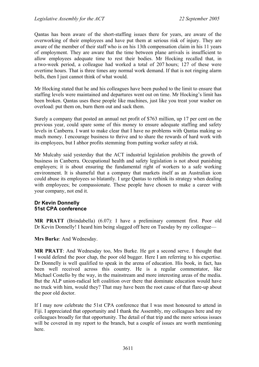Qantas has been aware of the short-staffing issues there for years, are aware of the overworking of their employees and have put them at serious risk of injury. They are aware of the member of their staff who is on his 13th compensation claim in his 11 years of employment. They are aware that the time between plane arrivals is insufficient to allow employees adequate time to rest their bodies. Mr Hocking recalled that, in a two-week period, a colleague had worked a total of 207 hours; 127 of these were overtime hours. That is three times any normal work demand. If that is not ringing alarm bells, then I just cannot think of what would.

Mr Hocking stated that he and his colleagues have been pushed to the limit to ensure that staffing levels were maintained and departures went out on time. Mr Hocking's limit has been broken. Qantas uses these people like machines, just like you treat your washer on overload: put them on, burn them out and sack them.

Surely a company that posted an annual net profit of \$763 million, up 17 per cent on the previous year, could spare some of this money to ensure adequate staffing and safety levels in Canberra. I want to make clear that I have no problems with Qantas making so much money. I encourage business to thrive and to share the rewards of hard work with its employees, but I abhor profits stemming from putting worker safety at risk.

Mr Mulcahy said yesterday that the ACT industrial legislation prohibits the growth of business in Canberra. Occupational health and safety legislation is not about punishing employers; it is about ensuring the fundamental right of workers to a safe working environment. It is shameful that a company that markets itself as an Australian icon could abuse its employees so blatantly. I urge Qantas to rethink its strategy when dealing with employees; be compassionate. These people have chosen to make a career with your company, not end it.

### **Dr Kevin Donnelly 51st CPA conference**

**MR PRATT** (Brindabella) (6.07): I have a preliminary comment first. Poor old Dr Kevin Donnelly! I heard him being slagged off here on Tuesday by my colleague—

**Mrs Burke**: And Wednesday.

**MR PRATT**: And Wednesday too, Mrs Burke. He got a second serve. I thought that I would defend the poor chap, the poor old bugger. Here I am referring to his expertise. Dr Donnelly is well qualified to speak in the arena of education. His book, in fact, has been well received across this country. He is a regular commentator, like Michael Costello by the way, in the mainstream and more interesting areas of the media. But the ALP union-radical left coalition over there that dominate education would have no truck with him, would they? That may have been the root cause of that flare-up about the poor old doctor.

If I may now celebrate the 51st CPA conference that I was most honoured to attend in Fiji. I appreciated that opportunity and I thank the Assembly, my colleagues here and my colleagues broadly for that opportunity. The detail of that trip and the more serious issues will be covered in my report to the branch, but a couple of issues are worth mentioning here.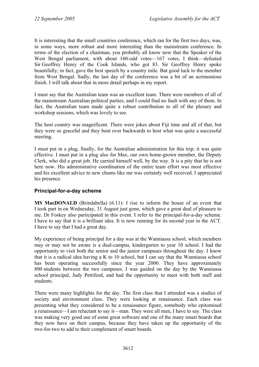It is interesting that the small countries conference, which ran for the first two days, was, in some ways, more robust and more interesting than the mainstream conference. In terms of the election of a chairman, you probably all know now that the Speaker of the West Bengal parliament, with about 160-odd votes—167 votes, I think—defeated Sir Geoffrey Henry of the Cook Islands, who got 83. Sir Geoffrey Henry spoke beautifully; in fact, gave the best speech by a country mile. But good luck to the member from West Bengal. Sadly, the last day of the conference was a bit of an acrimonious finish. I will talk about that in more detail perhaps in my report.

I must say that the Australian team was an excellent team. There were members of all of the mainstream Australian political parties, and I could find no fault with any of them. In fact, the Australian team made quite a robust contribution to all of the plenary and workshop sessions, which was lovely to see.

The host country was magnificent. There were jokes about Fiji time and all of that, but they were so graceful and they bent over backwards to host what was quite a successful meeting.

I must put in a plug, finally, for the Australian administration for this trip; it was quite effective. I must put in a plug also for Max, our own home-grown member, the Deputy Clerk, who did a great job. He carried himself well, by the way. It is a pity that he is not here now. His administrative coordination of the entire team effort was most effective and his excellent advice to new chums like me was certainly well received. I appreciated his presence.

## **Principal-for-a-day scheme**

**MS MacDONALD** (Brindabella) (6.11): I rise to inform the house of an event that I took part in on Wednesday, 31 August just gone, which gave a great deal of pleasure to me. Dr Foskey also participated in this event. I refer to the principal-for-a-day scheme. I have to say that it is a brilliant idea. It is now running for its second year in the ACT. I have to say that I had a great day.

My experience of being principal for a day was at the Wanniassa school, which members may or may not be aware is a dual-campus, kindergarten to year 10 school. I had the opportunity to visit both the senior and the junior campuses throughout the day. I know that it is a radical idea having a K to 10 school, but I can say that the Wanniassa school has been operating successfully since the year 2000. They have approximately 800 students between the two campuses. I was guided on the day by the Wanniassa school principal, Judy Pettiford, and had the opportunity to meet with both staff and students.

There were many highlights for the day. The first class that I attended was a studies of society and environment class. They were looking at renaissance. Each class was presenting what they considered to be a renaissance figure, somebody who epitomised a renaissance—I am reluctant to say it—man. They were all men, I have to say. The class was making very good use of some great software and one of the many smart boards that they now have on their campus, because they have taken up the opportunity of the two-for-two to add to their complement of smart boards.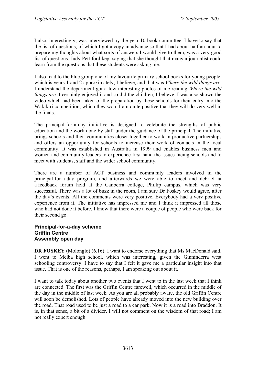I also, interestingly, was interviewed by the year 10 book committee. I have to say that the list of questions, of which I got a copy in advance so that I had about half an hour to prepare my thoughts about what sorts of answers I would give to them, was a very good list of questions. Judy Pettiford kept saying that she thought that many a journalist could learn from the questions that these students were asking me.

I also read to the blue group one of my favourite primary school books for young people, which is years 1 and 2 approximately, I believe, and that was *Where the wild things are*. I understand the department got a few interesting photos of me reading *Where the wild things are*. I certainly enjoyed it and so did the children, I believe. I was also shown the video which had been taken of the preparation by these schools for their entry into the Wakikiri competition, which they won. I am quite positive that they will do very well in the finals.

The principal-for-a-day initiative is designed to celebrate the strengths of public education and the work done by staff under the guidance of the principal. The initiative brings schools and their communities closer together to work in productive partnerships and offers an opportunity for schools to increase their work of contacts in the local community. It was established in Australia in 1999 and enables business men and women and community leaders to experience first-hand the issues facing schools and to meet with students, staff and the wider school community.

There are a number of ACT business and community leaders involved in the principal-for-a-day program, and afterwards we were able to meet and debrief at a feedback forum held at the Canberra college, Phillip campus, which was very successful. There was a lot of buzz in the room, I am sure Dr Foskey would agree, after the day's events. All the comments were very positive. Everybody had a very positive experience from it. The initiative has impressed me and I think it impressed all those who had not done it before. I know that there were a couple of people who were back for their second go.

### **Principal-for-a-day scheme Griffin Centre Assembly open day**

**DR FOSKEY** (Molonglo) (6.16): I want to endorse everything that Ms MacDonald said. I went to Melba high school, which was interesting, given the Ginninderra west schooling controversy. I have to say that I felt it gave me a particular insight into that issue. That is one of the reasons, perhaps, I am speaking out about it.

I want to talk today about another two events that I went to in the last week that I think are connected. The first was the Griffin Centre farewell, which occurred in the middle of the day in the middle of last week. As you are all probably aware, the old Griffin Centre will soon be demolished. Lots of people have already moved into the new building over the road. That road used to be just a road to a car park. Now it is a road into Braddon. It is, in that sense, a bit of a divider. I will not comment on the wisdom of that road; I am not really expert enough.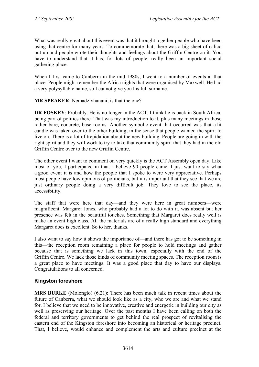What was really great about this event was that it brought together people who have been using that centre for many years. To commemorate that, there was a big sheet of calico put up and people wrote their thoughts and feelings about the Griffin Centre on it. You have to understand that it has, for lots of people, really been an important social gathering place.

When I first came to Canberra in the mid-1980s, I went to a number of events at that place. People might remember the Africa nights that were organised by Maxwell. He had a very polysyllabic name, so I cannot give you his full surname.

**MR SPEAKER**: Nemadzivhanani; is that the one?

**DR FOSKEY:** Probably. He is no longer in the ACT. I think he is back in South Africa, being part of politics there. That was my introduction to it, plus many meetings in those rather bare, concrete, base rooms. Another symbolic event that occurred was that a lit candle was taken over to the other building, in the sense that people wanted the spirit to live on. There is a lot of trepidation about the new building. People are going in with the right spirit and they will work to try to take that community spirit that they had in the old Griffin Centre over to the new Griffin Centre.

The other event I want to comment on very quickly is the ACT Assembly open day. Like most of you, I participated in that. I believe 90 people came. I just want to say what a good event it is and how the people that I spoke to were very appreciative. Perhaps most people have low opinions of politicians, but it is important that they see that we are just ordinary people doing a very difficult job. They love to see the place, its accessibility.

The staff that were here that day—and they were here in great numbers—were magnificent. Margaret Jones, who probably had a lot to do with it, was absent but her presence was felt in the beautiful touches. Something that Margaret does really well is make an event high class. All the materials are of a really high standard and everything Margaret does is excellent. So to her, thanks.

I also want to say how it shows the importance of—and there has got to be something in this—the reception room remaining a place for people to hold meetings and gather because that is something we lack in this town, especially with the end of the Griffin Centre. We lack those kinds of community meeting spaces. The reception room is a great place to have meetings. It was a good place that day to have our displays. Congratulations to all concerned.

# **Kingston foreshore**

**MRS BURKE** (Molonglo) (6.21): There has been much talk in recent times about the future of Canberra, what we should look like as a city, who we are and what we stand for. I believe that we need to be innovative, creative and energetic in building our city as well as preserving our heritage. Over the past months I have been calling on both the federal and territory governments to get behind the real prospect of revitalising the eastern end of the Kingston foreshore into becoming an historical or heritage precinct. That, I believe, would enhance and complement the arts and culture precinct at the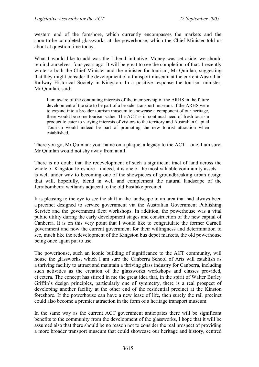western end of the foreshore, which currently encompasses the markets and the soon-to-be-completed glassworks at the powerhouse, which the Chief Minister told us about at question time today.

What I would like to add was the Liberal initiative. Money was set aside, we should remind ourselves, four years ago. It will be great to see the completion of that. I recently wrote to both the Chief Minister and the minister for tourism, Mr Quinlan, suggesting that they might consider the development of a transport museum at the current Australian Railway Historical Society in Kingston. In a positive response the tourism minister, Mr Quinlan, said:

I am aware of the continuing interests of the membership of the ARHS in the future development of the site to be part of a broader transport museum. If the ARHS were to expand into a broader tourism museum to showcase a component of our heritage, there would be some tourism value. The ACT is in continual need of fresh tourism product to cater to varying interests of visitors to the territory and Australian Capital Tourism would indeed be part of promoting the new tourist attraction when established.

There you go, Mr Quinlan: your name on a plaque, a legacy to the ACT—one, I am sure, Mr Quinlan would not shy away from at all.

There is no doubt that the redevelopment of such a significant tract of land across the whole of Kingston foreshore—indeed, it is one of the most valuable community assets is well under way to becoming one of the showpieces of groundbreaking urban design that will, hopefully, blend in well and complement the natural landscape of the Jerrabomberra wetlands adjacent to the old Eastlake precinct.

It is pleasing to the eye to see the shift in the landscape in an area that had always been a precinct designed to service government via the Australian Government Publishing Service and the government fleet workshops. In addition, the powerhouse was a vital public utility during the early development stages and construction of the new capital of Canberra. It is on this very point that I would like to congratulate the former Carnell government and now the current government for their willingness and determination to see, much like the redevelopment of the Kingston bus depot markets, the old powerhouse being once again put to use.

The powerhouse, such an iconic building of significance to the ACT community, will house the glassworks, which I am sure the Canberra School of Arts will establish as a thriving facility to attract and maintain a thriving glass industry for Canberra, including such activities as the creation of the glassworks workshops and classes provided, et cetera. The concept has stirred in me the great idea that, in the spirit of Walter Burley Griffin's design principles, particularly one of symmetry, there is a real prospect of developing another facility at the other end of the residential precinct at the Kinston foreshore. If the powerhouse can have a new lease of life, then surely the rail precinct could also become a premier attraction in the form of a heritage transport museum.

In the same way as the current ACT government anticipates there will be significant benefits to the community from the development of the glassworks, I hope that it will be assumed also that there should be no reason not to consider the real prospect of providing a more broader transport museum that could showcase our heritage and history, centred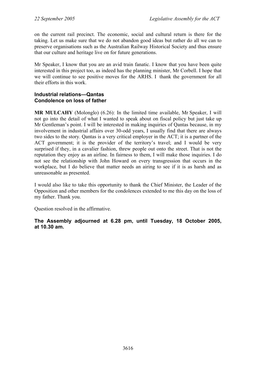on the current rail precinct. The economic, social and cultural return is there for the taking. Let us make sure that we do not abandon good ideas but rather do all we can to preserve organisations such as the Australian Railway Historical Society and thus ensure that our culture and heritage live on for future generations.

Mr Speaker, I know that you are an avid train fanatic. I know that you have been quite interested in this project too, as indeed has the planning minister, Mr Corbell. I hope that we will continue to see positive moves for the ARHS. I thank the government for all their efforts in this work.

### **Industrial relations—Qantas Condolence on loss of father**

**MR MULCAHY** (Molonglo) (6.26): In the limited time available, Mr Speaker, I will not go into the detail of what I wanted to speak about on fiscal policy but just take up Mr Gentleman's point. I will be interested in making inquiries of Qantas because, in my involvement in industrial affairs over 30-odd years, I usually find that there are always two sides to the story. Qantas is a very critical employer in the ACT; it is a partner of the ACT government; it is the provider of the territory's travel; and I would be very surprised if they, in a cavalier fashion, threw people out onto the street. That is not the reputation they enjoy as an airline. In fairness to them, I will make those inquiries. I do not see the relationship with John Howard on every transgression that occurs in the workplace, but I do believe that matter needs an airing to see if it is as harsh and as unreasonable as presented.

I would also like to take this opportunity to thank the Chief Minister, the Leader of the Opposition and other members for the condolences extended to me this day on the loss of my father. Thank you.

Question resolved in the affirmative.

**The Assembly adjourned at 6.28 pm, until Tuesday, 18 October 2005, at 10.30 am.**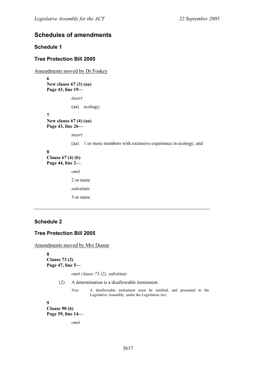## **Schedules of amendments**

### **Schedule 1**

### **Tree Protection Bill 2005**

Amendments moved by Dr Foskey

**6** 

**New clause 67 (3) (aa) Page 43, line 19—** 

*insert* 

(aa) ecology;

**7 New clause 67 (4) (aa) Page 43, line 26—** 

*insert* 

(aa) 1 or more members with extensive experience in ecology; and

### **8**

**Clause 67 (4) (b) Page 44, line 2**  *omit* 

> 2 or more *substitute*  3 or more

### **Schedule 2**

### **Tree Protection Bill 2005**

Amendments moved by Mrs Dunne

**8 Clause 73 (2) Page 47, line 5—** 

*omit clause 73 (2), substitute* 

(2) A determination is a disallowable instrument.

*Note* A disallowable instrument must be notified, and presented to the Legislative Assembly, under the Legislation Act.

**9** 

**Clause 90 (6) Page 59, line 14—** 

*omit*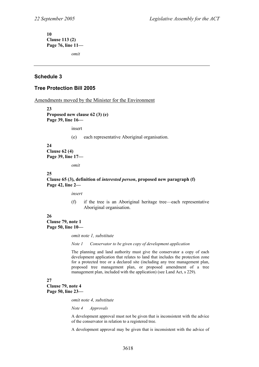**10 Clause 113 (2) Page 76, line 11—** 

*omit* 

### **Schedule 3**

### **Tree Protection Bill 2005**

Amendments moved by the Minister for the Environment

**23 Proposed new clause 62 (3) (e) Page 39, line 16—** 

insert

(e) each representative Aboriginal organisation.

**24 Clause 62 (4) Page 39, line 17—** 

*omit* 

#### **25**

**Clause 65 (3), definition of** *interested person***, proposed new paragraph (f) Page 42, line 2—** 

*insert* 

(f) if the tree is an Aboriginal heritage tree—each representative Aboriginal organisation.

**26 Clause 79, note 1 Page 50, line 10—** 

*omit note 1, substitute* 

*Note 1 Conservator to be given copy of development application* 

The planning and land authority must give the conservator a copy of each development application that relates to land that includes the protection zone for a protected tree or a declared site (including any tree management plan, proposed tree management plan, or proposed amendment of a tree management plan, included with the application) (see Land Act, s 229).

### **27**

**Clause 79, note 4 Page 50, line 23—** 

*omit note 4, substitute* 

*Note 4 Approvals* 

A development approval must not be given that is inconsistent with the advice of the conservator in relation to a registered tree.

A development approval may be given that is inconsistent with the advice of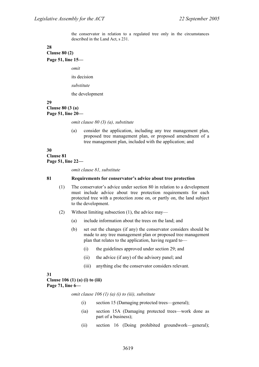the conservator in relation to a regulated tree only in the circumstances described in the Land Act, s 231.

#### **28 Clause 80 (2)**

**Page 51, line 15—** 

*omit* 

its decision

*substitute* 

the development

#### **29 Clause 80 (3 (a) Page 51, line 20—**

*omit clause 80 (3) (a), substitute* 

(a) consider the application, including any tree management plan, proposed tree management plan, or proposed amendment of a tree management plan, included with the application; and

### **30 Clause 81 Page 51, line 22—**

*omit clause 81, substitute* 

### **81 Requirements for conservator's advice about tree protection**

- (1) The conservator's advice under section 80 in relation to a development must include advice about tree protection requirements for each protected tree with a protection zone on, or partly on, the land subject to the development.
- (2) Without limiting subsection (1), the advice may—
	- (a) include information about the trees on the land; and
	- (b) set out the changes (if any) the conservator considers should be made to any tree management plan or proposed tree management plan that relates to the application, having regard to—
		- (i) the guidelines approved under section 29; and
		- (ii) the advice (if any) of the advisory panel; and
		- (iii) anything else the conservator considers relevant.

### **31**

#### **Clause 106 (1) (a) (i) to (iii) Page 71, line 6—**

*omit clause 106 (1) (a) (i) to (iii), substitute* 

- (i) section 15 (Damaging protected trees—general);
- (ia) section 15A (Damaging protected trees—work done as part of a business);
- (ii) section 16 (Doing prohibited groundwork—general);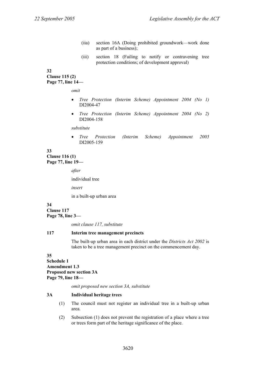- (iia) section 16A (Doing prohibited groundwork—work done as part of a business);
- (iii) section 18 (Failing to notify or contravening tree protection conditions; of development approval)

### **32**

### **Clause 115 (2) Page 77, line 14—**

*omit* 

- *Tree Protection (Interim Scheme) Appointment 2004 (No 1)* DI2004-47
- *Tree Protection (Interim Scheme) Appointment 2004 (No 2)* DI2004-158

*substitute* 

• *Tree Protection (Interim Scheme) Appointment 2005* DI2005-159

### **33 Clause 116 (1) Page 77, line 19—**

*after* 

individual tree

*insert* 

in a built-up urban area

#### **34 Clause 117**

**Page 78, line 3—** 

*omit clause 117, substitute* 

### **117 Interim tree management precincts**

The built-up urban area in each district under the *Districts Act 2002* is taken to be a tree management precinct on the commencement day.

### **35**

**Schedule 1 Amendment 1.3 Proposed new section 3A Page 79, line 18—** 

*omit proposed new section 3A, substitute* 

### **3A Individual heritage trees**

- (1) The council must not register an individual tree in a built-up urban area.
- (2) Subsection (1) does not prevent the registration of a place where a tree or trees form part of the heritage significance of the place.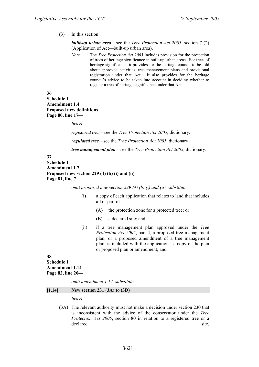#### (3) In this section:

*built-up urban area*—see the *Tree Protection Act 2005*, section 7 (2) (Application of Act—built-up urban area).

*Note* The *Tree Protection Act 2005* includes provision for the protection of trees of heritage significance in built-up urban areas. For trees of heritage significance, it provides for the heritage council to be told about approved activities, tree management plans and provisional registration under that Act. It also provides for the heritage council's advice to be taken into account in deciding whether to register a tree of heritage significance under that Act.

**36** 

**Schedule 1 Amendment 1.4 Proposed new definitions Page 80, line 17—** 

*insert* 

*registered tree*—see the *Tree Protection Act 2005*, dictionary.

*regulated tree*—see the *Tree Protection Act 2005*, dictionary.

*tree management plan*—see the *Tree Protection Act 2005*, dictionary.

#### **37**

**Schedule 1 Amendment 1.7 Proposed new section 229 (4) (b) (i) and (ii) Page 81, line 7—** 

*omit proposed new section 229 (4) (b) (i) and (ii), substitute* 

- (i) a copy of each application that relates to land that includes all or part of—
	- (A) the protection zone for a protected tree; or
	- (B) a declared site; and
- (ii) if a tree management plan approved under the *Tree Protection Act 2005*, part 4, a proposed tree management plan, or a proposed amendment of a tree management plan, is included with the application—a copy of the plan or proposed plan or amendment; and

#### **38 Schedule 1 Amendment 1.14 Page 82, line 20—**

*omit amendment 1.14, substitute* 

#### **[1.14] New section 231 (3A) to (3D)**

*insert* 

(3A) The relevant authority must not make a decision under section 230 that is inconsistent with the advice of the conservator under the *Tree Protection Act 2005*, section 80 in relation to a registered tree or a declared site.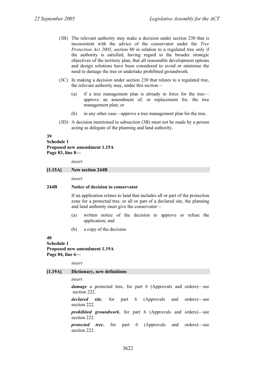- (3B) The relevant authority may make a decision under section 230 that is inconsistent with the advice of the conservator under the *Tree Protection Act 2005*, section 80 in relation to a regulated tree only if the authority is satisfied, having regard to the broader strategic objectives of the territory plan, that all reasonable development options and design solutions have been considered to avoid or minimise the need to damage the tree or undertake prohibited groundwork.
- (3C) In making a decision under section 230 that relates to a regulated tree, the relevant authority may, under this section—
	- (a) if a tree management plan is already in force for the tree approve an amendment of, or replacement for, the tree management plan; or
	- (b) in any other case—approve a tree management plan for the tree.
- (3D) A decision mentioned in subsection (3B) must not be made by a person acting as delegate of the planning and land authority.

### **39 Schedule 1 Proposed new amendment 1.15A Page 83, line 8—**

*insert* 

### **[1.15A] New section 244B**

*insert* 

#### **244B Notice of decision to conservator**

If an application relates to land that includes all or part of the protection zone for a protected tree, or all or part of a declared site, the planning and land authority must give the conservator—

- (a) written notice of the decision to approve or refuse the application; and
- (b) a copy of the decision.

#### **40 Schedule 1 Proposed new amendment 1.19A Page 84, line 6—**

*insert* 

#### **[1.19A] Dictionary, new definitions**

*insert* 

*damage* a protected tree, for part 6 (Approvals and orders)—see section 222.

*declared site*, for part 6 (Approvals and orders)—see section 222.

*prohibited groundwork*, for part 6 (Approvals and orders)—see section 222.

*protected tree*, for part 6 (Approvals and orders)—see section 222.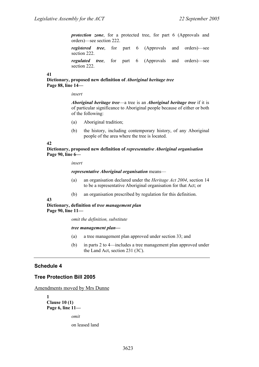*protection zone*, for a protected tree, for part 6 (Approvals and orders)—see section 222.

*registered tree*, for part 6 (Approvals and orders)—see section 222.

*regulated tree*, for part 6 (Approvals and orders)—see section 222.

### **41**

**Dictionary, proposed new definition of** *Aboriginal heritage tree* **Page 88, line 14—** 

*insert* 

*Aboriginal heritage tree*—a tree is an *Aboriginal heritage tree* if it is of particular significance to Aboriginal people because of either or both of the following:

- (a) Aboriginal tradition;
- (b) the history, including contemporary history, of any Aboriginal people of the area where the tree is located.

#### **42**

**Dictionary, proposed new definition of** *representative Aboriginal organisation* **Page 90, line 6—** 

*insert* 

*representative Aboriginal organisation* means—

- (a) an organisation declared under the *Heritage Act 2004*, section 14 to be a representative Aboriginal organisation for that Act; or
- (b) an organisation prescribed by regulation for this definition.

**43** 

### **Dictionary, definition of** *tree management plan* **Page 90, line 11—**

*omit the definition, substitute* 

#### *tree management plan—*

- (a) a tree management plan approved under section 33; and
- (b) in parts 2 to 4—includes a tree management plan approved under the Land Act, section 231 (3C).

### **Schedule 4**

### **Tree Protection Bill 2005**

Amendments moved by Mrs Dunne

**1 Clause 10 (1) Page 6, line 11—** 

*omit* 

on leased land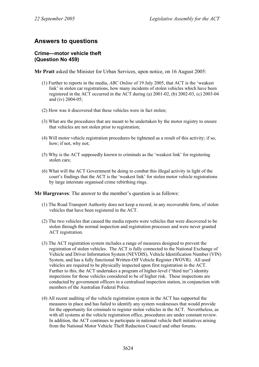# **Answers to questions**

### **Crime—motor vehicle theft (Question No 459)**

**Mr Pratt** asked the Minister for Urban Services, upon notice, on 16 August 2005:

- (1) Further to reports in the media, *ABC Online* of 19 July 2005, that ACT is the 'weakest link' in stolen car registrations, how many incidents of stolen vehicles which have been registered in the ACT occurred in the ACT during (a) 2001-02, (b) 2002-03, (c) 2003-04 and (iv) 2004-05;
- (2) How was it discovered that these vehicles were in fact stolen;
- (3) What are the procedures that are meant to be undertaken by the motor registry to ensure that vehicles are not stolen prior to registration;
- (4) Will motor vehicle registration procedures be tightened as a result of this activity; if so, how; if not, why not;
- (5) Why is the ACT supposedly known to criminals as the 'weakest link' for registering stolen cars;
- (6) What will the ACT Government be doing to combat this illegal activity in light of the court's findings that the ACT is the 'weakest link' for stolen motor vehicle registrations by large interstate organised crime rebirthing rings.

**Mr Hargreaves**: The answer to the member's question is as follows:

- (1) The Road Transport Authority does not keep a record, in any recoverable form, of stolen vehicles that have been registered in the ACT.
- (2) The two vehicles that caused the media reports were vehicles that were discovered to be stolen through the normal inspection and registration processes and were never granted ACT registration.
- (3) The ACT registration system includes a range of measures designed to prevent the registration of stolen vehicles. The ACT is fully connected to the National Exchange of Vehicle and Driver Information System (NEVDIS), Vehicle Identification Number (VIN) System, and has a fully functional Written-Off Vehicle Register (WOVR). All used vehicles are required to be physically inspected upon first registration in the ACT. Further to this, the ACT undertakes a program of higher-level ("third tier") identity inspections for those vehicles considered to be of higher risk. These inspections are conducted by government officers in a centralised inspection station, in conjunction with members of the Australian Federal Police.
- (4) All recent auditing of the vehicle registration system in the ACT has supported the measures in place and has failed to identify any system weaknesses that would provide for the opportunity for criminals to register stolen vehicles in the ACT. Nevertheless, as with all systems at the vehicle registration office, procedures are under constant review. In addition, the ACT continues to participate in national vehicle theft initiatives arising from the National Motor Vehicle Theft Reduction Council and other forums.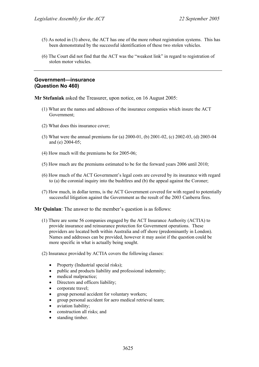- (5) As noted in (3) above, the ACT has one of the more robust registration systems. This has been demonstrated by the successful identification of these two stolen vehicles.
- (6) The Court did not find that the ACT was the "weakest link" in regard to registration of stolen motor vehicles.

#### **Government—insurance (Question No 460)**

**Mr Stefaniak** asked the Treasurer, upon notice, on 16 August 2005:

- (1) What are the names and addresses of the insurance companies which insure the ACT Government;
- (2) What does this insurance cover;
- (3) What were the annual premiums for (a) 2000-01, (b) 2001-02, (c) 2002-03, (d) 2003-04 and (e) 2004-05;
- (4) How much will the premiums be for 2005-06;
- (5) How much are the premiums estimated to be for the forward years 2006 until 2010;
- (6) How much of the ACT Government's legal costs are covered by its insurance with regard to (a) the coronial inquiry into the bushfires and (b) the appeal against the Coroner;
- (7) How much, in dollar terms, is the ACT Government covered for with regard to potentially successful litigation against the Government as the result of the 2003 Canberra fires.

**Mr Quinlan**: The answer to the member's question is as follows:

- (1) There are some 56 companies engaged by the ACT Insurance Authority (ACTIA) to provide insurance and reinsurance protection for Government operations. These providers are located both within Australia and off shore (predominantly in London). Names and addresses can be provided, however it may assist if the question could be more specific in what is actually being sought.
- (2) Insurance provided by ACTIA covers the following classes:
	- Property (Industrial special risks);
	- public and products liability and professional indemnity;
	- medical malpractice;
	- Directors and officers liability;
	- corporate travel;
	- group personal accident for voluntary workers;
	- group personal accident for aero medical retrieval team;
	- aviation liability;
	- construction all risks; and
	- standing timber.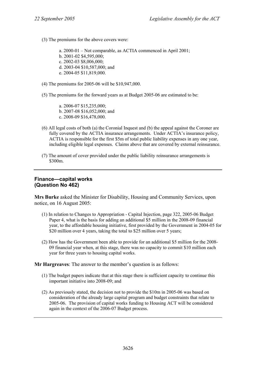- (3) The premiums for the above covers were:
	- a. 2000-01 Not comparable, as ACTIA commenced in April 2001; b. 2001-02 \$4,595,000; c. 2002-03 \$8,006,000; d. 2003-04 \$10,587,000; and e. 2004-05 \$11,819,000.
- (4) The premiums for 2005-06 will be \$10,947,000.
- (5) The premiums for the forward years as at Budget 2005-06 are estimated to be:

a. 2006-07 \$15,235,000; b. 2007-08 \$16,052,000; and c. 2008-09 \$16,478,000.

- (6) All legal costs of both (a) the Coronial Inquest and (b) the appeal against the Coroner are fully covered by the ACTIA insurance arrangements. Under ACTIA's insurance policy, ACTIA is responsible for the first \$5m of total public liability expenses in any one year, including eligible legal expenses. Claims above that are covered by external reinsurance.
- (7) The amount of cover provided under the public liability reinsurance arrangements is \$300m.

# **Finance—capital works (Question No 462)**

**Mrs Burke** asked the Minister for Disability, Housing and Community Services, upon notice, on 16 August 2005:

- (1) In relation to Changes to Appropriation Capital Injection, page 322, 2005-06 Budget Paper 4, what is the basis for adding an additional \$5 million in the 2008-09 financial year, to the affordable housing initiative, first provided by the Government in 2004-05 for \$20 million over 4 years, taking the total to \$25 million over 5 years;
- (2) How has the Government been able to provide for an additional \$5 million for the 2008- 09 financial year when, at this stage, there was no capacity to commit \$10 million each year for three years to housing capital works.

**Mr Hargreaves**: The answer to the member's question is as follows:

- (1) The budget papers indicate that at this stage there is sufficient capacity to continue this important initiative into 2008-09; and
- (2) As previously stated, the decision not to provide the \$10m in 2005-06 was based on consideration of the already large capital program and budget constraints that relate to 2005-06. The provision of capital works funding to Housing ACT will be considered again in the context of the 2006-07 Budget process.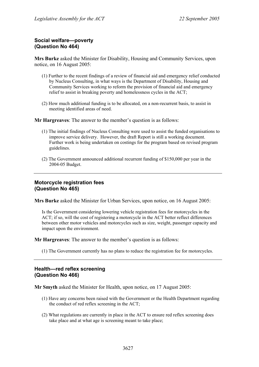## **Social welfare—poverty (Question No 464)**

**Mrs Burke** asked the Minister for Disability, Housing and Community Services, upon notice, on 16 August 2005:

- (1) Further to the recent findings of a review of financial aid and emergency relief conducted by Nucleus Consulting, in what ways is the Department of Disability, Housing and Community Services working to reform the provision of financial aid and emergency relief to assist in breaking poverty and homelessness cycles in the ACT;
- (2) How much additional funding is to be allocated, on a non-recurrent basis, to assist in meeting identified areas of need.

**Mr Hargreaves**: The answer to the member's question is as follows:

- (1) The initial findings of Nucleus Consulting were used to assist the funded organisations to improve service delivery. However, the draft Report is still a working document. Further work is being undertaken on costings for the program based on revised program guidelines.
- (2) The Government announced additional recurrent funding of \$150,000 per year in the 2004-05 Budget.

## **Motorcycle registration fees (Question No 465)**

**Mrs Burke** asked the Minister for Urban Services, upon notice, on 16 August 2005:

Is the Government considering lowering vehicle registration fees for motorcycles in the ACT; if so, will the cost of registering a motorcycle in the ACT better reflect differences between other motor vehicles and motorcycles such as size, weight, passenger capacity and impact upon the environment.

**Mr Hargreaves**: The answer to the member's question is as follows:

(1) The Government currently has no plans to reduce the registration fee for motorcycles.

#### **Health—red reflex screening (Question No 466)**

**Mr Smyth** asked the Minister for Health, upon notice, on 17 August 2005:

- (1) Have any concerns been raised with the Government or the Health Department regarding the conduct of red reflex screening in the ACT;
- (2) What regulations are currently in place in the ACT to ensure red reflex screening does take place and at what age is screening meant to take place;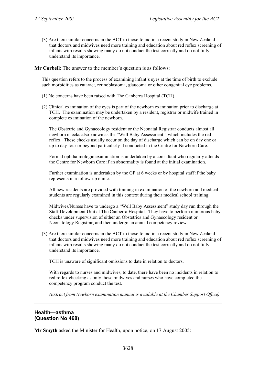(3) Are there similar concerns in the ACT to those found in a recent study in New Zealand that doctors and midwives need more training and education about red reflex screening of infants with results showing many do not conduct the test correctly and do not fully understand its importance.

**Mr Corbell**: The answer to the member's question is as follows:

This question refers to the process of examining infant's eyes at the time of birth to exclude such morbidities as cataract, retinoblastoma, glaucoma or other congenital eye problems.

- (1) No concerns have been raised with The Canberra Hospital (TCH).
- (2) Clinical examination of the eyes is part of the newborn examination prior to discharge at TCH. The examination may be undertaken by a resident, registrar or midwife trained in complete examination of the newborn.

The Obstetric and Gynaecology resident or the Neonatal Registrar conducts almost all newborn checks also known as the "Well Baby Assessment", which includes the red reflex. These checks usually occur on the day of discharge which can be on day one or up to day four or beyond particularly if conducted in the Centre for Newborn Care.

Formal ophthalmologic examination is undertaken by a consultant who regularly attends the Centre for Newborn Care if an abnormality is found at the initial examination.

Further examination is undertaken by the GP at 6 weeks or by hospital staff if the baby represents in a follow-up clinic.

All new residents are provided with training in examination of the newborn and medical students are regularly examined in this context during their medical school training.

Midwives/Nurses have to undergo a "Well Baby Assessment" study day run through the Staff Development Unit at The Canberra Hospital. They have to perform numerous baby checks under supervision of either an Obstetrics and Gynaecology resident or Neonatology Registrar, and then undergo an annual competency review.

(3) Are there similar concerns in the ACT to those found in a recent study in New Zealand that doctors and midwives need more training and education about red reflex screening of infants with results showing many do not conduct the test correctly and do not fully understand its importance.

TCH is unaware of significant omissions to date in relation to doctors.

With regards to nurses and midwives, to date, there have been no incidents in relation to red reflex checking as only those midwives and nurses who have completed the competency program conduct the test.

*(Extract from Newborn examination manual is available at the Chamber Support Office)* 

#### **Health—asthma (Question No 468)**

**Mr Smyth** asked the Minister for Health, upon notice, on 17 August 2005: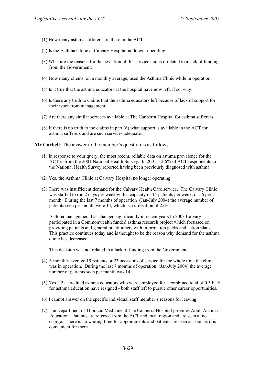- (1) How many asthma sufferers are there in the ACT;
- (2) Is the Asthma Clinic at Calvary Hospital no longer operating;
- (3) What are the reasons for the cessation of this service and is it related to a lack of funding from the Government;
- (4) How many clients, on a monthly average, used the Asthma Clinic while in operation;
- (5) Is it true that the asthma educators at the hospital have now left; if so, why;
- (6) Is there any truth to claims that the asthma educators left because of lack of support for their work from management;
- (7) Are there any similar services available at The Canberra Hospital for asthma sufferers.
- (8) If there is no truth to the claims in part (6) what support is available in the ACT for asthma sufferers and are such services adequate.

**Mr Corbell**: The answer to the member's question is as follows:

- (1) In response to your query, the most recent, reliable data on asthma prevalence for the ACT is from the 2001 National Health Survey. In 2001, 12.6% of ACT respondents to the National Health Survey reported having been previously diagnosed with asthma.
- (2) Yes, the Asthma Clinic at Calvary Hospital no longer operating
- (3) There was insufficient demand for the Calvary Health Care service. The Calvary Clinic was staffed to run 2 days per week with a capacity of 14 patients per week, or 56 per month. During the last 7 months of operation (Jan-July 2004) the average number of patients seen per month were 14, which is a utilisation of 25%.

Asthma management has changed significantly in recent years In 2003 Calvary participated in a Commonwealth funded asthma research project which focussed on providing patients and general practitioners with information packs and action plans. This practice continues today and is thought to be the reason why demand for the asthma clinic has decreased.

This decision was not related to a lack of funding from the Government.

- (4) A monthly average 19 patients or 23 occasions of service for the whole time the clinic was in operation. During the last 7 months of operation (Jan-July 2004) the average number of patients seen per month was 14.
- (5) Yes 2 accredited asthma educators who were employed for a combined total of 0.3 FTE for asthma education have resigned - both staff left to pursue other career opportunities.
- (6) I cannot answer on the specific individual staff member's reasons for leaving.
- (7) The Department of Thoracic Medicine at The Canberra Hospital provides Adult Asthma Education. Patients are referred from the ACT and local region and are seen at no charge. There is no waiting time for appointments and patients are seen as soon as it is convenient for them.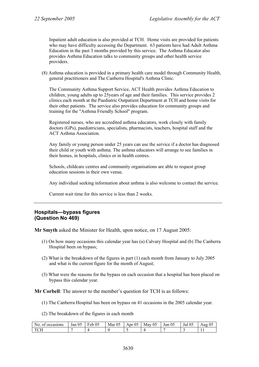Inpatient adult education is also provided at TCH. Home visits are provided for patients who may have difficulty accessing the Department. 63 patients have had Adult Asthma Education in the past 3 months provided by this service. The Asthma Educator also provides Asthma Education talks to community groups and other health service providers.

(8) Asthma education is provided in a primary health care model through Community Health, general practitioners and The Canberra Hospital's Asthma Clinic.

The Community Asthma Support Service, ACT Health provides Asthma Education to children, young adults up to 25years of age and their families. This service provides 2 clinics each month at the Paediatric Outpatient Department at TCH and home visits for their other patients. The service also provides education for community groups and training for the "Asthma Friendly School" program.

Registered nurses, who are accredited asthma educators, work closely with family doctors (GPs), paediatricians, specialists, pharmacists, teachers, hospital staff and the ACT Asthma Association.

Any family or young person under 25 years can use the service if a doctor has diagnosed their child or youth with asthma. The asthma educators will arrange to see families in their homes, in hospitals, clinics or in health centres.

Schools, childcare centres and community organisations are able to request group education sessions in their own venue.

Any individual seeking information about asthma is also welcome to contact the service.

Current wait time for this service is less than 2 weeks.

### **Hospitals—bypass figures (Question No 469)**

**Mr Smyth** asked the Minister for Health, upon notice, on 17 August 2005:

- (1) On how many occasions this calendar year has (a) Calvary Hospital and (b) The Canberra Hospital been on bypass;
- (2) What is the breakdown of the figures in part (1) each month from January to July 2005 and what is the current figure for the month of August;
- (3) What were the reasons for the bypass on each occasion that a hospital has been placed on bypass this calendar year.

**Mr Corbell**: The answer to the member's question for TCH is as follows:

- (1) The Canberra Hospital has been on bypass on 41 occasions in the 2005 calendar year.
- (2) The breakdown of the figures in each month

| occasions<br>-01<br>N <sub>O</sub> | Jan 05 | 05<br>$\blacksquare$<br>r eb | $\sim$ $\sim$<br>Mar<br>-05 | $\sim$ $\sim$<br>$^{\prime}$<br>Apr<br>v. | 05<br>May | 0 <sup>5</sup><br>Jun | 05<br>Jul<br>ັ∪≂ | ሰሩ<br>Aug<br>UJ |
|------------------------------------|--------|------------------------------|-----------------------------|-------------------------------------------|-----------|-----------------------|------------------|-----------------|
| $T$ $C1$<br>◡⊥                     |        |                              |                             | . .                                       |           |                       |                  | . .             |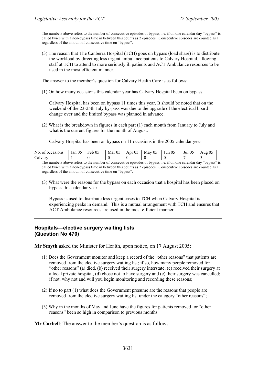The numbers above refers to the number of consecutive episodes of bypass, i.e. if on one calendar day "bypass" is called twice with a non-bypass time in between this counts as 2 episodes. Consecutive episodes are counted as 1 regardless of the amount of consecutive time on "bypass".

(3) The reason that The Canberra Hospital (TCH) goes on bypass (load share) is to distribute the workload by directing less urgent ambulance patients to Calvary Hospital, allowing staff at TCH to attend to more seriously ill patients and ACT Ambulance resources to be used in the most efficient manner.

The answer to the member's question for Calvary Health Care is as follows:

(1) On how many occasions this calendar year has Calvary Hospital been on bypass.

Calvary Hospital has been on bypass 11 times this year. It should be noted that on the weekend of the 23-25th July by-pass was due to the upgrade of the electrical board change over and the limited bypass was planned in advance.

(2) What is the breakdown in figures in each part (1) each month from January to July and what is the current figures for the month of August.

Calvary Hospital has been on bypass on 11 occasions in the 2005 calendar year

| occasions<br>NO.<br>- 01 | $\sim$ $\sim$<br>05<br>Jan | $\sim$ $\sim$<br>−<br>$\ddot{\phantom{1}}$<br>eb<br>н<br>UJ. | $\sim$ $\sim$<br>יי<br>Mar<br>v. | $\sim$ $\sim$<br>05<br>Apr | 05<br>May | 05<br>Jun | $\sim$ $\sim$<br>.<br>Jul<br>ູບມ | Aug<br>UJ |
|--------------------------|----------------------------|--------------------------------------------------------------|----------------------------------|----------------------------|-----------|-----------|----------------------------------|-----------|
| alvary_                  |                            |                                                              |                                  |                            |           |           |                                  |           |

The numbers above refers to the number of consecutive episodes of bypass, i.e. if on one calendar day "bypass" is called twice with a non-bypass time in between this counts as 2 episodes. Consecutive episodes are counted as 1 regardless of the amount of consecutive time on "bypass".

(3) What were the reasons for the bypass on each occasion that a hospital has been placed on bypass this calendar year

Bypass is used to distribute less urgent cases to TCH when Calvary Hospital is experiencing peaks in demand. This is a mutual arrangement with TCH and ensures that ACT Ambulance resources are used in the most efficient manner.

## **Hospitals—elective surgery waiting lists (Question No 470)**

**Mr Smyth** asked the Minister for Health, upon notice, on 17 August 2005:

- (1) Does the Government monitor and keep a record of the "other reasons" that patients are removed from the elective surgery waiting list; if so, how many people removed for "other reasons" (a) died, (b) received their surgery interstate, (c) received their surgery at a local private hospital, (d) chose not to have surgery and (e) their surgery was cancelled; if not, why not and will you begin monitoring and recording these reasons;
- (2) If no to part (1) what does the Government presume are the reasons that people are removed from the elective surgery waiting list under the category "other reasons";
- (3) Why in the months of May and June have the figures for patients removed for "other reasons" been so high in comparison to previous months.

**Mr Corbell**: The answer to the member's question is as follows: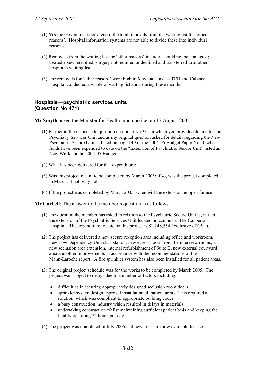- (1) Yes the Government does record the total removals from the waiting list for 'other reasons'. Hospital information systems are not able to divide these into individual reasons.
- (2) Removals from the waiting list for 'other reasons' include could not be contacted; treated elsewhere, died, surgery not required or declined and transferred to another hospital's waiting list.
- (3) The removals for 'other reasons' were high in May and June as TCH and Calvary Hospital conducted a whole of waiting list audit during these months.

### **Hospitals—psychiatric services units (Question No 471)**

**Mr Smyth** asked the Minister for Health, upon notice, on 17 August 2005:

- (1) Further to the response to question on notice No 331 in which you provided details for the Psychiatry Services Unit and as my original question asked for details regarding the New Psychiatric Secure Unit as listed on page 149 of the 2004-05 Budget Paper No. 4, what funds have been expended to date on the "Extension of Psychiatric Secure Unit" listed as New Works in the 2004-05 Budget;
- (2) What has been delivered for that expenditure;
- (3) Was this project meant to be completed by March 2005; if so, was the project completed in March; if not, why not;
- (4) If the project was completed by March 2005, when will the extension be open for use.

**Mr Corbell**: The answer to the member's question is as follows:

- (1) The question the member has asked in relation to the Psychiatric Secure Unit is, in fact, the extension of the Psychiatric Services Unit located on campus at The Canberra Hospital. The expenditure to date on this project is \$1,248,554 (exclusive of GST).
- (2) The project has delivered a new secure reception area including office and workroom, new Low Dependency Unit staff station, new egress doors from the interview rooms, a new seclusion area extension, internal refurbishment of Suite B, new external courtyard area and other improvements in accordance with the recommendations of the Mann-Laroche report. A fire sprinkler system has also been installed for all patient areas.
- (3) The original project schedule was for the works to be completed by March 2005. The project was subject to delays due to a number of factors including:
	- difficulties in securing appropriately designed seclusion room doors
	- sprinkler system design approval installation all patient areas. This required a solution which was compliant to appropriate building codes.
	- a busy construction industry which resulted in delays in materials
	- undertaking construction whilst maintaining sufficient patient beds and keeping the facility operating 24 hours per day.

(4) The project was completed in July 2005 and new areas are now available for use.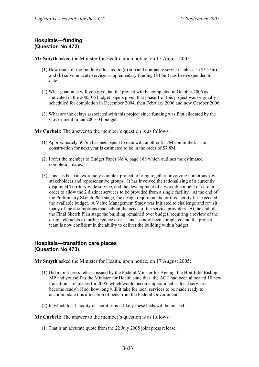# **Hospitals—funding (Question No 472)**

**Mr Smyth** asked the Minister for Health, upon notice, on 17 August 2005:

- (1) How much of the funding allocated to (a) sub and non-acute service phase 1 (\$5.15m) and (b) sub/non acute services supplementary funding (\$4.6m) has been expended to date;
- (2) What guarantee will you give that the project will be completed in October 2006 as indicated in the 2005-06 budget papers given that phase 1 of this project was originally scheduled for completion in December 2004, then February 2006 and now October 2006;
- (3) What are the delays associated with this project since funding was first allocated by the Government in the 2003-04 budget.

**Mr Corbell**: The answer to the member's question is as follows:

- (1) Approximately \$0.5m has been spent to date with another \$1.7M committed. The construction for next year is estimated to be in the order of \$7.8M
- (2) I refer the member to Budget Paper No.4, page 188 which outlines the estimated completion dates.
- (3) This has been an extremely complex project to bring together, involving numerous key stakeholders and representative groups. It has involved the rationalising of a currently disjointed Territory wide service, and the development of a workable model of care in order to allow the 2 distinct services to be provided from a single facility. At the end of the Preliminary Sketch Plan stage, the design requirements for this facility far exceeded the available budget. A Value Management Study was initiated to challenge and revisit many of the assumptions made about the needs of the service providers. At the end of the Final Sketch Plan stage the building remained over budget, requiring a review of the design elements to further reduce cost. This has now been completed and the project team is now confident in the ability to deliver the building within budget.

### **Hospitals—transition care places (Question No 473)**

**Mr Smyth** asked the Minister for Health, upon notice, on 17 August 2005:

- (1) Did a joint press release issued by the Federal Minster for Ageing, the Hon Julie Bishop MP and yourself as the Minister for Health state that 'the ACT had been allocated 10 new transition care places for 2005, which would become operational as local services become ready'; if so, how long will it take for local services to be made ready to accommodate this allocation of beds from the Federal Government;
- (2) In which local facility or facilities is it likely these beds will be housed.

**Mr Corbell**: The answer to the member's question is as follows:

(1) That is an accurate quote from the 22 July 2005 joint press release.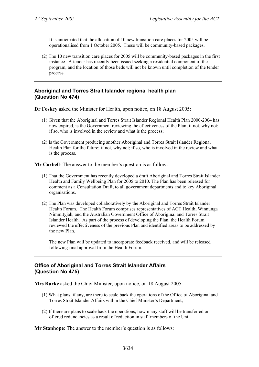It is anticipated that the allocation of 10 new transition care places for 2005 will be operationalised from 1 October 2005. These will be community-based packages.

(2) The 10 new transition care places for 2005 will be community-based packages in the first instance. A tender has recently been issued seeking a residential component of the program, and the location of those beds will not be known until completion of the tender process.

## **Aboriginal and Torres Strait Islander regional health plan (Question No 474)**

**Dr Foskey** asked the Minister for Health, upon notice, on 18 August 2005:

- (1) Given that the Aboriginal and Torres Strait Islander Regional Health Plan 2000-2004 has now expired, is the Government reviewing the effectiveness of the Plan; if not, why not; if so, who is involved in the review and what is the process;
- (2) Is the Government producing another Aboriginal and Torres Strait Islander Regional Health Plan for the future; if not, why not; if so, who is involved in the review and what is the process.

**Mr Corbell**: The answer to the member's question is as follows:

- (1) That the Government has recently developed a draft Aboriginal and Torres Strait Islander Health and Family Wellbeing Plan for 2005 to 2010. The Plan has been released for comment as a Consultation Draft, to all government departments and to key Aboriginal organisations.
- (2) The Plan was developed collaboratively by the Aboriginal and Torres Strait Islander Health Forum. The Health Forum comprises representatives of ACT Health, Winnunga Nimmityjah, and the Australian Government Office of Aboriginal and Torres Strait Islander Health. As part of the process of developing the Plan, the Health Forum reviewed the effectiveness of the previous Plan and identified areas to be addressed by the new Plan.

The new Plan will be updated to incorporate feedback received, and will be released following final approval from the Health Forum.

## **Office of Aboriginal and Torres Strait Islander Affairs (Question No 475)**

**Mrs Burke** asked the Chief Minister, upon notice, on 18 August 2005:

- (1) What plans, if any, are there to scale back the operations of the Office of Aboriginal and Torres Strait Islander Affairs within the Chief Minister's Department;
- (2) If there are plans to scale back the operations, how many staff will be transferred or offered redundancies as a result of reduction in staff members of the Unit.

**Mr Stanhope**: The answer to the member's question is as follows: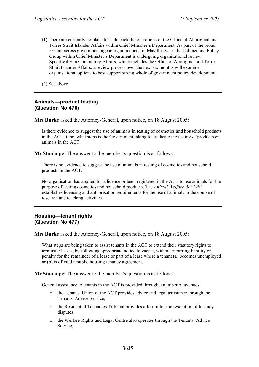(1) There are currently no plans to scale back the operations of the Office of Aboriginal and Torres Strait Islander Affairs within Chief Minister's Department. As part of the broad 5% cut across government agencies, announced in May this year, the Cabinet and Policy Group within Chief Minister's Department is undergoing organisational review. Specifically in Community Affairs, which includes the Office of Aboriginal and Torres Strait Islander Affairs, a review process over the next six months will examine organisational options to best support strong whole of government policy development.

(2) See above.

### **Animals—product testing (Question No 476)**

**Mrs Burke** asked the Attorney-General, upon notice, on 18 August 2005:

Is there evidence to suggest the use of animals in testing of cosmetics and household products in the ACT; if so, what steps is the Government taking to eradicate the testing of products on animals in the ACT.

**Mr Stanhope**: The answer to the member's question is as follows:

There is no evidence to suggest the use of animals in testing of cosmetics and household products in the ACT.

No organisation has applied for a licence or been registered in the ACT to use animals for the purpose of testing cosmetics and household products. The *Animal Welfare Act 1992* establishes licensing and authorisation requirements for the use of animals in the course of research and teaching activities.

### **Housing—tenant rights (Question No 477)**

**Mrs Burke** asked the Attorney-General, upon notice, on 18 August 2005:

What steps are being taken to assist tenants in the ACT to extend their statutory rights to terminate leases, by following appropriate notice to vacate, without incurring liability or penalty for the remainder of a lease or part of a lease where a tenant (a) becomes unemployed or (b) is offered a public housing tenancy agreement.

**Mr Stanhope**: The answer to the member's question is as follows:

General assistance to tenants in the ACT is provided through a number of avenues:

- o the Tenants' Union of the ACT provides advice and legal assistance through the Tenants' Advice Service;
- o the Residential Tenancies Tribunal provides a forum for the resolution of tenancy disputes;
- o the Welfare Rights and Legal Centre also operates through the Tenants' Advice Service;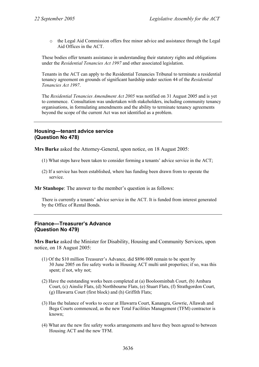o the Legal Aid Commission offers free minor advice and assistance through the Legal Aid Offices in the ACT.

These bodies offer tenants assistance in understanding their statutory rights and obligations under the *Residential Tenancies Act 1997* and other associated legislation.

Tenants in the ACT can apply to the Residential Tenancies Tribunal to terminate a residential tenancy agreement on grounds of significant hardship under section 44 of the *Residential Tenancies Act 1997*.

The *Residential Tenancies Amendment Act 2005* was notified on 31 August 2005 and is yet to commence. Consultation was undertaken with stakeholders, including community tenancy organisations, in formulating amendments and the ability to terminate tenancy agreements beyond the scope of the current Act was not identified as a problem.

### **Housing—tenant advice service (Question No 478)**

**Mrs Burke** asked the Attorney-General, upon notice, on 18 August 2005:

- (1) What steps have been taken to consider forming a tenants' advice service in the ACT;
- (2) If a service has been established, where has funding been drawn from to operate the service.

**Mr Stanhope**: The answer to the member's question is as follows:

There is currently a tenants' advice service in the ACT. It is funded from interest generated by the Office of Rental Bonds.

#### **Finance—Treasurer's Advance (Question No 479)**

**Mrs Burke** asked the Minister for Disability, Housing and Community Services, upon notice, on 18 August 2005:

- (1) Of the \$10 million Treasurer's Advance, did \$896 000 remain to be spent by 30 June 2005 on fire safety works in Housing ACT multi unit properties; if so, was this spent; if not, why not;
- (2) Have the outstanding works been completed at (a) Booloominbah Court, (b) Ambara Court, (c) Ainslie Flats, (d) Northbourne Flats, (e) Stuart Flats, (f) Strathgordon Court, (g) Illawarra Court (first block) and (h) Griffith Flats;
- (3) Has the balance of works to occur at Illawarra Court, Kanangra, Gowrie, Allawah and Bega Courts commenced, as the new Total Facilities Management (TFM) contractor is known;
- (4) What are the new fire safety works arrangements and have they been agreed to between Housing ACT and the new TFM.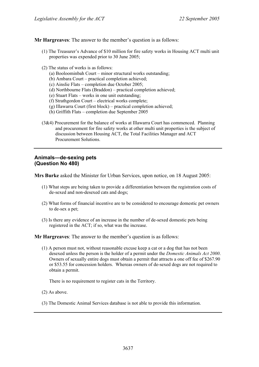**Mr Hargreaves**: The answer to the member's question is as follows:

- (1) The Treasurer's Advance of \$10 million for fire safety works in Housing ACT multi unit properties was expended prior to 30 June 2005;
- (2) The status of works is as follows:
	- (a) Booloominbah Court minor structural works outstanding;
	- (b) Ambara Court practical completion achieved;
	- (c) Ainslie Flats completion due October 2005;
	- (d) Northbourne Flats (Braddon) practical completion achieved;
	- (e) Stuart Flats works in one unit outstanding;
	- (f) Strathgordon Court electrical works complete;
	- (g) Illawarra Court (first block) practical completion achieved;
	- (h) Griffith Flats completion due September 2005
- (3&4) Procurement for the balance of works at Illawarra Court has commenced. Planning and procurement for fire safety works at other multi unit properties is the subject of discussion between Housing ACT, the Total Facilities Manager and ACT Procurement Solutions.

### **Animals—de-sexing pets (Question No 480)**

**Mrs Burke** asked the Minister for Urban Services, upon notice, on 18 August 2005:

- (1) What steps are being taken to provide a differentiation between the registration costs of de-sexed and non-desexed cats and dogs;
- (2) What forms of financial incentive are to be considered to encourage domestic pet owners to de-sex a pet;
- (3) Is there any evidence of an increase in the number of de-sexed domestic pets being registered in the ACT; if so, what was the increase.

**Mr Hargreaves**: The answer to the member's question is as follows:

(1) A person must not, without reasonable excuse keep a cat or a dog that has not been desexed unless the person is the holder of a permit under the *Domestic Animals Act 2000*. Owners of sexually entire dogs must obtain a permit that attracts a one off fee of \$267.90 or \$53.55 for concession holders. Whereas owners of de-sexed dogs are not required to obtain a permit.

There is no requirement to register cats in the Territory.

- (2) As above.
- (3) The Domestic Animal Services database is not able to provide this information.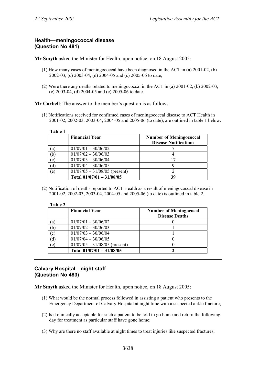## **Health—meningococcal disease (Question No 481)**

**Mr Smyth** asked the Minister for Health, upon notice, on 18 August 2005:

- (1) How many cases of meningococcal have been diagnosed in the ACT in (a) 2001-02, (b) 2002-03, (c) 2003-04, (d) 2004-05 and (c) 2005-06 to date;
- (2) Were there any deaths related to meningococcal in the ACT in (a) 2001-02, (b) 2002-03, (c) 2003-04, (d) 2004-05 and (c) 2005-06 to date.

**Mr Corbell:** The answer to the member's question is as follows:

(1) Notifications received for confirmed cases of meningococcal disease to ACT Health in 2001-02, 2002-03, 2003-04, 2004-05 and 2005-06 (to date), are outlined in table 1 below.

| ı<br>яn |  |
|---------|--|
|---------|--|

|     | <b>Financial Year</b>           | <b>Number of Meningococcal</b><br><b>Disease Notifications</b> |
|-----|---------------------------------|----------------------------------------------------------------|
| (a) | $01/07/01 - 30/06/02$           |                                                                |
| (b) | $01/07/02 - 30/06/03$           |                                                                |
| (c) | $01/07/03 - 30/06/04$           |                                                                |
| (d) | $01/07/04 - 30/06/05$           |                                                                |
| (e) | $01/07/05 - 31/08/05$ (present) |                                                                |
|     | Total $01/07/01 - 31/08/05$     | 39                                                             |

(2) Notification of deaths reported to ACT Health as a result of meningococcal disease in 2001-02, 2002-03, 2003-04, 2004-05 and 2005-06 (to date) is outlined in table 2.

| DI<br>Н |  |
|---------|--|
|---------|--|

|              | <b>Financial Year</b>           | <b>Number of Meningococal</b><br><b>Disease Deaths</b> |
|--------------|---------------------------------|--------------------------------------------------------|
| $\alpha$     | $01/07/01 - 30/06/02$           |                                                        |
| b)           | $01/07/02 - 30/06/03$           |                                                        |
| $\mathbf{c}$ | $01/07/03 - 30/06/04$           |                                                        |
| ď            | $01/07/04 - 30/06/05$           |                                                        |
| $\epsilon$   | $01/07/05 - 31/08/05$ (present) |                                                        |
|              | Total $01/07/01 - 31/08/05$     |                                                        |

## **Calvary Hospital—night staff (Question No 483)**

**Mr Smyth** asked the Minister for Health, upon notice, on 18 August 2005:

- (1) What would be the normal process followed in assisting a patient who presents to the Emergency Department of Calvary Hospital at night time with a suspected ankle fracture;
- (2) Is it clinically acceptable for such a patient to be told to go home and return the following day for treatment as particular staff have gone home;
- (3) Why are there no staff available at night times to treat injuries like suspected fractures;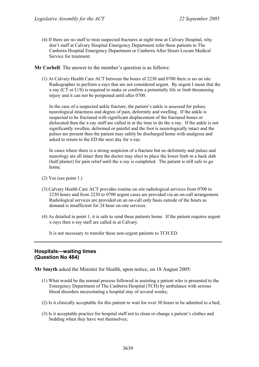(4) If there are no staff to treat suspected fractures at night time at Calvary Hospital, why don't staff at Calvary Hospital Emergency Department refer these patients to The Canberra Hospital Emergency Department or Canberra After Hours Locum Medical Service for treatment.

**Mr Corbell**: The answer to the member's question is as follows:

(1) At Calvary Health Care ACT between the hours of 2230 and 0700 there is no on site Radiographer to perform x-rays that are not considered urgent. By urgent I mean that the x-ray (CT or U/S) is required to make or confirm a potentially life or limb threatening injury and it can not be postponed until after 0700.

In the case of a suspected ankle fracture, the patient's ankle is assessed for pulses, neurological intactness and degree of pain, deformity and swelling. If the ankle is suspected to be fractured with significant displacement of the fractured bones or dislocated then the x-ray staff are called in at the time to do the x-ray. If the ankle is not significantly swollen, deformed or painful and the foot is neurologically intact and the pulses are present then the patient may safely be discharged home with analgesia and asked to return to the ED the next day for x-ray.

In cases where there is a strong suspicion of a fracture but no deformity and pulses and neurology are all intact then the doctor may elect to place the lower limb in a back slab (half plaster) for pain relief until the x-ray is completed. The patient is still safe to go home.

- (2) Yes (see point 1.)
- (3) Calvary Health Care ACT provides routine on site radiological services from 0700 to 2230 hours and from 2230 to 0700 urgent cases are provided via an on-call arrangement. Radiological services are provided on an on-call only basis outside of the hours as demand is insufficient for 24 hour on-site services.
- (4) As detailed in point 1, it is safe to send these patients home. If the patient requires urgent x-rays then x-ray staff are called in at Calvary.

It is not necessary to transfer these non-urgent patients to TCH ED.

## **Hospitals—waiting times (Question No 484)**

**Mr Smyth** asked the Minister for Health, upon notice, on 18 August 2005:

- (1) What would be the normal process followed in assisting a patient who is presented to the Emergency Department of The Canberra Hospital (TCH) by ambulance with serious blood disorders necessitating a hospital stay of several weeks;
- (2) Is it clinically acceptable for this patient to wait for over 30 hours to be admitted to a bed;
- (3) Is it acceptable practice for hospital staff not to clean or change a patient's clothes and bedding when they have wet themselves;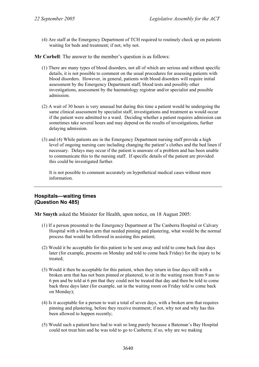(4) Are staff at the Emergency Department of TCH required to routinely check up on patients waiting for beds and treatment; if not, why not.

**Mr Corbell**: The answer to the member's question is as follows:

- (1) There are many types of blood disorders, not all of which are serious and without specific details, it is not possible to comment on the usual procedures for assessing patients with blood disorders. However, in general, patients with blood disorders will require initial assessment by the Emergency Department staff, blood tests and possibly other investigations, assessment by the haematology registrar and/or specialist and possible admission.
- (2) A wait of 30 hours is very unusual but during this time a patient would be undergoing the same clinical assessment by specialist staff, investigations and treatment as would occur if the patient were admitted to a ward. Deciding whether a patient requires admission can sometimes take several hours and may depend on the results of investigations, further delaying admission.
- (3) and (4) While patients are in the Emergency Department nursing staff provide a high level of ongoing nursing care including changing the patient's clothes and the bed linen if necessary. Delays may occur if the patient is unaware of a problem and has been unable to communicate this to the nursing staff. If specific details of the patient are provided this could be investigated further.

It is not possible to comment accurately on hypothetical medical cases without more information.

## **Hospitals—waiting times (Question No 485)**

**Mr Smyth** asked the Minister for Health, upon notice, on 18 August 2005:

- (1) If a person presented to the Emergency Department at The Canberra Hospital or Calvary Hospital with a broken arm that needed pinning and plastering, what would be the normal process that would be followed in assisting this patient;
- (2) Would it be acceptable for this patient to be sent away and told to come back four days later (for example, presents on Monday and told to come back Friday) for the injury to be treated;
- (3) Would it then be acceptable for this patient, when they return in four days still with a broken arm that has not been pinned or plastered, to sit in the waiting room from 9 am to 6 pm and be told at 6 pm that they could not be treated that day and then be told to come back three days later (for example, sat in the waiting room on Friday told to come back on Monday);
- (4) Is it acceptable for a person to wait a total of seven days, with a broken arm that requires pinning and plastering, before they receive treatment; if not, why not and why has this been allowed to happen recently;
- (5) Would such a patient have had to wait so long purely because a Bateman's Bay Hospital could not treat him and he was told to go to Canberra; if so, why are we making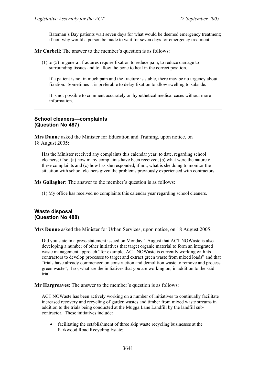Bateman's Bay patients wait seven days for what would be deemed emergency treatment; if not, why would a person be made to wait for seven days for emergency treatment.

**Mr Corbell:** The answer to the member's question is as follows:

(1) to (5) In general, fractures require fixation to reduce pain, to reduce damage to surrounding tissues and to allow the bone to heal in the correct position.

If a patient is not in much pain and the fracture is stable, there may be no urgency about fixation. Sometimes it is preferable to delay fixation to allow swelling to subside.

It is not possible to comment accurately on hypothetical medical cases without more information.

## **School cleaners—complaints (Question No 487)**

**Mrs Dunne** asked the Minister for Education and Training, upon notice, on 18 August 2005:

Has the Minister received any complaints this calendar year, to date, regarding school cleaners; if so, (a) how many complaints have been received, (b) what were the nature of these complaints and (c) how has she responded; if not, what is she doing to monitor the situation with school cleaners given the problems previously experienced with contractors.

**Ms Gallagher**: The answer to the member's question is as follows:

(1) My office has received no complaints this calendar year regarding school cleaners.

## **Waste disposal (Question No 488)**

**Mrs Dunne** asked the Minister for Urban Services, upon notice, on 18 August 2005:

Did you state in a press statement issued on Monday 1 August that ACT NOWaste is also developing a number of other initiatives that target organic material to form an integrated waste management approach "for example, ACT NOWaste is currently working with its contractors to develop processes to target and extract green waste from mixed loads" and that "trials have already commenced on construction and demolition waste to remove and process green waste"; if so, what are the initiatives that you are working on, in addition to the said trial.

**Mr Hargreaves**: The answer to the member's question is as follows:

ACT NOWaste has been actively working on a number of initiatives to continually facilitate increased recovery and recycling of garden wastes and timber from mixed waste streams in addition to the trials being conducted at the Mugga Lane Landfill by the landfill subcontractor. These initiatives include:

• facilitating the establishment of three skip waste recycling businesses at the Parkwood Road Recycling Estate;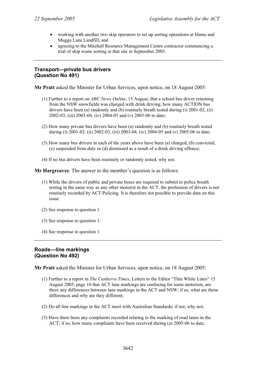- working with another two skip operators to set up sorting operations at Hume and Mugga Lane Landfill; and
- agreeing to the Mitchell Resource Management Centre contractor commencing a trial of skip waste sorting at that site in September 2005.

## **Transport—private bus drivers (Question No 491)**

**Mr Pratt** asked the Minister for Urban Services, upon notice, on 18 August 2005:

- (1) Further to a report on *ABC News Online*, 15 August, that a school bus driver returning from the NSW snowfields was charged with drink driving, how many ACTION bus drivers have been (a) randomly and (b) routinely breath tested during (i) 2001-02, (ii) 2002-03, (iii) 2003-04, (iv) 2004-05 and (v) 2005-06 to date;
- (2) How many private bus drivers have been (a) randomly and (b) routinely breath tested during (i) 2001-02, (ii) 2002-03, (iii) 2003-04, (iv) 2004-05 and (v) 2005-06 to date;
- (3) How many bus drivers in each of the years above have been (a) charged, (b) convicted, (c) suspended from duty or (d) dismissed as a result of a drink driving offence;
- (4) If no bus drivers have been routinely or randomly tested, why not.

**Mr Hargreaves**: The answer to the member's question is as follows:

- (1) While the drivers of public and private buses are required to submit to police breath testing in the same way as any other motorist in the ACT, the profession of drivers is not routinely recorded by ACT Policing. It is therefore not possible to provide data on this issue.
- (2) See response to question 1.
- (3) See response to question 1.
- (4) See response to question 1.

### **Roads—line markings (Question No 492)**

**Mr Pratt** asked the Minister for Urban Services, upon notice, on 18 August 2005:

- (1) Further to a report in *The Canberra Times*, Letters to the Editor "Thin White Lines" 15 August 2005, page 10 that ACT lane markings are confusing for some motorists, are there any differences between lane markings in the ACT and NSW; if so, what are those differences and why are they different;
- (2) Do all line markings in the ACT meet with Australian Standards; if not, why not;
- (3) Have there been any complaints recorded relating to the marking of road lanes in the ACT; if so, how many complaints have been received during (a) 2005-06 to date,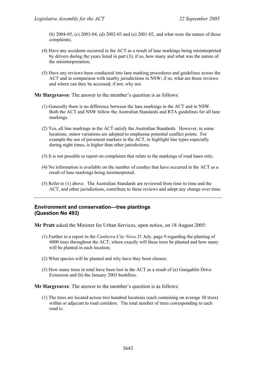(b) 2004-05, (c) 2003-04, (d) 2002-03 and (e) 2001-02, and what were the nature of those complaints;

- (4) Have any accidents occurred in the ACT as a result of lane markings being misinterpreted by drivers during the years listed in part (3); if so, how many and what was the nature of the misinterpretation;
- (5) Have any reviews been conducted into lane marking procedures and guidelines across the ACT and in comparison with nearby jurisdictions in NSW; if so, what are those reviews and where can they be accessed; if not, why not.

**Mr Hargreaves**: The answer to the member's question is as follows:

- (1) Generally there is no difference between the lane markings in the ACT and in NSW. Both the ACT and NSW follow the Australian Standards and RTA guidelines for all lane markings.
- (2) Yes, all line markings in the ACT satisfy the Australian Standards. However, in some locations, minor variations are adopted to emphasise potential conflict points. For example the use of pavement markers in the ACT, to highlight line types especially during night times, is higher than other jurisdictions.
- (3) It is not possible to report on complaints that relate to the markings of road lanes only.
- (4) No information is available on the number of crashes that have occurred in the ACT as a result of lane markings being misinterpreted.
- (5) Refer to (1) above. The Australian Standards are reviewed from time to time and the ACT, and other jurisdictions, contribute to these reviews and adopt any change over time.

## **Environment and conservation—tree plantings (Question No 493)**

**Mr Pratt** asked the Minister for Urban Services, upon notice, on 18 August 2005:

- (1) Further to a report in the *Canberra City News* 21 July, page 9 regarding the planting of 4000 trees throughout the ACT, where exactly will these trees be planted and how many will be planted in each location;
- (2) What species will be planted and why have they been chosen;
- (3) How many trees in total have been lost in the ACT as a result of (a) Gungahlin Drive Extension and (b) the January 2003 bushfires.

**Mr Hargreaves**: The answer to the member's question is as follows:

(1) The trees are located across two hundred locations (each containing on average 30 trees) within or adjacent to road corridors. The total number of trees corresponding to each road is: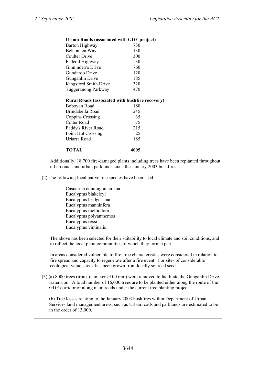#### **Urban Roads (associated with GDE project)**

| Barton Highway        | 730 |
|-----------------------|-----|
| Belconnen Way         | 130 |
| <b>Coulter Drive</b>  | 300 |
| Federal Highway       | 30  |
| Ginninderra Drive     | 760 |
| Gundaroo Drive        | 120 |
| Gungahlin Drive       | 185 |
| Kingsford Smith Drive | 320 |
| Tuggeranong Parkway   | 470 |

#### **Rural Roads (associated with bushfire recovery)**

| Boboyan Road              | 180 |
|---------------------------|-----|
| Brindabella Road          | 245 |
| Coppins Crossing          | 35  |
| Cotter Road               | 75  |
| Paddy's River Road        | 215 |
| <b>Point Hut Crossing</b> | 25  |
| Uriarra Road              | 185 |
|                           |     |

#### **TOTAL 4005**

Additionally, 18,700 fire-damaged plants including trees have been replanted throughout urban roads and urban parklands since the January 2003 bushfires.

(2) The following local native tree species have been used:

Casuarina cunninghmaniana Eucalyptus blakeleyi Eucalyptus bridgesiana Eucalyptus manninfera Eucalyptus melliodora Eucalyptus polyanthemos Eucalyptus rossii Eucalyptus viminalis

The above has been selected for their suitability to local climate and soil conditions, and to reflect the local plant communities of which they form a part.

In areas considered vulnerable to fire, tree characteristics were considered in relation to fire spread and capacity to regenerate after a fire event. For sites of considerable ecological value, stock has been grown from locally sourced seed.

(3) (a) 8000 trees (trunk diameter >100 mm) were removed to facilitate the Gungahlin Drive Extension. A total number of 16,000 trees are to be planted either along the route of the GDE corridor or along main roads under the current tree planting project.

(b) Tree losses relating to the January 2003 bushfires within Department of Urban Services land management areas, such as Urban roads and parklands are estimated to be in the order of 13,000.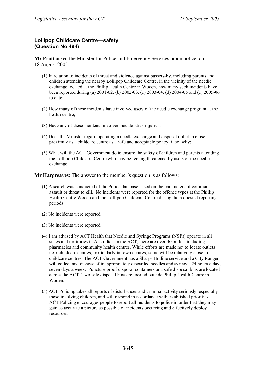# **Lollipop Childcare Centre—safety (Question No 494)**

**Mr Pratt** asked the Minister for Police and Emergency Services, upon notice, on 18 August 2005:

- (1) In relation to incidents of threat and violence against passers-by, including parents and children attending the nearby Lollipop Childcare Centre, in the vicinity of the needle exchange located at the Phillip Health Centre in Woden, how many such incidents have been reported during (a) 2001-02, (b) 2002-03, (c) 2003-04, (d) 2004-05 and (e) 2005-06 to date;
- (2) How many of these incidents have involved users of the needle exchange program at the health centre;
- (3) Have any of these incidents involved needle-stick injuries;
- (4) Does the Minister regard operating a needle exchange and disposal outlet in close proximity as a childcare centre as a safe and acceptable policy; if so, why;
- (5) What will the ACT Government do to ensure the safety of children and parents attending the Lollipop Childcare Centre who may be feeling threatened by users of the needle exchange.

**Mr Hargreaves**: The answer to the member's question is as follows:

- (1) A search was conducted of the Police database based on the parameters of common assault or threat to kill. No incidents were reported for the offence types at the Phillip Health Centre Woden and the Lollipop Childcare Centre during the requested reporting periods.
- (2) No incidents were reported.
- (3) No incidents were reported.
- (4) I am advised by ACT Health that Needle and Syringe Programs (NSPs) operate in all states and territories in Australia. In the ACT, there are over 40 outlets including pharmacies and community health centres. While efforts are made not to locate outlets near childcare centres, particularly in town centres, some will be relatively close to childcare centres. The ACT Government has a Sharps Hotline service and a City Ranger will collect and dispose of inappropriately discarded needles and syringes 24 hours a day, seven days a week. Puncture proof disposal containers and safe disposal bins are located across the ACT. Two safe disposal bins are located outside Phillip Health Centre in Woden.
- (5) ACT Policing takes all reports of disturbances and criminal activity seriously, especially those involving children, and will respond in accordance with established priorities. ACT Policing encourages people to report all incidents to police in order that they may gain as accurate a picture as possible of incidents occurring and effectively deploy resources.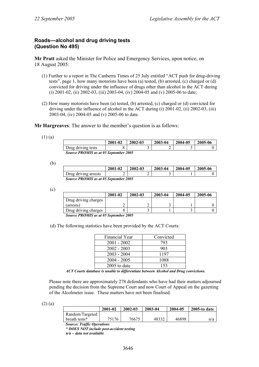# **Roads—alcohol and drug driving tests (Question No 495)**

**Mr Pratt** asked the Minister for Police and Emergency Services, upon notice, on 18 August 2005:

- (1) Further to a report in The Canberra Times of 25 July entitled "ACT push for drug-driving tests", page 1, how many motorists have been (a) tested, (b) arrested, (c) charged or (d) convicted for driving under the influence of drugs other than alcohol in the ACT during (i) 2001-02, (ii) 2002-03, (iii) 2003-04, (iv) 2004-05 and (v) 2005-06 to date;
- (2) How many motorists have been (a) tested, (b) arrested, (c) charged or (d) convicted for driving under the influence of alcohol in the ACT during (i) 2001-02, (ii) 2002-03, (iii) 2003-04, (iv) 2004-05 and (v) 2005-06 to date.

**Mr Hargreaves**: The answer to the member's question is as follows:

(1) (a)

|                                              | 2001-02 | 2002-03 | 2003-04 | 2004-05 | 2005-06 |  |
|----------------------------------------------|---------|---------|---------|---------|---------|--|
| Drug driving tests                           |         |         | ∸       |         |         |  |
| <b>Source PROMIS as at 05 September 2005</b> |         |         |         |         |         |  |

(b)

|                                              | 2001-02 | 2002-03 | 2003-04 | 2004-05 | 2005-06 |  |  |
|----------------------------------------------|---------|---------|---------|---------|---------|--|--|
| Drug driving arrests                         |         | ↩       |         |         |         |  |  |
| <b>Source PROMIS as at 05 September 2005</b> |         |         |         |         |         |  |  |

(c)

|                      | 2001-02                             | 2002-03 | 2003-04 | 2004-05 | 2005-06 |  |
|----------------------|-------------------------------------|---------|---------|---------|---------|--|
| Drug driving charges |                                     |         |         |         |         |  |
| (arrests)            |                                     |         |         |         |         |  |
| Drug driving charges |                                     |         |         |         |         |  |
|                      | $\alpha$ provide $\alpha$ is an one |         |         |         |         |  |

*Source PROMIS as at 05 September 2005* 

(d) The following statistics have been provided by the ACT Courts:

| Financial Year | Convicted |
|----------------|-----------|
| $2001 - 2002$  | 793       |
| $2002 - 2003$  | 903       |
| $2003 - 2004$  | 1197      |
| $2004 - 2005$  | 1088      |
| $2005$ to date | 153       |

*ACT Courts database is unable to differentiate between Alcohol and Drug convictions.* 

Please note there are approximately 278 defendants who have had their matters adjourned pending the decision from the Supreme Court and now Court of Appeal on the gazetting of the Alcolmeter issue. These matters have not been finalised.

(2) (a)

|                 | 2001-02 | 2002-03 | 2003-04 | 2004-05 | $2005$ -to date |
|-----------------|---------|---------|---------|---------|-----------------|
| Random/Targeted |         |         |         |         |                 |
| breath tests*   | 75176   | 76675   | 48332   | 46898   | n/a             |
| $\sim$          |         |         |         |         |                 |

*Source: Traffic Operations* 

*\* DOES NOT include post-accident testing* 

*n/a ~ data not available*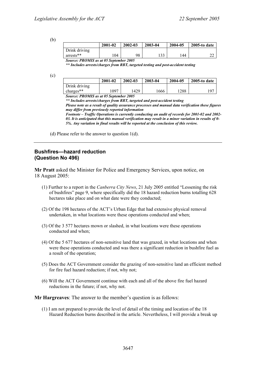(b)

|               | 2001-02 | 2002-03 | 2003-04 | 2004-05 | 2005-to date |
|---------------|---------|---------|---------|---------|--------------|
| Drink driving |         |         |         |         |              |
| $arrests**$   | 104     | 98      | 133     | 144     | ົ<br>∠∠      |
| _ _ _ _ _ _   | - - -   | - - - - |         |         |              |

*Source: PROMIS as at 05 September 2005* 

*\*\* Includes arrests/charges from RBT, targeted testing and post-accident testing* 

(c)

|               | 2001-02 | 2002-03 | 2003-04 | 2004-05 | $2005$ -to date |
|---------------|---------|---------|---------|---------|-----------------|
| Drink driving |         |         |         |         |                 |
| charges $**$  | 1097    | 429ء    | 1666    | 1288    | 97ء             |
| --            |         | - - - - |         |         |                 |

*Source: PROMIS as at 05 September 2005* 

*\*\* Includes arrests/charges from RBT, targeted and post-accident testing* 

*Please note as a result of quality assurance processes and manual data verification these figures may differ from previously reported information* 

*Footnote – Traffic Operations is currently conducting an audit of records for 2001-02 and 2002- 03. It is anticipated that this manual verification may result in a minor variation in results of 0- 5%. Any variation in final results will be reported at the conclusion of this review.* 

(d) Please refer to the answer to question 1(d).

### **Bushfires—hazard reduction (Question No 496)**

**Mr Pratt** asked the Minister for Police and Emergency Services, upon notice, on 18 August 2005:

- (1) Further to a report in the *Canberra City News*, 21 July 2005 entitled "Lessening the risk of bushfires" page 9, where specifically did the 18 hazard reduction burns totalling 628 hectares take place and on what date were they conducted;
- (2) Of the 198 hectares of the ACT's Urban Edge that had extensive physical removal undertaken, in what locations were these operations conducted and when;
- (3) Of the 3 577 hectares mown or slashed, in what locations were these operations conducted and when;
- (4) Of the 5 677 hectares of non-sensitive land that was grazed, in what locations and when were these operations conducted and was there a significant reduction in bushfire fuel as a result of the operation;
- (5) Does the ACT Government consider the grazing of non-sensitive land an efficient method for fire fuel hazard reduction; if not, why not;
- (6) Will the ACT Government continue with each and all of the above fire fuel hazard reductions in the future; if not, why not.

**Mr Hargreaves**: The answer to the member's question is as follows:

(1) I am not prepared to provide the level of detail of the timing and location of the 18 Hazard Reduction burns described in the article. Nevertheless, I will provide a break up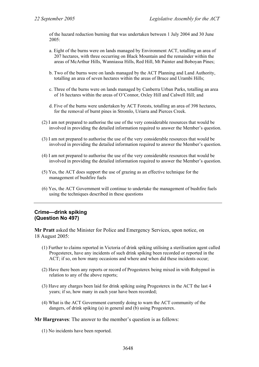of the hazard reduction burning that was undertaken between 1 July 2004 and 30 June  $2005$ <sup>-</sup>

- a. Eight of the burns were on lands managed by Environment ACT, totalling an area of 207 hectares, with three occurring on Black Mountain and the remainder within the areas of McArthur Hills, Wanniassa Hills, Red Hill, Mt Painter and Boboyan Pines;
- b. Two of the burns were on lands managed by the ACT Planning and Land Authority, totalling an area of seven hectares within the areas of Bruce and Urambi Hills;
- c. Three of the burns were on lands managed by Canberra Urban Parks, totalling an area of 16 hectares within the areas of O'Connor, Oxley Hill and Calwell Hill; and
- d. Five of the burns were undertaken by ACT Forests, totalling an area of 398 hectares, for the removal of burnt pines in Stromlo, Uriarra and Pierces Creek.
- (2) I am not prepared to authorise the use of the very considerable resources that would be involved in providing the detailed information required to answer the Member's question.
- (3) I am not prepared to authorise the use of the very considerable resources that would be involved in providing the detailed information required to answer the Member's question.
- (4) I am not prepared to authorise the use of the very considerable resources that would be involved in providing the detailed information required to answer the Member's question.
- (5) Yes, the ACT does support the use of grazing as an effective technique for the management of bushfire fuels
- (6) Yes, the ACT Government will continue to undertake the management of bushfire fuels using the techniques described in these questions

### **Crime—drink spiking (Question No 497)**

**Mr Pratt** asked the Minister for Police and Emergency Services, upon notice, on 18 August 2005:

- (1) Further to claims reported in Victoria of drink spiking utilising a sterilisation agent called Progesterex, have any incidents of such drink spiking been recorded or reported in the ACT; if so, on how many occasions and where and when did these incidents occur;
- (2) Have there been any reports or record of Progesterex being mixed in with Rohypnol in relation to any of the above reports;
- (3) Have any charges been laid for drink spiking using Progesterex in the ACT the last 4 years; if so, how many in each year have been recorded;
- (4) What is the ACT Government currently doing to warn the ACT community of the dangers, of drink spiking (a) in general and (b) using Progesterex.

**Mr Hargreaves**: The answer to the member's question is as follows:

(1) No incidents have been reported.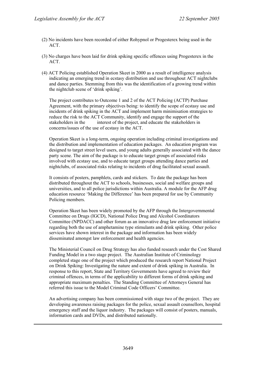- (2) No incidents have been recorded of either Rohypnol or Progesterex being used in the ACT.
- (3) No charges have been laid for drink spiking specific offences using Progesterex in the ACT.
- (4) ACT Policing established Operation Skeet in 2000 as a result of intelligence analysis indicating an emerging trend in ecstasy distribution and use throughout ACT nightclubs and dance parties. Stemming from this was the identification of a growing trend within the nightclub scene of 'drink spiking'.

The project contributes to Outcome 1 and 2 of the ACT Policing (ACTP) Purchase Agreement, with the primary objectives being: to identify the scope of ecstasy use and incidents of drink spiking in the ACT and implement harm minimisation strategies to reduce the risk to the ACT Community, identify and engage the support of the stakeholders in the interest of the project, and educate the stakeholders in concerns/issues of the use of ecstasy in the ACT.

Operation Skeet is a long-term, ongoing operation including criminal investigations and the distribution and implementation of education packages. An education program was designed to target street level users, and young adults generally associated with the dance party scene. The aim of the package is to educate target groups of associated risks involved with ecstasy use, and to educate target groups attending dance parties and nightclubs, of associated risks relating to incidents of drug facilitated sexual assault.

It consists of posters, pamphlets, cards and stickers. To date the package has been distributed throughout the ACT to schools, businesses, social and welfare groups and universities, and to all police jurisdictions within Australia. A module for the AFP drug education resource 'Making the Difference' has been prepared for use by Community Policing members.

Operation Skeet has been widely promoted by the AFP through the Intergovernmental Committee on Drugs (IGCD), National Police Drug and Alcohol Coordinators Committee (NPDACC) and other forum as an innovative drug law enforcement initiative regarding both the use of amphetamine type stimulants and drink spiking. Other police services have shown interest in the package and information has been widely disseminated amongst law enforcement and health agencies.

The Ministerial Council on Drug Strategy has also funded research under the Cost Shared Funding Model in a two stage project. The Australian Institute of Criminology completed stage one of the project which produced the research report National Project on Drink Spiking: Investigating the nature and extent of drink spiking in Australia. In response to this report, State and Territory Governments have agreed to review their criminal offences, in terms of the applicability to different forms of drink spiking and appropriate maximum penalties. The Standing Committee of Attorneys General has referred this issue to the Model Criminal Code Officers' Committee.

An advertising company has been commissioned with stage two of the project. They are developing awareness raising packages for the police, sexual assault counsellors, hospital emergency staff and the liquor industry. The packages will consist of posters, manuals, information cards and DVDs, and distributed nationally.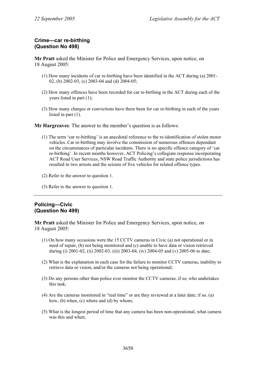## **Crime—car re-birthing (Question No 498)**

**Mr Pratt** asked the Minister for Police and Emergency Services, upon notice, on 18 August 2005:

- (1) How many incidents of car re-birthing have been identified in the ACT during (a) 2001- 02, (b) 2002-03, (c) 2003-04 and (d) 2004-05;
- (2) How many offences have been recorded for car re-birthing in the ACT during each of the years listed in part (1);
- (3) How many charges or convictions have there been for car re-birthing in each of the years listed in part (1).

**Mr Hargreaves**: The answer to the member's question is as follows:

- (1) The term 'car re-birthing' is an anecdotal reference to the re-identification of stolen motor vehicles. Car re-birthing may involve the commission of numerous offences dependant on the circumstances of particular incidents. There is no specific offence category of 'car re-birthing'. In recent months however, ACT Policing's collegiate response incorporating ACT Road User Services, NSW Road Traffic Authority and state police jurisdictions has resulted in two arrests and the seizure of five vehicles for related offence types.
- (2) Refer to the answer to question 1.
- (3) Refer to the answer to question 1.

## **Policing—Civic (Question No 499)**

**Mr Pratt** asked the Minister for Police and Emergency Services, upon notice, on 18 August 2005:

- (1) On how many occasions were the 15 CCTV cameras in Civic (a) not operational or in need of repair, (b) not being monitored and (c) unable to have data or vision retrieved during (i) 2001-02, (ii) 2002-03, (iii) 2003-04, (iv) 2004-05 and (v) 2005-06 to date;
- (2) What is the explanation in each case for the failure to monitor CCTV cameras, inability to retrieve data or vision, and/or the cameras not being operational;
- (3) Do any persons other than police ever monitor the CCTV cameras; if so, who undertakes this task;
- (4) Are the cameras monitored in "real time" or are they reviewed at a later date; if so, (a) how, (b) when, (c) where and (d) by whom;
- (5) What is the longest period of time that any camera has been non-operational, what camera was this and when: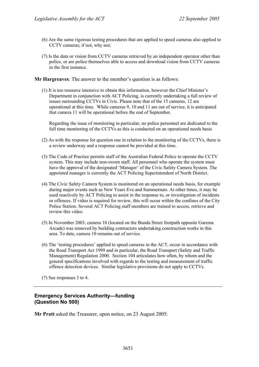- (6) Are the same rigorous testing procedures that are applied to speed cameras also applied to CCTV cameras; if not, why not;
- (7) Is the data or vision from CCTV cameras retrieved by an independent operator other than police, or are police themselves able to access and download vision from CCTV cameras in the first instance.

**Mr Hargreaves**: The answer to the member's question is as follows:

(1) It is too resource intensive to obtain this information, however the Chief Minister's Department in conjunction with ACT Policing, is currently undertaking a full review of issues surrounding CCTVs in Civic. Please note that of the 15 cameras, 12 are operational at this time. While cameras 9, 10 and 11 are out of service, it is anticipated that camera 11 will be operational before the end of September.

Regarding the issue of monitoring in particular, no police personnel are dedicated to the full time monitoring of the CCTVs as this is conducted on an operational needs basis

- (2) As with the response for question one in relation to the monitoring of the CCTVs, there is a review underway and a response cannot be provided at this time.
- (3) The Code of Practice permits staff of the Australian Federal Police to operate the CCTV system. This may include non-sworn staff. All personnel who operate the system must have the approval of the designated 'Manager' of the Civic Safety Camera System. The appointed manager is currently the ACT Policing Superintendent of North District.
- (4) The Civic Safety Camera System is monitored on an operational needs basis, for example during major events such as New Years Eve and Summernats. At other times, it may be used reactively by ACT Policing to assist in the response to, or investigation of incidents or offences. If video is required for review, this will occur within the confines of the City Police Station. Several ACT Policing staff members are trained to access, retrieve and review this video.
- (5) In November 2003, camera 10 (located on the Bunda Street footpath opposite Garema Arcade) was removed by building contractors undertaking construction works in this area. To date, camera 10 remains out of service.
- (6) The 'testing procedures' applied to speed cameras in the ACT, occur in accordance with the Road Transport Act 1999 and in particular, the Road Transport (Safety and Traffic Management) Regulation 2000. Section 104 articulates how often, by whom and the general specifications involved with regards to the testing and measurement of traffic offence detection devices. Similar legislative provisions do not apply to CCTVs.

(7) See responses 3 to 4.

# **Emergency Services Authority—funding (Question No 500)**

**Mr Pratt** asked the Treasurer, upon notice, on 23 August 2005: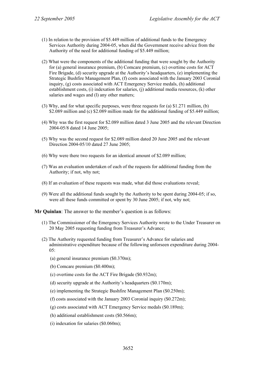- (1) In relation to the provision of \$5.449 million of additional funds to the Emergency Services Authority during 2004-05, when did the Government receive advice from the Authority of the need for additional funding of \$5.449 million;
- (2) What were the components of the additional funding that were sought by the Authority for (a) general insurance premium, (b) Comcare premium, (c) overtime costs for ACT Fire Brigade, (d) security upgrade at the Authority's headquarters, (e) implementing the Strategic Bushfire Management Plan, (f) costs associated with the January 2003 Coronial inquiry, (g) costs associated with ACT Emergency Service medals, (h) additional establishment costs, (i) indexation for salaries, (j) additional media resources, (k) other salaries and wages and (l) any other matters;
- (3) Why, and for what specific purposes, were three requests for (a) \$1.271 million, (b) \$2.089 million and (c) \$2.089 million made for the additional funding of \$5.449 million;
- (4) Why was the first request for \$2.089 million dated 3 June 2005 and the relevant Direction 2004-05/8 dated 14 June 2005;
- (5) Why was the second request for \$2.089 million dated 20 June 2005 and the relevant Direction 2004-05/10 dated 27 June 2005;
- (6) Why were there two requests for an identical amount of \$2.089 million;
- (7) Was an evaluation undertaken of each of the requests for additional funding from the Authority; if not, why not;
- (8) If an evaluation of these requests was made, what did those evaluations reveal;
- (9) Were all the additional funds sought by the Authority to be spent during 2004-05; if so, were all these funds committed or spent by 30 June 2005; if not, why not;

**Mr Quinlan**: The answer to the member's question is as follows:

- (1) The Commissioner of the Emergency Services Authority wrote to the Under Treasurer on 20 May 2005 requesting funding from Treasurer's Advance;
- (2) The Authority requested funding from Treasurer's Advance for salaries and administrative expenditure because of the following unforseen expenditure during 2004- 05:
	- (a) general insurance premium (\$0.370m);
	- (b) Comcare premium (\$0.400m);
	- (c) overtime costs for the ACT Fire Brigade (\$0.932m);
	- (d) security upgrade at the Authority's headquarters (\$0.170m);
	- (e) implementing the Strategic Bushfire Management Plan (\$0.250m);
	- (f) costs associated with the January 2003 Coronial inquiry (\$0.272m);
	- (g) costs associated with ACT Emergency Service medals (\$0.189m);
	- (h) additional establishment costs (\$0.566m);
	- (i) indexation for salaries (\$0.060m);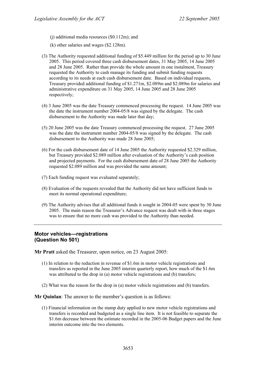(j) additional media resources (\$0.112m); and

- (k) other salaries and wages (\$2.128m).
- (3) The Authority requested additional funding of \$5.449 million for the period up to 30 June 2005. This period covered three cash disbursement dates, 31 May 2005, 14 June 2005 and 28 June 2005. Rather than provide the whole amount in one instalment, Treasury requested the Authority to cash manage its funding and submit funding requests according to its needs at each cash disbursement date. Based on individual requests, Treasury provided additional funding of \$1.271m, \$2.089m and \$2.089m for salaries and administrative expenditure on 31 May 2005, 14 June 2005 and 28 June 2005 respectively;
- (4) 3 June 2005 was the date Treasury commenced processing the request. 14 June 2005 was the date the instrument number 2004-05/8 was signed by the delegate. The cash disbursement to the Authority was made later that day;
- (5) 20 June 2005 was the date Treasury commenced processing the request. 27 June 2005 was the date the instrument number 2004-05/8 was signed by the delegate. The cash disbursement to the Authority was made 28 June 2005;
- (6) For the cash disbursement date of 14 June 2005 the Authority requested \$2.329 million, but Treasury provided \$2.089 million after evaluation of the Authority's cash position and projected payments. For the cash disbursement date of 28 June 2005 the Authority requested \$2.089 million and was provided the same amount;
- (7) Each funding request was evaluated separately;
- (8) Evaluation of the requests revealed that the Authority did not have sufficient funds to meet its normal operational expenditure;
- (9) The Authority advises that all additional funds it sought in 2004-05 were spent by 30 June 2005. The main reason the Treasurer's Advance request was dealt with in three stages was to ensure that no more cash was provided to the Authority than needed.

### **Motor vehicles—registrations (Question No 501)**

**Mr Pratt** asked the Treasurer, upon notice, on 23 August 2005:

- (1) In relation to the reduction in revenue of \$1.6m in motor vehicle registrations and transfers as reported in the June 2005 interim quarterly report, how much of the \$1.6m was attributed to the drop in (a) motor vehicle registrations and (b) transfers;
- (2) What was the reason for the drop in (a) motor vehicle registrations and (b) transfers.

**Mr Quinlan**: The answer to the member's question is as follows:

(1) Financial information on the stamp duty applied to new motor vehicle registrations and transfers is recorded and budgeted as a single line item. It is not feasible to separate the \$1.6m decrease between the estimate recorded in the 2005-06 Budget papers and the June interim outcome into the two elements.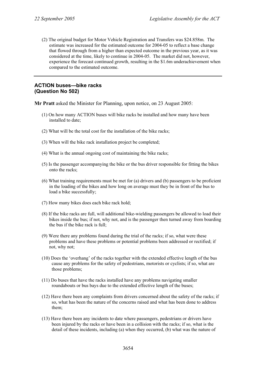(2) The original budget for Motor Vehicle Registration and Transfers was \$24.858m. The estimate was increased for the estimated outcome for 2004-05 to reflect a base change that flowed through from a higher than expected outcome in the previous year, as it was considered at the time, likely to continue in 2004-05. The market did not, however, experience the forecast continued growth, resulting in the \$1.6m underachievement when compared to the estimated outcome.

### **ACTION buses—bike racks (Question No 502)**

**Mr Pratt** asked the Minister for Planning, upon notice, on 23 August 2005:

- (1) On how many ACTION buses will bike racks be installed and how many have been installed to date;
- (2) What will be the total cost for the installation of the bike racks;
- (3) When will the bike rack installation project be completed;
- (4) What is the annual ongoing cost of maintaining the bike racks;
- (5) Is the passenger accompanying the bike or the bus driver responsible for fitting the bikes onto the racks;
- (6) What training requirements must be met for (a) drivers and (b) passengers to be proficient in the loading of the bikes and how long on average must they be in front of the bus to load a bike successfully;
- (7) How many bikes does each bike rack hold;
- (8) If the bike racks are full, will additional bike-wielding passengers be allowed to load their bikes inside the bus; if not, why not, and is the passenger then turned away from boarding the bus if the bike rack is full;
- (9) Were there any problems found during the trial of the racks; if so, what were these problems and have these problems or potential problems been addressed or rectified; if not, why not;
- (10) Does the 'overhang' of the racks together with the extended effective length of the bus cause any problems for the safety of pedestrians, motorists or cyclists; if so, what are those problems;
- (11) Do buses that have the racks installed have any problems navigating smaller roundabouts or bus bays due to the extended effective length of the buses;
- (12) Have there been any complaints from drivers concerned about the safety of the racks; if so, what has been the nature of the concerns raised and what has been done to address them;
- (13) Have there been any incidents to date where passengers, pedestrians or drivers have been injured by the racks or have been in a collision with the racks; if so, what is the detail of these incidents, including (a) when they occurred, (b) what was the nature of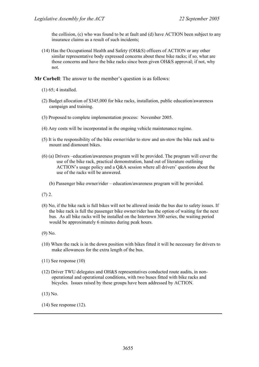the collision, (c) who was found to be at fault and (d) have ACTION been subject to any insurance claims as a result of such incidents;

(14) Has the Occupational Health and Safety (OH&S) officers of ACTION or any other similar representative body expressed concerns about these bike racks; if so, what are those concerns and have the bike racks since been given OH&S approval; if not, why not.

**Mr Corbell**: The answer to the member's question is as follows:

- (1) 65; 4 installed.
- (2) Budget allocation of \$345,000 for bike racks, installation, public education/awareness campaign and training.
- (3) Proposed to complete implementation process: November 2005.
- (4) Any costs will be incorporated in the ongoing vehicle maintenance regime.
- (5) It is the responsibility of the bike owner/rider to stow and un-stow the bike rack and to mount and dismount bikes.
- (6) (a) Drivers –education/awareness program will be provided. The program will cover the use of the bike rack, practical demonstration, hand out of literature outlining ACTION's usage policy and a Q&A session where all drivers' questions about the use of the racks will be answered.
	- (b) Passenger bike owner/rider education/awareness program will be provided.
- $(7)$  2.
- (8) No, if the bike rack is full bikes will not be allowed inside the bus due to safety issues. If the bike rack is full the passenger bike owner/rider has the option of waiting for the next bus. As all bike racks will be installed on the Intertown 300 series, the waiting period would be approximately 6 minutes during peak hours.
- (9) No.
- (10) When the rack is in the down position with bikes fitted it will be necessary for drivers to make allowances for the extra length of the bus.
- (11) See response (10)
- (12) Driver TWU delegates and OH&S representatives conducted route audits, in nonoperational and operational conditions, with two buses fitted with bike racks and bicycles. Issues raised by these groups have been addressed by ACTION.
- (13) No.
- (14) See response (12).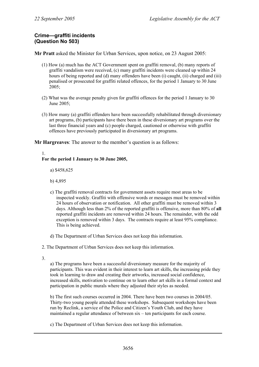# **Crime—graffiti incidents (Question No 503)**

**Mr Pratt** asked the Minister for Urban Services, upon notice, on 23 August 2005:

- (1) How (a) much has the ACT Government spent on graffiti removal, (b) many reports of graffiti vandalism were received, (c) many graffiti incidents were cleaned up within 24 hours of being reported and (d) many offenders have been (i) caught, (ii) charged and (iii) penalised or prosecuted for graffiti related offences, for the period 1 January to 30 June 2005;
- (2) What was the average penalty given for graffiti offences for the period 1 January to 30 June 2005;
- (3) How many (a) graffiti offenders have been successfully rehabilitated through diversionary art programs, (b) participants have there been in these diversionary art programs over the last three financial years and (c) people charged, cautioned or otherwise with graffiti offences have previously participated in diversionary art programs.

**Mr Hargreaves**: The answer to the member's question is as follows:

# 1.

### **For the period 1 January to 30 June 2005,**

a) \$458,625

- b) 4,895
- c) The graffiti removal contracts for government assets require most areas to be inspected weekly. Graffiti with offensive words or messages must be removed within 24 hours of observation or notification. All other graffiti must be removed within 3 days. Although less than 2% of the reported graffiti is offensive, more than 80% of **all** reported graffiti incidents are removed within 24 hours. The remainder, with the odd exception is removed within 3 days. The contracts require at least 95% compliance. This is being achieved.
- d) The Department of Urban Services does not keep this information.
- 2. The Department of Urban Services does not keep this information.
- 3.

a) The programs have been a successful diversionary measure for the majority of participants. This was evident in their interest to learn art skills, the increasing pride they took in learning to draw and creating their artworks, increased social confidence, increased skills, motivation to continue on to learn other art skills in a formal context and participation in public murals where they adjusted their styles as needed.

b) The first such courses occurred in 2004. There have been two courses in 2004/05. Thirty-two young people attended these workshops. Subsequent workshops have been run by Reclink, a service of the Police and Citizen's Youth Club, and they have maintained a regular attendance of between six – ten participants for each course.

c) The Department of Urban Services does not keep this information.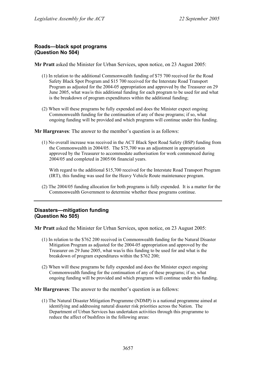### **Roads—black spot programs (Question No 504)**

**Mr Pratt** asked the Minister for Urban Services, upon notice, on 23 August 2005:

- (1) In relation to the additional Commonwealth funding of \$75 700 received for the Road Safety Black Spot Program and \$15 700 received for the Interstate Road Transport Program as adjusted for the 2004-05 appropriation and approved by the Treasurer on 29 June 2005, what was/is this additional funding for each program to be used for and what is the breakdown of program expenditures within the additional funding;
- (2) When will these programs be fully expended and does the Minister expect ongoing Commonwealth funding for the continuation of any of these programs; if so, what ongoing funding will be provided and which programs will continue under this funding.

**Mr Hargreaves**: The answer to the member's question is as follows:

(1) No overall increase was received in the ACT Black Spot Road Safety (BSP) funding from the Commonwealth in 2004/05. The \$75,700 was an adjustment in appropriation approved by the Treasurer to accommodate authorisation for work commenced during 2004/05 and completed in 2005/06 financial years.

With regard to the additional \$15,700 received for the Interstate Road Transport Program (IRT), this funding was used for the Heavy Vehicle Route maintenance program.

(2) The 2004/05 funding allocation for both programs is fully expended. It is a matter for the Commonwealth Government to determine whether these programs continue.

# **Disasters—mitigation funding (Question No 505)**

**Mr Pratt** asked the Minister for Urban Services, upon notice, on 23 August 2005:

- (1) In relation to the \$762 200 received in Commonwealth funding for the Natural Disaster Mitigation Program as adjusted for the 2004-05 appropriation and approved by the Treasurer on 29 June 2005, what was/is this funding to be used for and what is the breakdown of program expenditures within the \$762 200;
- (2) When will these programs be fully expended and does the Minister expect ongoing Commonwealth funding for the continuation of any of these programs; if so, what ongoing funding will be provided and which programs will continue under this funding.

**Mr Hargreaves**: The answer to the member's question is as follows:

(1) The Natural Disaster Mitigation Programme (NDMP) is a national programme aimed at identifying and addressing natural disaster risk priorities across the Nation. The Department of Urban Services has undertaken activities through this programme to reduce the affect of bushfires in the following areas: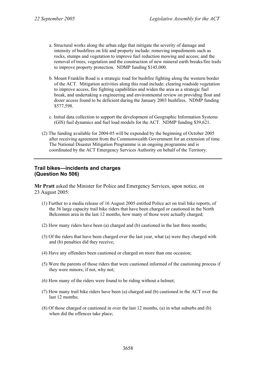- a. Structural works along the urban edge that mitigate the severity of damage and intensity of bushfires on life and property include: removing impediments such as rocks, stumps and vegetation to improve fuel reduction mowing and access; and the removal of trees, vegetation and the construction of new mineral earth breaks/fire trails to improve property protection. NDMP funding \$145,000.
- b. Mount Franklin Road is a strategic road for bushfire fighting along the western border of the ACT. Mitigation activities along this road include: clearing roadside vegetation to improve access, fire fighting capabilities and widen the area as a strategic fuel break, and undertaking a engineering and environmental review on providing float and dozer access found to be deficient during the January 2003 bushfires. NDMP funding \$577,598.
- c. Initial data collection to support the development of Geographic Information Systems (GIS) fuel dynamics and fuel load models for the ACT. NDMP funding \$39,621.
- (2) The funding available for 2004-05 will be expended by the beginning of October 2005 after receiving agreement from the Commonwealth Government for an extension of time. The National Disaster Mitigation Programme is an ongoing programme and is coordinated by the ACT Emergency Services Authority on behalf of the Territory.

### **Trail bikes—incidents and charges (Question No 506)**

**Mr Pratt** asked the Minister for Police and Emergency Services, upon notice, on 23 August 2005:

- (1) Further to a media release of 16 August 2005 entitled Police act on trail bike reports, of the 36 large capacity trail bike riders that have been charged or cautioned in the North Belconnen area in the last 12 months, how many of those were actually charged;
- (2) How many riders have been (a) charged and (b) cautioned in the last three months;
- (3) Of the riders that have been charged over the last year, what (a) were they charged with and (b) penalties did they receive;
- (4) Have any offenders been cautioned or charged on more than one occasion;
- (5) Were the parents of those riders that were cautioned informed of the cautioning process if they were minors; if not, why not;
- (6) How many of the riders were found to be riding without a helmet;
- (7) How many trail bike riders have been (a) charged and (b) cautioned in the ACT over the last 12 months;
- (8) Of those charged or cautioned in over the last 12 months, (a) in what suburbs and (b) when did the offences take place;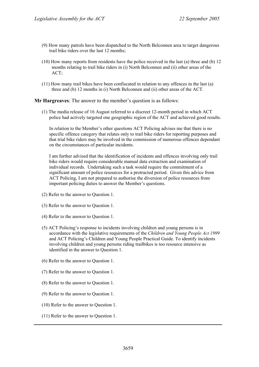- (9) How many patrols have been dispatched to the North Belconnen area to target dangerous trail bike riders over the last 12 months;
- (10) How many reports from residents have the police received in the last (a) three and (b) 12 months relating to trail bike riders in (i) North Belconnen and (ii) other areas of the ACT;
- (11) How many trail bikes have been confiscated in relation to any offences in the last (a) three and (b) 12 months in (i) North Belconnen and (ii) other areas of the ACT.

**Mr Hargreaves**: The answer to the member's question is as follows:

(1) The media release of 16 August referred to a discreet 12-month period in which ACT police had actively targeted one geographic region of the ACT and achieved good results.

In relation to the Member's other questions ACT Policing advises me that there is no specific offence category that relates only to trail bike riders for reporting purposes and that trial bike riders may be involved in the commission of numerous offences dependant on the circumstances of particular incidents.

I am further advised that the identification of incidents and offences involving only trail bike riders would require considerable manual data extraction and examination of individual records. Undertaking such a task would require the commitment of a significant amount of police resources for a protracted period. Given this advice from ACT Policing, I am not prepared to authorise the diversion of police resources from important policing duties to answer the Member's questions.

- (2) Refer to the answer to Question 1.
- (3) Refer to the answer to Question 1.
- (4) Refer to the answer to Question 1.
- (5) ACT Policing's response to incidents involving children and young persons is in accordance with the legislative requirements of the *Children and Young People Act 1999* and ACT Policing's Children and Young People Practical Guide. To identify incidents involving children and young persons riding trailbikes is too resource intensive as identified in the answer to Question 1.
- (6) Refer to the answer to Question 1.
- (7) Refer to the answer to Question 1.
- (8) Refer to the answer to Question 1.
- (9) Refer to the answer to Question 1.
- (10) Refer to the answer to Question 1.
- (11) Refer to the answer to Question 1.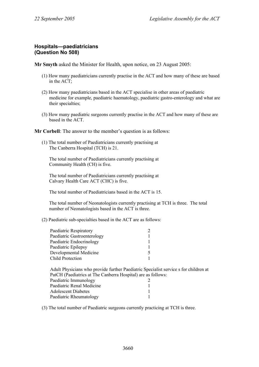## **Hospitals—paediatricians (Question No 508)**

**Mr Smyth** asked the Minister for Health, upon notice, on 23 August 2005:

- (1) How many paediatricians currently practise in the ACT and how many of these are based in the ACT;
- (2) How many paediatricians based in the ACT specialise in other areas of paediatric medicine for example, paediatric haematology, paediatric gastro-enterology and what are their specialties;
- (3) How many paediatric surgeons currently practise in the ACT and how many of these are based in the ACT.

**Mr Corbell**: The answer to the member's question is as follows:

(1) The total number of Paediatricians currently practising at The Canberra Hospital (TCH) is 21.

The total number of Paediatricians currently practising at Community Health (CH) is five.

The total number of Paediatricians currently practising at Calvary Health Care ACT (CHC) is five.

The total number of Paediatricians based in the ACT is 15.

The total number of Neonatologists currently practising at TCH is three. The total number of Neonatologists based in the ACT is three.

(2) Paediatric sub-specialties based in the ACT are as follows:

| Paediatric Respiratory      |  |
|-----------------------------|--|
| Paediatric Gastroenterology |  |
| Paediatric Endocrinology    |  |
| Paediatric Epilepsy         |  |
| Developmental Medicine      |  |
| <b>Child Protection</b>     |  |

Adult Physicians who provide further Paediatric Specialist service s for children at PatCH (Paediatrics at The Canberra Hospital) are as follows:

| Paediatric Immunology      |  |
|----------------------------|--|
| Paediatric Renal Medicine  |  |
| <b>Adolescent Diabetes</b> |  |
| Paediatric Rheumatology    |  |

(3) The total number of Paediatric surgeons currently practicing at TCH is three.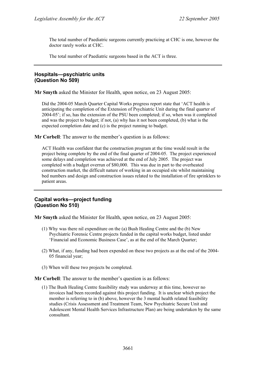The total number of Paediatric surgeons currently practicing at CHC is one, however the doctor rarely works at CHC.

The total number of Paediatric surgeons based in the ACT is three.

## **Hospitals—psychiatric units (Question No 509)**

**Mr Smyth** asked the Minister for Health, upon notice, on 23 August 2005:

Did the 2004-05 March Quarter Capital Works progress report state that 'ACT health is anticipating the completion of the Extension of Psychiatric Unit during the final quarter of 2004-05'; if so, has the extension of the PSU been completed; if so, when was it completed and was the project to budget; if not, (a) why has it not been completed, (b) what is the expected completion date and (c) is the project running to budget.

**Mr Corbell:** The answer to the member's question is as follows:

ACT Health was confident that the construction program at the time would result in the project being complete by the end of the final quarter of 2004-05. The project experienced some delays and completion was achieved at the end of July 2005. The project was completed with a budget overrun of \$80,000. This was due in part to the overheated construction market, the difficult nature of working in an occupied site whilst maintaining bed numbers and design and construction issues related to the installation of fire sprinklers to patient areas.

## **Capital works—project funding (Question No 510)**

**Mr Smyth** asked the Minister for Health, upon notice, on 23 August 2005:

- (1) Why was there nil expenditure on the (a) Bush Healing Centre and the (b) New Psychiatric Forensic Centre projects funded in the capital works budget, listed under 'Financial and Economic Business Case', as at the end of the March Quarter;
- (2) What, if any, funding had been expended on these two projects as at the end of the 2004- 05 financial year;
- (3) When will these two projects be completed.

**Mr Corbell**: The answer to the member's question is as follows:

(1) The Bush Healing Centre feasibility study was underway at this time, however no invoices had been recorded against this project funding. It is unclear which project the member is referring to in (b) above, however the 3 mental health related feasibility studies (Crisis Assessment and Treatment Team, New Psychiatric Secure Unit and Adolescent Mental Health Services Infrastructure Plan) are being undertaken by the same consultant.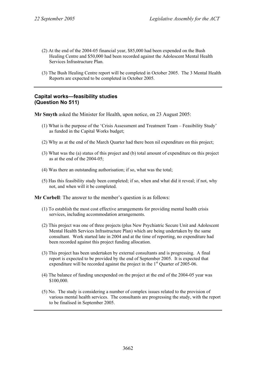- (2) At the end of the 2004-05 financial year, \$85,000 had been expended on the Bush Healing Centre and \$50,000 had been recorded against the Adolescent Mental Health Services Infrastructure Plan.
- (3) The Bush Healing Centre report will be completed in October 2005. The 3 Mental Health Reports are expected to be completed in October 2005.

## **Capital works—feasibility studies (Question No 511)**

**Mr Smyth** asked the Minister for Health, upon notice, on 23 August 2005:

- (1) What is the purpose of the 'Crisis Assessment and Treatment Team Feasibility Study' as funded in the Capital Works budget;
- (2) Why as at the end of the March Quarter had there been nil expenditure on this project;
- (3) What was the (a) status of this project and (b) total amount of expenditure on this project as at the end of the 2004-05;
- (4) Was there an outstanding authorisation; if so, what was the total;
- (5) Has this feasibility study been completed; if so, when and what did it reveal; if not, why not, and when will it be completed.

**Mr Corbell**: The answer to the member's question is as follows:

- (1) To establish the most cost effective arrangements for providing mental health crisis services, including accommodation arrangements.
- (2) This project was one of three projects (plus New Psychiatric Secure Unit and Adolescent Mental Health Services Infrastructure Plan) which are being undertaken by the same consultant. Work started late in 2004 and at the time of reporting, no expenditure had been recorded against this project funding allocation.
- (3) This project has been undertaken by external consultants and is progressing. A final report is expected to be provided by the end of September 2005. It is expected that expenditure will be recorded against the project in the  $1<sup>st</sup>$  Quarter of 2005-06.
- (4) The balance of funding unexpended on the project at the end of the 2004-05 year was \$100,000.
- (5) No. The study is considering a number of complex issues related to the provision of various mental health services. The consultants are progressing the study, with the report to be finalised in September 2005.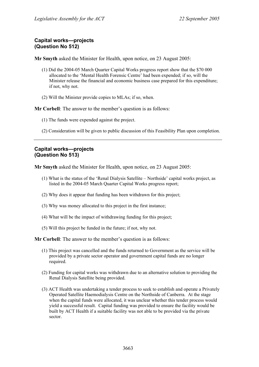## **Capital works—projects (Question No 512)**

**Mr Smyth** asked the Minister for Health, upon notice, on 23 August 2005:

- (1) Did the 2004-05 March Quarter Capital Works progress report show that the \$70 000 allocated to the 'Mental Health Forensic Centre' had been expended; if so, will the Minister release the financial and economic business case prepared for this expenditure; if not, why not.
- (2) Will the Minister provide copies to MLAs; if so, when.

**Mr Corbell**: The answer to the member's question is as follows:

- (1) The funds were expended against the project.
- (2) Consideration will be given to public discussion of this Feasibility Plan upon completion.

## **Capital works—projects (Question No 513)**

**Mr Smyth** asked the Minister for Health, upon notice, on 23 August 2005:

- (1) What is the status of the 'Renal Dialysis Satellite Northside' capital works project, as listed in the 2004-05 March Quarter Capital Works progress report;
- (2) Why does it appear that funding has been withdrawn for this project;
- (3) Why was money allocated to this project in the first instance;
- (4) What will be the impact of withdrawing funding for this project;
- (5) Will this project be funded in the future; if not, why not.

**Mr Corbell**: The answer to the member's question is as follows:

- (1) This project was cancelled and the funds returned to Government as the service will be provided by a private sector operator and government capital funds are no longer required.
- (2) Funding for capital works was withdrawn due to an alternative solution to providing the Renal Dialysis Satellite being provided.
- (3) ACT Health was undertaking a tender process to seek to establish and operate a Privately Operated Satellite Haemodialysis Centre on the Northside of Canberra. At the stage when the capital funds were allocated, it was unclear whether this tender process would yield a successful result. Capital funding was provided to ensure the facility would be built by ACT Health if a suitable facility was not able to be provided via the private sector.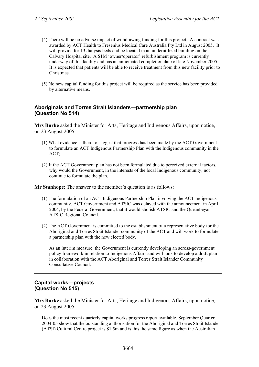- (4) There will be no adverse impact of withdrawing funding for this project. A contract was awarded by ACT Health to Fresenius Medical Care Australia Pty Ltd in August 2005. It will provide for 13 dialysis beds and be located in an underutilized building on the Calvary Hospital site. A \$1M 'owner/operator' refurbishment program is currently underway of this facility and has an anticipated completion date of late November 2005. It is expected that patients will be able to receive treatment from this new facility prior to Christmas.
- (5) No new capital funding for this project will be required as the service has been provided by alternative means.

## **Aboriginals and Torres Strait Islanders—partnership plan (Question No 514)**

**Mrs Burke** asked the Minister for Arts, Heritage and Indigenous Affairs, upon notice, on 23 August 2005:

- (1) What evidence is there to suggest that progress has been made by the ACT Government to formulate an ACT Indigenous Partnership Plan with the Indigenous community in the ACT;
- (2) If the ACT Government plan has not been formulated due to perceived external factors, why would the Government, in the interests of the local Indigenous community, not continue to formulate the plan.

**Mr Stanhope**: The answer to the member's question is as follows:

- (1) The formulation of an ACT Indigenous Partnership Plan involving the ACT Indigenous community, ACT Government and ATSIC was delayed with the announcement in April 2004, by the Federal Government, that it would abolish ATSIC and the Queanbeyan ATSIC Regional Council.
- (2) The ACT Government is committed to the establishment of a representative body for the Aboriginal and Torres Strait Islander community of the ACT and will work to formulate a partnership plan with the new elected body.

As an interim measure, the Government is currently developing an across-government policy framework in relation to Indigenous Affairs and will look to develop a draft plan in collaboration with the ACT Aboriginal and Torres Strait Islander Community Consultative Council.

## **Capital works—projects (Question No 515)**

**Mrs Burke** asked the Minister for Arts, Heritage and Indigenous Affairs, upon notice, on 23 August 2005:

Does the most recent quarterly capital works progress report available, September Quarter 2004-05 show that the outstanding authorisation for the Aboriginal and Torres Strait Islander (ATSI) Cultural Centre project is \$1.5m and is this the same figure as when the Australian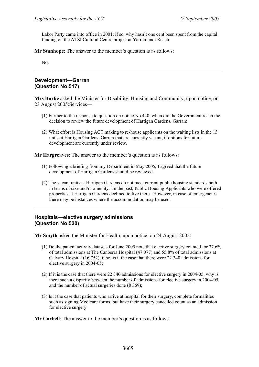Labor Party came into office in 2001; if so, why hasn't one cent been spent from the capital funding on the ATSI Cultural Centre project at Yarramundi Reach.

**Mr Stanhope**: The answer to the member's question is as follows:

No.

# **Development—Garran (Question No 517)**

**Mrs Burke** asked the Minister for Disability, Housing and Community, upon notice, on 23 August 2005:Services—

- (1) Further to the response to question on notice No 440, when did the Government reach the decision to review the future development of Hartigan Gardens, Garran;
- (2) What effort is Housing ACT making to re-house applicants on the waiting lists in the 13 units at Hartigan Gardens, Garran that are currently vacant, if options for future development are currently under review.

**Mr Hargreaves**: The answer to the member's question is as follows:

- (1) Following a briefing from my Department in May 2005, I agreed that the future development of Hartigan Gardens should be reviewed.
- (2) The vacant units at Hartigan Gardens do not meet current public housing standards both in terms of size and/or amenity. In the past, Public Housing Applicants who were offered properties at Hartigan Gardens declined to live there. However, in case of emergencies there may be instances where the accommodation may be used.

### **Hospitals—elective surgery admissions (Question No 520)**

**Mr Smyth** asked the Minister for Health, upon notice, on 24 August 2005:

- (1) Do the patient activity datasets for June 2005 note that elective surgery counted for 27.6% of total admissions at The Canberra Hospital (47 077) and 55.8% of total admissions at Calvary Hospital (16 752); if so, is it the case that there were 22 340 admissions for elective surgery in 2004-05;
- (2) If it is the case that there were 22 340 admissions for elective surgery in 2004-05, why is there such a disparity between the number of admissions for elective surgery in 2004-05 and the number of actual surgeries done (8 369);
- (3) Is it the case that patients who arrive at hospital for their surgery, complete formalities such as signing Medicare forms, but have their surgery cancelled count as an admission for elective surgery.

**Mr Corbell**: The answer to the member's question is as follows: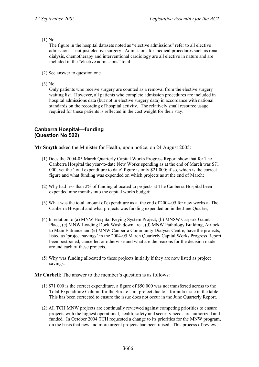#### (1) No

The figure in the hospital datasets noted as "elective admissions" refer to all elective admissions – not just elective surgery. Admissions for medical procedures such as renal dialysis, chemotherapy and interventional cardiology are all elective in nature and are included in the "elective admissions" total.

- (2) See answer to question one
- (3) No

Only patients who receive surgery are counted as a removal from the elective surgery waiting list. However, all patients who complete admission procedures are included in hospital admissions data (but not in elective surgery data) in accordance with national standards on the recording of hospital activity. The relatively small resource usage required for these patients is reflected in the cost weight for their stay.

## **Canberra Hospital—funding (Question No 522)**

**Mr Smyth** asked the Minister for Health, upon notice, on 24 August 2005:

- (1) Does the 2004-05 March Quarterly Capital Works Progress Report show that for The Canberra Hospital the year-to-date New Works spending as at the end of March was \$71 000, yet the 'total expenditure to date' figure is only \$21 000; if so, which is the correct figure and what funding was expended on which projects as at the end of March;
- (2) Why had less than 2% of funding allocated to projects at The Canberra Hospital been expended nine months into the capital works budget;
- (3) What was the total amount of expenditure as at the end of 2004-05 for new works at The Canberra Hospital and what projects was funding expended on in the June Quarter;
- (4) In relation to (a) MNW Hospital Keying System Project, (b) MNSW Carpark Gaunt Place, (c) MNW Loading Dock Wash down area, (d) MNW Pathology Building, Airlock to Main Entrance and (e) MNW Canberra Community Dialysis Centre, have the projects, listed as 'project savings' in the 2004-05 March Quarterly Capital Works Progress Report been postponed, cancelled or otherwise and what are the reasons for the decision made around each of these projects,
- (5) Why was funding allocated to these projects initially if they are now listed as project savings.

**Mr Corbell**: The answer to the member's question is as follows:

- (1) \$71 000 is the correct expenditure, a figure of \$50 000 was not transferred across to the Total Expenditure Column for the Stroke Unit project due to a formula issue in the table. This has been corrected to ensure the issue does not occur in the June Quarterly Report.
- (2) All TCH MNW projects are continually reviewed against competing priorities to ensure projects with the highest operational, health, safety and security needs are authorized and funded. In October 2004 TCH requested a change to its priorities for the MNW program, on the basis that new and more urgent projects had been raised. This process of review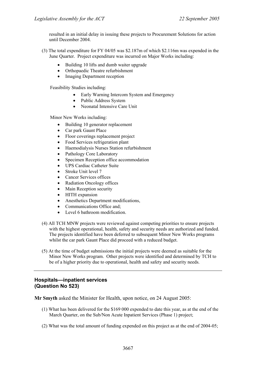resulted in an initial delay in issuing these projects to Procurement Solutions for action until December 2004.

- (3) The total expenditure for FY 04/05 was \$2.187m of which \$2.116m was expended in the June Quarter. Project expenditure was incurred on Major Works including:
	- Building 10 lifts and dumb waiter upgrade
	- Orthopaedic Theatre refurbishment
	- Imaging Department reception

Feasibility Studies including:

- Early Warning Intercom System and Emergency
- Public Address System
- Neonatal Intensive Care Unit

Minor New Works including:

- Building 10 generator replacement
- Car park Gaunt Place
- Floor coverings replacement project
- Food Services refrigeration plant
- Haemodialysis Nurses Station refurbishment
- Pathology Core Laboratory
- Specimen Reception office accommodation
- UPS Cardiac Catheter Suite
- Stroke Unit level 7
- Cancer Services offices
- Radiation Oncology offices
- Main Reception security
- HITH expansion
- Anesthetics Department modifications,
- Communications Office and;
- Level 6 bathroom modification.
- (4) All TCH MNW projects were reviewed against competing priorities to ensure projects with the highest operational, health, safety and security needs are authorized and funded. The projects identified have been deferred to subsequent Minor New Works programs whilst the car park Gaunt Place did proceed with a reduced budget.
- (5) At the time of budget submissions the initial projects were deemed as suitable for the Minor New Works program. Other projects were identified and determined by TCH to be of a higher priority due to operational, health and safety and security needs.

# **Hospitals—inpatient services (Question No 523)**

**Mr Smyth** asked the Minister for Health, upon notice, on 24 August 2005:

- (1) What has been delivered for the \$169 000 expended to date this year, as at the end of the March Quarter, on the Sub/Non Acute Inpatient Services (Phase 1) project;
- (2) What was the total amount of funding expended on this project as at the end of 2004-05;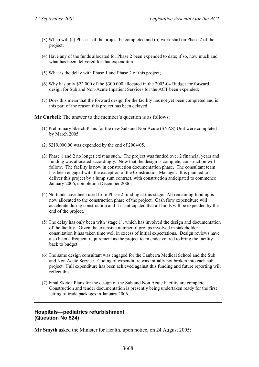- (3) When will (a) Phase 1 of the project be completed and (b) work start on Phase 2 of the project;
- (4) Have any of the funds allocated for Phase 2 been expended to date; if so, how much and what has been delivered for that expenditure;
- (5) What is the delay with Phase 1 and Phase 2 of this project;
- (6) Why has only \$22 000 of the \$300 000 allocated in the 2003-04 Budget for forward design for Sub and Non-Acute Inpatient Services for the ACT been expended;
- (7) Does this mean that the forward design for the facility has not yet been completed and is this part of the reason this project has been delayed.

**Mr Corbell**: The answer to the member's question is as follows:

- (1) Preliminary Sketch Plans for the new Sub and Non Acute (SNAS) Unit were completed by March 2005.
- (2) \$219,000.00 was expended by the end of 2004/05.
- (3) Phase 1 and 2 no longer exist as such. The project was funded over 2 financial years and funding was allocated accordingly. Now that the design is complete, construction will follow. The facility is now in construction documentation phase. The consultant team has been engaged with the exception of the Construction Manager. It is planned to deliver this project by a lump sum contract, with construction anticipated to commence January 2006, completion December 2006.
- (4) No funds have been used from Phase 2 funding at this stage. All remaining funding is now allocated to the construction phase of the project. Cash flow expenditure will accelerate during construction and it is anticipated that all funds will be expended by the end of the project.
- (5) The delay has only been with 'stage 1', which has involved the design and documentation of the facility. Given the extensive number of groups involved in stakeholder consultation it has taken time well in excess of initial expectations. Design reviews have also been a frequent requirement as the project team endeavoured to bring the facility back to budget.
- (6) The same design consultant was engaged for the Canberra Medical School and the Sub and Non Acute Service. Coding of expenditure was initially not broken into each sub project. Full expenditure has been achieved against this funding and future reporting will reflect this.
- (7) Final Sketch Plans for the design of the Sub and Non Acute Facility are complete. Construction and tender documentation is presently being undertaken ready for the first letting of trade packages in January 2006.

#### **Hospitals—pediatrics refurbishment (Question No 524)**

**Mr Smyth** asked the Minister for Health, upon notice, on 24 August 2005: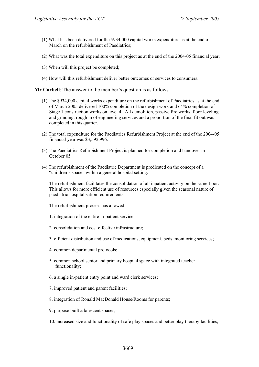- (1) What has been delivered for the \$934 000 capital works expenditure as at the end of March on the refurbishment of Paediatrics;
- (2) What was the total expenditure on this project as at the end of the 2004-05 financial year;
- (3) When will this project be completed;
- (4) How will this refurbishment deliver better outcomes or services to consumers.

**Mr Corbell:** The answer to the member's question is as follows:

- (1) The \$934,000 capital works expenditure on the refurbishment of Paediatrics as at the end of March 2005 delivered 100% completion of the design work and 64% completion of Stage 1 construction works on level 4. All demolition, passive fire works, floor leveling and grinding, rough in of engineering services and a proportion of the final fit out was completed in this quarter.
- (2) The total expenditure for the Paediatrics Refurbishment Project at the end of the 2004-05 financial year was \$3,592,996.
- (3) The Paediatrics Refurbishment Project is planned for completion and handover in October 05
- (4) The refurbishment of the Paediatric Department is predicated on the concept of a "children's space" within a general hospital setting.

The refurbishment facilitates the consolidation of all inpatient activity on the same floor. This allows for more efficient use of resources especially given the seasonal nature of paediatric hospitalisation requirements.

The refurbishment process has allowed:

- 1. integration of the entire in-patient service;
- 2. consolidation and cost effective infrastructure;
- 3. efficient distribution and use of medications, equipment, beds, monitoring services;
- 4. common departmental protocols;
- 5. common school senior and primary hospital space with integrated teacher functionality;
- 6. a single in-patient entry point and ward clerk services;
- 7. improved patient and parent facilities;
- 8. integration of Ronald MacDonald House/Rooms for parents;
- 9. purpose built adolescent spaces;
- 10. increased size and functionality of safe play spaces and better play therapy facilities;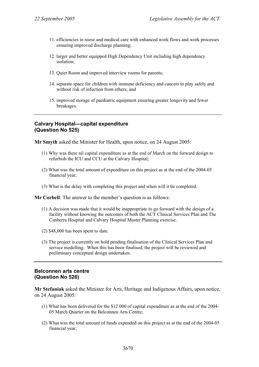- 11. efficiencies in nurse and medical care with enhanced work flows and work processes ensuring improved discharge planning;
- 12. larger and better equipped High Dependency Unit including high dependency isolation;
- 13. Quiet Room and improved interview rooms for parents;
- 14. separate space for children with immune deficiency and cancers to play safely and without risk of infection from others; and
- 15. improved storage of paediatric equipment ensuring greater longevity and fewer breakages.

#### **Calvary Hospital—capital expenditure (Question No 525)**

**Mr Smyth** asked the Minister for Health, upon notice, on 24 August 2005:

- (1) Why was there nil capital expenditure as at the end of March on the forward design to refurbish the ICU and CCU at the Calvary Hospital;
- (2) What was the total amount of expenditure on this project as at the end of the 2004-05 financial year;
- (3) What is the delay with completing this project and when will it be completed.

**Mr Corbell**: The answer to the member's question is as follows:

- (1) A decision was made that it would be inappropriate to go forward with the design of a facility without knowing the outcomes of both the ACT Clinical Services Plan and The Canberra Hospital and Calvary Hospital Master Planning exercise.
- (2) \$48,000 has been spent to date.
- (3) The project is currently on hold pending finalisation of the Clinical Services Plan and service modelling. When this has been finalised, the project will be reviewed and preliminary conceptual design undertaken.

## **Belconnen arts centre (Question No 526)**

**Mr Stefaniak** asked the Minister for Arts, Heritage and Indigenous Affairs, upon notice, on 24 August 2005:

- (1) What has been delivered for the \$12 000 of capital expenditure as at the end of the 2004- 05 March Quarter on the Belconnen Arts Centre;
- (2) What was the total amount of funds expended on this project as at the end of the 2004-05 financial year;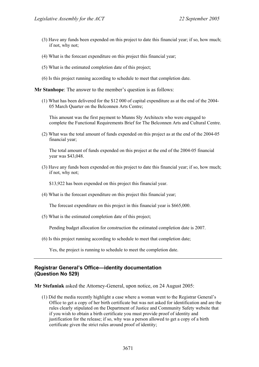- (3) Have any funds been expended on this project to date this financial year; if so, how much; if not, why not;
- (4) What is the forecast expenditure on this project this financial year;
- (5) What is the estimated completion date of this project;
- (6) Is this project running according to schedule to meet that completion date.

**Mr Stanhope**: The answer to the member's question is as follows:

(1) What has been delivered for the \$12 000 of capital expenditure as at the end of the 2004- 05 March Quarter on the Belconnen Arts Centre;

This amount was the first payment to Munns Sly Architects who were engaged to complete the Functional Requirements Brief for The Belconnen Arts and Cultural Centre.

(2) What was the total amount of funds expended on this project as at the end of the 2004-05 financial year;

The total amount of funds expended on this project at the end of the 2004-05 financial year was \$43,048.

(3) Have any funds been expended on this project to date this financial year; if so, how much; if not, why not;

\$13,922 has been expended on this project this financial year.

(4) What is the forecast expenditure on this project this financial year;

The forecast expenditure on this project in this financial year is \$665,000.

(5) What is the estimated completion date of this project;

Pending budget allocation for construction the estimated completion date is 2007.

(6) Is this project running according to schedule to meet that completion date;

Yes, the project is running to schedule to meet the completion date.

### **Registrar General's Office—identity documentation (Question No 529)**

**Mr Stefaniak** asked the Attorney-General, upon notice, on 24 August 2005:

(1) Did the media recently highlight a case where a woman went to the Registrar General's Office to get a copy of her birth certificate but was not asked for identification and are the rules clearly stipulated on the Department of Justice and Community Safety website that if you wish to obtain a birth certificate you must provide proof of identity and justification for the release; if so, why was a person allowed to get a copy of a birth certificate given the strict rules around proof of identity;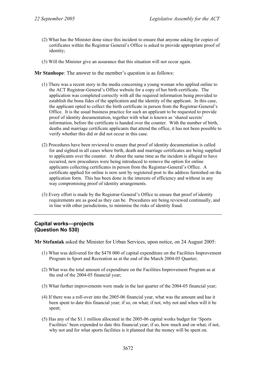- (2) What has the Minister done since this incident to ensure that anyone asking for copies of certificates within the Registrar General's Office is asked to provide appropriate proof of identity;
- (3) Will the Minister give an assurance that this situation will not occur again.

**Mr Stanhope**: The answer to the member's question is as follows:

- (1) There was a recent story in the media concerning a young woman who applied online to the ACT Registrar-General's Office website for a copy of her birth certificate. The application was completed correctly with all the required information being provided to establish the bona fides of the application and the identity of the applicant. In this case, the applicant opted to collect the birth certificate in person from the Registrar-General's Office. It is the usual business practice for such an applicant to be requested to provide proof of identity documentation, together with what is known as 'shared secrets' information, before the certificate is handed over the counter. With the number of birth, deaths and marriage certificate applicants that attend the office, it has not been possible to verify whether this did or did not occur in this case.
- (2) Procedures have been reviewed to ensure that proof of identity documentation is called for and sighted in all cases where birth, death and marriage certificates are being supplied to applicants over the counter. At about the same time as the incident is alleged to have occurred, new procedures were being introduced to remove the option for online applicants collecting certificates in person from the Registrar-General's Office. A certificate applied for online is now sent by registered post to the address furnished on the application form. This has been done in the interests of efficiency and without in any way compromising proof of identity arrangements.
- (3) Every effort is made by the Registrar-General's Office to ensure that proof of identity requirements are as good as they can be. Procedures are being reviewed continually, and in line with other jurisdictions, to minimise the risks of identity fraud.

### **Capital works—projects (Question No 530)**

**Mr Stefaniak** asked the Minister for Urban Services, upon notice, on 24 August 2005:

- (1) What was delivered for the \$478 000 of capital expenditure on the Facilities Improvement Program in Sport and Recreation as at the end of the March 2004-05 Quarter;
- (2) What was the total amount of expenditure on the Facilities Improvement Program as at the end of the 2004-05 financial year;
- (3) What further improvements were made in the last quarter of the 2004-05 financial year;
- (4) If there was a roll-over into the 2005-06 financial year, what was the amount and has it been spent to date this financial year; if so, on what; if not, why not and when will it be spent;
- (5) Has any of the \$1.1 million allocated in the 2005-06 capital works budget for 'Sports Facilities' been expended to date this financial year; if so, how much and on what; if not, why not and for what sports facilities is it planned that the money will be spent on.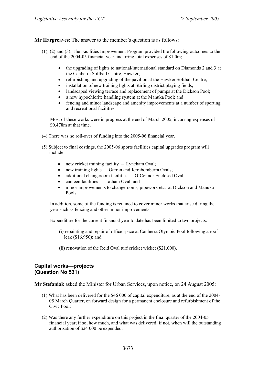**Mr Hargreaves**: The answer to the member's question is as follows:

- (1), (2) and (3). The Facilities Improvement Program provided the following outcomes to the end of the 2004-05 financial year, incurring total expenses of \$1.0m;
	- the upgrading of lights to national/international standard on Diamonds 2 and 3 at the Canberra Softball Centre, Hawker;
	- refurbishing and upgrading of the pavilion at the Hawker Softball Centre;
	- installation of new training lights at Stirling district playing fields;
	- landscaped viewing terrace and replacement of pumps at the Dickson Pool;
	- a new hypochlorite handling system at the Manuka Pool; and
	- fencing and minor landscape and amenity improvements at a number of sporting and recreational facilities.

Most of these works were in progress at the end of March 2005, incurring expenses of \$0.478m at that time.

- (4) There was no roll-over of funding into the 2005-06 financial year.
- (5) Subject to final costings, the 2005-06 sports facilities capital upgrades program will include:
	- new cricket training facility  $-$  Lyneham Oval;
	- new training lights Garran and Jerrabomberra Ovals:
	- additional changeroom facilities O'Connor Enclosed Oval;
	- canteen facilities Latham Oval; and
	- minor improvements to changerooms, pipework etc. at Dickson and Manuka Pools.

In addition, some of the funding is retained to cover minor works that arise during the year such as fencing and other minor improvements.

Expenditure for the current financial year to date has been limited to two projects:

- (i) repainting and repair of office space at Canberra Olympic Pool following a roof leak (\$16,950); and
- (ii) renovation of the Reid Oval turf cricket wicket (\$21,000).

### **Capital works—projects (Question No 531)**

**Mr Stefaniak** asked the Minister for Urban Services, upon notice, on 24 August 2005:

- (1) What has been delivered for the \$46 000 of capital expenditure, as at the end of the 2004- 05 March Quarter, on forward design for a permanent enclosure and refurbishment of the Civic Pool;
- (2) Was there any further expenditure on this project in the final quarter of the 2004-05 financial year; if so, how much, and what was delivered; if not, when will the outstanding authorisation of \$24 000 be expended;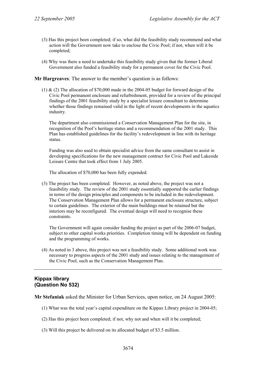- (3) Has this project been completed; if so, what did the feasibility study recommend and what action will the Government now take to enclose the Civic Pool; if not, when will it be completed;
- (4) Why was there a need to undertake this feasibility study given that the former Liberal Government also funded a feasibility study for a permanent cover for the Civic Pool.

#### **Mr Hargreaves**: The answer to the member's question is as follows:

(1) & (2) The allocation of \$70,000 made in the 2004-05 budget for forward design of the Civic Pool permanent enclosure and refurbishment, provided for a review of the principal findings of the 2001 feasibility study by a specialist leisure consultant to determine whether those findings remained valid in the light of recent developments in the aquatics industry.

The department also commissioned a Conservation Management Plan for the site, in recognition of the Pool's heritage status and a recommendation of the 2001 study. This Plan has established guidelines for the facility's redevelopment in line with its heritage status.

Funding was also used to obtain specialist advice from the same consultant to assist in developing specifications for the new management contract for Civic Pool and Lakeside Leisure Centre that took effect from 1 July 2005.

The allocation of \$70,000 has been fully expended.

(3) The project has been completed. However, as noted above, the project was not a feasibility study. The review of the 2001 study essentially supported the earlier findings in terms of the design principles and components to be included in the redevelopment. The Conservation Management Plan allows for a permanent enclosure structure, subject to certain guidelines. The exterior of the main buildings must be retained but the interiors may be reconfigured. The eventual design will need to recognise these constraints.

The Government will again consider funding the project as part of the 2006-07 budget, subject to other capital works priorities. Completion timing will be dependent on funding and the programming of works.

(4) As noted in 3 above, this project was not a feasibility study. Some additional work was necessary to progress aspects of the 2001 study and issues relating to the management of the Civic Pool, such as the Conservation Management Plan.

## **Kippax library (Question No 532)**

**Mr Stefaniak** asked the Minister for Urban Services, upon notice, on 24 August 2005:

- (1) What was the total year's capital expenditure on the Kippax Library project in 2004-05;
- (2) Has this project been completed; if not, why not and when will it be completed;
- (3) Will this project be delivered on its allocated budget of \$3.5 million.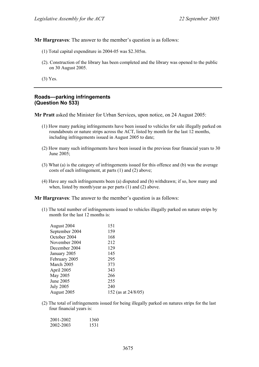**Mr Hargreaves**: The answer to the member's question is as follows:

- (1) Total capital expenditure in 2004-05 was \$2.305m.
- (2). Construction of the library has been completed and the library was opened to the public on 30 August 2005.
- (3) Yes.

#### **Roads—parking infringements (Question No 533)**

**Mr Pratt** asked the Minister for Urban Services, upon notice, on 24 August 2005:

- (1) How many parking infringements have been issued to vehicles for sale illegally parked on roundabouts or nature strips across the ACT, listed by month for the last 12 months, including infringements issued in August 2005 to date;
- (2) How many such infringements have been issued in the previous four financial years to 30 June 2005;
- (3) What (a) is the category of infringements issued for this offence and (b) was the average costs of each infringement, at parts (1) and (2) above;
- (4) Have any such infringements been (a) disputed and (b) withdrawn; if so, how many and when, listed by month/year as per parts (1) and (2) above.

**Mr Hargreaves**: The answer to the member's question is as follows:

(1) The total number of infringements issued to vehicles illegally parked on nature strips by month for the last 12 months is:

| August 2004      | 151                    |
|------------------|------------------------|
| September 2004   | 159                    |
| October 2004     | 168                    |
| November 2004    | 212                    |
| December 2004    | 129                    |
| January 2005     | 145                    |
| February 2005    | 295                    |
| March 2005       | 373                    |
| April 2005       | 343                    |
| May 2005         | 266                    |
| June 2005        | 255                    |
| <b>July 2005</b> | 240                    |
| August 2005      | 152 (as at $24/8/05$ ) |

(2) The total of infringements issued for being illegally parked on natures strips for the last four financial years is:

| 2001-2002 | 1360 |
|-----------|------|
| 2002-2003 | 1531 |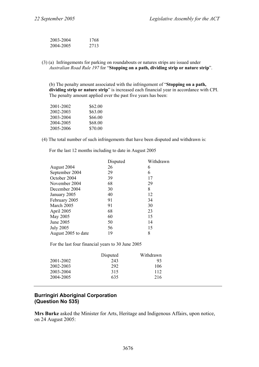| 2003-2004 | 1768 |
|-----------|------|
| 2004-2005 | 2713 |

(3) (a) Infringements for parking on roundabouts or natures strips are issued under *Australian Road Rule 197* for "**Stopping on a path, dividing strip or nature strip**".

(b) The penalty amount associated with the infringement of "**Stopping on a path, dividing strip or nature strip**" is increased each financial year in accordance with CPI. The penalty amount applied over the past five years has been:

| 2001-2002 | \$62.00 |
|-----------|---------|
| 2002-2003 | \$63.00 |
| 2003-2004 | \$66.00 |
| 2004-2005 | \$68.00 |
| 2005-2006 | \$70.00 |

(4) The total number of such infringements that have been disputed and withdrawn is:

For the last 12 months including to date in August 2005

|                     | Disputed | Withdrawn |
|---------------------|----------|-----------|
| August 2004         | 26       | 6         |
| September 2004      | 29       | 6         |
| October 2004        | 39       | 17        |
| November 2004       | 68       | 29        |
| December 2004       | 30       | 8         |
| January 2005        | 40       | 12        |
| February 2005       | 91       | 34        |
| March 2005          | 91       | 30        |
| April 2005          | 68       | 23        |
| May 2005            | 60       | 15        |
| June 2005           | 50       | 14        |
| <b>July 2005</b>    | 56       | 15        |
| August 2005 to date | 19       | 8         |

For the last four financial years to 30 June 2005

|           | Disputed | Withdrawn |
|-----------|----------|-----------|
| 2001-2002 | 243      | 93        |
| 2002-2003 | 292      | 106       |
| 2003-2004 | 315      | 112       |
| 2004-2005 | 635      | 216       |

# **Burringiri Aboriginal Corporation (Question No 535)**

**Mrs Burke** asked the Minister for Arts, Heritage and Indigenous Affairs, upon notice, on 24 August 2005: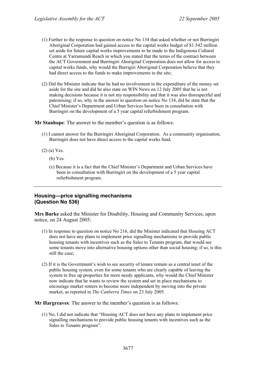- (1) Further to the response to question on notice No 134 that asked whether or not Burringiri Aboriginal Corporation had gained access to the capital works budget of \$1.542 million set aside for future capital works improvements to be made to the Indigenous Cultural Centre at Yarramundi Reach in which you stated that the terms of the contract between the ACT Government and Burringiri Aboriginal Corporation does not allow for access to capital works funds, why would the Burrigiri Aboriginal Corporation believe that they had direct access to the funds to make improvements to the site;
- (2) Did the Minister indicate that he had no involvement in the expenditure of the money set aside for the site and did he also state on WIN News on 12 July 2005 that he is not making decisions because it is not my responsibility and that it was also disrespectful and patronising; if so, why in the answer to question on notice No 134, did he state that the Chief Minister's Department and Urban Services have been in consultation with Burringiri on the development of a 5 year capital refurbishment program.

**Mr Stanhope**: The answer to the member's question is as follows:

- (1) I cannot answer for the Burringiri Aboriginal Corporation. As a community organisation, Burringiri does not have direct access to the capital works fund.
- (2) (a) Yes.
	- (b) Yes.
	- (c) Because it is a fact that the Chief Minister's Department and Urban Services have been in consultation with Burringiri on the development of a 5 year capital refurbishment program.

### **Housing—price signalling mechanisms (Question No 536)**

**Mrs Burke** asked the Minister for Disability, Housing and Community Services, upon notice, on 24 August 2005:

- (1) In response to question on notice No 216, did the Minister indicated that Housing ACT does not have any plans to implement price signalling mechanisms to provide public housing tenants with incentives such as the Sales to Tenants program, that would see some tenants move into alternative housing options other than social housing; if so, is this still the case;
- (2) If it is the Government's wish to see security of tenure remain as a central tenet of the public housing system, even for some tenants who are clearly capable of leaving the system to free up properties for more needy applicants, why would the Chief Minister now indicate that he wants to review the system and set in place mechanisms to encourage market renters to become more independent by moving into the private market, as reported in *The Canberra Times* on 23 July 2005.

**Mr Hargreaves**: The answer to the member's question is as follows:

(1) No, I did not indicate that "Housing ACT does not have any plans to implement price signalling mechanisms to provide public housing tenants with incentives such as the Sales to Tenants program".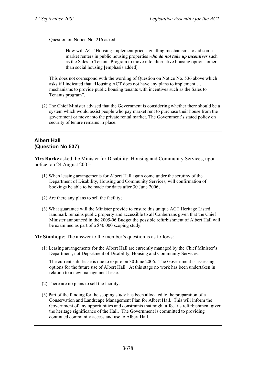Question on Notice No. 216 asked:

How will ACT Housing implement price signalling mechanisms to aid some market renters in public housing properties *who do not take up incentives* such as the Sales to Tenants Program to move into alternative housing options other than social housing [emphasis added].

This does not correspond with the wording of Question on Notice No. 536 above which asks if I indicated that "Housing ACT does not have any plans to implement … mechanisms to provide public housing tenants with incentives such as the Sales to Tenants program".

(2) The Chief Minister advised that the Government is considering whether there should be a system which would assist people who pay market rent to purchase their house from the government or move into the private rental market. The Government's stated policy on security of tenure remains in place.

# **Albert Hall (Question No 537)**

**Mrs Burke** asked the Minister for Disability, Housing and Community Services, upon notice, on 24 August 2005:

- (1) When leasing arrangements for Albert Hall again come under the scrutiny of the Department of Disability, Housing and Community Services, will confirmation of bookings be able to be made for dates after 30 June 2006;
- (2) Are there any plans to sell the facility;
- (3) What guarantee will the Minister provide to ensure this unique ACT Heritage Listed landmark remains public property and accessible to all Canberrans given that the Chief Minister announced in the 2005-06 Budget the possible refurbishment of Albert Hall will be examined as part of a \$40 000 scoping study.

**Mr Stanhope**: The answer to the member's question is as follows:

(1) Leasing arrangements for the Albert Hall are currently managed by the Chief Minister's Department, not Department of Disability, Housing and Community Services.

The current sub- lease is due to expire on 30 June 2006. The Government is assessing options for the future use of Albert Hall. At this stage no work has been undertaken in relation to a new management lease.

- (2) There are no plans to sell the facility.
- (3) Part of the funding for the scoping study has been allocated to the preparation of a Conservation and Landscape Management Plan for Albert Hall. This will inform the Government of any opportunities and constraints that might affect its refurbishment given the heritage significance of the Hall. The Government is committed to providing continued community access and use to Albert Hall.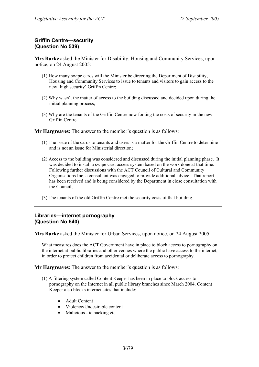# **Griffin Centre—security (Question No 539)**

**Mrs Burke** asked the Minister for Disability, Housing and Community Services, upon notice, on 24 August 2005:

- (1) How many swipe cards will the Minister be directing the Department of Disability, Housing and Community Services to issue to tenants and visitors to gain access to the new 'high security' Griffin Centre;
- (2) Why wasn't the matter of access to the building discussed and decided upon during the initial planning process;
- (3) Why are the tenants of the Griffin Centre now footing the costs of security in the new Griffin Centre.

**Mr Hargreaves**: The answer to the member's question is as follows:

- (1) The issue of the cards to tenants and users is a matter for the Griffin Centre to determine and is not an issue for Ministerial direction;
- (2) Access to the building was considered and discussed during the initial planning phase. It was decided to install a swipe card access system based on the work done at that time. Following further discussions with the ACT Council of Cultural and Community Organisations Inc, a consultant was engaged to provide additional advice. That report has been received and is being considered by the Department in close consultation with the Council;
- (3) The tenants of the old Griffin Centre met the security costs of that building.

# **Libraries—internet pornography (Question No 540)**

**Mrs Burke** asked the Minister for Urban Services, upon notice, on 24 August 2005:

What measures does the ACT Government have in place to block access to pornography on the internet at public libraries and other venues where the public have access to the internet, in order to protect children from accidental or deliberate access to pornography.

**Mr Hargreaves**: The answer to the member's question is as follows:

- (1) A filtering system called Content Keeper has been in place to block access to pornography on the Internet in all public library branches since March 2004. Content Keeper also blocks internet sites that include:
	- Adult Content
	- Violence/Undesirable content
	- Malicious ie hacking etc.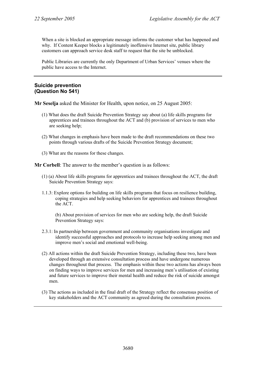When a site is blocked an appropriate message informs the customer what has happened and why. If Content Keeper blocks a legitimately inoffensive Internet site, public library customers can approach service desk staff to request that the site be unblocked.

Public Libraries are currently the only Department of Urban Services' venues where the public have access to the Internet.

### **Suicide prevention (Question No 541)**

**Mr Seselja** asked the Minister for Health, upon notice, on 25 August 2005:

- (1) What does the draft Suicide Prevention Strategy say about (a) life skills programs for apprentices and trainees throughout the ACT and (b) provision of services to men who are seeking help;
- (2) What changes in emphasis have been made to the draft recommendations on these two points through various drafts of the Suicide Prevention Strategy document;
- (3) What are the reasons for these changes.

**Mr Corbell**: The answer to the member's question is as follows:

- (1) (a) About life skills programs for apprentices and trainees throughout the ACT, the draft Suicide Prevention Strategy says:
- 1.1.3: Explore options for building on life skills programs that focus on resilience building, coping strategies and help seeking behaviors for apprentices and trainees throughout the ACT.

(b) About provision of services for men who are seeking help, the draft Suicide Prevention Strategy says:

- 2.3.1: In partnership between government and community organisations investigate and identify successful approaches and protocols to increase help seeking among men and improve men's social and emotional well-being.
- (2) All actions within the draft Suicide Prevention Strategy, including these two, have been developed through an extensive consultation process and have undergone numerous changes throughout that process. The emphasis within these two actions has always been on finding ways to improve services for men and increasing men's utilisation of existing and future services to improve their mental health and reduce the risk of suicide amongst men.
- (3) The actions as included in the final draft of the Strategy reflect the consensus position of key stakeholders and the ACT community as agreed during the consultation process.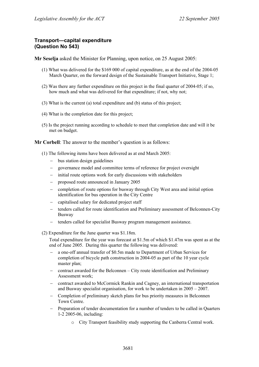### **Transport—capital expenditure (Question No 543)**

**Mr Seselja** asked the Minister for Planning, upon notice, on 25 August 2005:

- (1) What was delivered for the \$169 000 of capital expenditure, as at the end of the 2004-05 March Quarter, on the forward design of the Sustainable Transport Initiative, Stage 1;
- (2) Was there any further expenditure on this project in the final quarter of 2004-05; if so, how much and what was delivered for that expenditure; if not, why not;
- (3) What is the current (a) total expenditure and (b) status of this project;
- (4) What is the completion date for this project;
- (5) Is the project running according to schedule to meet that completion date and will it be met on budget.

**Mr Corbell**: The answer to the member's question is as follows:

- (1) The following items have been delivered as at end March 2005:
	- − bus station design guidelines
	- − governance model and committee terms of reference for project oversight
	- − initial route options work for early discussions with stakeholders
	- proposed route announced in January 2005
	- − completion of route options for busway through City West area and initial option identification for bus operation in the City Centre
	- − capitalised salary for dedicated project staff
	- − tenders called for route identification and Preliminary assessment of Belconnen-City Busway
	- − tenders called for specialist Busway program management assistance.
- (2) Expenditure for the June quarter was \$1.18m.

Total expenditure for the year was forecast at \$1.5m of which \$1.47m was spent as at the end of June 2005. During this quarter the following was delivered:

- − a one-off annual transfer of \$0.5m made to Department of Urban Services for completion of bicycle path construction in 2004-05 as part of the 10 year cycle master plan;
- − contract awarded for the Belconnen City route identification and Preliminary Assessment work;
- − contract awarded to McCormick Rankin and Cagney, an international transportation and Busway specialist organisation, for work to be undertaken in  $2005 - 2007$ .
- − Completion of preliminary sketch plans for bus priority measures in Belconnen Town Centre.
- − Preparation of tender documentation for a number of tenders to be called in Quarters 1-2 2005-06, including:
	- o City Transport feasibility study supporting the Canberra Central work.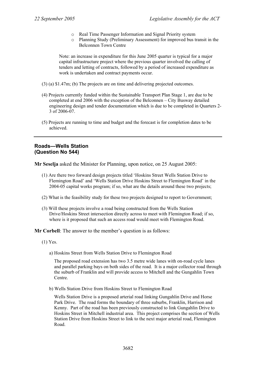- o Real Time Passenger Information and Signal Priority system
- o Planning Study (Preliminary Assessment) for improved bus transit in the Belconnen Town Centre

Note: an increase in expenditure for this June 2005 quarter is typical for a major capital infrastructure project where the previous quarter involved the calling of tenders and letting of contracts, followed by a period of increased expenditure as work is undertaken and contract payments occur.

- (3) (a) \$1.47m; (b) The projects are on time and delivering projected outcomes.
- (4) Projects currently funded within the Sustainable Transport Plan Stage 1, are due to be completed at end 2006 with the exception of the Belconnen – City Busway detailed engineering design and tender documentation which is due to be completed in Quarters 2- 3 of 2006-07.
- (5) Projects are running to time and budget and the forecast is for completion dates to be achieved.

## **Roads—Wells Station (Question No 544)**

**Mr Seselja** asked the Minister for Planning, upon notice, on 25 August 2005:

- (1) Are there two forward design projects titled 'Hoskins Street Wells Station Drive to Flemington Road' and 'Wells Station Drive Hoskins Street to Flemington Road' in the 2004-05 capital works program; if so, what are the details around these two projects;
- (2) What is the feasibility study for these two projects designed to report to Government;
- (3) Will these projects involve a road being constructed from the Wells Station Drive/Hoskins Street intersection directly across to meet with Flemington Road; if so, where is it proposed that such an access road would meet with Flemington Road.

**Mr Corbell**: The answer to the member's question is as follows:

- (1) Yes.
	- a) Hoskins Street from Wells Station Drive to Flemington Road

The proposed road extension has two 3.5 metre wide lanes with on-road cycle lanes and parallel parking bays on both sides of the road. It is a major collector road through the suburb of Franklin and will provide access to Mitchell and the Gungahlin Town Centre.

b) Wells Station Drive from Hoskins Street to Flemington Road

Wells Station Drive is a proposed arterial road linking Gungahlin Drive and Horse Park Drive. The road forms the boundary of three suburbs, Franklin, Harrison and Kenny. Part of the road has been previously constructed to link Gungahlin Drive to Hoskins Street in Mitchell industrial area. This project comprises the section of Wells Station Drive from Hoskins Street to link to the next major arterial road, Flemington Road.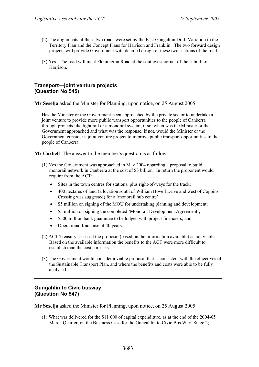- (2) The alignments of these two roads were set by the East Gungahlin Draft Variation to the Territory Plan and the Concept Plans for Harrison and Franklin. The two forward design projects will provide Government with detailed design of these two sections of the road.
- (3) Yes. The road will meet Flemington Road at the southwest corner of the suburb of Harrison.

### **Transport—joint venture projects (Question No 545)**

**Mr Seselja** asked the Minister for Planning, upon notice, on 25 August 2005:

Has the Minister or the Government been approached by the private sector to undertake a joint venture to provide more public transport opportunities to the people of Canberra through projects like light rail or a monorail system; if so, when was the Minister or the Government approached and what was the response; if not, would the Minister or the Government consider a joint venture project to improve public transport opportunities to the people of Canberra.

**Mr Corbell**: The answer to the member's question is as follows:

- (1) Yes the Government was approached in May 2004 regarding a proposal to build a monorail network in Canberra at the cost of \$3 billion. In return the proponent would require from the ACT:
	- Sites in the town centres for stations, plus right-of-ways for the track;
	- 400 hectares of land (a location south of William Hovell Drive and west of Coppins Crossing was suggested) for a 'monorail hub centre';
	- \$5 million on signing of the MOU for undertaking planning and development:
	- \$5 million on signing the completed 'Monorail Development Agreement';
	- \$500 million bank guarantee to be lodged with project financiers; and
	- Operational franchise of 40 years.
- (2) ACT Treasury assessed the proposal (based on the information available) as not viable. Based on the available information the benefits to the ACT were more difficult to establish than the costs or risks.
- (3) The Government would consider a viable proposal that is consistent with the objectives of the Sustainable Transport Plan, and where the benefits and costs were able to be fully analysed.

### **Gungahlin to Civic busway (Question No 547)**

**Mr Seselja** asked the Minister for Planning, upon notice, on 25 August 2005:

(1) What was delivered for the \$11 000 of capital expenditure, as at the end of the 2004-05 March Quarter, on the Business Case for the Gungahlin to Civic Bus Way, Stage 2;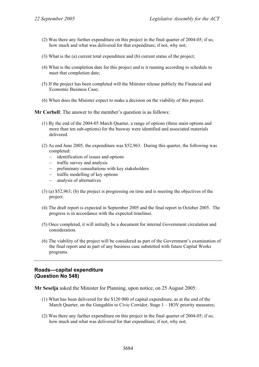- (2) Was there any further expenditure on this project in the final quarter of 2004-05; if so, how much and what was delivered for that expenditure; if not, why not;
- (3) What is the (a) current total expenditure and (b) current status of the project;
- (4) What is the completion date for this project and is it running according to schedule to meet that completion date;
- (5) If the project has been completed will the Minister release publicly the Financial and Economic Business Case;
- (6) When does the Minister expect to make a decision on the viability of this project.

**Mr Corbell**: The answer to the member's question is as follows:

- (1) By the end of the 2004-05 March Quarter, a range of options (three main options and more than ten sub-options) for the busway were identified and associated materials delivered.
- (2) As end June 2005, the expenditure was \$52,963. During this quarter, the following was completed:
	- − identification of issues and options
	- − traffic survey and analysis
	- − preliminary consultations with key stakeholders
	- − traffic modelling of key options
	- − analysis of alternatives
- (3) (a) \$52,963; (b) the project is progressing on time and is meeting the objectives of the project.
- (4) The draft report is expected in September 2005 and the final report in October 2005. The progress is in accordance with the expected timelines.
- (5) Once completed, it will initially be a document for internal Government circulation and consideration.
- (6) The viability of the project will be considered as part of the Government's examination of the final report and as part of any business case submitted with future Capital Works programs.

#### **Roads—capital expenditure (Question No 548)**

**Mr Seselja** asked the Minister for Planning, upon notice, on 25 August 2005:

- (1) What has been delivered for the \$120 000 of capital expenditure, as at the end of the March Quarter, on the Gungahlin to Civic Corridor, Stage  $1 - HOV$  priority measures;
- (2) Was there any further expenditure on this project in the final quarter of 2004-05; if so, how much and what was delivered for that expenditure; if not, why not;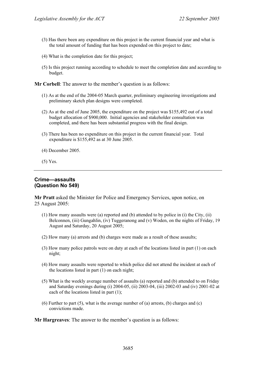- (3) Has there been any expenditure on this project in the current financial year and what is the total amount of funding that has been expended on this project to date;
- (4) What is the completion date for this project;
- (5) Is this project running according to schedule to meet the completion date and according to budget.

**Mr Corbell**: The answer to the member's question is as follows:

- (1) As at the end of the 2004-05 March quarter, preliminary engineering investigations and preliminary sketch plan designs were completed.
- (2) As at the end of June 2005, the expenditure on the project was \$155,492 out of a total budget allocation of \$900,000. Initial agencies and stakeholder consultation was completed, and there has been substantial progress with the final design.
- (3) There has been no expenditure on this project in the current financial year. Total expenditure is \$155,492 as at 30 June 2005.
- (4) December 2005.
- (5) Yes.

## **Crime—assaults (Question No 549)**

**Mr Pratt** asked the Minister for Police and Emergency Services, upon notice, on 25 August 2005:

- $(1)$  How many assaults were (a) reported and (b) attended to by police in (i) the City, (ii) Belconnen, (iii) Gungahlin, (iv) Tuggeranong and (v) Woden, on the nights of Friday, 19 August and Saturday, 20 August 2005;
- (2) How many (a) arrests and (b) charges were made as a result of these assaults;
- (3) How many police patrols were on duty at each of the locations listed in part (1) on each night;
- (4) How many assaults were reported to which police did not attend the incident at each of the locations listed in part  $(1)$  on each night;
- (5) What is the weekly average number of assaults (a) reported and (b) attended to on Friday and Saturday evenings during (i) 2004-05, (ii) 2003-04, (iii) 2002-03 and (iv) 2001-02 at each of the locations listed in part (1);
- (6) Further to part (5), what is the average number of (a) arrests, (b) charges and (c) convictions made.

**Mr Hargreaves**: The answer to the member's question is as follows: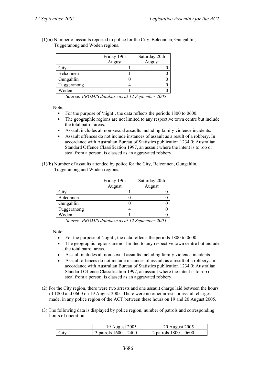(1)(a) Number of assaults reported to police for the City, Belconnen, Gungahlin, Tuggeranong and Woden regions.

|             | Friday 19th | Saturday 20th |  |
|-------------|-------------|---------------|--|
|             | August      | August        |  |
| City        |             |               |  |
| Belconnen   |             |               |  |
| Gungahlin   |             |               |  |
| Tuggeranong |             |               |  |
| Woden       |             |               |  |

*Source: PROMIS database as at 12 September 2005* 

Note:

- For the purpose of 'night', the data reflects the periods 1800 to 0600.
- The geographic regions are not limited to any respective town centre but include the total patrol areas.
- Assault includes all non-sexual assaults including family violence incidents.
- Assault offences do not include instances of assault as a result of a robbery. In accordance with Australian Bureau of Statistics publication 1234.0: Australian Standard Offence Classification 1997, an assault where the intent is to rob or steal from a person, is classed as an aggravated robbery.
- (1)(b) Number of assaults attended by police for the City, Belconnen, Gungahlin, Tuggeranong and Woden regions.

|             | Friday 19th | Saturday 20th |  |
|-------------|-------------|---------------|--|
|             | August      | August        |  |
| City        |             |               |  |
| Belconnen   |             |               |  |
| Gungahlin   |             |               |  |
| Tuggeranong |             |               |  |
| Woden       |             |               |  |

*Source: PROMIS database as at 12 September 2005* 

Note:

- For the purpose of 'night', the data reflects the periods 1800 to 0600.
- The geographic regions are not limited to any respective town centre but include the total patrol areas.
- Assault includes all non-sexual assaults including family violence incidents.
- Assault offences do not include instances of assault as a result of a robbery. In accordance with Australian Bureau of Statistics publication 1234.0: Australian Standard Offence Classification 1997, an assault where the intent is to rob or steal from a person, is classed as an aggravated robbery.
- (2) For the City region, there were two arrests and one assault charge laid between the hours of 1800 and 0600 on 19 August 2005. There were no other arrests or assault charges made, in any police region of the ACT between these hours on 19 and 20 August 2005.
- (3) The following data is displayed by police region, number of patrols and corresponding hours of operation:

|                  | 19 August 2005          | 20 August 2005          |
|------------------|-------------------------|-------------------------|
| C <sub>ity</sub> | 3 patrols $1600 - 2400$ | 2 patrols $1800 - 0600$ |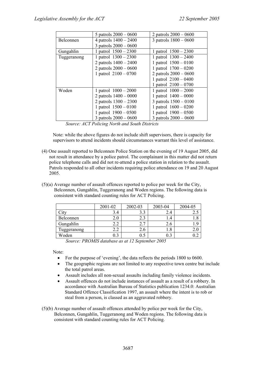|             | 5 patrols $2000 - 0600$ | 2 patrols $2000 - 0600$ |
|-------------|-------------------------|-------------------------|
| Belconnen   | 4 patrols $1400 - 2400$ | 3 patrols $1800 - 0600$ |
|             | 3 patrols $2000 - 0600$ |                         |
| Gungahlin   | 1 patrol $1500 - 2300$  | 1 patrol $1500 - 2300$  |
| Tuggeranong | 1 patrol $1300 - 2300$  | 1 patrol $1300 - 2400$  |
|             | 2 patrols $1400 - 2400$ | 1 patrol $1500 - 0100$  |
|             | 2 patrols $2000 - 0600$ | 1 patrol $1700 - 0200$  |
|             | 1 patrol $2100 - 0700$  | 2 patrols $2000 - 0600$ |
|             |                         | 1 patrol $2100 - 0400$  |
|             |                         | 1 patrol $2100 - 0700$  |
| Woden       | 1 patrol $1000 - 2000$  | 1 patrol $1000 - 2000$  |
|             | 2 patrols $1400 - 0000$ | 1 patrol $1400 - 0000$  |
|             | 2 patrols 1300 - 2300   | 3 patrols $1500 - 0100$ |
|             | 1 patrol $1500 - 0100$  | 1 patrol $1600 - 0200$  |
|             | 1 patrol $1900 - 0500$  | 1 patrol $1900 - 0500$  |
|             | 3 patrols $2000 - 0600$ | 3 patrols $2000 - 0600$ |

*Source: ACT Policing North and South Districts* 

Note: while the above figures do not include shift supervisors, there is capacity for supervisors to attend incidents should circumstances warrant this level of assistance.

- (4) One assault reported to Belconnen Police Station on the evening of 19 August 2005, did not result in attendance by a police patrol. The complainant in this matter did not return police telephone calls and did not re-attend a police station in relation to the assault. Patrols responded to all other incidents requiring police attendance on 19 and 20 August 2005.
- (5)(a) Average number of assault offences reported to police per week for the City, Belconnen, Gungahlin, Tuggeranong and Woden regions. The following data is consistent with standard counting rules for ACT Policing.

|             | 2001-02 | 2002-03 | 2003-04 | 2004-05 |
|-------------|---------|---------|---------|---------|
|             | 3.4     | 3.3     | 2.4     | ل. ک    |
| Belconnen   | 2.0     | 2.3     | l .4    | .8      |
| Gungahlin   | 2.2     | 2.7     | 2.6     | .9      |
| luggeranong |         | 2.6     | 1.8     | 2.0     |
| Woden       | J.3     | 0.5     |         |         |

*Source: PROMIS database as at 12 September 2005* 

Note:

- For the purpose of 'evening', the data reflects the periods 1800 to 0600.
- The geographic regions are not limited to any respective town centre but include the total patrol areas.
- Assault includes all non-sexual assaults including family violence incidents.
- Assault offences do not include instances of assault as a result of a robbery. In accordance with Australian Bureau of Statistics publication 1234.0: Australian Standard Offence Classification 1997, an assault where the intent is to rob or steal from a person, is classed as an aggravated robbery.
- (5)(b) Average number of assault offences attended by police per week for the City, Belconnen, Gungahlin, Tuggeranong and Woden regions. The following data is consistent with standard counting rules for ACT Policing.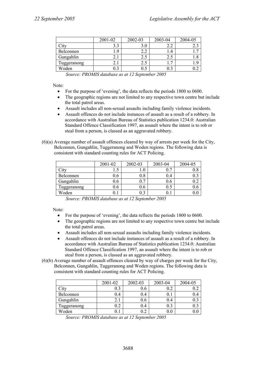|             | 2001-02 | 2002-03  | 2003-04 | 2004-05 |
|-------------|---------|----------|---------|---------|
| 1tv         |         | 3.0      |         |         |
| Belconnen   | Q       | ◠<br>4.4 |         |         |
| Gungahlin   |         | ل . ک    | 2.2     |         |
| Tuggeranong |         |          |         |         |
| Woden       |         |          |         |         |

*Source: PROMIS database as at 12 September 2005* 

Note:

- For the purpose of 'evening', the data reflects the periods 1800 to 0600.
- The geographic regions are not limited to any respective town centre but include the total patrol areas.
- Assault includes all non-sexual assaults including family violence incidents.
- Assault offences do not include instances of assault as a result of a robbery. In accordance with Australian Bureau of Statistics publication 1234.0: Australian Standard Offence Classification 1997, an assault where the intent is to rob or steal from a person, is classed as an aggravated robbery.
- (6)(a) Average number of assault offences cleared by way of arrests per week for the City, Belconnen, Gungahlin, Tuggeranong and Woden regions. The following data is consistent with standard counting rules for ACT Policing.

|                    | 2001-02 | 2002-03        | 2003-04 | 2004-05 |
|--------------------|---------|----------------|---------|---------|
| $\gamma$ ity       |         |                | 0.7     |         |
| Belconnen          | v.o     | 0.8            | 0.4     |         |
| Gungahlin          | U.6     | <u>г</u><br>0. | 0.6     |         |
| <b>Tuggeranong</b> | 0.6     | 0.6            | 0.5     |         |
| Woden              |         | 0.3            |         |         |

*Source: PROMIS database as at 12 September 2005* 

Note:

- For the purpose of 'evening', the data reflects the periods 1800 to 0600.
- The geographic regions are not limited to any respective town centre but include the total patrol areas.
- Assault includes all non-sexual assaults including family violence incidents.
- Assault offences do not include instances of assault as a result of a robbery. In accordance with Australian Bureau of Statistics publication 1234.0: Australian Standard Offence Classification 1997, an assault where the intent is to rob or steal from a person, is classed as an aggravated robbery.
- (6)(b) Average number of assault offences cleared by way of charges per week for the City, Belconnen, Gungahlin, Tuggeranong and Woden regions. The following data is consistent with standard counting rules for ACT Policing.

|            | 2001-02      | 2002-03          | 2003-04      | 2004-05 |
|------------|--------------|------------------|--------------|---------|
|            | 0.3          | 0.6              | 0.2          | V.Z     |
| Belconnen  | 0.4          | 0.4              | 0.1          | 0.4     |
| Gungahlin  | $\angle$ . 1 | 0.6 <sub>1</sub> | 0.4          |         |
| uggeranong | $\rm 0.2$    | 0.4              | 0.3          |         |
| Woden      |              |                  | $_{\rm 0.0}$ |         |

*Source: PROMIS database as at 12 September 2005*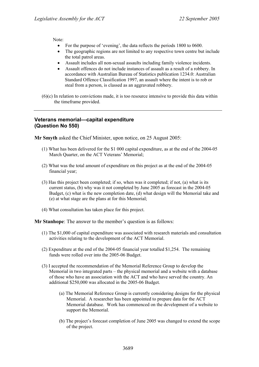Note:

- For the purpose of 'evening', the data reflects the periods 1800 to 0600.
- The geographic regions are not limited to any respective town centre but include the total patrol areas.
- Assault includes all non-sexual assaults including family violence incidents.
- Assault offences do not include instances of assault as a result of a robbery. In accordance with Australian Bureau of Statistics publication 1234.0: Australian Standard Offence Classification 1997, an assault where the intent is to rob or steal from a person, is classed as an aggravated robbery.
- (6)(c) In relation to convictions made, it is too resource intensive to provide this data within the timeframe provided.

## **Veterans memorial—capital expenditure (Question No 550)**

**Mr Smyth** asked the Chief Minister, upon notice, on 25 August 2005:

- (1) What has been delivered for the \$1 000 capital expenditure, as at the end of the 2004-05 March Quarter, on the ACT Veterans' Memorial;
- (2) What was the total amount of expenditure on this project as at the end of the 2004-05 financial year;
- (3) Has this project been completed; if so, when was it completed; if not, (a) what is its current status, (b) why was it not completed by June 2005 as forecast in the 2004-05 Budget, (c) what is the new completion date, (d) what design will the Memorial take and (e) at what stage are the plans at for this Memorial;
- (4) What consultation has taken place for this project.

**Mr Stanhope**: The answer to the member's question is as follows:

- (1) The \$1,000 of capital expenditure was associated with research materials and consultation activities relating to the development of the ACT Memorial.
- (2) Expenditure at the end of the 2004-05 financial year totalled \$1,254. The remaining funds were rolled over into the 2005-06 Budget.
- (3) I accepted the recommendation of the Memorial Reference Group to develop the Memorial in two integrated parts – the physical memorial and a website with a database of those who have an association with the ACT and who have served the country. An additional \$250,000 was allocated in the 2005-06 Budget.
	- (a) The Memorial Reference Group is currently considering designs for the physical Memorial. A researcher has been appointed to prepare data for the ACT Memorial database. Work has commenced on the development of a website to support the Memorial.
	- (b) The project's forecast completion of June 2005 was changed to extend the scope of the project.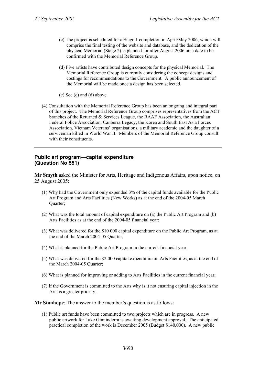- (c) The project is scheduled for a Stage 1 completion in April/May 2006, which will comprise the final testing of the website and database, and the dedication of the physical Memorial (Stage 2) is planned for after August 2006 on a date to be confirmed with the Memorial Reference Group.
- (d) Five artists have contributed design concepts for the physical Memorial. The Memorial Reference Group is currently considering the concept designs and costings for recommendations to the Government. A public announcement of the Memorial will be made once a design has been selected.
- (e) See (c) and (d) above.
- (4) Consultation with the Memorial Reference Group has been an ongoing and integral part of this project. The Memorial Reference Group comprises representatives from the ACT branches of the Returned & Services League, the RAAF Association, the Australian Federal Police Association, Canberra Legacy, the Korea and South East Asia Forces Association, Vietnam Veterans' organisations, a military academic and the daughter of a serviceman killed in World War II. Members of the Memorial Reference Group consult with their constituents.

#### **Public art program—capital expenditure (Question No 551)**

**Mr Smyth** asked the Minister for Arts, Heritage and Indigenous Affairs, upon notice, on 25 August 2005:

- (1) Why had the Government only expended 3% of the capital funds available for the Public Art Program and Arts Facilities (New Works) as at the end of the 2004-05 March Quarter;
- (2) What was the total amount of capital expenditure on (a) the Public Art Program and (b) Arts Facilities as at the end of the 2004-05 financial year;
- (3) What was delivered for the \$10 000 capital expenditure on the Public Art Program, as at the end of the March 2004-05 Quarter;
- (4) What is planned for the Public Art Program in the current financial year;
- (5) What was delivered for the \$2 000 capital expenditure on Arts Facilities, as at the end of the March 2004-05 Quarter;
- (6) What is planned for improving or adding to Arts Facilities in the current financial year;
- (7) If the Government is committed to the Arts why is it not ensuring capital injection in the Arts is a greater priority.

**Mr Stanhope**: The answer to the member's question is as follows:

(1) Public art funds have been committed to two projects which are in progress. A new public artwork for Lake Ginninderra is awaiting development approval. The anticipated practical completion of the work is December 2005 (Budget \$140,000). A new public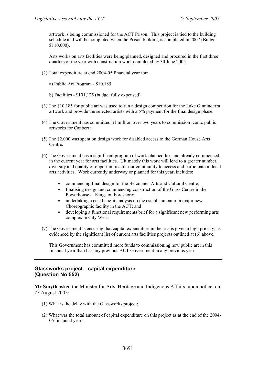artwork is being commissioned for the ACT Prison. This project is tied to the building schedule and will be completed when the Prison building is completed in 2007 (Budget \$110,000).

Arts works on arts facilities were being planned, designed and procured in the first three quarters of the year with construction work completed by 30 June 2005.

- (2) Total expenditure at end 2004-05 financial year for:
	- a) Public Art Program \$10,185
	- b) Facilities \$101,125 (budget fully expensed)
- (3) The \$10,185 for public art was used to run a design competition for the Lake Ginninderra artwork and provide the selected artists with a 5% payment for the final design phase.
- (4) The Government has committed \$1 million over two years to commission iconic public artworks for Canberra.
- (5) The \$2,000 was spent on design work for disabled access to the Gorman House Arts Centre.
- (6) The Government has a significant program of work planned for, and already commenced, in the current year for arts facilities. Ultimately this work will lead to a greater number, diversity and quality of opportunities for our community to access and participate in local arts activities. Work currently underway or planned for this year, includes:
	- commencing final design for the Belconnen Arts and Cultural Centre;
	- finalising design and commencing construction of the Glass Centre in the Powerhouse at Kingston Foreshore;
	- undertaking a cost benefit analysis on the establishment of a major new Choreographic facility in the ACT; and
	- developing a functional requirements brief for a significant new performing arts complex in City West.
- (7) The Government is ensuring that capital expenditure in the arts is given a high priority, as evidenced by the significant list of current arts facilities projects outlined at (6) above.

This Government has committed more funds to commissioning new public art in this financial year than has any previous ACT Government in any previous year.

## **Glassworks project—capital expenditure (Question No 552)**

**Mr Smyth** asked the Minister for Arts, Heritage and Indigenous Affairs, upon notice, on 25 August 2005:

- (1) What is the delay with the Glassworks project;
- (2) What was the total amount of capital expenditure on this project as at the end of the 2004- 05 financial year;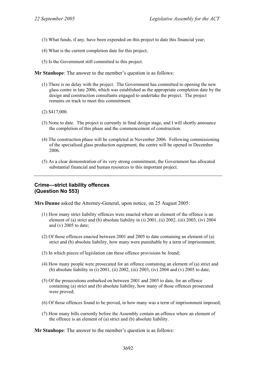- (3) What funds, if any, have been expended on this project to date this financial year;
- (4) What is the current completion date for this project;
- (5) Is the Government still committed to this project.

**Mr Stanhope**: The answer to the member's question is as follows:

- (1) There is no delay with the project. The Government has committed to opening the new glass centre in late 2006, which was established as the appropriate completion date by the design and construction consultants engaged to undertake the project. The project remains on track to meet this commitment.
- (2) \$417,000.
- (3) None to date. The project is currently in final design stage, and I will shortly announce the completion of this phase and the commencement of construction.
- (4) The construction phase will be completed in November 2006. Following commissioning of the specialised glass production equipment, the centre will be opened in December 2006.
- (5) As a clear demonstration of its very strong commitment, the Government has allocated substantial financial and human resources to this important project.

## **Crime—strict liability offences (Question No 553)**

**Mrs Dunne** asked the Attorney-General, upon notice, on 25 August 2005:

- (1) How many strict liability offences were enacted where an element of the offence is an element of (a) strict and (b) absolute liability in (i) 2001, (ii) 2002, (iii) 2003, (iv) 2004 and (v) 2005 to date;
- (2) Of those offences enacted between 2001 and 2005 to date containing an element of (a) strict and (b) absolute liability, how many were punishable by a term of imprisonment;
- (3) In which pieces of legislation can these offence provisions be found;
- (4) How many people were prosecuted for an offence containing an element of (a) strict and (b) absolute liability in (i) 2001, (ii) 2002, (iii) 2003, (iv) 2004 and (v) 2005 to date;
- (5) Of the prosecutions embarked on between 2001 and 2005 to date, for an offence containing (a) strict and (b) absolute liability, how many of those offences prosecuted were proved;
- (6) Of those offences found to be proved, in how many was a term of imprisonment imposed;
- (7) How many bills currently before the Assembly contain an offence where an element of the offence is an element of (a) strict and (b) absolute liability.

**Mr Stanhope**: The answer to the member's question is as follows: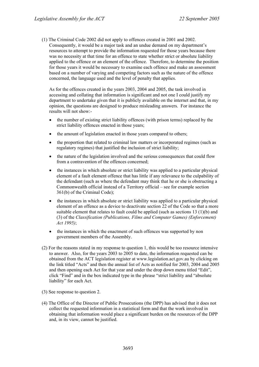(1) The Criminal Code 2002 did not apply to offences created in 2001 and 2002. Consequently, it would be a major task and an undue demand on my department's resources to attempt to provide the information requested for those years because there was no necessity at that time for an offence to state whether strict or absolute liability applied to the offence or an element of the offence. Therefore, to determine the position for those years it would be necessary to examine each offence and make an assessment based on a number of varying and competing factors such as the nature of the offence concerned, the language used and the level of penalty that applies.

As for the offences created in the years 2003, 2004 and 2005, the task involved in accessing and collating that information is significant and not one I could justify my department to undertake given that it is publicly available on the internet and that, in my opinion, the questions are designed to produce misleading answers. For instance the results will not show:-

- the number of existing strict liability offences (with prison terms) replaced by the strict liability offences enacted in those years;
- the amount of legislation enacted in those years compared to others;
- the proportion that related to criminal law matters or incorporated regimes (such as regulatory regimes) that justified the inclusion of strict liability;
- the nature of the legislation involved and the serious consequences that could flow from a contravention of the offences concerned;
- the instances in which absolute or strict liability was applied to a particular physical element of a fault element offence that has little if any relevance to the culpability of the defendant (such as where the defendant may think that he or she is obstructing a Commonwealth official instead of a Territory official – see for example section 361(b) of the Criminal Code);
- the instances in which absolute or strict liability was applied to a particular physical element of an offence as a device to deactivate section 22 of the Code so that a more suitable element that relates to fault could be applied (such as sections 13 (1)(b) and (3) of the *Classification (Publications, Films and Computer Games) (Enforcement) Act 1995)*;
- the instances in which the enactment of such offences was supported by non government members of the Assembly.
- (2) For the reasons stated in my response to question 1, this would be too resource intensive to answer. Also, for the years 2003 to 2005 to date, the information requested can be obtained from the ACT legislation register at www.legislation.act.gov.au by clicking on the link titled "Acts" and then the annual list of Acts as notified for 2003, 2004 and 2005 and then opening each Act for that year and under the drop down menu titled "Edit", click "Find" and in the box indicated type in the phrase "strict liability and "absolute liability" for each Act.
- (3) See response to question 2.
- (4) The Office of the Director of Public Prosecutions (the DPP) has advised that it does not collect the requested information in a statistical form and that the work involved in obtaining that information would place a significant burden on the resources of the DPP and, in its view, cannot be justified.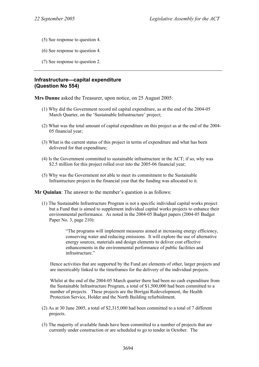- (5) See response to question 4.
- (6) See response to question 4.
- (7) See response to question 2.

#### **Infrastructure—capital expenditure (Question No 554)**

**Mrs Dunne** asked the Treasurer, upon notice, on 25 August 2005:

- (1) Why did the Government record nil capital expenditure, as at the end of the 2004-05 March Quarter, on the 'Sustainable Infrastructure' project;
- (2) What was the total amount of capital expenditure on this project as at the end of the 2004- 05 financial year;
- (3) What is the current status of this project in terms of expenditure and what has been delivered for that expenditure;
- (4) Is the Government committed to sustainable infrastructure in the ACT; if so, why was \$2.5 million for this project rolled over into the 2005-06 financial year;
- (5) Why was the Government not able to meet its commitment to the Sustainable Infrastructure project in the financial year that the funding was allocated to it.

**Mr Quinlan**: The answer to the member's question is as follows:

(1) The Sustainable Infrastructure Program is not a specific individual capital works project but a Fund that is aimed to supplement individual capital works projects to enhance their environmental performance. As noted in the 2004-05 Budget papers (2004-05 Budget Paper No. 3, page 210):

> "The programs will implement measures aimed at increasing energy efficiency, conserving water and reducing emissions. It will explore the use of alternative energy sources, materials and design elements to deliver cost effective enhancements in the environmental performance of public facilities and infrastructure."

Hence activities that are supported by the Fund are elements of other, larger projects and are inextricably linked to the timeframes for the delivery of the individual projects.

Whilst at the end of the 2004-05 March quarter there had been no cash expenditure from the Sustainable Infrastructure Program, a total of \$1,500,000 had been committed to a number of projects. These projects are the Birrigai Redevelopment, the Health Protection Service, Holder and the North Building refurbishment.

- (2) As at 30 June 2005, a total of \$2,315,000 had been committed to a total of 7 different projects.
- (3) The majority of available funds have been committed to a number of projects that are currently under construction or are scheduled to go to tender in October. The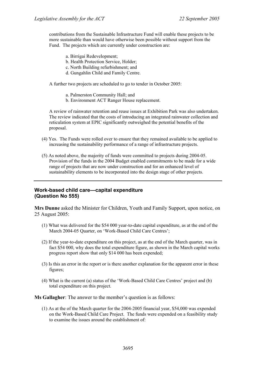contributions from the Sustainable Infrastructure Fund will enable these projects to be more sustainable than would have otherwise been possible without support from the Fund. The projects which are currently under construction are:

- a. Birrigai Redevelopment;
- b. Health Protection Service, Holder;
- c. North Building refurbishment; and
- d. Gungahlin Child and Family Centre.

A further two projects are scheduled to go to tender in October 2005:

- a. Palmerston Community Hall; and
- b. Environment ACT Ranger House replacement.

A review of rainwater retention and reuse issues at Exhibition Park was also undertaken. The review indicated that the costs of introducing an integrated rainwater collection and reticulation system at EPIC significantly outweighed the potential benefits of the proposal.

- (4) Yes. The Funds were rolled over to ensure that they remained available to be applied to increasing the sustainability performance of a range of infrastructure projects.
- (5) As noted above, the majority of funds were committed to projects during 2004-05. Provision of the funds in the 2004 Budget enabled commitments to be made for a wide range of projects that are now under construction and for an enhanced level of sustainability elements to be incorporated into the design stage of other projects.

### **Work-based child care—capital expenditure (Question No 555)**

**Mrs Dunne** asked the Minister for Children, Youth and Family Support, upon notice, on 25 August 2005:

- (1) What was delivered for the \$54 000 year-to-date capital expenditure, as at the end of the March 2004-05 Quarter, on 'Work-Based Child Care Centres';
- (2) If the year-to-date expenditure on this project, as at the end of the March quarter, was in fact \$54 000, why does the total expenditure figure, as shown in the March capital works progress report show that only \$14 000 has been expended;
- (3) Is this an error in the report or is there another explanation for the apparent error in these figures;
- (4) What is the current (a) status of the 'Work-Based Child Care Centres' project and (b) total expenditure on this project.

**Ms Gallagher**: The answer to the member's question is as follows:

(1) As at the of the March quarter for the 2004-2005 financial year, \$54,000 was expended on the Work-Based Child Care Project. The funds were expended on a feasibility study to examine the issues around the establishment of: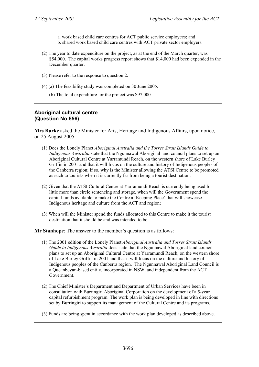a. work based child care centres for ACT public service employees; and b. shared work based child care centres with ACT private sector employers.

- (2) The year to date expenditure on the project, as at the end of the March quarter, was \$54,000. The capital works progress report shows that \$14,000 had been expended in the December quarter.
- (3) Please refer to the response to question 2.
- (4) (a) The feasibility study was completed on 30 June 2005.
	- (b) The total expenditure for the project was \$97,000.

### **Aboriginal cultural centre (Question No 556)**

**Mrs Burke** asked the Minister for Arts, Heritage and Indigenous Affairs, upon notice, on 25 August 2005:

- (1) Does the Lonely Planet *Aboriginal Australia and the Torres Strait Islands Guide to Indigenous Australia* state that the Ngunnawal Aboriginal land council plans to set up an Aboriginal Cultural Centre at Yarramundi Reach, on the western shore of Lake Burley Griffin in 2001 and that it will focus on the culture and history of Indigenous peoples of the Canberra region; if so, why is the Minister allowing the ATSI Centre to be promoted as such to tourists when it is currently far from being a tourist destination;
- (2) Given that the ATSI Cultural Centre at Yarramundi Reach is currently being used for little more than circle sentencing and storage, when will the Government spend the capital funds available to make the Centre a 'Keeping Place' that will showcase Indigenous heritage and culture from the ACT and region;
- (3) When will the Minister spend the funds allocated to this Centre to make it the tourist destination that it should be and was intended to be.

**Mr Stanhope**: The answer to the member's question is as follows:

- (1) The 2001 edition of the Lonely Planet *Aboriginal Australia and Torres Strait Islands Guide to Indigenous Australia* does state that the Ngunnawal Aboriginal land council plans to set up an Aboriginal Cultural Centre at Yarramundi Reach, on the western shore of Lake Burley Griffin in 2001 and that it will focus on the culture and history of Indigenous peoples of the Canberra region. The Ngunnawal Aboriginal Land Council is a Queanbeyan-based entity, incorporated in NSW, and independent from the ACT Government.
- (2) The Chief Minister's Department and Department of Urban Services have been in consultation with Burringiri Aboriginal Corporation on the development of a 5-year capital refurbishment program. The work plan is being developed in line with directions set by Burringiri to support its management of the Cultural Centre and its programs.
- (3) Funds are being spent in accordance with the work plan developed as described above.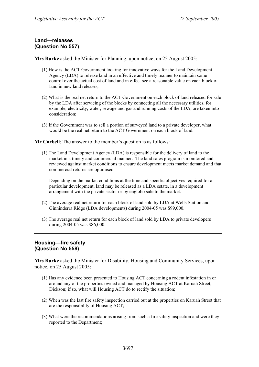## **Land—releases (Question No 557)**

**Mrs Burke** asked the Minister for Planning, upon notice, on 25 August 2005:

- (1) How is the ACT Government looking for innovative ways for the Land Development Agency (LDA) to release land in an effective and timely manner to maintain some control over the actual cost of land and in effect see a reasonable value on each block of land in new land releases;
- (2) What is the real net return to the ACT Government on each block of land released for sale by the LDA after servicing of the blocks by connecting all the necessary utilities, for example, electricity, water, sewage and gas and running costs of the LDA, are taken into consideration;
- (3) If the Government was to sell a portion of surveyed land to a private developer, what would be the real net return to the ACT Government on each block of land.

**Mr Corbell**: The answer to the member's question is as follows:

(1) The Land Development Agency (LDA) is responsible for the delivery of land to the market in a timely and commercial manner. The land sales program is monitored and reviewed against market conditions to ensure development meets market demand and that commercial returns are optimised.

Depending on the market conditions at the time and specific objectives required for a particular development, land may be released as a LDA estate, in a development arrangement with the private sector or by englobo sale to the market.

- (2) The average real net return for each block of land sold by LDA at Wells Station and Ginninderra Ridge (LDA developments) during 2004-05 was \$99,000.
- (3) The average real net return for each block of land sold by LDA to private developers during 2004-05 was \$86,000.

# **Housing—fire safety (Question No 558)**

**Mrs Burke** asked the Minister for Disability, Housing and Community Services, upon notice, on 25 August 2005:

- (1) Has any evidence been presented to Housing ACT concerning a rodent infestation in or around any of the properties owned and managed by Housing ACT at Karuah Street, Dickson; if so, what will Housing ACT do to rectify the situation;
- (2) When was the last fire safety inspection carried out at the properties on Karuah Street that are the responsibility of Housing ACT;
- (3) What were the recommendations arising from such a fire safety inspection and were they reported to the Department;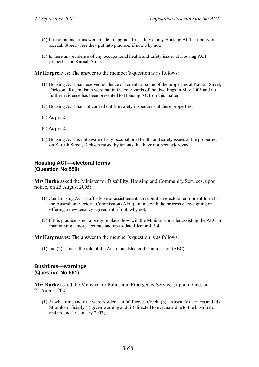- (4) If recommendations were made to upgrade fire safety at any Housing ACT property on Karuah Street, were they put into practice; if not, why not;
- (5) Is there any evidence of any occupational health and safety issues at Housing ACT properties on Karuah Street.

- (1) Housing ACT has received evidence of rodents at some of the properties at Kaurah Street, Dickson. Rodent baits were put in the courtyards of the dwellings in May 2005 and no further evidence has been presented to Housing ACT on this matter.
- (2) Housing ACT has not carried out fire safety inspections at these properties.
- (3) As per 2.
- (4) As per 2.
- (5) Housing ACT is not aware of any occupational health and safety issues at the properties on Karuah Street, Dickson raised by tenants that have not been addressed.

### **Housing ACT—electoral forms (Question No 559)**

**Mrs Burke** asked the Minister for Disability, Housing and Community Services, upon notice, on 25 August 2005:

- (1) Can Housing ACT staff advise or assist tenants to submit an electoral enrolment form to the Australian Electoral Commission (AEC), in line with the process of re-signing or offering a new tenancy agreement; if not, why not;
- (2) If this practice is not already in place, how will the Minister consider assisting the AEC in maintaining a more accurate and up-to-date Electoral Roll.

**Mr Hargreaves**: The answer to the member's question is as follows:

(1) and (2) This is the role of the Australian Electoral Commission (AEC)

#### **Bushfires—warnings (Question No 561)**

**Mrs Burke** asked the Minister for Police and Emergency Services, upon notice, on 25 August 2005:

(1) At what time and date were residents at (a) Pierces Creek, (b) Tharwa, (c) Uriarra and (d) Stromlo, officially (i) given warning and (ii) directed to evacuate due to the bushfire on and around 18 January 2003;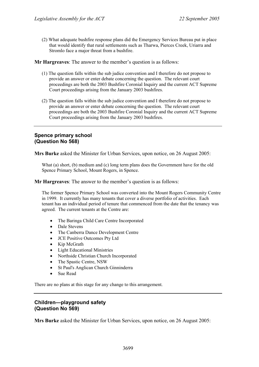(2) What adequate bushfire response plans did the Emergency Services Bureau put in place that would identify that rural settlements such as Tharwa, Pierces Creek, Uriarra and Stromlo face a major threat from a bushfire.

**Mr Hargreaves**: The answer to the member's question is as follows:

- (1) The question falls within the sub judice convention and I therefore do not propose to provide an answer or enter debate concerning the question. The relevant court proceedings are both the 2003 Bushfire Coronial Inquiry and the current ACT Supreme Court proceedings arising from the January 2003 bushfires.
- (2) The question falls within the sub judice convention and I therefore do not propose to provide an answer or enter debate concerning the question. The relevant court proceedings are both the 2003 Bushfire Coronial Inquiry and the current ACT Supreme Court proceedings arising from the January 2003 bushfires.

## **Spence primary school (Question No 568)**

**Mrs Burke** asked the Minister for Urban Services, upon notice, on 26 August 2005:

What (a) short, (b) medium and (c) long term plans does the Government have for the old Spence Primary School, Mount Rogers, in Spence.

**Mr Hargreaves**: The answer to the member's question is as follows:

The former Spence Primary School was converted into the Mount Rogers Community Centre in 1999. It currently has many tenants that cover a diverse portfolio of activities. Each tenant has an individual period of tenure that commenced from the date that the tenancy was agreed. The current tenants at the Centre are:

- The Baringa Child Care Centre Incorporated
- Dale Stevens
- The Canberra Dance Development Centre
- JCE Positive Outcomes Pty Ltd
- Kip McGrath
- Light Educational Ministries
- Northside Christian Church Incorporated
- The Spastic Centre, NSW
- St Paul's Anglican Church Ginninderra
- Sue Read

There are no plans at this stage for any change to this arrangement.

## **Children—playground safety (Question No 569)**

**Mrs Burke** asked the Minister for Urban Services, upon notice, on 26 August 2005: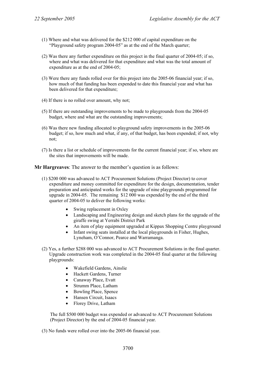- (1) Where and what was delivered for the \$212 000 of capital expenditure on the "Playground safety program 2004-05" as at the end of the March quarter;
- (2) Was there any further expenditure on this project in the final quarter of 2004-05; if so, where and what was delivered for that expenditure and what was the total amount of expenditure as at the end of 2004-05;
- (3) Were there any funds rolled over for this project into the 2005-06 financial year; if so, how much of that funding has been expended to date this financial year and what has been delivered for that expenditure;
- (4) If there is no rolled over amount, why not;
- (5) If there are outstanding improvements to be made to playgrounds from the 2004-05 budget, where and what are the outstanding improvements;
- (6) Was there new funding allocated to playground safety improvements in the 2005-06 budget; if so, how much and what, if any, of that budget, has been expended; if not, why not;
- (7) Is there a list or schedule of improvements for the current financial year; if so, where are the sites that improvements will be made.

- (1) \$200 000 was advanced to ACT Procurement Solutions (Project Director) to cover expenditure and money committed for expenditure for the design, documentation, tender preparation and anticipated works for the upgrade of nine playgrounds programmed for upgrade in 2004-05. The remaining \$12 000 was expended by the end of the third quarter of 2004-05 to deliver the following works:
	- Swing replacement in Oxley
	- Landscaping and Engineering design and sketch plans for the upgrade of the giraffe swing at Yerrabi District Park
	- An item of play equipment upgraded at Kippax Shopping Centre playground
	- Infant swing seats installed at the local playgrounds in Fisher, Hughes, Lyneham, O'Connor, Pearce and Warramanga.
- (2) Yes, a further \$288 000 was advanced to ACT Procurement Solutions in the final quarter. Upgrade construction work was completed in the 2004-05 final quarter at the following playgrounds:
	- Wakefield Gardens, Ainslie
	- Hackett Gardens, Turner
	- Canaway Place, Evatt
	- Strumm Place, Latham
	- Bowling Place, Spence
	- Hansen Circuit, Isaacs
	- Florey Drive, Latham

The full \$500 000 budget was expended or advanced to ACT Procurement Solutions (Project Director) by the end of 2004-05 financial year.

(3) No funds were rolled over into the 2005-06 financial year.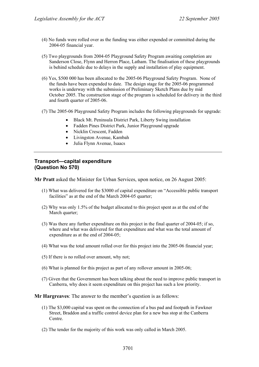- (4) No funds were rolled over as the funding was either expended or committed during the 2004-05 financial year.
- (5) Two playgrounds from 2004-05 Playground Safety Program awaiting completion are Sanderson Close, Flynn and Herron Place, Latham. The finalisation of these playgrounds is behind schedule due to delays in the supply and installation of play equipment.
- (6) Yes, \$500 000 has been allocated to the 2005-06 Playground Safety Program. None of the funds have been expended to date. The design stage for the 2005-06 programmed works is underway with the submission of Preliminary Sketch Plans due by mid October 2005. The construction stage of the program is scheduled for delivery in the third and fourth quarter of 2005-06.
- (7) The 2005-06 Playground Safety Program includes the following playgrounds for upgrade:
	- Black Mt. Peninsula District Park, Liberty Swing installation
	- Fadden Pines District Park, Junior Playground upgrade
	- Nicklin Crescent, Fadden
	- Livingston Avenue, Kambah
	- Julia Flynn Avenue, Isaacs

## **Transport—capital expenditure (Question No 570)**

**Mr Pratt** asked the Minister for Urban Services, upon notice, on 26 August 2005:

- (1) What was delivered for the \$3000 of capital expenditure on "Accessible public transport facilities" as at the end of the March 2004-05 quarter;
- (2) Why was only 1.5% of the budget allocated to this project spent as at the end of the March quarter;
- (3) Was there any further expenditure on this project in the final quarter of 2004-05; if so, where and what was delivered for that expenditure and what was the total amount of expenditure as at the end of 2004-05;
- (4) What was the total amount rolled over for this project into the 2005-06 financial year;
- (5) If there is no rolled over amount, why not;
- (6) What is planned for this project as part of any rollover amount in 2005-06;
- (7) Given that the Government has been talking about the need to improve public transport in Canberra, why does it seem expenditure on this project has such a low priority.

- (1) The \$3,000 capital was spent on the connection of a bus pad and footpath in Fawkner Street, Braddon and a traffic control device plan for a new bus stop at the Canberra Centre.
- (2) The tender for the majority of this work was only called in March 2005.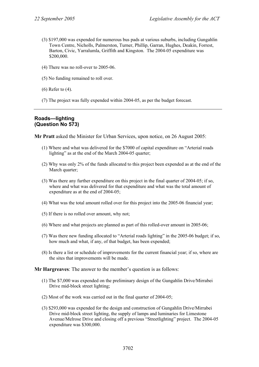- (3) \$197,000 was expended for numerous bus pads at various suburbs, including Gungahlin Town Centre, Nicholls, Palmerston, Turner, Phillip, Garran, Hughes, Deakin, Forrest, Barton, Civic, Yarralumla, Griffith and Kingston. The 2004-05 expenditure was \$200,000.
- (4) There was no roll-over to 2005-06.
- (5) No funding remained to roll over.
- (6) Refer to (4).
- (7) The project was fully expended within 2004-05, as per the budget forecast.

# **Roads—lighting (Question No 573)**

**Mr Pratt** asked the Minister for Urban Services, upon notice, on 26 August 2005:

- (1) Where and what was delivered for the \$7000 of capital expenditure on "Arterial roads lighting" as at the end of the March 2004-05 quarter;
- (2) Why was only 2% of the funds allocated to this project been expended as at the end of the March quarter:
- (3) Was there any further expenditure on this project in the final quarter of 2004-05; if so, where and what was delivered for that expenditure and what was the total amount of expenditure as at the end of 2004-05;
- (4) What was the total amount rolled over for this project into the 2005-06 financial year;
- (5) If there is no rolled over amount, why not;
- (6) Where and what projects are planned as part of this rolled-over amount in 2005-06;
- (7) Was there new funding allocated to "Arterial roads lighting" in the 2005-06 budget; if so, how much and what, if any, of that budget, has been expended;
- (8) Is there a list or schedule of improvements for the current financial year; if so, where are the sites that improvements will be made.

- (1) The \$7,000 was expended on the preliminary design of the Gungahlin Drive/Mirrabei Drive mid-block street lighting;
- (2) Most of the work was carried out in the final quarter of 2004-05;
- (3) \$293,000 was expended for the design and construction of Gungahlin Drive/Mirrabei Drive mid-block street lighting, the supply of lamps and luminaries for Limestone Avenue/Melrose Drive and closing off a previous "Streetlighting" project. The 2004-05 expenditure was \$300,000.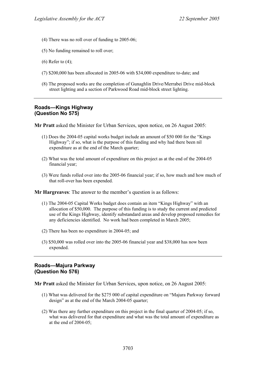- (4) There was no roll over of funding to 2005-06;
- (5) No funding remained to roll over;
- (6) Refer to (4);
- (7) \$200,000 has been allocated in 2005-06 with \$34,000 expenditure to-date; and
- (8) The proposed works are the completion of Gunaghlin Drive/Merrabei Drive mid-block street lighting and a section of Parkwood Road mid-block street lighting.

## **Roads—Kings Highway (Question No 575)**

**Mr Pratt** asked the Minister for Urban Services, upon notice, on 26 August 2005:

- (1) Does the 2004-05 capital works budget include an amount of \$50 000 for the "Kings Highway"; if so, what is the purpose of this funding and why had there been nil expenditure as at the end of the March quarter;
- (2) What was the total amount of expenditure on this project as at the end of the 2004-05 financial year;
- (3) Were funds rolled over into the 2005-06 financial year; if so, how much and how much of that roll-over has been expended.

**Mr Hargreaves**: The answer to the member's question is as follows:

- (1) The 2004-05 Capital Works budget does contain an item "Kings Highway" with an allocation of \$50,000. The purpose of this funding is to study the current and predicted use of the Kings Highway, identify substandard areas and develop proposed remedies for any deficiencies identified. No work had been completed in March 2005;
- (2) There has been no expenditure in 2004-05; and
- (3) \$50,000 was rolled over into the 2005-06 financial year and \$38,000 has now been expended.

## **Roads—Majura Parkway (Question No 576)**

**Mr Pratt** asked the Minister for Urban Services, upon notice, on 26 August 2005:

- (1) What was delivered for the \$275 000 of capital expenditure on "Majura Parkway forward design" as at the end of the March 2004-05 quarter;
- (2) Was there any further expenditure on this project in the final quarter of 2004-05; if so, what was delivered for that expenditure and what was the total amount of expenditure as at the end of 2004-05;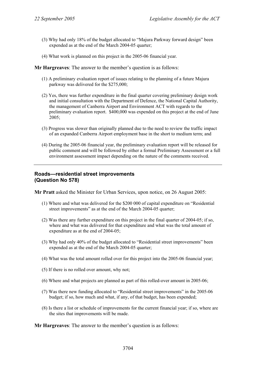- (3) Why had only 18% of the budget allocated to "Majura Parkway forward design" been expended as at the end of the March 2004-05 quarter;
- (4) What work is planned on this project in the 2005-06 financial year.

- (1) A preliminary evaluation report of issues relating to the planning of a future Majura parkway was delivered for the \$275,000;
- (2) Yes, there was further expenditure in the final quarter covering preliminary design work and initial consultation with the Department of Defence, the National Capital Authority, the management of Canberra Airport and Environment ACT with regards to the preliminary evaluation report. \$400,000 was expended on this project at the end of June 2005;
- (3) Progress was slower than originally planned due to the need to review the traffic impact of an expanded Canberra Airport employment base in the short to medium term; and
- (4) During the 2005-06 financial year, the preliminary evaluation report will be released for public comment and will be followed by either a formal Preliminary Assessment or a full environment assessment impact depending on the nature of the comments received.

#### **Roads—residential street improvements (Question No 578)**

**Mr Pratt** asked the Minister for Urban Services, upon notice, on 26 August 2005:

- (1) Where and what was delivered for the \$200 000 of capital expenditure on "Residential street improvements" as at the end of the March 2004-05 quarter;
- (2) Was there any further expenditure on this project in the final quarter of 2004-05; if so, where and what was delivered for that expenditure and what was the total amount of expenditure as at the end of 2004-05;
- (3) Why had only 40% of the budget allocated to "Residential street improvements" been expended as at the end of the March 2004-05 quarter;
- (4) What was the total amount rolled over for this project into the 2005-06 financial year;
- (5) If there is no rolled over amount, why not;
- (6) Where and what projects are planned as part of this rolled-over amount in 2005-06;
- (7) Was there new funding allocated to "Residential street improvements" in the 2005-06 budget; if so, how much and what, if any, of that budget, has been expended;
- (8) Is there a list or schedule of improvements for the current financial year; if so, where are the sites that improvements will be made.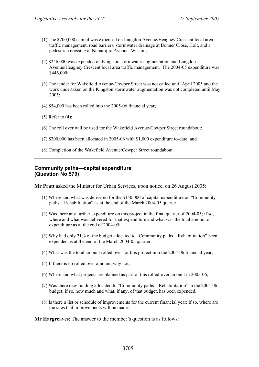- (1) The \$200,000 capital was expensed on Langdon Avenue/Heagney Crescent local area traffic management, road barriers, stormwater drainage at Bonner Close, Holt, and a pedestrian crossing at Namatijira Avenue, Weston;
- (2) \$246,000 was expended on Kingston stormwater augmentation and Langdon Avenue/Heagney Crescent local area traffic management. The 2004-05 expenditure was \$446,000;
- (3) The tender for Wakefield Avenue/Cowper Street was not called until April 2005 and the work undertaken on the Kingston stormwater augmentation was not completed until May 2005;
- (4) \$54,000 has been rolled into the 2005-06 financial year;
- (5) Refer to (4);
- (6) The roll over will be used for the Wakefield Avenue/Cowper Street roundabout;
- (7) \$200,000 has been allocated in 2005-06 with \$1,000 expenditure to-date; and
- (8) Completion of the Wakefield Avenue/Cowper Street roundabout.

#### **Community paths—capital expenditure (Question No 579)**

**Mr Pratt** asked the Minister for Urban Services, upon notice, on 26 August 2005:

- (1) Where and what was delivered for the \$150 000 of capital expenditure on "Community paths – Rehabilitation" as at the end of the March 2004-05 quarter;
- (2) Was there any further expenditure on this project in the final quarter of 2004-05; if so, where and what was delivered for that expenditure and what was the total amount of expenditure as at the end of 2004-05;
- (3) Why had only 21% of the budget allocated to "Community paths Rehabilitation" been expended as at the end of the March 2004-05 quarter;
- (4) What was the total amount rolled over for this project into the 2005-06 financial year;
- (5) If there is no rolled over amount, why not;
- (6) Where and what projects are planned as part of this rolled-over amount in 2005-06;
- (7) Was there new funding allocated to "Community paths Rehabilitation" in the 2005-06 budget; if so, how much and what, if any, of that budget, has been expended;
- (8) Is there a list or schedule of improvements for the current financial year; if so, where are the sites that improvements will be made.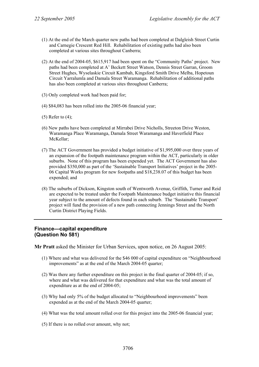- (1) At the end of the March quarter new paths had been completed at Dalgleish Street Curtin and Carnegie Crescent Red Hill. Rehabilitation of existing paths had also been completed at various sites throughout Canberra;
- (2) At the end of 2004-05, \$615,917 had been spent on the "Community Paths' project. New paths had been completed at A' Beckett Street Watson, Dennis Street Garran, Groom Street Hughes, Wyselaskie Circuit Kambah, Kingsford Smith Drive Melba, Hopetoun Circuit Yarralumla and Damala Street Waramanga. Rehabilitation of additional paths has also been completed at various sites throughout Canberra;
- (3) Only completed work had been paid for;
- (4) \$84,083 has been rolled into the 2005-06 financial year;
- (5) Refer to (4);
- (6) New paths have been completed at Mirrabei Drive Nicholls, Streeton Drive Weston, Waramanga Place Waramanga, Damala Street Waramanga and Haverfield Place McKellar;
- (7) The ACT Government has provided a budget initiative of \$1,995,000 over three years of an expansion of the footpath maintenance program within the ACT, particularly in older suburbs. None of this program has been expended yet. The ACT Government has also provided \$350,000 as part of the 'Sustainable Transport Initiatives' project in the 2005- 06 Capital Works program for new footpaths and \$18,238.07 of this budget has been expended; and
- (8) The suburbs of Dickson, Kingston south of Wentworth Avenue, Griffith, Turner and Reid are expected to be treated under the Footpath Maintenance budget initiative this financial year subject to the amount of defects found in each suburb. The 'Sustainable Transport' project will fund the provision of a new path connecting Jennings Street and the North Curtin District Playing Fields.

## **Finance—capital expenditure (Question No 581)**

**Mr Pratt** asked the Minister for Urban Services, upon notice, on 26 August 2005:

- (1) Where and what was delivered for the \$46 000 of capital expenditure on "Neighbourhood improvements" as at the end of the March 2004-05 quarter;
- (2) Was there any further expenditure on this project in the final quarter of 2004-05; if so, where and what was delivered for that expenditure and what was the total amount of expenditure as at the end of 2004-05;
- (3) Why had only 5% of the budget allocated to "Neighbourhood improvements" been expended as at the end of the March 2004-05 quarter;
- (4) What was the total amount rolled over for this project into the 2005-06 financial year;
- (5) If there is no rolled over amount, why not;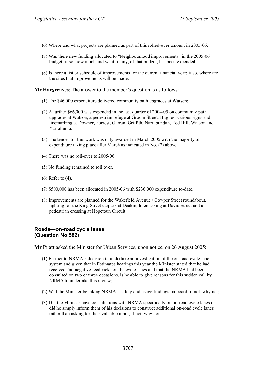- (6) Where and what projects are planned as part of this rolled-over amount in 2005-06;
- (7) Was there new funding allocated to "Neighbourhood improvements" in the 2005-06 budget; if so, how much and what, if any, of that budget, has been expended;
- (8) Is there a list or schedule of improvements for the current financial year; if so, where are the sites that improvements will be made.

- (1) The \$46,000 expenditure delivered community path upgrades at Watson;
- (2) A further \$66,000 was expended in the last quarter of 2004-05 on community path upgrades at Watson, a pedestrian refuge at Groom Street, Hughes, various signs and linemarking at Downer, Forrest, Garran, Griffith, Narrabundah, Red Hill, Watson and Yarralumla.
- (3) The tender for this work was only awarded in March 2005 with the majority of expenditure taking place after March as indicated in No. (2) above.
- (4) There was no roll-over to 2005-06.
- (5) No funding remained to roll over.
- (6) Refer to (4).
- (7) \$500,000 has been allocated in 2005-06 with \$236,000 expenditure to-date.
- (8) Improvements are planned for the Wakefield Avenue / Cowper Street roundabout, lighting for the King Street carpark at Deakin, linemarking at David Street and a pedestrian crossing at Hopetoun Circuit.

### **Roads—on-road cycle lanes (Question No 582)**

**Mr Pratt** asked the Minister for Urban Services, upon notice, on 26 August 2005:

- (1) Further to NRMA's decision to undertake an investigation of the on-road cycle lane system and given that in Estimates hearings this year the Minister stated that he had received "no negative feedback" on the cycle lanes and that the NRMA had been consulted on two or three occasions, is he able to give reasons for this sudden call by NRMA to undertake this review;
- (2) Will the Minister be taking NRMA's safety and usage findings on board; if not, why not;
- (3) Did the Minister have consultations with NRMA specifically on on-road cycle lanes or did he simply inform them of his decisions to construct additional on-road cycle lanes rather than asking for their valuable input; if not, why not.